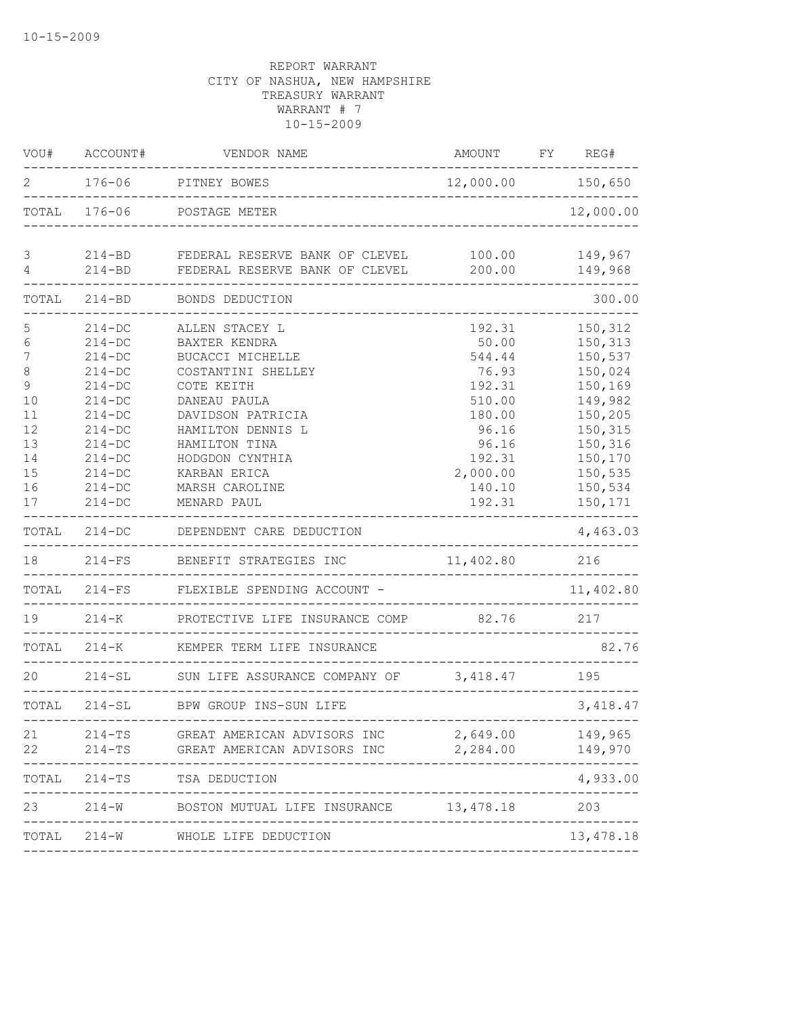| WOU#                                                                              | ACCOUNT#                                                                                                                                                             | VENDOR NAME                                                                                                                                                                                                                            | AMOUNT FY REG#                                                                                                               |                                                                                                                                             |
|-----------------------------------------------------------------------------------|----------------------------------------------------------------------------------------------------------------------------------------------------------------------|----------------------------------------------------------------------------------------------------------------------------------------------------------------------------------------------------------------------------------------|------------------------------------------------------------------------------------------------------------------------------|---------------------------------------------------------------------------------------------------------------------------------------------|
| 2                                                                                 | $176 - 06$                                                                                                                                                           | PITNEY BOWES<br>---------------------------------                                                                                                                                                                                      | 12,000.00 150,650                                                                                                            |                                                                                                                                             |
|                                                                                   |                                                                                                                                                                      | TOTAL 176-06 POSTAGE METER                                                                                                                                                                                                             |                                                                                                                              | 12,000.00                                                                                                                                   |
| 3<br>$\sqrt{4}$                                                                   | $214 - BD$                                                                                                                                                           | 214-BD FEDERAL RESERVE BANK OF CLEVEL<br>FEDERAL RESERVE BANK OF CLEVEL                                                                                                                                                                | 100.00<br>200.00                                                                                                             | 149,967<br>149,968                                                                                                                          |
| TOTAL                                                                             | $214 - BD$                                                                                                                                                           | BONDS DEDUCTION                                                                                                                                                                                                                        |                                                                                                                              | 300.00                                                                                                                                      |
| 5<br>6<br>7<br>8<br>$\mathcal{G}$<br>10<br>11<br>12<br>13<br>14<br>15<br>16<br>17 | $214 - DC$<br>$214 - DC$<br>$214-DC$<br>$214-DC$<br>$214-DC$<br>$214-DC$<br>$214-DC$<br>$214-DC$<br>$214 - DC$<br>$214 - DC$<br>$214-DC$<br>$214 - DC$<br>$214 - DC$ | ALLEN STACEY L<br>BAXTER KENDRA<br>BUCACCI MICHELLE<br>COSTANTINI SHELLEY<br>COTE KEITH<br>DANEAU PAULA<br>DAVIDSON PATRICIA<br>HAMILTON DENNIS L<br>HAMILTON TINA<br>HODGDON CYNTHIA<br>KARBAN ERICA<br>MARSH CAROLINE<br>MENARD PAUL | 192.31<br>50.00<br>544.44<br>76.93<br>192.31<br>510.00<br>180.00<br>96.16<br>96.16<br>192.31<br>2,000.00<br>140.10<br>192.31 | 150,312<br>150,313<br>150,537<br>150,024<br>150,169<br>149,982<br>150,205<br>150,315<br>150,316<br>150,170<br>150,535<br>150,534<br>150,171 |
| TOTAL                                                                             | $214 - DC$                                                                                                                                                           | DEPENDENT CARE DEDUCTION                                                                                                                                                                                                               |                                                                                                                              | 4,463.03                                                                                                                                    |
| 18                                                                                | $214-FS$                                                                                                                                                             | BENEFIT STRATEGIES INC                                                                                                                                                                                                                 | 11,402.80                                                                                                                    | 216                                                                                                                                         |
|                                                                                   | TOTAL 214-FS                                                                                                                                                         | FLEXIBLE SPENDING ACCOUNT -                                                                                                                                                                                                            |                                                                                                                              | 11,402.80                                                                                                                                   |
| 19                                                                                | $214 - K$                                                                                                                                                            | PROTECTIVE LIFE INSURANCE COMP 82.76 217                                                                                                                                                                                               |                                                                                                                              |                                                                                                                                             |
|                                                                                   |                                                                                                                                                                      | TOTAL 214-K KEMPER TERM LIFE INSURANCE                                                                                                                                                                                                 |                                                                                                                              | 82.76                                                                                                                                       |
| 20                                                                                |                                                                                                                                                                      | 214-SL SUN LIFE ASSURANCE COMPANY OF 3,418.47 195                                                                                                                                                                                      |                                                                                                                              |                                                                                                                                             |
|                                                                                   |                                                                                                                                                                      | TOTAL 214-SL BPW GROUP INS-SUN LIFE                                                                                                                                                                                                    | __________________________________                                                                                           | 3,418.47                                                                                                                                    |
| 21<br>22                                                                          | $214 - TS$<br>$214-TS$                                                                                                                                               | GREAT AMERICAN ADVISORS INC<br>GREAT AMERICAN ADVISORS INC                                                                                                                                                                             | 2,649.00<br>2,284.00                                                                                                         | 149,965<br>149,970                                                                                                                          |
| TOTAL                                                                             | 214-TS                                                                                                                                                               | TSA DEDUCTION                                                                                                                                                                                                                          |                                                                                                                              | 4,933.00                                                                                                                                    |
| 23                                                                                | $214 - W$                                                                                                                                                            | BOSTON MUTUAL LIFE INSURANCE 13,478.18                                                                                                                                                                                                 |                                                                                                                              | 203                                                                                                                                         |
| TOTAL                                                                             |                                                                                                                                                                      | 214-W WHOLE LIFE DEDUCTION                                                                                                                                                                                                             |                                                                                                                              | 13,478.18                                                                                                                                   |
|                                                                                   |                                                                                                                                                                      |                                                                                                                                                                                                                                        |                                                                                                                              |                                                                                                                                             |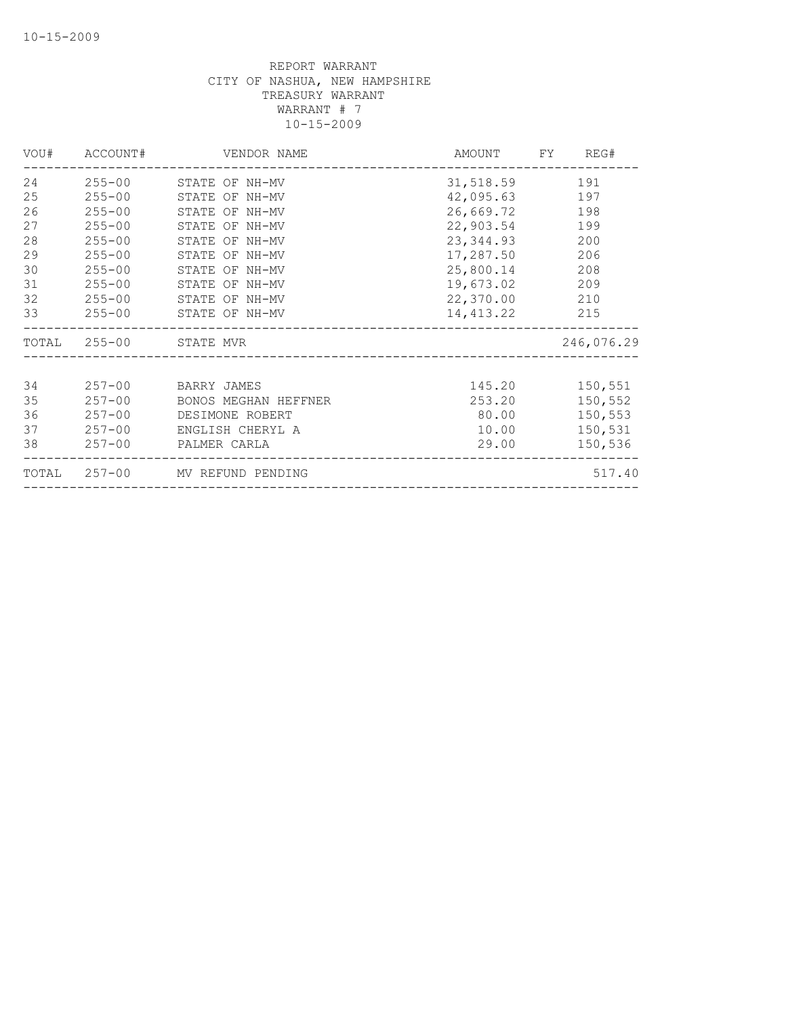| VOU#         | ACCOUNT#   | VENDOR NAME                    | AMOUNT        | FY | REG#       |
|--------------|------------|--------------------------------|---------------|----|------------|
| 24           |            | 255-00 STATE OF NH-MV          | 31,518.59     |    | 191        |
| 25           | $255 - 00$ | STATE OF NH-MV                 | 42,095.63     |    | 197        |
| 26           | $255 - 00$ | STATE OF NH-MV                 | 26,669.72     |    | 198        |
| 27           | $255 - 00$ | STATE OF NH-MV                 | 22,903.54     |    | 199        |
| 28           | $255 - 00$ | STATE OF NH-MV                 | 23,344.93     |    | 200        |
| 29           | $255 - 00$ | STATE OF NH-MV                 | 17,287.50     |    | 206        |
| 30           | $255 - 00$ | STATE OF NH-MV                 | 25,800.14     |    | 208        |
| 31           | $255 - 00$ | STATE OF NH-MV                 | 19,673.02     |    | 209        |
| 32           | $255 - 00$ | STATE OF NH-MV                 | 22,370.00 210 |    |            |
| 33           | $255 - 00$ | STATE OF NH-MV                 | 14,413.22     |    | 215        |
| TOTAL 255-00 |            | STATE MVR                      |               |    | 246,076.29 |
|              |            |                                |               |    |            |
| 34           | $257 - 00$ | BARRY JAMES                    | 145.20        |    | 150,551    |
| 35           | $257 - 00$ | BONOS MEGHAN HEFFNER           | 253.20        |    | 150,552    |
| 36           | $257 - 00$ | DESIMONE ROBERT                | 80.00         |    | 150,553    |
| 37           | $257 - 00$ | ENGLISH CHERYL A               | 10.00         |    | 150,531    |
| 38           | $257 - 00$ | PALMER CARLA                   | 29.00         |    | 150,536    |
|              |            | TOTAL 257-00 MV REFUND PENDING |               |    | 517.40     |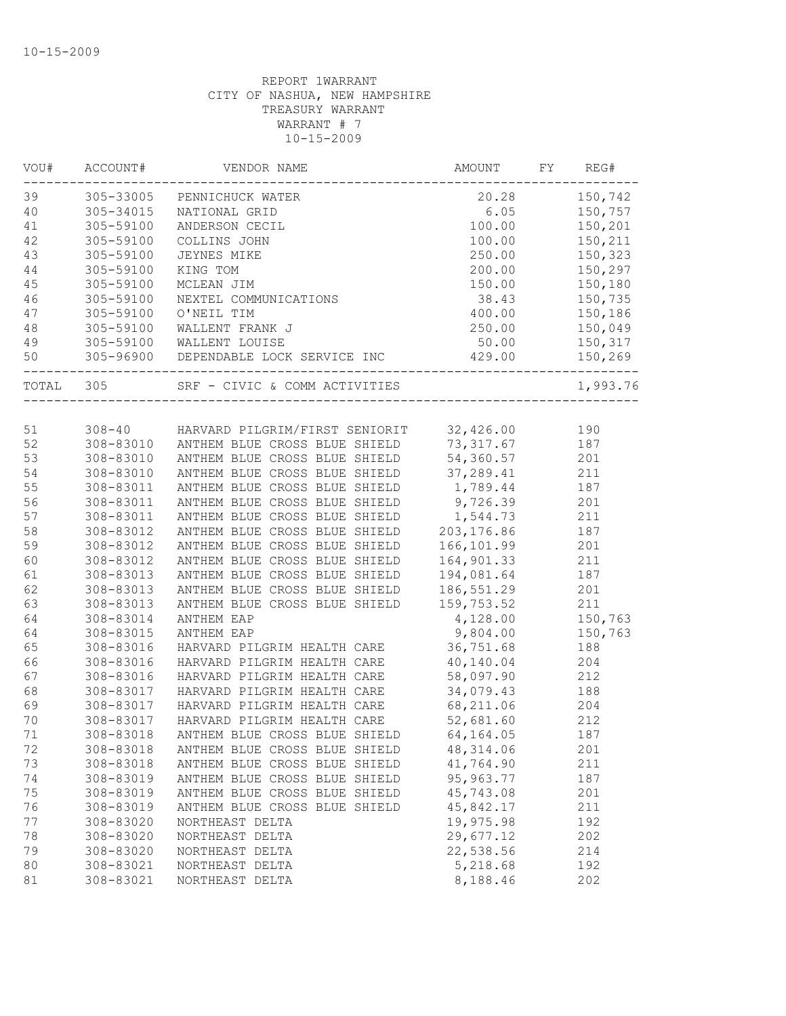| VOU#   | ACCOUNT#  | VENDOR NAME                                     | AMOUNT      | FY | REG#     |
|--------|-----------|-------------------------------------------------|-------------|----|----------|
| 39     | 305-33005 | PENNICHUCK WATER                                | 20.28       |    | 150,742  |
| 40     | 305-34015 | NATIONAL GRID                                   | 6.05        |    | 150,757  |
| 41     | 305-59100 | ANDERSON CECIL                                  | 100.00      |    | 150,201  |
| 42     | 305-59100 | COLLINS JOHN                                    | 100.00      |    | 150,211  |
| 43     | 305-59100 | JEYNES MIKE                                     | 250.00      |    | 150,323  |
| 44     | 305-59100 | KING TOM                                        | 200.00      |    | 150,297  |
| 45     | 305-59100 | MCLEAN JIM                                      | 150.00      |    | 150,180  |
| 46     | 305-59100 | NEXTEL COMMUNICATIONS                           | 38.43       |    | 150,735  |
| 47     | 305-59100 | O'NEIL TIM                                      | 400.00      |    | 150,186  |
| 48     | 305-59100 | WALLENT FRANK J                                 | 250.00      |    | 150,049  |
| 49     | 305-59100 | WALLENT LOUISE                                  | 50.00       |    | 150,317  |
| 50     |           | 305-96900 DEPENDABLE LOCK SERVICE INC 429.00    |             |    | 150,269  |
| TOTAL  | 305       | SRF - CIVIC & COMM ACTIVITIES                   |             |    | 1,993.76 |
|        |           |                                                 |             |    |          |
| 51     |           | 308-40 HARVARD PILGRIM/FIRST SENIORIT 32,426.00 |             |    | 190      |
| 52     | 308-83010 | ANTHEM BLUE CROSS BLUE SHIELD                   | 73, 317.67  |    | 187      |
| 53     | 308-83010 | ANTHEM BLUE CROSS BLUE SHIELD                   | 54,360.57   |    | 201      |
| 54     | 308-83010 | ANTHEM BLUE CROSS BLUE SHIELD                   | 37,289.41   |    | 211      |
| 55     | 308-83011 | ANTHEM BLUE CROSS BLUE SHIELD                   | 1,789.44    |    | 187      |
| 56     | 308-83011 | ANTHEM BLUE CROSS BLUE SHIELD                   | 9,726.39    |    | 201      |
| 57     | 308-83011 | ANTHEM BLUE CROSS BLUE SHIELD                   | 1,544.73    |    | 211      |
| 58     | 308-83012 | ANTHEM BLUE CROSS BLUE SHIELD                   | 203, 176.86 |    | 187      |
| 59     | 308-83012 | ANTHEM BLUE CROSS BLUE SHIELD                   | 166, 101.99 |    | 201      |
| 60     | 308-83012 | ANTHEM BLUE CROSS BLUE SHIELD                   | 164,901.33  |    | 211      |
| 61     | 308-83013 | ANTHEM BLUE CROSS BLUE SHIELD                   | 194,081.64  |    | 187      |
| 62     | 308-83013 | ANTHEM BLUE CROSS BLUE SHIELD                   | 186,551.29  |    | 201      |
| 63     | 308-83013 | ANTHEM BLUE CROSS BLUE SHIELD                   | 159,753.52  |    | 211      |
| 64     | 308-83014 | ANTHEM EAP                                      | 4,128.00    |    | 150,763  |
| 64     | 308-83015 | ANTHEM EAP                                      | 9,804.00    |    | 150,763  |
| 65     | 308-83016 | HARVARD PILGRIM HEALTH CARE                     | 36,751.68   |    | 188      |
| 66     | 308-83016 | HARVARD PILGRIM HEALTH CARE                     | 40,140.04   |    | 204      |
| 67     | 308-83016 | HARVARD PILGRIM HEALTH CARE                     | 58,097.90   |    | 212      |
| 68     | 308-83017 | HARVARD PILGRIM HEALTH CARE                     | 34,079.43   |    | 188      |
| 69     | 308-83017 | HARVARD PILGRIM HEALTH CARE                     | 68,211.06   |    | 204      |
| 70     | 308-83017 | HARVARD PILGRIM HEALTH CARE                     | 52,681.60   |    | 212      |
| $71\,$ | 308-83018 | ANTHEM BLUE CROSS BLUE SHIELD                   | 64, 164.05  |    | 187      |
| 72     | 308-83018 | ANTHEM BLUE CROSS BLUE SHIELD                   | 48, 314.06  |    | 201      |
| 73     | 308-83018 | ANTHEM BLUE CROSS BLUE SHIELD                   | 41,764.90   |    | 211      |
| 74     | 308-83019 | ANTHEM BLUE CROSS BLUE SHIELD                   | 95, 963.77  |    | 187      |
| 75     | 308-83019 | ANTHEM BLUE CROSS BLUE SHIELD                   | 45,743.08   |    | 201      |
| 76     | 308-83019 | ANTHEM BLUE CROSS BLUE SHIELD                   | 45,842.17   |    | 211      |
| 77     | 308-83020 | NORTHEAST DELTA                                 | 19,975.98   |    | 192      |
| 78     | 308-83020 | NORTHEAST DELTA                                 | 29,677.12   |    | 202      |
| 79     | 308-83020 | NORTHEAST DELTA                                 | 22,538.56   |    | 214      |
| 80     | 308-83021 | NORTHEAST DELTA                                 | 5,218.68    |    | 192      |
| 81     | 308-83021 | NORTHEAST DELTA                                 | 8,188.46    |    | 202      |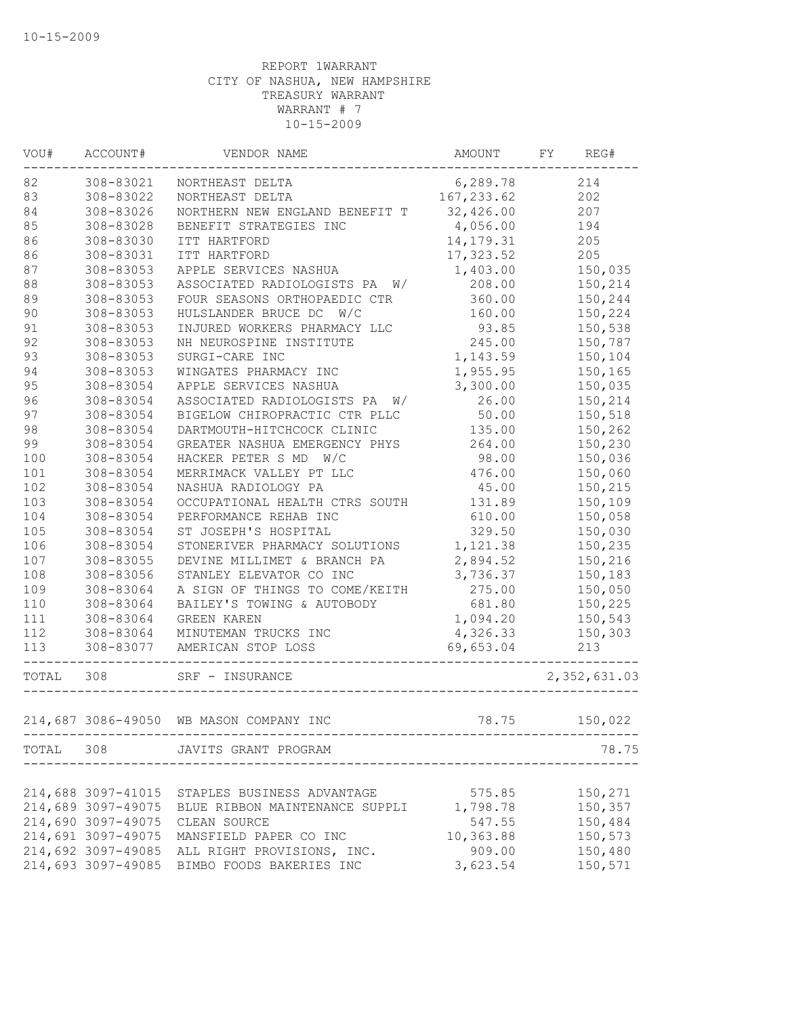| VOU#  | ACCOUNT#           | VENDOR NAME                                 | AMOUNT                              | FY | REG#         |
|-------|--------------------|---------------------------------------------|-------------------------------------|----|--------------|
| 82    | 308-83021          | NORTHEAST DELTA                             | 6,289.78                            |    | 214          |
| 83    | 308-83022          | NORTHEAST DELTA                             | 167, 233.62                         |    | 202          |
| 84    | 308-83026          | NORTHERN NEW ENGLAND BENEFIT T              | 32,426.00                           |    | 207          |
| 85    | 308-83028          | BENEFIT STRATEGIES INC                      | 4,056.00                            |    | 194          |
| 86    | 308-83030          | ITT HARTFORD                                | 14, 179. 31                         |    | 205          |
| 86    | 308-83031          | ITT HARTFORD                                | 17,323.52                           |    | 205          |
| 87    | 308-83053          | APPLE SERVICES NASHUA                       | 1,403.00                            |    | 150,035      |
| 88    | 308-83053          | ASSOCIATED RADIOLOGISTS PA W/               | 208.00                              |    | 150,214      |
| 89    | 308-83053          | FOUR SEASONS ORTHOPAEDIC CTR                | 360.00                              |    | 150,244      |
| 90    | 308-83053          | HULSLANDER BRUCE DC W/C                     | 160.00                              |    | 150,224      |
| 91    | 308-83053          | INJURED WORKERS PHARMACY LLC                | 93.85                               |    | 150,538      |
| 92    | 308-83053          | NH NEUROSPINE INSTITUTE                     | 245.00                              |    | 150,787      |
| 93    | 308-83053          | SURGI-CARE INC                              | 1,143.59                            |    | 150,104      |
| 94    | 308-83053          | WINGATES PHARMACY INC                       | 1,955.95                            |    | 150,165      |
| 95    | 308-83054          | APPLE SERVICES NASHUA                       | 3,300.00                            |    | 150,035      |
| 96    | 308-83054          | ASSOCIATED RADIOLOGISTS PA<br>W/            | 26.00                               |    | 150,214      |
| 97    | 308-83054          | BIGELOW CHIROPRACTIC CTR PLLC               | 50.00                               |    | 150,518      |
| 98    | 308-83054          | DARTMOUTH-HITCHCOCK CLINIC                  | 135.00                              |    | 150,262      |
| 99    | 308-83054          | GREATER NASHUA EMERGENCY PHYS               | 264.00                              |    | 150,230      |
| 100   | 308-83054          | HACKER PETER S MD<br>W/C                    | 98.00                               |    | 150,036      |
| 101   | 308-83054          | MERRIMACK VALLEY PT LLC                     | 476.00                              |    | 150,060      |
| 102   | 308-83054          | NASHUA RADIOLOGY PA                         | 45.00                               |    | 150,215      |
| 103   | 308-83054          | OCCUPATIONAL HEALTH CTRS SOUTH              | 131.89                              |    | 150,109      |
| 104   | 308-83054          | PERFORMANCE REHAB INC                       | 610.00                              |    | 150,058      |
| 105   | 308-83054          | ST JOSEPH'S HOSPITAL                        | 329.50                              |    | 150,030      |
| 106   | 308-83054          | STONERIVER PHARMACY SOLUTIONS               | 1,121.38                            |    | 150,235      |
| 107   | 308-83055          | DEVINE MILLIMET & BRANCH PA                 | 2,894.52                            |    | 150,216      |
| 108   | 308-83056          | STANLEY ELEVATOR CO INC                     | 3,736.37                            |    | 150,183      |
| 109   | 308-83064          | A SIGN OF THINGS TO COME/KEITH              | 275.00                              |    | 150,050      |
| 110   | 308-83064          | BAILEY'S TOWING & AUTOBODY                  | 681.80                              |    | 150,225      |
| 111   | 308-83064          | <b>GREEN KAREN</b>                          | 1,094.20                            |    | 150,543      |
| 112   | 308-83064          | MINUTEMAN TRUCKS INC                        | 4,326.33                            |    | 150,303      |
| 113   | 308-83077          | AMERICAN STOP LOSS                          | 69,653.04                           |    | 213          |
| TOTAL | 308                | SRF - INSURANCE                             |                                     |    | 2,352,631.03 |
|       |                    | 214,687 3086-49050 WB MASON COMPANY INC     | 78.75                               |    | 150,022      |
|       |                    |                                             | ----------------------------------- |    |              |
|       |                    | TOTAL 308 JAVITS GRANT PROGRAM              |                                     |    | 78.75        |
|       | 214,688 3097-41015 | STAPLES BUSINESS ADVANTAGE                  | 575.85                              |    | 150,271      |
|       | 214,689 3097-49075 | BLUE RIBBON MAINTENANCE SUPPLI              | 1,798.78                            |    | 150,357      |
|       | 214,690 3097-49075 | CLEAN SOURCE                                | 547.55                              |    | 150,484      |
|       | 214,691 3097-49075 | MANSFIELD PAPER CO INC                      | 10,363.88                           |    | 150,573      |
|       | 214,692 3097-49085 | ALL RIGHT PROVISIONS, INC.                  | 909.00                              |    | 150,480      |
|       |                    | 214,693 3097-49085 BIMBO FOODS BAKERIES INC | 3,623.54                            |    | 150,571      |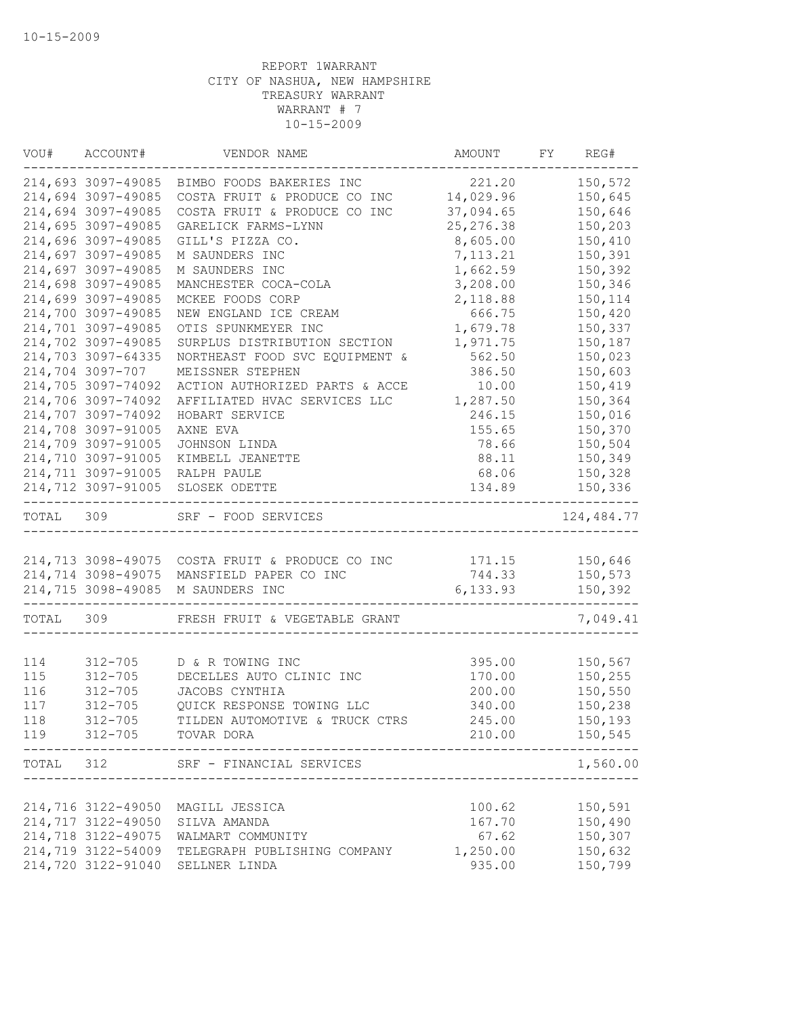| VOU#  | ACCOUNT#           | VENDOR NAME                                     | AMOUNT     | FY | REG#        |
|-------|--------------------|-------------------------------------------------|------------|----|-------------|
|       | 214,693 3097-49085 | BIMBO FOODS BAKERIES INC                        | 221.20     |    | 150,572     |
|       | 214,694 3097-49085 | COSTA FRUIT & PRODUCE CO INC                    | 14,029.96  |    | 150,645     |
|       | 214,694 3097-49085 | COSTA FRUIT & PRODUCE CO INC                    | 37,094.65  |    | 150,646     |
|       | 214,695 3097-49085 | GARELICK FARMS-LYNN                             | 25, 276.38 |    | 150,203     |
|       | 214,696 3097-49085 | GILL'S PIZZA CO.                                | 8,605.00   |    | 150,410     |
|       | 214,697 3097-49085 | M SAUNDERS INC                                  | 7, 113.21  |    | 150,391     |
|       | 214,697 3097-49085 | M SAUNDERS INC                                  | 1,662.59   |    | 150,392     |
|       | 214,698 3097-49085 | MANCHESTER COCA-COLA                            | 3,208.00   |    | 150,346     |
|       | 214,699 3097-49085 | MCKEE FOODS CORP                                | 2,118.88   |    | 150,114     |
|       | 214,700 3097-49085 | NEW ENGLAND ICE CREAM                           | 666.75     |    | 150,420     |
|       | 214,701 3097-49085 | OTIS SPUNKMEYER INC                             | 1,679.78   |    | 150,337     |
|       | 214,702 3097-49085 | SURPLUS DISTRIBUTION SECTION                    | 1,971.75   |    | 150,187     |
|       | 214,703 3097-64335 | NORTHEAST FOOD SVC EQUIPMENT &                  | 562.50     |    | 150,023     |
|       | 214,704 3097-707   | MEISSNER STEPHEN                                | 386.50     |    | 150,603     |
|       | 214,705 3097-74092 | ACTION AUTHORIZED PARTS & ACCE                  | 10.00      |    | 150,419     |
|       | 214,706 3097-74092 | AFFILIATED HVAC SERVICES LLC                    | 1,287.50   |    | 150,364     |
|       | 214,707 3097-74092 | HOBART SERVICE                                  | 246.15     |    | 150,016     |
|       | 214,708 3097-91005 | AXNE EVA                                        | 155.65     |    | 150,370     |
|       | 214,709 3097-91005 | JOHNSON LINDA                                   | 78.66      |    | 150,504     |
|       | 214,710 3097-91005 | KIMBELL JEANETTE                                | 88.11      |    | 150,349     |
|       | 214,711 3097-91005 | RALPH PAULE                                     | 68.06      |    | 150,328     |
|       | 214,712 3097-91005 | SLOSEK ODETTE                                   | 134.89     |    | 150,336     |
| TOTAL | 309                | SRF - FOOD SERVICES                             |            |    | 124, 484.77 |
|       |                    |                                                 |            |    |             |
|       |                    | 214,713 3098-49075 COSTA FRUIT & PRODUCE CO INC | 171.15     |    | 150,646     |
|       | 214,714 3098-49075 | MANSFIELD PAPER CO INC                          | 744.33     |    | 150,573     |
|       | 214,715 3098-49085 | M SAUNDERS INC                                  | 6,133.93   |    | 150,392     |
| TOTAL | 309                | FRESH FRUIT & VEGETABLE GRANT                   |            |    | 7,049.41    |
|       |                    |                                                 |            |    |             |
| 114   | $312 - 705$        | D & R TOWING INC                                | 395.00     |    | 150,567     |
| 115   | $312 - 705$        | DECELLES AUTO CLINIC INC                        | 170.00     |    | 150,255     |
| 116   | $312 - 705$        | JACOBS CYNTHIA                                  | 200.00     |    | 150,550     |
| 117   | $312 - 705$        | QUICK RESPONSE TOWING LLC                       | 340.00     |    | 150,238     |
| 118   | $312 - 705$        | TILDEN AUTOMOTIVE & TRUCK CTRS                  | 245.00     |    | 150,193     |
| 119   |                    | 312-705 TOVAR DORA                              | 210.00     |    | 150,545     |
| TOTAL | 312                | SRF - FINANCIAL SERVICES                        |            |    | 1,560.00    |
|       |                    |                                                 |            |    |             |
|       | 214,716 3122-49050 | MAGILL JESSICA                                  | 100.62     |    | 150,591     |
|       | 214,717 3122-49050 | SILVA AMANDA                                    | 167.70     |    | 150,490     |
|       | 214,718 3122-49075 | WALMART COMMUNITY                               | 67.62      |    | 150,307     |
|       | 214,719 3122-54009 | TELEGRAPH PUBLISHING COMPANY                    | 1,250.00   |    | 150,632     |
|       | 214,720 3122-91040 | SELLNER LINDA                                   | 935.00     |    | 150,799     |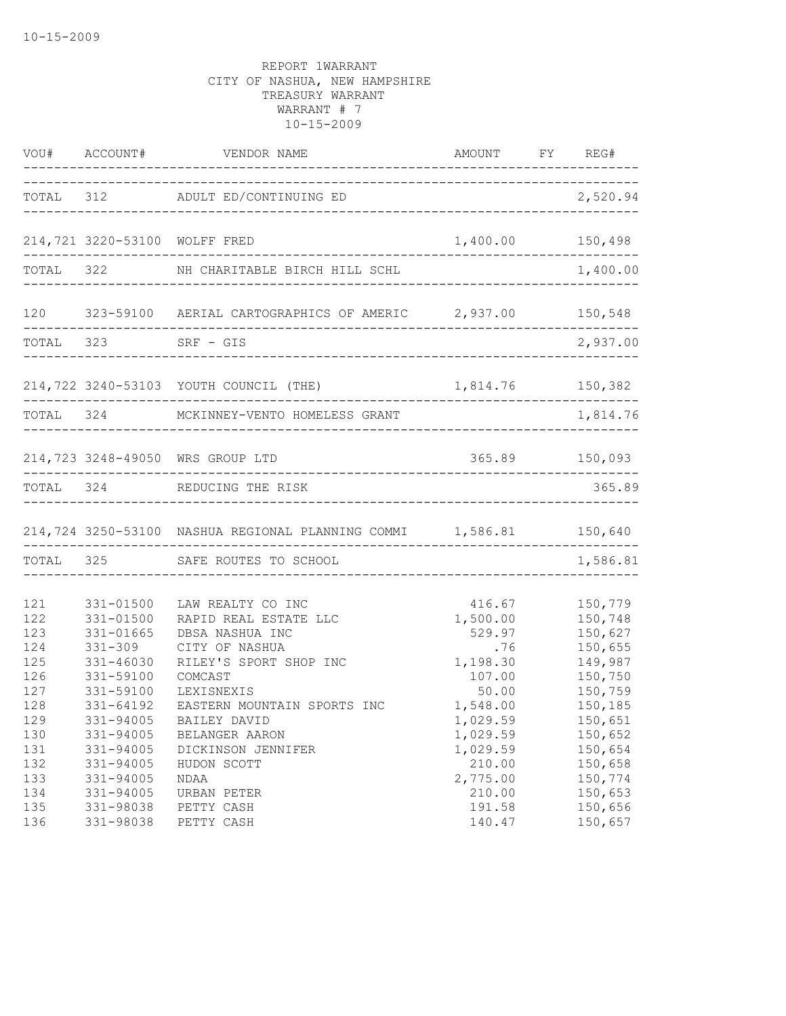|     |                         | VOU# ACCOUNT# VENDOR NAME AMOUNT FY REG#                                                                                    |                  |          |
|-----|-------------------------|-----------------------------------------------------------------------------------------------------------------------------|------------------|----------|
|     |                         | TOTAL 312 ADULT ED/CONTINUING ED                                                                                            | 2,520.94         |          |
|     |                         | 214,721 3220-53100 WOLFF FRED                                                                                               | 1,400.00 150,498 |          |
|     |                         | TOTAL 322 NH CHARITABLE BIRCH HILL SCHL                                                                                     |                  | 1,400.00 |
|     | ----------------------- | 120               323-59100               AERIAL CARTOGRAPHICS OF AMERIC                    2,937.00                150,548 |                  |          |
|     |                         | TOTAL 323 SRF - GIS                                                                                                         |                  | 2,937.00 |
|     |                         | 214,722 3240-53103 YOUTH COUNCIL (THE)                                                                                      | 1,814.76 150,382 |          |
|     | TOTAL 324               | MCKINNEY-VENTO HOMELESS GRANT                                                                                               |                  | 1,814.76 |
|     |                         | 214,723 3248-49050 WRS GROUP LTD                                                                                            | 365.89 150,093   |          |
|     |                         | TOTAL 324 REDUCING THE RISK                                                                                                 |                  | 365.89   |
|     |                         | 214,724 3250-53100 NASHUA REGIONAL PLANNING COMMI 1,586.81 150,640                                                          |                  |          |
|     |                         | TOTAL 325 SAFE ROUTES TO SCHOOL                                                                                             |                  | 1,586.81 |
| 121 | 331-01500               | LAW REALTY CO INC                                                                                                           | 416.67           | 150,779  |
| 122 | 331-01500               | RAPID REAL ESTATE LLC                                                                                                       | 1,500.00         | 150,748  |
| 123 | 331-01665               | DBSA NASHUA INC                                                                                                             | 529.97           | 150,627  |
| 124 | 331-309                 | CITY OF NASHUA                                                                                                              | .76              | 150,655  |
| 125 | 331-46030               | RILEY'S SPORT SHOP INC                                                                                                      | 1,198.30         | 149,987  |
| 126 | 331-59100               | COMCAST                                                                                                                     | 107.00           | 150,750  |
| 127 | 331-59100               | LEXISNEXIS                                                                                                                  | 50.00            | 150,759  |
| 128 | $331 - 64192$           | EASTERN MOUNTAIN SPORTS INC                                                                                                 | 1,548.00         | 150,185  |
| 129 | 331-94005               | BAILEY DAVID                                                                                                                | 1,029.59         | 150,651  |
| 130 | 331-94005               | BELANGER AARON                                                                                                              | 1,029.59         | 150,652  |
| 131 | 331-94005               | DICKINSON JENNIFER                                                                                                          | 1,029.59         | 150,654  |
| 132 | 331-94005               | HUDON SCOTT                                                                                                                 | 210.00           | 150,658  |
| 133 | 331-94005               | NDAA                                                                                                                        | 2,775.00         | 150,774  |
| 134 | 331-94005               | URBAN PETER                                                                                                                 | 210.00           | 150,653  |
| 135 | 331-98038               | PETTY CASH                                                                                                                  | 191.58           | 150,656  |
| 136 | 331-98038               | PETTY CASH                                                                                                                  | 140.47           | 150,657  |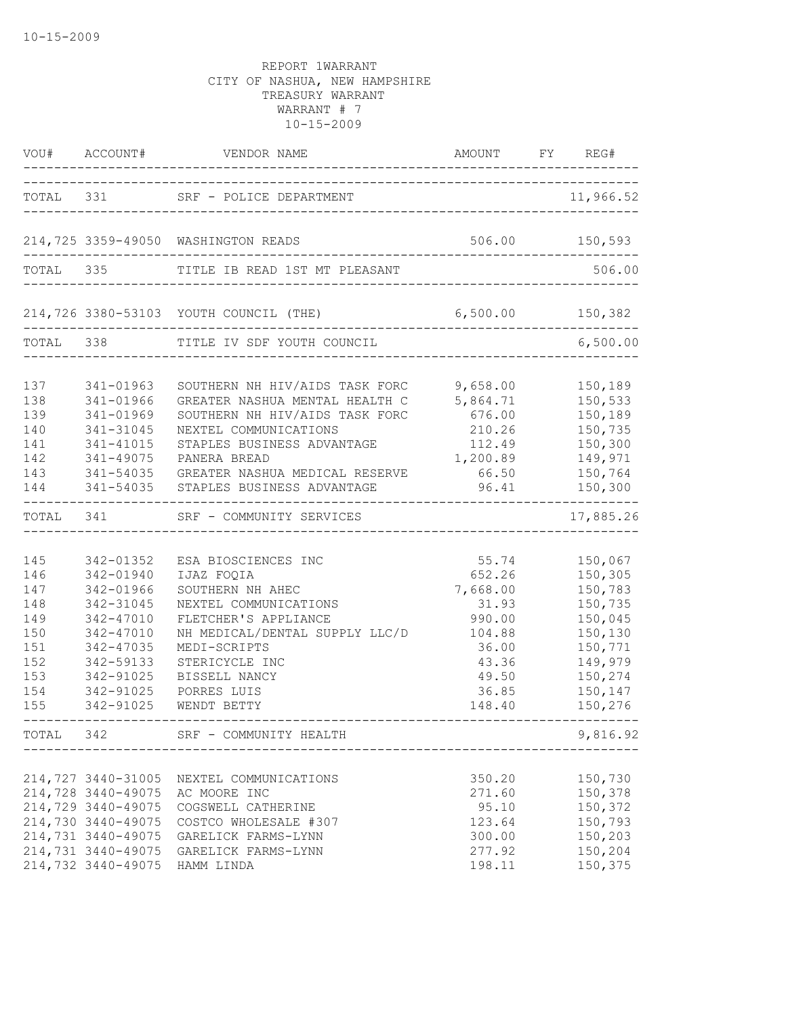|                                                                           | VOU# ACCOUNT#                                                                                                                                          | VENDOR NAME<br>_______________                                                                                                                                                                                                                                                          | AMOUNT FY REG#                                                                                         |                                                                                                                       |
|---------------------------------------------------------------------------|--------------------------------------------------------------------------------------------------------------------------------------------------------|-----------------------------------------------------------------------------------------------------------------------------------------------------------------------------------------------------------------------------------------------------------------------------------------|--------------------------------------------------------------------------------------------------------|-----------------------------------------------------------------------------------------------------------------------|
|                                                                           |                                                                                                                                                        | TOTAL 331 SRF - POLICE DEPARTMENT                                                                                                                                                                                                                                                       |                                                                                                        | 11,966.52                                                                                                             |
|                                                                           |                                                                                                                                                        | 214,725 3359-49050 WASHINGTON READS                                                                                                                                                                                                                                                     | 506.00 150,593                                                                                         |                                                                                                                       |
|                                                                           |                                                                                                                                                        | TOTAL 335 TITLE IB READ 1ST MT PLEASANT                                                                                                                                                                                                                                                 |                                                                                                        | 506.00                                                                                                                |
|                                                                           |                                                                                                                                                        | 214,726 3380-53103 YOUTH COUNCIL (THE)                                                                                                                                                                                                                                                  |                                                                                                        |                                                                                                                       |
| TOTAL 338                                                                 |                                                                                                                                                        | TITLE IV SDF YOUTH COUNCIL                                                                                                                                                                                                                                                              |                                                                                                        | 6,500.00                                                                                                              |
| 137<br>138<br>139<br>140<br>141<br>142<br>143<br>144                      | 341-01963<br>341-01966<br>341-01969<br>341-31045<br>341-41015<br>341-49075                                                                             | SOUTHERN NH HIV/AIDS TASK FORC 9,658.00<br>GREATER NASHUA MENTAL HEALTH C 5,864.71 150,533<br>SOUTHERN NH HIV/AIDS TASK FORC<br>NEXTEL COMMUNICATIONS<br>STAPLES BUSINESS ADVANTAGE<br>PANERA BREAD<br>341-54035 GREATER NASHUA MEDICAL RESERVE<br>341-54035 STAPLES BUSINESS ADVANTAGE | 676.00<br>210.26<br>112.49<br>1,200.89<br>66.50<br>96.41                                               | 150,189<br>150,189<br>150,735<br>150,300<br>149,971<br>150,764<br>150,300<br>---------                                |
| TOTAL 341                                                                 |                                                                                                                                                        | SRF - COMMUNITY SERVICES                                                                                                                                                                                                                                                                |                                                                                                        | 17,885.26                                                                                                             |
| 145<br>146<br>147<br>148<br>149<br>150<br>151<br>152<br>153<br>154<br>155 | 342-01352<br>342-01940<br>342-01966<br>342-31045<br>342-47010<br>342-47010<br>342-47035<br>342-59133<br>342-91025<br>342-91025<br>342-91025            | ESA BIOSCIENCES INC<br>IJAZ FOQIA<br>SOUTHERN NH AHEC<br>NEXTEL COMMUNICATIONS<br>FLETCHER'S APPLIANCE<br>NH MEDICAL/DENTAL SUPPLY LLC/D<br>MEDI-SCRIPTS<br>STERICYCLE INC<br>BISSELL NANCY<br>PORRES LUIS<br>WENDT BETTY                                                               | 55.74<br>652.26<br>7,668.00<br>31.93<br>990.00<br>104.88<br>36.00<br>43.36<br>49.50<br>36.85<br>148.40 | 150,067<br>150,305<br>150,783<br>150,735<br>150,045<br>150,130<br>150,771<br>149,979<br>150,274<br>150,147<br>150,276 |
|                                                                           |                                                                                                                                                        | TOTAL 342 SRF - COMMUNITY HEALTH                                                                                                                                                                                                                                                        |                                                                                                        | 9,816.92                                                                                                              |
|                                                                           | 214,727 3440-31005<br>214,728 3440-49075<br>214,729 3440-49075<br>214,730 3440-49075<br>214,731 3440-49075<br>214,731 3440-49075<br>214,732 3440-49075 | NEXTEL COMMUNICATIONS<br>AC MOORE INC<br>COGSWELL CATHERINE<br>COSTCO WHOLESALE #307<br>GARELICK FARMS-LYNN<br>GARELICK FARMS-LYNN<br>HAMM LINDA                                                                                                                                        | 350.20<br>271.60<br>95.10<br>123.64<br>300.00<br>277.92<br>198.11                                      | 150,730<br>150,378<br>150,372<br>150,793<br>150,203<br>150,204<br>150,375                                             |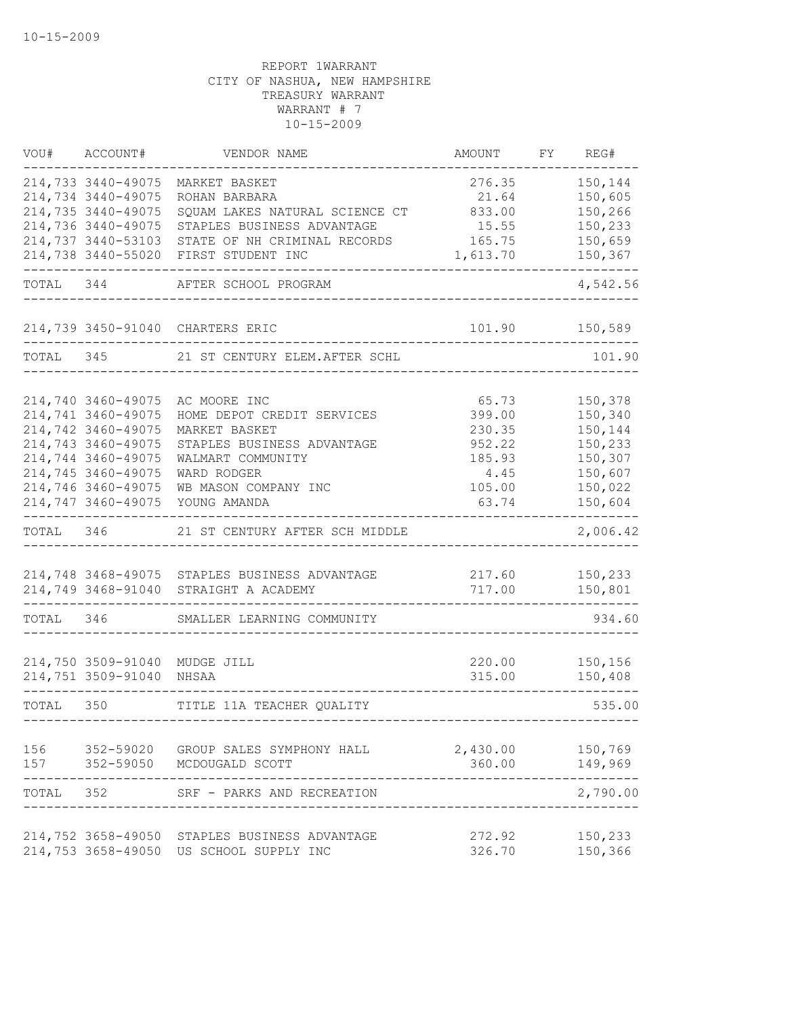| VOU#      | ACCOUNT#                      | VENDOR NAME                                   | <b>AMOUNT</b>    | FY | REG#               |
|-----------|-------------------------------|-----------------------------------------------|------------------|----|--------------------|
|           | 214,733 3440-49075            | MARKET BASKET                                 | 276.35           |    | 150,144            |
|           | 214,734 3440-49075            | ROHAN BARBARA                                 | 21.64            |    | 150,605            |
|           | 214,735 3440-49075            | SQUAM LAKES NATURAL SCIENCE CT                | 833.00           |    | 150,266            |
|           | 214,736 3440-49075            | STAPLES BUSINESS ADVANTAGE                    | 15.55            |    | 150,233            |
|           | 214,737 3440-53103            | STATE OF NH CRIMINAL RECORDS                  | 165.75           |    | 150,659            |
|           | 214,738 3440-55020            | FIRST STUDENT INC                             | 1,613.70         |    | 150,367            |
| TOTAL     | 344                           | AFTER SCHOOL PROGRAM                          |                  |    | 4,542.56           |
|           |                               | 214,739 3450-91040 CHARTERS ERIC              | 101.90           |    | 150,589            |
| TOTAL     | 345                           | 21 ST CENTURY ELEM. AFTER SCHL                |                  |    | 101.90             |
|           |                               |                                               |                  |    |                    |
|           | 214,740 3460-49075            | AC MOORE INC                                  | 65.73            |    | 150,378            |
|           | 214,741 3460-49075            | HOME DEPOT CREDIT SERVICES                    | 399.00           |    | 150,340            |
|           | 214,742 3460-49075            | MARKET BASKET                                 | 230.35           |    | 150,144            |
|           | 214,743 3460-49075            | STAPLES BUSINESS ADVANTAGE                    | 952.22           |    | 150,233            |
|           | 214,744 3460-49075            | WALMART COMMUNITY                             | 185.93           |    | 150,307            |
|           | 214,745 3460-49075            | WARD RODGER                                   | 4.45             |    | 150,607            |
|           | 214,746 3460-49075            | WB MASON COMPANY INC                          | 105.00           |    | 150,022            |
|           | 214,747 3460-49075            | YOUNG AMANDA                                  | 63.74            |    | 150,604            |
| TOTAL     | 346                           | 21 ST CENTURY AFTER SCH MIDDLE                |                  |    | 2,006.42           |
|           |                               |                                               |                  |    |                    |
|           |                               | 214,748 3468-49075 STAPLES BUSINESS ADVANTAGE | 217.60           |    | 150,233            |
|           | 214,749 3468-91040            | STRAIGHT A ACADEMY                            | 717.00           |    | 150,801            |
| TOTAL 346 |                               | SMALLER LEARNING COMMUNITY                    |                  |    | 934.60             |
|           | 214,750 3509-91040 MUDGE JILL |                                               | 220.00           |    | 150,156            |
|           | 214,751 3509-91040            | NHSAA                                         | 315.00           |    | 150,408            |
| TOTAL 350 |                               | TITLE 11A TEACHER QUALITY                     |                  |    | 535.00             |
|           |                               | 156 352-59020 GROUP SALES SYMPHONY HALL       | 2,430.00 150,769 |    |                    |
|           |                               | 157 352-59050 MCDOUGALD SCOTT                 | 360.00           |    | 149,969            |
| TOTAL 352 |                               | SRF - PARKS AND RECREATION                    |                  |    | ------<br>2,790.00 |
|           | 214,752 3658-49050            | STAPLES BUSINESS ADVANTAGE                    | 272.92           |    | 150,233            |
|           |                               | 214,753 3658-49050 US SCHOOL SUPPLY INC       | 326.70           |    | 150,366            |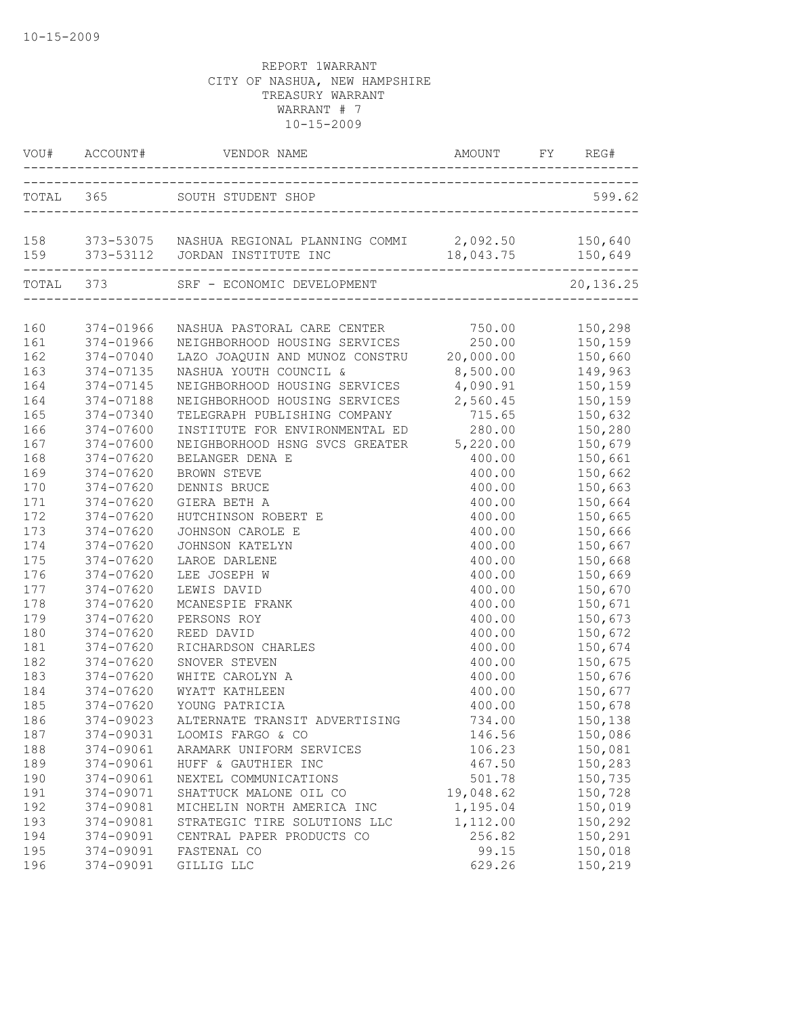|            |                        | VOU# ACCOUNT# VENDOR NAME AMOUNT FY REG                                                             | AMOUNT FY REG#    |                                   |
|------------|------------------------|-----------------------------------------------------------------------------------------------------|-------------------|-----------------------------------|
|            |                        | TOTAL 365 SOUTH STUDENT SHOP                                                                        |                   | 599.62                            |
|            |                        | 158 373-53075 NASHUA REGIONAL PLANNING COMMI 2,092.50 150,640<br>159 373-53112 JORDAN INSTITUTE INC | 18,043.75 150,649 |                                   |
|            |                        | TOTAL 373 SRF - ECONOMIC DEVELOPMENT 20,                                                            |                   | . _ _ _ _ _ _ _ _ _<br>20, 136.25 |
| 160        | 374-01966              | NASHUA PASTORAL CARE CENTER 750.00 150,298<br>NEIGHBORHOOD HOUSING SERVICES 250.00 150,159          |                   |                                   |
| 161        | 374-01966              |                                                                                                     |                   |                                   |
| 162        | 374-07040              | LAZO JOAQUIN AND MUNOZ CONSTRU 20,000.00 150,660                                                    |                   |                                   |
| 163        | 374-07135              | NASHUA YOUTH COUNCIL &                                                                              | 8,500.00 149,963  |                                   |
| 164        | 374-07145              | NEIGHBORHOOD HOUSING SERVICES 4,090.91 150,159                                                      |                   |                                   |
| 164        | 374-07188              | NEIGHBORHOOD HOUSING SERVICES 2,560.45 150,159                                                      |                   |                                   |
| 165        | 374-07340              | TELEGRAPH PUBLISHING COMPANY                                                                        | 715.65 150,632    |                                   |
| 166        | 374-07600              | INSTITUTE FOR ENVIRONMENTAL ED                                                                      | 280.00            | 150,280                           |
| 167        | 374-07600              | NEIGHBORHOOD HSNG SVCS GREATER 5,220.00                                                             |                   | 150,679                           |
| 168        | 374-07620              | BELANGER DENA E                                                                                     | 400.00            | 150,661                           |
| 169        | 374-07620              | <b>BROWN STEVE</b>                                                                                  | 400.00            | 150,662                           |
| 170        | 374-07620              | DENNIS BRUCE                                                                                        | 400.00            | 150,663                           |
| 171        | 374-07620              | GIERA BETH A                                                                                        | 400.00            | 150,664                           |
| 172        | 374-07620              | HUTCHINSON ROBERT E                                                                                 | 400.00            | 150,665                           |
| 173        | 374-07620              | JOHNSON CAROLE E                                                                                    |                   | 400.00 150,666                    |
| 174        | 374-07620              | JOHNSON KATELYN                                                                                     | 400.00            | 150,667                           |
| 175        | 374-07620              | LAROE DARLENE                                                                                       | 400.00            | 150,668                           |
| 176        | 374-07620              | LEE JOSEPH W                                                                                        | 400.00            | 150,669                           |
| 177        | 374-07620              | LEWIS DAVID                                                                                         | 400.00            | 150,670                           |
| 178        | 374-07620<br>374-07620 | MCANESPIE FRANK                                                                                     | 400.00<br>400.00  | 150,671                           |
| 179<br>180 | 374-07620              | PERSONS ROY<br>REED DAVID                                                                           |                   | 150,673                           |
| 181        | 374-07620              | RICHARDSON CHARLES                                                                                  | 400.00            | 150,672<br>400.00 150,674         |
| 182        | 374-07620              | SNOVER STEVEN                                                                                       |                   | 400.00 150,675                    |
| 183        | 374-07620              | WHITE CAROLYN A                                                                                     |                   | 400.00 150,676                    |
| 184        | 374-07620              | WYATT KATHLEEN                                                                                      | 400.00            |                                   |
| 185        | 374-07620              | YOUNG PATRICIA                                                                                      | 400.00            | 150,677<br>150,678                |
| 186        | 374-09023              | ALTERNATE TRANSIT ADVERTISING                                                                       | 734.00            | 150,138                           |
| 187        | 374-09031              | LOOMIS FARGO & CO                                                                                   | 146.56            | 150,086                           |
| 188        | 374-09061              | ARAMARK UNIFORM SERVICES                                                                            | 106.23            | 150,081                           |
| 189        | 374-09061              | HUFF & GAUTHIER INC                                                                                 | 467.50            | 150,283                           |
| 190        | 374-09061              | NEXTEL COMMUNICATIONS                                                                               | 501.78            | 150,735                           |
| 191        | 374-09071              | SHATTUCK MALONE OIL CO                                                                              | 19,048.62         | 150,728                           |
| 192        | 374-09081              | MICHELIN NORTH AMERICA INC                                                                          | 1,195.04          | 150,019                           |
| 193        | 374-09081              | STRATEGIC TIRE SOLUTIONS LLC                                                                        | 1,112.00          | 150,292                           |
| 194        | 374-09091              | CENTRAL PAPER PRODUCTS CO                                                                           | 256.82            | 150,291                           |
| 195        | 374-09091              | FASTENAL CO                                                                                         | 99.15             | 150,018                           |
| 196        | 374-09091              | GILLIG LLC                                                                                          | 629.26            | 150,219                           |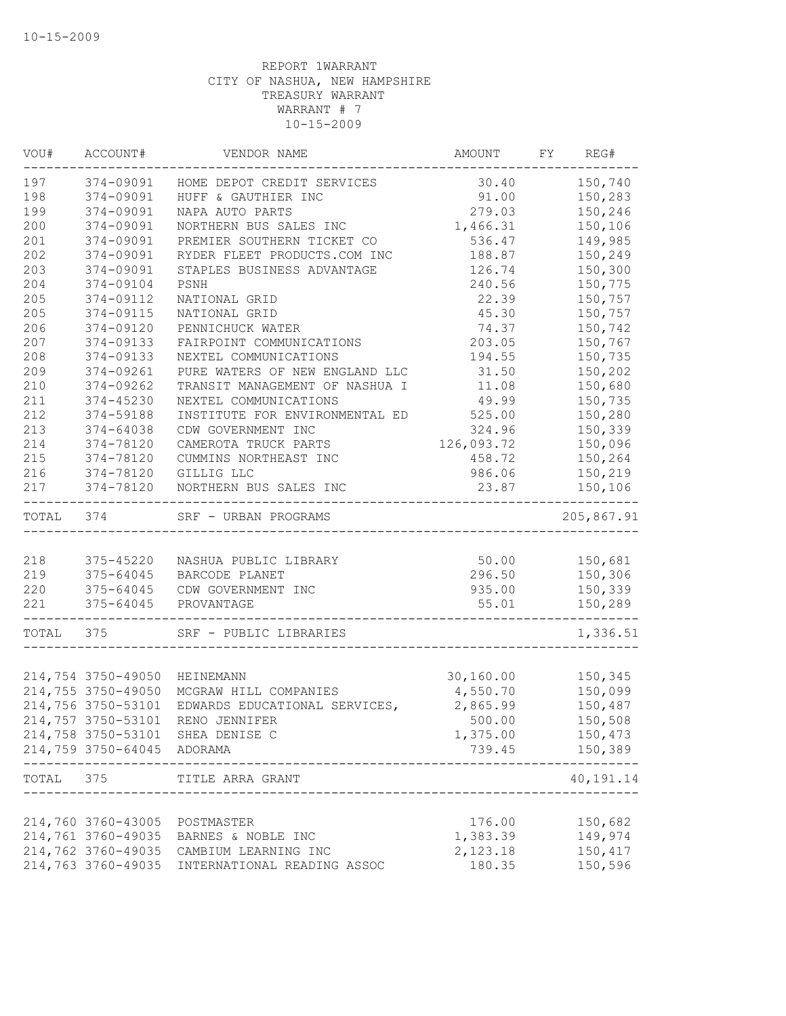| VOU#      | ACCOUNT#                   | VENDOR NAME                               | AMOUNT     | FY | REG#             |
|-----------|----------------------------|-------------------------------------------|------------|----|------------------|
| 197       | 374-09091                  | HOME DEPOT CREDIT SERVICES                | 30.40      |    | 150,740          |
| 198       | 374-09091                  | HUFF & GAUTHIER INC                       | 91.00      |    | 150,283          |
| 199       | 374-09091                  | NAPA AUTO PARTS                           | 279.03     |    | 150,246          |
| 200       | 374-09091                  | NORTHERN BUS SALES INC                    | 1,466.31   |    | 150,106          |
| 201       | 374-09091                  | PREMIER SOUTHERN TICKET CO                | 536.47     |    | 149,985          |
| 202       | 374-09091                  | RYDER FLEET PRODUCTS.COM INC              | 188.87     |    | 150,249          |
| 203       | 374-09091                  | STAPLES BUSINESS ADVANTAGE                | 126.74     |    | 150,300          |
| 204       | 374-09104                  | PSNH                                      | 240.56     |    | 150,775          |
| 205       | 374-09112                  | NATIONAL GRID                             | 22.39      |    | 150,757          |
| 205       | 374-09115                  | NATIONAL GRID                             | 45.30      |    | 150,757          |
| 206       | 374-09120                  | PENNICHUCK WATER                          | 74.37      |    | 150,742          |
| 207       | 374-09133                  | FAIRPOINT COMMUNICATIONS                  | 203.05     |    | 150,767          |
| 208       | 374-09133                  | NEXTEL COMMUNICATIONS                     | 194.55     |    | 150,735          |
| 209       | 374-09261                  | PURE WATERS OF NEW ENGLAND LLC            | 31.50      |    | 150,202          |
| 210       | 374-09262                  | TRANSIT MANAGEMENT OF NASHUA I            | 11.08      |    | 150,680          |
| 211       | 374-45230                  | NEXTEL COMMUNICATIONS                     | 49.99      |    | 150,735          |
| 212       | 374-59188                  | INSTITUTE FOR ENVIRONMENTAL ED            | 525.00     |    | 150,280          |
| 213       | 374-64038                  | CDW GOVERNMENT INC                        | 324.96     |    | 150,339          |
| 214       | 374-78120                  | CAMEROTA TRUCK PARTS                      | 126,093.72 |    | 150,096          |
| 215       | 374-78120                  | CUMMINS NORTHEAST INC                     | 458.72     |    | 150,264          |
| 216       | 374-78120                  | GILLIG LLC                                | 986.06     |    | 150,219          |
| 217       | 374-78120                  | NORTHERN BUS SALES INC                    | 23.87      |    | 150,106          |
| TOTAL 374 |                            | SRF - URBAN PROGRAMS                      |            |    | 205,867.91       |
|           |                            |                                           |            |    |                  |
| 218       | 375-45220                  | NASHUA PUBLIC LIBRARY                     | 50.00      |    | 150,681          |
| 219       | 375-64045                  | BARCODE PLANET                            | 296.50     |    | 150,306          |
| 220       | 375-64045                  | CDW GOVERNMENT INC                        | 935.00     |    | 150,339          |
| 221       | 375-64045                  | PROVANTAGE                                | 55.01      |    | 150,289          |
| TOTAL     | 375                        | SRF - PUBLIC LIBRARIES                    |            |    | 1,336.51         |
|           |                            |                                           |            |    |                  |
|           | 214,754 3750-49050         | HEINEMANN                                 | 30,160.00  |    | 150,345          |
|           | 214,755 3750-49050         | MCGRAW HILL COMPANIES                     | 4,550.70   |    | 150,099          |
|           | 214,756 3750-53101         | EDWARDS EDUCATIONAL SERVICES,             | 2,865.99   |    | 150,487          |
|           | 214,757 3750-53101         | RENO JENNIFER                             | 500.00     |    | 150,508          |
|           |                            | 214,758 3750-53101 SHEA DENISE C          | 1,375.00   |    | 150,473          |
|           | 214,759 3750-64045 ADORAMA |                                           | 739.45     |    | 150,389<br>----- |
| TOTAL 375 |                            | TITLE ARRA GRANT<br>--------------------- |            |    | 40,191.14        |
|           |                            |                                           |            |    |                  |
|           | 214,760 3760-43005         | POSTMASTER                                | 176.00     |    | 150,682          |
|           | 214,761 3760-49035         | BARNES & NOBLE INC                        | 1,383.39   |    | 149,974          |
|           | 214,762 3760-49035         | CAMBIUM LEARNING INC                      | 2,123.18   |    | 150,417          |
|           | 214,763 3760-49035         | INTERNATIONAL READING ASSOC               | 180.35     |    | 150,596          |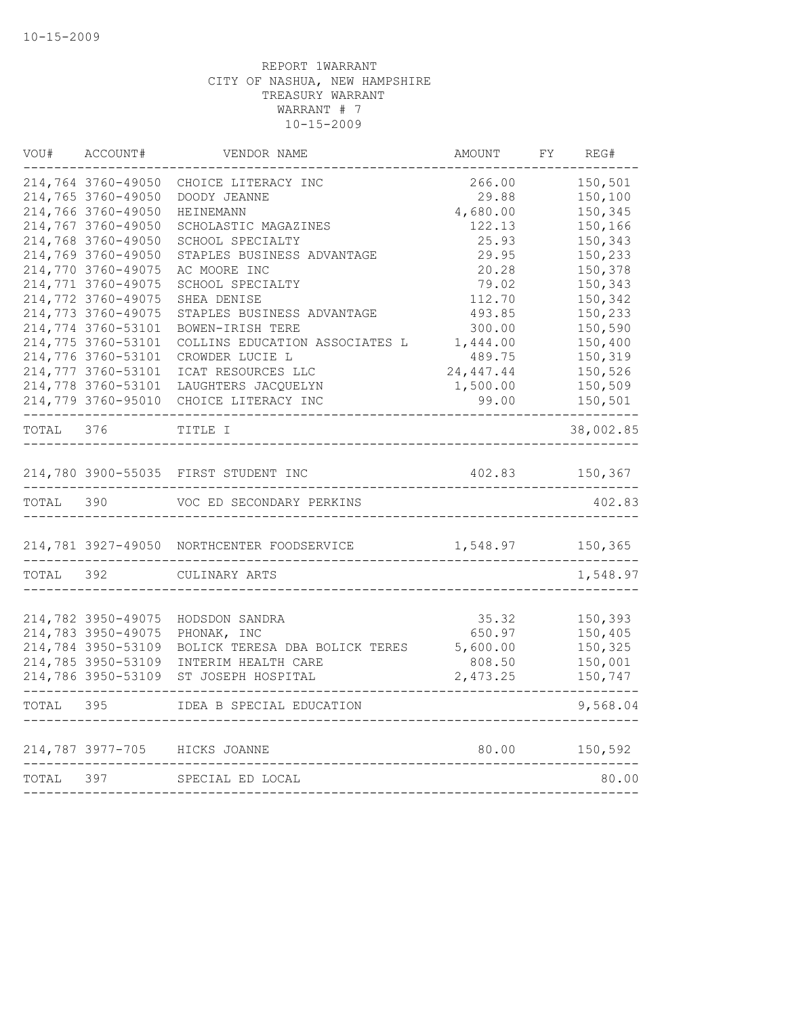| VOU#      | ACCOUNT#           | VENDOR NAME                                | AMOUNT     | FY | REG#      |
|-----------|--------------------|--------------------------------------------|------------|----|-----------|
|           | 214,764 3760-49050 | CHOICE LITERACY INC                        | 266.00     |    | 150,501   |
|           | 214,765 3760-49050 | DOODY JEANNE                               | 29.88      |    | 150,100   |
|           | 214,766 3760-49050 | HEINEMANN                                  | 4,680.00   |    | 150,345   |
|           | 214,767 3760-49050 | SCHOLASTIC MAGAZINES                       | 122.13     |    | 150,166   |
|           | 214,768 3760-49050 | SCHOOL SPECIALTY                           | 25.93      |    | 150,343   |
|           | 214,769 3760-49050 | STAPLES BUSINESS ADVANTAGE                 | 29.95      |    | 150,233   |
|           | 214,770 3760-49075 | AC MOORE INC                               | 20.28      |    | 150,378   |
|           | 214,771 3760-49075 | SCHOOL SPECIALTY                           | 79.02      |    | 150,343   |
|           | 214,772 3760-49075 | SHEA DENISE                                | 112.70     |    | 150,342   |
|           | 214,773 3760-49075 | STAPLES BUSINESS ADVANTAGE                 | 493.85     |    | 150,233   |
|           | 214,774 3760-53101 | BOWEN-IRISH TERE                           | 300.00     |    | 150,590   |
|           | 214,775 3760-53101 | COLLINS EDUCATION ASSOCIATES L             | 1,444.00   |    | 150,400   |
|           | 214,776 3760-53101 | CROWDER LUCIE L                            | 489.75     |    | 150,319   |
|           | 214,777 3760-53101 | ICAT RESOURCES LLC                         | 24, 447.44 |    | 150,526   |
|           | 214,778 3760-53101 | LAUGHTERS JACQUELYN                        | 1,500.00   |    | 150,509   |
|           | 214,779 3760-95010 | CHOICE LITERACY INC                        | 99.00      |    | 150,501   |
| TOTAL 376 |                    | TITLE I                                    |            |    | 38,002.85 |
|           |                    | 214,780 3900-55035 FIRST STUDENT INC       | 402.83     |    | 150,367   |
| TOTAL 390 |                    | VOC ED SECONDARY PERKINS                   |            |    | 402.83    |
|           |                    | 214,781 3927-49050 NORTHCENTER FOODSERVICE | 1,548.97   |    | 150,365   |
| TOTAL     | 392 —              | CULINARY ARTS                              |            |    | 1,548.97  |
|           |                    |                                            |            |    |           |
|           | 214,782 3950-49075 | HODSDON SANDRA                             | 35.32      |    | 150,393   |
|           | 214,783 3950-49075 | PHONAK, INC                                | 650.97     |    | 150,405   |
|           | 214,784 3950-53109 | BOLICK TERESA DBA BOLICK TERES             | 5,600.00   |    | 150,325   |
|           | 214,785 3950-53109 | INTERIM HEALTH CARE                        | 808.50     |    | 150,001   |
|           |                    | 214,786 3950-53109 ST JOSEPH HOSPITAL      | 2,473.25   |    | 150,747   |
| TOTAL     | 395                | IDEA B SPECIAL EDUCATION                   |            |    | 9,568.04  |
|           |                    | 214,787 3977-705 HICKS JOANNE              | 80.00      |    | 150,592   |
| TOTAL 397 |                    | SPECIAL ED LOCAL                           |            |    | 80.00     |
|           |                    |                                            |            |    |           |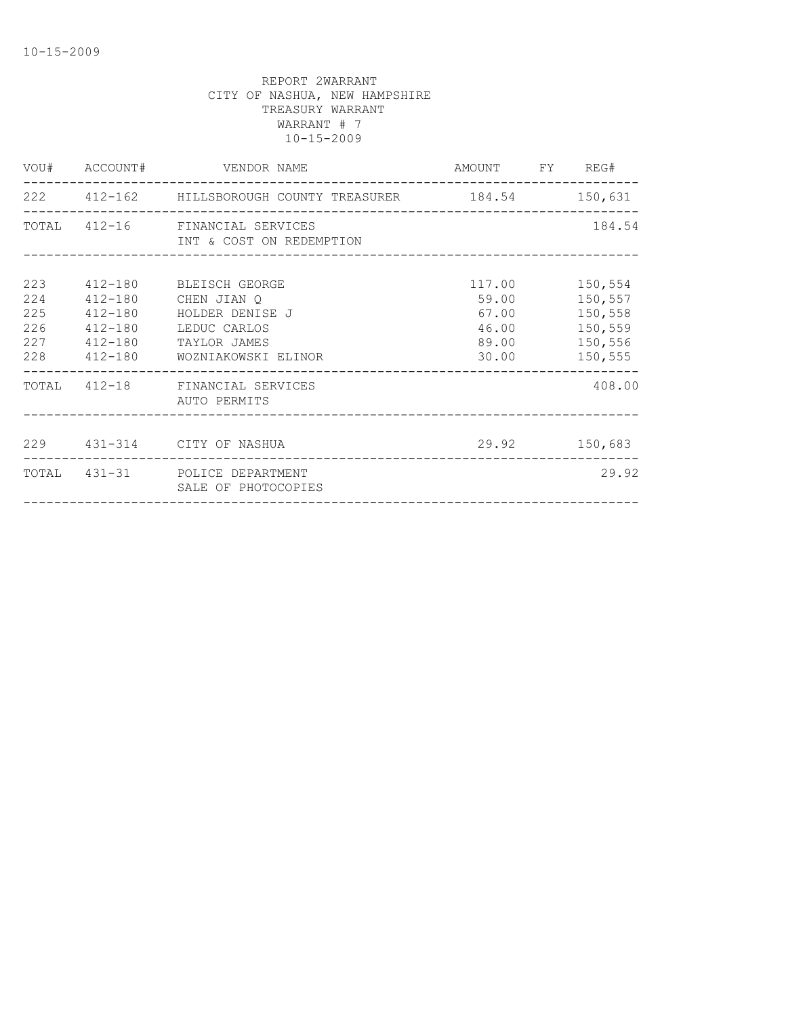|                                        |                               | VOU# ACCOUNT# VENDOR NAME                                                                                                       | AMOUNT FY REG#                             |                                                                      |
|----------------------------------------|-------------------------------|---------------------------------------------------------------------------------------------------------------------------------|--------------------------------------------|----------------------------------------------------------------------|
|                                        |                               | 222   412-162   HILLSBOROUGH COUNTY TREASURER   184.54   150,631                                                                |                                            |                                                                      |
|                                        |                               | TOTAL 412-16 FINANCIAL SERVICES<br>INT & COST ON REDEMPTION                                                                     |                                            | 184.54                                                               |
| 223<br>224<br>225<br>226<br>227<br>228 | 412-180<br>412-180<br>412-180 | 412-180 BLEISCH GEORGE<br>CHEN JIAN O<br>HOLDER DENISE J<br>LEDUC CARLOS<br>412-180 TAYLOR JAMES<br>412-180 WOZNIAKOWSKI ELINOR | 117.00<br>59.00<br>67.00<br>46.00<br>30.00 | 150,554<br>150,557<br>150,558<br>150,559<br>89.00 150,556<br>150,555 |
|                                        |                               | TOTAL 412-18 FINANCIAL SERVICES<br>AUTO PERMITS                                                                                 |                                            | 408.00                                                               |
|                                        |                               | 229 431-314 CITY OF NASHUA                                                                                                      | 29.92 150,683                              |                                                                      |
|                                        |                               | TOTAL 431-31 POLICE DEPARTMENT<br>SALE OF PHOTOCOPIES                                                                           |                                            | 29.92                                                                |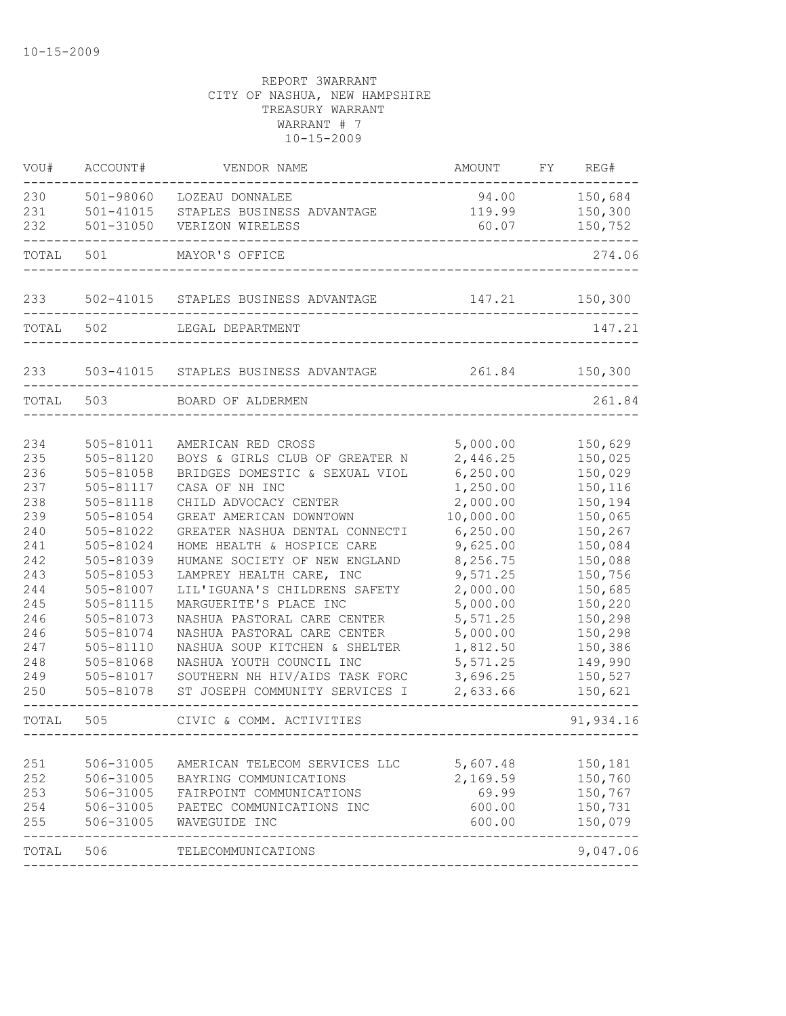| VOU#       | ACCOUNT#               | VENDOR NAME                                                      | AMOUNT                 | FY | REG#               |
|------------|------------------------|------------------------------------------------------------------|------------------------|----|--------------------|
| 230        | 501-98060              | LOZEAU DONNALEE                                                  | 94.00                  |    | 150,684            |
| 231        | $501 - 41015$          | STAPLES BUSINESS ADVANTAGE                                       | 119.99                 |    | 150,300            |
| 232        | $501 - 31050$          | VERIZON WIRELESS                                                 | 60.07                  |    | 150,752            |
| TOTAL      | 501                    | MAYOR'S OFFICE                                                   |                        |    | 274.06             |
| 233        | 502-41015              | STAPLES BUSINESS ADVANTAGE                                       | 147.21                 |    | 150,300            |
| TOTAL      | 502                    | LEGAL DEPARTMENT                                                 |                        |    | 147.21             |
| 233        | 503-41015              | STAPLES BUSINESS ADVANTAGE                                       | 261.84                 |    | 150,300            |
| TOTAL      | 503                    | BOARD OF ALDERMEN                                                |                        |    | 261.84             |
|            |                        |                                                                  |                        |    |                    |
| 234        | 505-81011              | AMERICAN RED CROSS                                               | 5,000.00               |    | 150,629            |
| 235        | 505-81120              | BOYS & GIRLS CLUB OF GREATER N                                   | 2,446.25               |    | 150,025            |
| 236        | 505-81058              | BRIDGES DOMESTIC & SEXUAL VIOL<br>CASA OF NH INC                 | 6, 250.00              |    | 150,029            |
| 237        | 505-81117              | CHILD ADVOCACY CENTER                                            | 1,250.00               |    | 150,116            |
| 238        | 505-81118              |                                                                  | 2,000.00               |    | 150,194            |
| 239        | 505-81054              | GREAT AMERICAN DOWNTOWN                                          | 10,000.00<br>6, 250.00 |    | 150,065            |
| 240<br>241 | 505-81022<br>505-81024 | GREATER NASHUA DENTAL CONNECTI                                   | 9,625.00               |    | 150,267<br>150,084 |
| 242        |                        | HOME HEALTH & HOSPICE CARE<br>HUMANE SOCIETY OF NEW ENGLAND      | 8,256.75               |    | 150,088            |
| 243        | 505-81039<br>505-81053 | LAMPREY HEALTH CARE, INC                                         | 9,571.25               |    | 150,756            |
| 244        | 505-81007              | LIL'IGUANA'S CHILDRENS SAFETY                                    | 2,000.00               |    | 150,685            |
|            |                        |                                                                  | 5,000.00               |    |                    |
| 245        | 505-81115              | MARGUERITE'S PLACE INC                                           |                        |    | 150,220            |
| 246        | 505-81073              | NASHUA PASTORAL CARE CENTER                                      | 5,571.25               |    | 150,298            |
| 246        | 505-81074              | NASHUA PASTORAL CARE CENTER                                      | 5,000.00               |    | 150,298            |
| 247        | 505-81110              | NASHUA SOUP KITCHEN & SHELTER                                    | 1,812.50               |    | 150,386            |
| 248        | 505-81068              | NASHUA YOUTH COUNCIL INC                                         | 5,571.25               |    | 149,990            |
| 249<br>250 | 505-81017<br>505-81078 | SOUTHERN NH HIV/AIDS TASK FORC<br>ST JOSEPH COMMUNITY SERVICES I | 3,696.25<br>2,633.66   |    | 150,527<br>150,621 |
| TOTAL      | 505                    | CIVIC & COMM. ACTIVITIES                                         |                        |    | 91,934.16          |
|            |                        |                                                                  |                        |    | -------------      |
| 251        | 506-31005              | AMERICAN TELECOM SERVICES LLC                                    | 5,607.48               |    | 150,181            |
| 252        | 506-31005              | BAYRING COMMUNICATIONS                                           | 2,169.59               |    | 150,760            |
| 253        | 506-31005              | FAIRPOINT COMMUNICATIONS                                         | 69.99                  |    | 150,767            |
| 254        | 506-31005              | PAETEC COMMUNICATIONS INC                                        | 600.00                 |    | 150,731            |
| 255        | 506-31005              | WAVEGUIDE INC                                                    | 600.00                 |    | 150,079            |
| TOTAL      | 506                    | TELECOMMUNICATIONS                                               |                        |    | 9,047.06           |
|            |                        |                                                                  |                        |    |                    |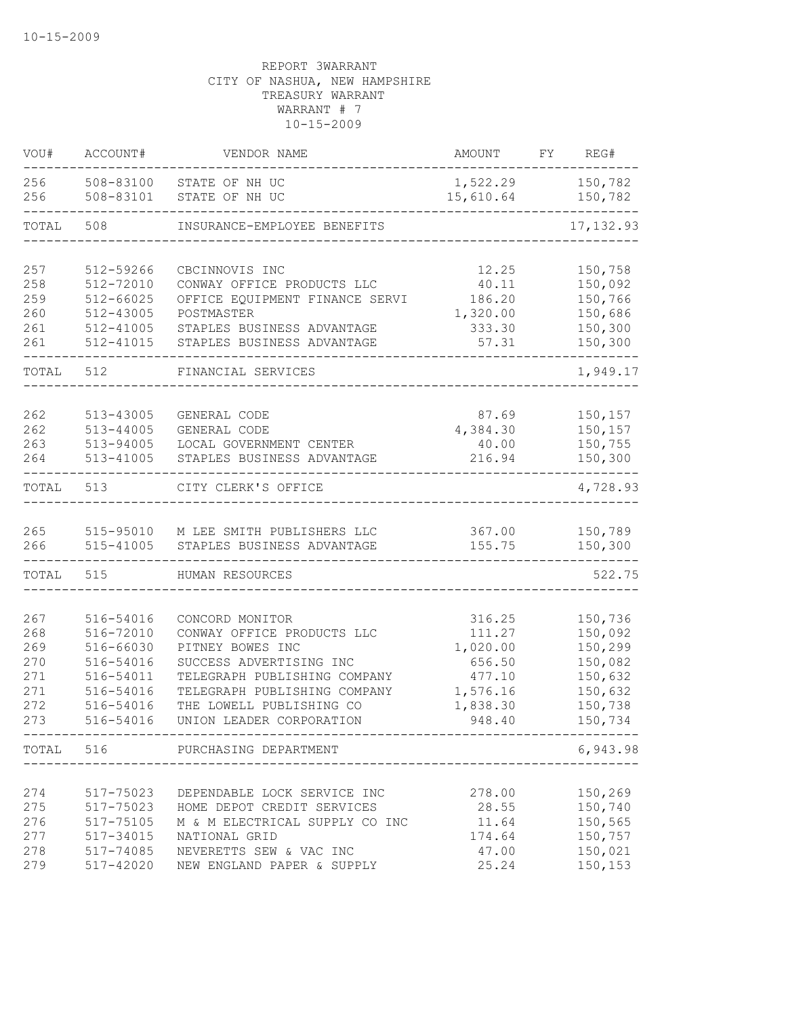| VOU#                                                 | ACCOUNT#                                                                                             | VENDOR NAME                                                                                                                                                                                                          | <b>AMOUNT</b>                                                                      | FY | REG#                                                                                 |
|------------------------------------------------------|------------------------------------------------------------------------------------------------------|----------------------------------------------------------------------------------------------------------------------------------------------------------------------------------------------------------------------|------------------------------------------------------------------------------------|----|--------------------------------------------------------------------------------------|
| 256<br>256                                           | 508-83100<br>508-83101                                                                               | STATE OF NH UC<br>STATE OF NH UC                                                                                                                                                                                     | 1,522.29<br>15,610.64                                                              |    | 150,782<br>150,782                                                                   |
| TOTAL                                                | 508                                                                                                  | INSURANCE-EMPLOYEE BENEFITS                                                                                                                                                                                          |                                                                                    |    | 17, 132.93                                                                           |
| 257<br>258<br>259<br>260<br>261<br>261               | 512-59266<br>512-72010<br>$512 - 66025$<br>512-43005<br>$512 - 41005$<br>512-41015                   | CBCINNOVIS INC<br>CONWAY OFFICE PRODUCTS LLC<br>OFFICE EQUIPMENT FINANCE SERVI<br>POSTMASTER<br>STAPLES BUSINESS ADVANTAGE<br>STAPLES BUSINESS ADVANTAGE                                                             | 12.25<br>40.11<br>186.20<br>1,320.00<br>333.30<br>57.31                            |    | 150,758<br>150,092<br>150,766<br>150,686<br>150,300<br>150,300                       |
| TOTAL                                                | 512                                                                                                  | FINANCIAL SERVICES                                                                                                                                                                                                   |                                                                                    |    | 1,949.17                                                                             |
| 262<br>262<br>263<br>264                             | 513-43005<br>513-44005<br>513-94005<br>513-41005                                                     | GENERAL CODE<br>GENERAL CODE<br>LOCAL GOVERNMENT CENTER<br>STAPLES BUSINESS ADVANTAGE                                                                                                                                | 87.69<br>4,384.30<br>40.00<br>216.94                                               |    | 150,157<br>150,157<br>150,755<br>150,300                                             |
| TOTAL                                                | 513                                                                                                  | CITY CLERK'S OFFICE                                                                                                                                                                                                  |                                                                                    |    | 4,728.93                                                                             |
| 265<br>266                                           | 515-41005                                                                                            | 515-95010 M LEE SMITH PUBLISHERS LLC<br>STAPLES BUSINESS ADVANTAGE                                                                                                                                                   | 367.00<br>155.75                                                                   |    | 150,789<br>150,300                                                                   |
| TOTAL                                                | 515                                                                                                  | HUMAN RESOURCES                                                                                                                                                                                                      |                                                                                    |    | 522.75                                                                               |
| 267<br>268<br>269<br>270<br>271<br>271<br>272<br>273 | 516-54016<br>516-72010<br>516-66030<br>516-54016<br>516-54011<br>516-54016<br>516-54016<br>516-54016 | CONCORD MONITOR<br>CONWAY OFFICE PRODUCTS LLC<br>PITNEY BOWES INC<br>SUCCESS ADVERTISING INC<br>TELEGRAPH PUBLISHING COMPANY<br>TELEGRAPH PUBLISHING COMPANY<br>THE LOWELL PUBLISHING CO<br>UNION LEADER CORPORATION | 316.25<br>111.27<br>1,020.00<br>656.50<br>477.10<br>1,576.16<br>1,838.30<br>948.40 |    | 150,736<br>150,092<br>150,299<br>150,082<br>150,632<br>150,632<br>150,738<br>150,734 |
|                                                      |                                                                                                      | TOTAL 516 PURCHASING DEPARTMENT                                                                                                                                                                                      |                                                                                    |    | 6,943.98                                                                             |
| 274<br>275<br>276<br>277<br>278<br>279               | 517-75023<br>517-75023<br>517-75105<br>517-34015<br>517-74085<br>517-42020                           | DEPENDABLE LOCK SERVICE INC<br>HOME DEPOT CREDIT SERVICES<br>M & M ELECTRICAL SUPPLY CO INC<br>NATIONAL GRID<br>NEVERETTS SEW & VAC INC<br>NEW ENGLAND PAPER & SUPPLY                                                | 278.00<br>28.55<br>11.64<br>174.64<br>47.00<br>25.24                               |    | 150,269<br>150,740<br>150,565<br>150,757<br>150,021<br>150,153                       |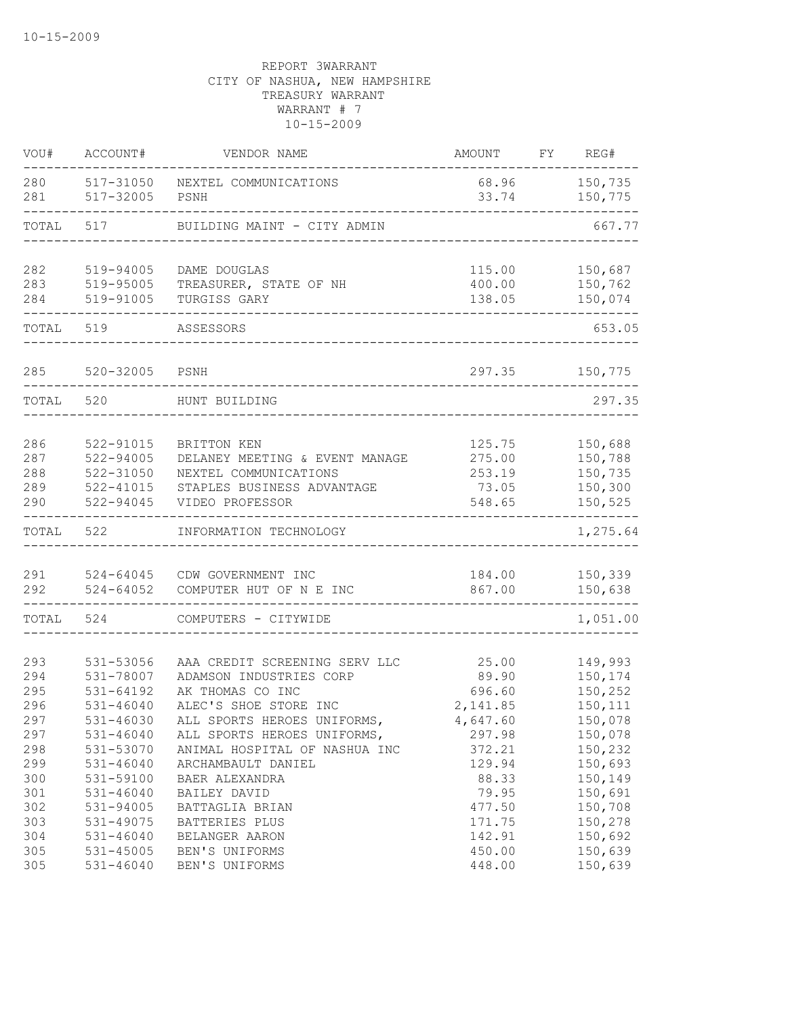| VOU#       | ACCOUNT#               | VENDOR NAME                            | <b>AMOUNT</b>    | FY | REG#               |
|------------|------------------------|----------------------------------------|------------------|----|--------------------|
| 280<br>281 | 517-31050<br>517-32005 | NEXTEL COMMUNICATIONS<br>PSNH          | 68.96<br>33.74   |    | 150,735<br>150,775 |
| TOTAL      | 517                    | BUILDING MAINT - CITY ADMIN            |                  |    | 667.77             |
| 282        | 519-94005              | DAME DOUGLAS                           | 115.00           |    | 150,687            |
| 283<br>284 | 519-95005<br>519-91005 | TREASURER, STATE OF NH<br>TURGISS GARY | 400.00<br>138.05 |    | 150,762<br>150,074 |
| TOTAL      | 519                    | ASSESSORS                              |                  |    | 653.05             |
| 285        | 520-32005              | PSNH                                   | 297.35           |    | 150,775            |
| TOTAL      | 520                    | HUNT BUILDING                          |                  |    | 297.35             |
| 286        | 522-91015              | BRITTON KEN                            | 125.75           |    | 150,688            |
| 287        | 522-94005              | DELANEY MEETING & EVENT MANAGE         | 275.00           |    | 150,788            |
| 288        | 522-31050              | NEXTEL COMMUNICATIONS                  | 253.19           |    | 150,735            |
| 289        | 522-41015              | STAPLES BUSINESS ADVANTAGE             | 73.05            |    | 150,300            |
| 290        | 522-94045              | VIDEO PROFESSOR                        | 548.65           |    | 150,525            |
| TOTAL      | 522                    | INFORMATION TECHNOLOGY                 |                  |    | 1,275.64           |
| 291        | 524-64045              | CDW GOVERNMENT INC                     | 184.00           |    | 150,339            |
| 292        | $524 - 64052$          | COMPUTER HUT OF N E INC                | 867.00           |    | 150,638            |
| TOTAL      | 524                    | COMPUTERS - CITYWIDE                   |                  |    | 1,051.00           |
| 293        | 531-53056              | AAA CREDIT SCREENING SERV LLC          | 25.00            |    | 149,993            |
| 294        | 531-78007              | ADAMSON INDUSTRIES CORP                | 89.90            |    | 150,174            |
| 295        | 531-64192              | AK THOMAS CO INC                       | 696.60           |    | 150,252            |
| 296        | $531 - 46040$          | ALEC'S SHOE STORE INC                  | 2,141.85         |    | 150,111            |
| 297        | 531-46030              | ALL SPORTS HEROES UNIFORMS,            | 4,647.60         |    | 150,078            |
| 297        | $531 - 46040$          | ALL SPORTS HEROES UNIFORMS,            | 297.98           |    | 150,078            |
| 298        | 531-53070              | ANIMAL HOSPITAL OF NASHUA INC          | 372.21           |    | 150,232            |
| 299        | $531 - 46040$          | ARCHAMBAULT DANIEL                     | 129.94           |    | 150,693            |
| 300        | 531-59100              | BAER ALEXANDRA                         | 88.33            |    | 150,149            |
| 301        | $531 - 46040$          | BAILEY DAVID                           | 79.95            |    | 150,691            |
| 302        | 531-94005              | BATTAGLIA BRIAN                        | 477.50           |    | 150,708            |
| 303        | 531-49075              | BATTERIES PLUS                         | 171.75           |    | 150,278            |
| 304        | $531 - 46040$          | BELANGER AARON                         | 142.91           |    | 150,692            |
| 305        | 531-45005              | BEN'S UNIFORMS                         | 450.00           |    | 150,639            |
| 305        | $531 - 46040$          | BEN'S UNIFORMS                         | 448.00           |    | 150,639            |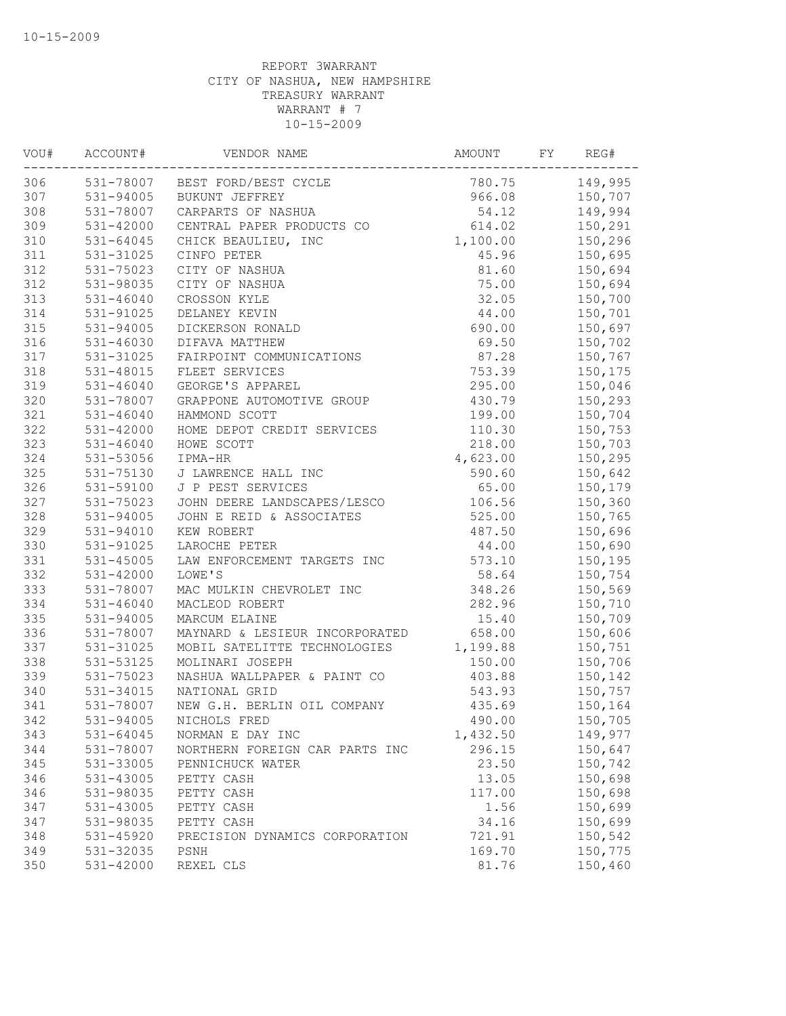| VOU# | ACCOUNT#      | VENDOR NAME                    | AMOUNT   | FY | REG#    |
|------|---------------|--------------------------------|----------|----|---------|
| 306  |               | 531-78007 BEST FORD/BEST CYCLE | 780.75   |    | 149,995 |
| 307  | 531-94005     | BUKUNT JEFFREY                 | 966.08   |    | 150,707 |
| 308  | 531-78007     | CARPARTS OF NASHUA             | 54.12    |    | 149,994 |
| 309  | $531 - 42000$ | CENTRAL PAPER PRODUCTS CO      | 614.02   |    | 150,291 |
| 310  | $531 - 64045$ | CHICK BEAULIEU, INC            | 1,100.00 |    | 150,296 |
| 311  | 531-31025     | CINFO PETER                    | 45.96    |    | 150,695 |
| 312  | 531-75023     | CITY OF NASHUA                 | 81.60    |    | 150,694 |
| 312  | 531-98035     | CITY OF NASHUA                 | 75.00    |    | 150,694 |
| 313  | $531 - 46040$ | CROSSON KYLE                   | 32.05    |    | 150,700 |
| 314  | 531-91025     | DELANEY KEVIN                  | 44.00    |    | 150,701 |
| 315  | 531-94005     | DICKERSON RONALD               | 690.00   |    | 150,697 |
| 316  | $531 - 46030$ | DIFAVA MATTHEW                 | 69.50    |    | 150,702 |
| 317  | 531-31025     | FAIRPOINT COMMUNICATIONS       | 87.28    |    | 150,767 |
| 318  | 531-48015     | FLEET SERVICES                 | 753.39   |    | 150,175 |
| 319  | $531 - 46040$ | GEORGE'S APPAREL               | 295.00   |    | 150,046 |
| 320  | 531-78007     | GRAPPONE AUTOMOTIVE GROUP      | 430.79   |    | 150,293 |
| 321  | $531 - 46040$ | HAMMOND SCOTT                  | 199.00   |    | 150,704 |
| 322  | 531-42000     | HOME DEPOT CREDIT SERVICES     | 110.30   |    | 150,753 |
| 323  | $531 - 46040$ | HOWE SCOTT                     | 218.00   |    | 150,703 |
| 324  | 531-53056     | IPMA-HR                        | 4,623.00 |    | 150,295 |
| 325  | 531-75130     | J LAWRENCE HALL INC            | 590.60   |    | 150,642 |
| 326  | 531-59100     | J P PEST SERVICES              | 65.00    |    | 150,179 |
| 327  | 531-75023     | JOHN DEERE LANDSCAPES/LESCO    | 106.56   |    | 150,360 |
| 328  | 531-94005     | JOHN E REID & ASSOCIATES       | 525.00   |    | 150,765 |
| 329  | 531-94010     | KEW ROBERT                     | 487.50   |    | 150,696 |
| 330  | 531-91025     | LAROCHE PETER                  | 44.00    |    | 150,690 |
| 331  | $531 - 45005$ | LAW ENFORCEMENT TARGETS INC    | 573.10   |    | 150,195 |
| 332  | $531 - 42000$ | LOWE'S                         | 58.64    |    | 150,754 |
| 333  | 531-78007     | MAC MULKIN CHEVROLET INC       | 348.26   |    | 150,569 |
| 334  | $531 - 46040$ | MACLEOD ROBERT                 | 282.96   |    | 150,710 |
| 335  | 531-94005     | MARCUM ELAINE                  | 15.40    |    | 150,709 |
| 336  | 531-78007     | MAYNARD & LESIEUR INCORPORATED | 658.00   |    | 150,606 |
| 337  | 531-31025     | MOBIL SATELITTE TECHNOLOGIES   | 1,199.88 |    | 150,751 |
| 338  | 531-53125     | MOLINARI JOSEPH                | 150.00   |    | 150,706 |
| 339  | 531-75023     | NASHUA WALLPAPER & PAINT CO    | 403.88   |    | 150,142 |
| 340  | $531 - 34015$ | NATIONAL GRID                  | 543.93   |    | 150,757 |
| 341  | 531-78007     | NEW G.H. BERLIN OIL COMPANY    | 435.69   |    | 150,164 |
| 342  | 531-94005     | NICHOLS FRED                   | 490.00   |    | 150,705 |
| 343  | 531-64045     | NORMAN E DAY INC               | 1,432.50 |    | 149,977 |
| 344  | 531-78007     | NORTHERN FOREIGN CAR PARTS INC | 296.15   |    | 150,647 |
| 345  | 531-33005     | PENNICHUCK WATER               | 23.50    |    | 150,742 |
| 346  | 531-43005     | PETTY CASH                     | 13.05    |    | 150,698 |
| 346  | 531-98035     | PETTY CASH                     | 117.00   |    | 150,698 |
| 347  | 531-43005     | PETTY CASH                     | 1.56     |    | 150,699 |
| 347  | 531-98035     | PETTY CASH                     | 34.16    |    | 150,699 |
| 348  | 531-45920     | PRECISION DYNAMICS CORPORATION | 721.91   |    | 150,542 |
| 349  | 531-32035     | PSNH                           | 169.70   |    | 150,775 |
| 350  | 531-42000     | REXEL CLS                      | 81.76    |    | 150,460 |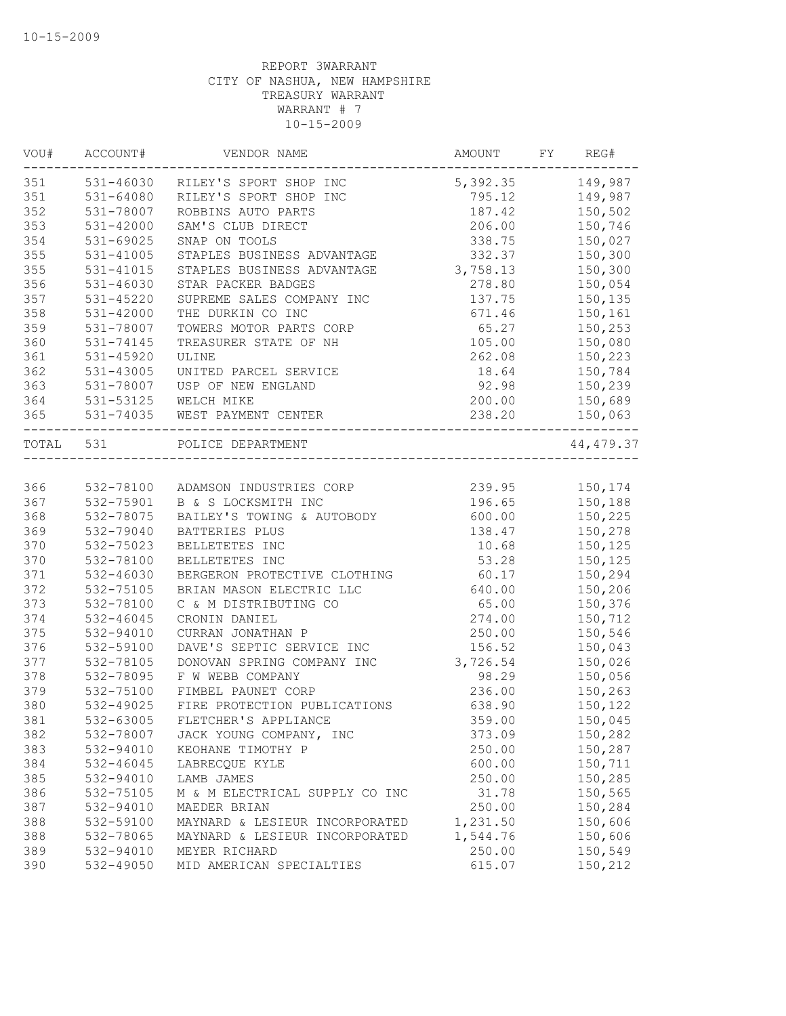| VOU#      | ACCOUNT#      | VENDOR NAME                    | AMOUNT   | FY | REG#       |
|-----------|---------------|--------------------------------|----------|----|------------|
| 351       | 531-46030     | RILEY'S SPORT SHOP INC         | 5,392.35 |    | 149,987    |
| 351       | 531-64080     | RILEY'S SPORT SHOP INC         | 795.12   |    | 149,987    |
| 352       | 531-78007     | ROBBINS AUTO PARTS             | 187.42   |    | 150,502    |
| 353       | $531 - 42000$ | SAM'S CLUB DIRECT              | 206.00   |    | 150,746    |
| 354       | 531-69025     | SNAP ON TOOLS                  | 338.75   |    | 150,027    |
| 355       | 531-41005     | STAPLES BUSINESS ADVANTAGE     | 332.37   |    | 150,300    |
| 355       | 531-41015     | STAPLES BUSINESS ADVANTAGE     | 3,758.13 |    | 150,300    |
| 356       | 531-46030     | STAR PACKER BADGES             | 278.80   |    | 150,054    |
| 357       | 531-45220     | SUPREME SALES COMPANY INC      | 137.75   |    | 150,135    |
| 358       | 531-42000     | THE DURKIN CO INC              | 671.46   |    | 150,161    |
| 359       | 531-78007     | TOWERS MOTOR PARTS CORP        | 65.27    |    | 150,253    |
| 360       | 531-74145     | TREASURER STATE OF NH          | 105.00   |    | 150,080    |
| 361       | $531 - 45920$ | ULINE                          | 262.08   |    | 150,223    |
| 362       | 531-43005     | UNITED PARCEL SERVICE          | 18.64    |    | 150,784    |
| 363       | 531-78007     | USP OF NEW ENGLAND             | 92.98    |    | 150,239    |
| 364       | 531-53125     | WELCH MIKE                     | 200.00   |    | 150,689    |
| 365       | 531-74035     | WEST PAYMENT CENTER            | 238.20   |    | 150,063    |
| TOTAL 531 |               | POLICE DEPARTMENT              |          |    | 44, 479.37 |
|           |               |                                |          |    |            |
| 366       | 532-78100     | ADAMSON INDUSTRIES CORP        | 239.95   |    | 150,174    |
| 367       | 532-75901     | B & S LOCKSMITH INC            | 196.65   |    | 150,188    |
| 368       | 532-78075     | BAILEY'S TOWING & AUTOBODY     | 600.00   |    | 150,225    |
| 369       | 532-79040     | BATTERIES PLUS                 | 138.47   |    | 150,278    |
| 370       | 532-75023     | BELLETETES INC                 | 10.68    |    | 150,125    |
| 370       | 532-78100     | BELLETETES INC                 | 53.28    |    | 150,125    |
| 371       | 532-46030     | BERGERON PROTECTIVE CLOTHING   | 60.17    |    | 150,294    |
| 372       | 532-75105     | BRIAN MASON ELECTRIC LLC       | 640.00   |    | 150,206    |
| 373       | 532-78100     | C & M DISTRIBUTING CO          | 65.00    |    | 150,376    |
| 374       | $532 - 46045$ | CRONIN DANIEL                  | 274.00   |    | 150,712    |
| 375       | 532-94010     | CURRAN JONATHAN P              | 250.00   |    | 150,546    |
| 376       | 532-59100     | DAVE'S SEPTIC SERVICE INC      | 156.52   |    | 150,043    |
| 377       | 532-78105     | DONOVAN SPRING COMPANY INC     | 3,726.54 |    | 150,026    |
| 378       | 532-78095     | F W WEBB COMPANY               | 98.29    |    | 150,056    |
| 379       | 532-75100     | FIMBEL PAUNET CORP             | 236.00   |    | 150,263    |
| 380       | 532-49025     | FIRE PROTECTION PUBLICATIONS   | 638.90   |    | 150,122    |
| 381       | $532 - 63005$ | FLETCHER'S APPLIANCE           | 359.00   |    | 150,045    |
| 382       | 532-78007     | JACK YOUNG COMPANY, INC        | 373.09   |    | 150,282    |
| 383       | 532-94010     | KEOHANE TIMOTHY P              | 250.00   |    | 150,287    |
| 384       | $532 - 46045$ | LABRECQUE KYLE                 | 600.00   |    | 150,711    |
| 385       | 532-94010     | LAMB JAMES                     | 250.00   |    | 150,285    |
| 386       | 532-75105     | M & M ELECTRICAL SUPPLY CO INC | 31.78    |    | 150,565    |
| 387       | 532-94010     | MAEDER BRIAN                   | 250.00   |    | 150,284    |
| 388       | 532-59100     | MAYNARD & LESIEUR INCORPORATED | 1,231.50 |    | 150,606    |
| 388       | 532-78065     | MAYNARD & LESIEUR INCORPORATED | 1,544.76 |    | 150,606    |
| 389       | 532-94010     | MEYER RICHARD                  | 250.00   |    | 150,549    |
| 390       | 532-49050     | MID AMERICAN SPECIALTIES       | 615.07   |    | 150,212    |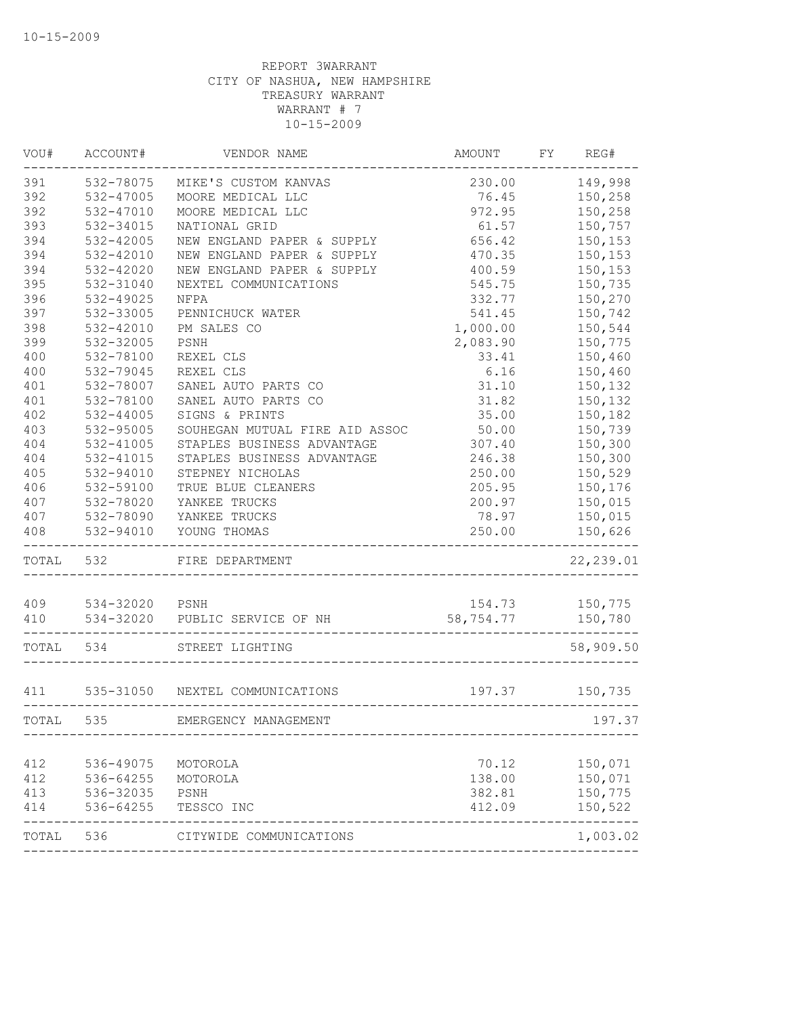| VOU#  | ACCOUNT#       | VENDOR NAME                     | AMOUNT    | FY | REG#                     |
|-------|----------------|---------------------------------|-----------|----|--------------------------|
| 391   | 532-78075      | MIKE'S CUSTOM KANVAS            | 230.00    |    | 149,998                  |
| 392   | 532-47005      | MOORE MEDICAL LLC               | 76.45     |    | 150,258                  |
| 392   | 532-47010      | MOORE MEDICAL LLC               | 972.95    |    | 150,258                  |
| 393   | 532-34015      | NATIONAL GRID                   | 61.57     |    | 150,757                  |
| 394   | 532-42005      | NEW ENGLAND PAPER & SUPPLY      | 656.42    |    | 150,153                  |
| 394   | 532-42010      | NEW ENGLAND PAPER & SUPPLY      | 470.35    |    | 150,153                  |
| 394   | 532-42020      | NEW ENGLAND PAPER & SUPPLY      | 400.59    |    | 150,153                  |
| 395   | 532-31040      | NEXTEL COMMUNICATIONS           | 545.75    |    | 150,735                  |
| 396   | 532-49025      | NFPA                            | 332.77    |    | 150,270                  |
| 397   | 532-33005      | PENNICHUCK WATER                | 541.45    |    | 150,742                  |
| 398   | 532-42010      | PM SALES CO                     | 1,000.00  |    | 150,544                  |
| 399   | 532-32005      | PSNH                            | 2,083.90  |    | 150,775                  |
| 400   | 532-78100      | REXEL CLS                       | 33.41     |    | 150,460                  |
| 400   | 532-79045      | REXEL CLS                       | 6.16      |    | 150,460                  |
| 401   | 532-78007      | SANEL AUTO PARTS CO             | 31.10     |    | 150,132                  |
| 401   | 532-78100      | SANEL AUTO PARTS CO             | 31.82     |    | 150,132                  |
| 402   | $532 - 44005$  | SIGNS & PRINTS                  | 35.00     |    | 150,182                  |
| 403   | 532-95005      | SOUHEGAN MUTUAL FIRE AID ASSOC  | 50.00     |    | 150,739                  |
| 404   | 532-41005      | STAPLES BUSINESS ADVANTAGE      | 307.40    |    | 150,300                  |
| 404   | 532-41015      | STAPLES BUSINESS ADVANTAGE      | 246.38    |    | 150,300                  |
| 405   | 532-94010      | STEPNEY NICHOLAS                | 250.00    |    | 150,529                  |
| 406   | 532-59100      | TRUE BLUE CLEANERS              | 205.95    |    | 150,176                  |
| 407   | 532-78020      | YANKEE TRUCKS                   | 200.97    |    | 150,015                  |
| 407   | 532-78090      | YANKEE TRUCKS                   | 78.97     |    | 150,015                  |
| 408   | 532-94010      | YOUNG THOMAS                    | 250.00    |    | 150,626                  |
| TOTAL | 532            | FIRE DEPARTMENT                 |           |    | 22, 239.01               |
|       |                |                                 |           |    |                          |
| 409   | 534-32020 PSNH |                                 | 154.73    |    | 150,775                  |
| 410   | 534-32020      | PUBLIC SERVICE OF NH            | 58,754.77 |    | 150,780                  |
| TOTAL | 534            | STREET LIGHTING                 |           |    | 58,909.50                |
| 411   |                | 535-31050 NEXTEL COMMUNICATIONS | 197.37    |    | 150,735                  |
| TOTAL | 535            | EMERGENCY MANAGEMENT            |           |    | 197.37                   |
|       |                |                                 |           |    |                          |
| 412   | 536-49075      | MOTOROLA                        | 70.12     |    | 150,071                  |
| 412   | 536-64255      | MOTOROLA                        | 138.00    |    | 150,071                  |
| 413   | 536-32035      | PSNH                            | 382.81    |    | 150,775                  |
| 414   | 536-64255      | TESSCO INC                      | 412.09    |    | 150,522<br>$- - - - - -$ |
| TOTAL | 536            | CITYWIDE COMMUNICATIONS         |           |    | 1,003.02                 |
|       |                |                                 |           |    |                          |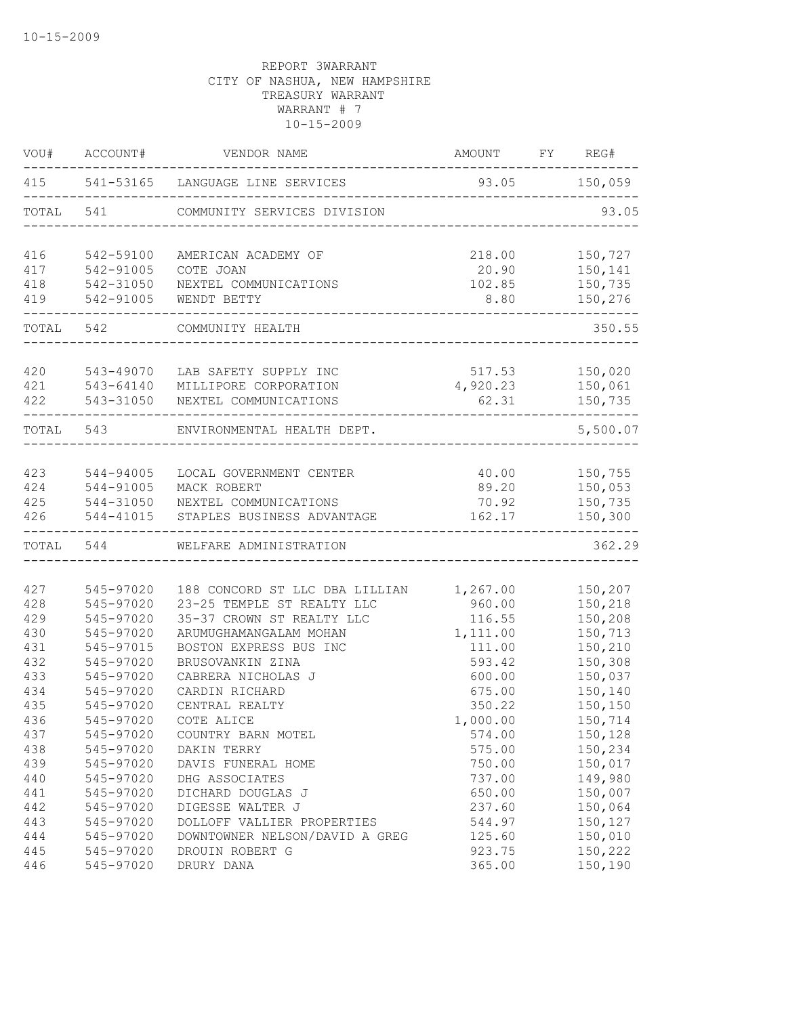| VOU#      | ACCOUNT#  | VENDOR NAME                      | AMOUNT   | FY | REG#     |
|-----------|-----------|----------------------------------|----------|----|----------|
| 415       |           | 541-53165 LANGUAGE LINE SERVICES | 93.05    |    | 150,059  |
| TOTAL     | 541       | COMMUNITY SERVICES DIVISION      |          |    | 93.05    |
| 416       | 542-59100 | AMERICAN ACADEMY OF              | 218.00   |    | 150,727  |
| 417       | 542-91005 | COTE JOAN                        | 20.90    |    | 150,141  |
| 418       | 542-31050 | NEXTEL COMMUNICATIONS            | 102.85   |    | 150,735  |
| 419       | 542-91005 | WENDT BETTY                      | 8.80     |    | 150,276  |
| TOTAL     | 542       | COMMUNITY HEALTH                 |          |    | 350.55   |
| 420       | 543-49070 | LAB SAFETY SUPPLY INC            | 517.53   |    | 150,020  |
| 421       | 543-64140 | MILLIPORE CORPORATION            | 4,920.23 |    | 150,061  |
| 422       | 543-31050 | NEXTEL COMMUNICATIONS            | 62.31    |    | 150,735  |
| TOTAL     | 543       | ENVIRONMENTAL HEALTH DEPT.       |          |    | 5,500.07 |
|           |           |                                  |          |    |          |
| 423       | 544-94005 | LOCAL GOVERNMENT CENTER          | 40.00    |    | 150,755  |
| 424       | 544-91005 | MACK ROBERT                      | 89.20    |    | 150,053  |
| 425       | 544-31050 | NEXTEL COMMUNICATIONS            | 70.92    |    | 150,735  |
| 426       | 544-41015 | STAPLES BUSINESS ADVANTAGE       | 162.17   |    | 150,300  |
| TOTAL 544 |           | WELFARE ADMINISTRATION           |          |    | 362.29   |
|           |           |                                  |          |    |          |
| 427       | 545-97020 | 188 CONCORD ST LLC DBA LILLIAN   | 1,267.00 |    | 150,207  |
| 428       | 545-97020 | 23-25 TEMPLE ST REALTY LLC       | 960.00   |    | 150,218  |
| 429       | 545-97020 | 35-37 CROWN ST REALTY LLC        | 116.55   |    | 150,208  |
| 430       | 545-97020 | ARUMUGHAMANGALAM MOHAN           | 1,111.00 |    | 150,713  |
| 431       | 545-97015 | BOSTON EXPRESS BUS INC           | 111.00   |    | 150,210  |
| 432       | 545-97020 | BRUSOVANKIN ZINA                 | 593.42   |    | 150,308  |
| 433       | 545-97020 | CABRERA NICHOLAS J               | 600.00   |    | 150,037  |
| 434       | 545-97020 | CARDIN RICHARD                   | 675.00   |    | 150,140  |
| 435       | 545-97020 | CENTRAL REALTY                   | 350.22   |    | 150,150  |
| 436       | 545-97020 | COTE ALICE                       | 1,000.00 |    | 150,714  |
| 437       | 545-97020 | COUNTRY BARN MOTEL               | 574.00   |    | 150,128  |
| 438       | 545-97020 | DAKIN TERRY                      | 575.00   |    | 150,234  |
| 439       | 545-97020 | DAVIS FUNERAL HOME               | 750.00   |    | 150,017  |
| 440       | 545-97020 | DHG ASSOCIATES                   | 737.00   |    | 149,980  |
| 441       | 545-97020 | DICHARD DOUGLAS J                | 650.00   |    | 150,007  |
| 442       | 545-97020 | DIGESSE WALTER J                 | 237.60   |    | 150,064  |
| 443       | 545-97020 | DOLLOFF VALLIER PROPERTIES       | 544.97   |    | 150,127  |
| 444       | 545-97020 | DOWNTOWNER NELSON/DAVID A GREG   | 125.60   |    | 150,010  |
| 445       | 545-97020 | DROUIN ROBERT G                  | 923.75   |    | 150,222  |
| 446       | 545-97020 | DRURY DANA                       | 365.00   |    | 150,190  |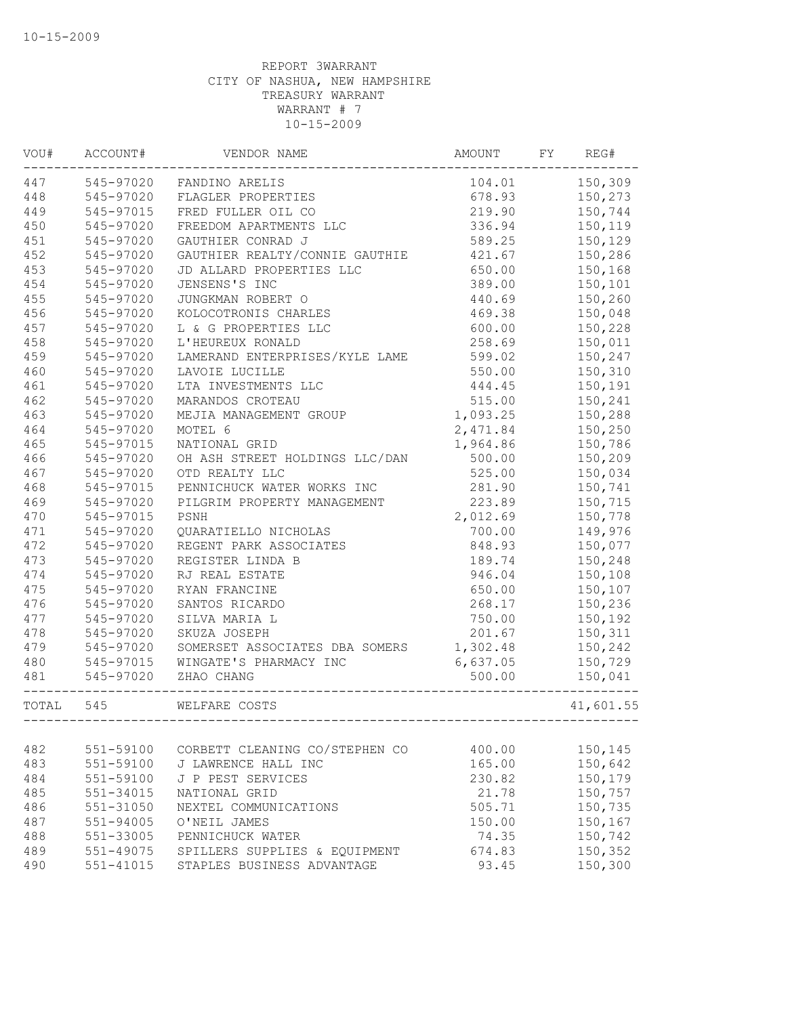| VOU#  | ACCOUNT#      | VENDOR NAME                    | AMOUNT   | FY | REG#      |
|-------|---------------|--------------------------------|----------|----|-----------|
| 447   | 545-97020     | FANDINO ARELIS                 | 104.01   |    | 150,309   |
| 448   | 545-97020     | FLAGLER PROPERTIES             | 678.93   |    | 150,273   |
| 449   | 545-97015     | FRED FULLER OIL CO             | 219.90   |    | 150,744   |
| 450   | 545-97020     | FREEDOM APARTMENTS LLC         | 336.94   |    | 150,119   |
| 451   | 545-97020     | GAUTHIER CONRAD J              | 589.25   |    | 150,129   |
| 452   | 545-97020     | GAUTHIER REALTY/CONNIE GAUTHIE | 421.67   |    | 150,286   |
| 453   | 545-97020     | JD ALLARD PROPERTIES LLC       | 650.00   |    | 150,168   |
| 454   | 545-97020     | JENSENS'S INC                  | 389.00   |    | 150,101   |
| 455   | 545-97020     | JUNGKMAN ROBERT O              | 440.69   |    | 150,260   |
| 456   | 545-97020     | KOLOCOTRONIS CHARLES           | 469.38   |    | 150,048   |
| 457   | 545-97020     | L & G PROPERTIES LLC           | 600.00   |    | 150,228   |
| 458   | 545-97020     | L'HEUREUX RONALD               | 258.69   |    | 150,011   |
| 459   | 545-97020     | LAMERAND ENTERPRISES/KYLE LAME | 599.02   |    | 150,247   |
| 460   | 545-97020     | LAVOIE LUCILLE                 | 550.00   |    | 150,310   |
| 461   | 545-97020     | LTA INVESTMENTS LLC            | 444.45   |    | 150,191   |
| 462   | 545-97020     | MARANDOS CROTEAU               | 515.00   |    | 150,241   |
| 463   | 545-97020     | MEJIA MANAGEMENT GROUP         | 1,093.25 |    | 150,288   |
| 464   | 545-97020     | MOTEL 6                        | 2,471.84 |    | 150,250   |
| 465   | 545-97015     | NATIONAL GRID                  | 1,964.86 |    | 150,786   |
| 466   | 545-97020     | OH ASH STREET HOLDINGS LLC/DAN | 500.00   |    | 150,209   |
| 467   | 545-97020     | OTD REALTY LLC                 | 525.00   |    | 150,034   |
| 468   | 545-97015     | PENNICHUCK WATER WORKS INC     | 281.90   |    | 150,741   |
| 469   | 545-97020     | PILGRIM PROPERTY MANAGEMENT    | 223.89   |    | 150,715   |
| 470   | 545-97015     | PSNH                           | 2,012.69 |    | 150,778   |
| 471   | 545-97020     | QUARATIELLO NICHOLAS           | 700.00   |    | 149,976   |
| 472   | 545-97020     | REGENT PARK ASSOCIATES         | 848.93   |    | 150,077   |
| 473   | 545-97020     | REGISTER LINDA B               | 189.74   |    | 150,248   |
| 474   | 545-97020     | RJ REAL ESTATE                 | 946.04   |    | 150,108   |
| 475   | 545-97020     | RYAN FRANCINE                  | 650.00   |    | 150,107   |
| 476   | 545-97020     | SANTOS RICARDO                 | 268.17   |    | 150,236   |
| 477   | 545-97020     | SILVA MARIA L                  | 750.00   |    | 150,192   |
| 478   | 545-97020     | SKUZA JOSEPH                   | 201.67   |    | 150,311   |
| 479   | 545-97020     | SOMERSET ASSOCIATES DBA SOMERS | 1,302.48 |    | 150,242   |
| 480   | 545-97015     | WINGATE'S PHARMACY INC         | 6,637.05 |    | 150,729   |
| 481   | 545-97020     | ZHAO CHANG                     | 500.00   |    | 150,041   |
| TOTAL | 545           | WELFARE COSTS                  |          |    | 41,601.55 |
|       |               |                                |          |    |           |
| 482   | 551-59100     | CORBETT CLEANING CO/STEPHEN CO | 400.00   |    | 150,145   |
| 483   | 551-59100     | J LAWRENCE HALL INC            | 165.00   |    | 150,642   |
| 484   | 551-59100     | J P PEST SERVICES              | 230.82   |    | 150,179   |
| 485   | $551 - 34015$ | NATIONAL GRID                  | 21.78    |    | 150,757   |
| 486   | 551-31050     | NEXTEL COMMUNICATIONS          | 505.71   |    | 150,735   |
| 487   | 551-94005     | O'NEIL JAMES                   | 150.00   |    | 150,167   |
| 488   | 551-33005     | PENNICHUCK WATER               | 74.35    |    | 150,742   |
| 489   | 551-49075     | SPILLERS SUPPLIES & EQUIPMENT  | 674.83   |    | 150,352   |
| 490   | 551-41015     | STAPLES BUSINESS ADVANTAGE     | 93.45    |    | 150,300   |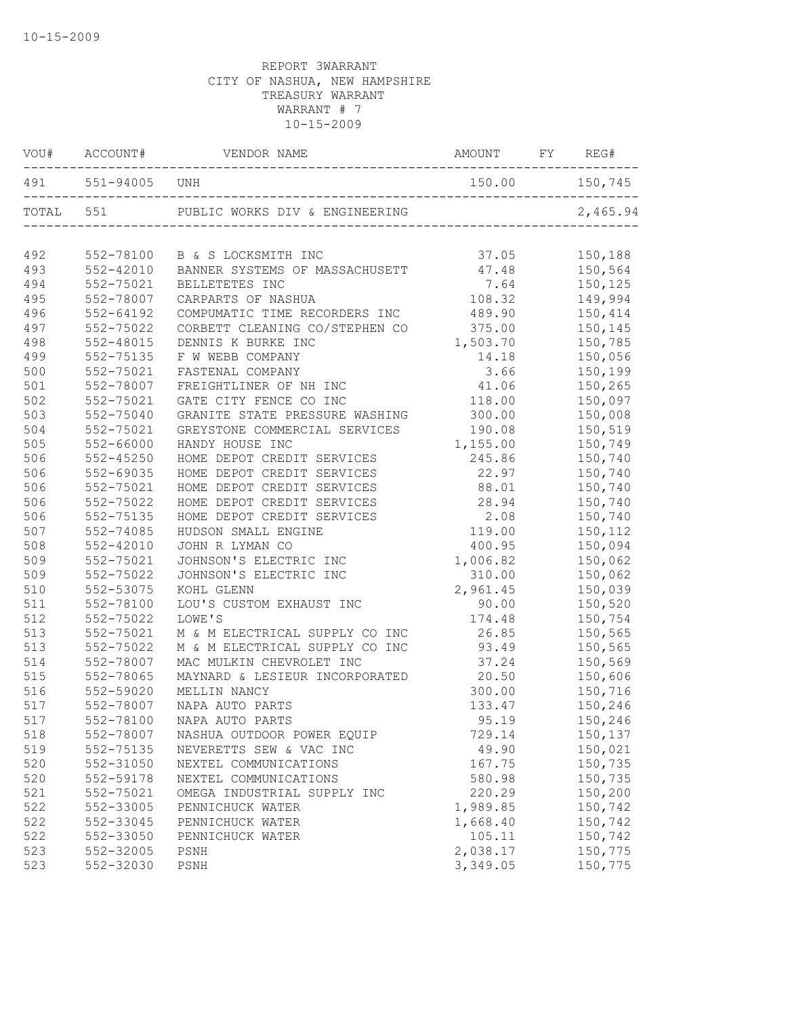|           |                   | VOU# ACCOUNT# VENDOR NAME<br>AMOUNT FY REG#                             |                |          |
|-----------|-------------------|-------------------------------------------------------------------------|----------------|----------|
|           | 491 551-94005 UNH |                                                                         | 150.00 150,745 |          |
| TOTAL 551 |                   | PUBLIC WORKS DIV & ENGINEERING<br>_____________________________________ |                | 2,465.94 |
| 492       | 552-78100         | B & S LOCKSMITH INC                                                     | 37.05          | 150,188  |
| 493       | 552-42010         | BANNER SYSTEMS OF MASSACHUSETT                                          | 47.48          | 150,564  |
| 494       | 552-75021         | BELLETETES INC                                                          | 7.64           | 150,125  |
| 495       | 552-78007         | CARPARTS OF NASHUA                                                      | 108.32         | 149,994  |
| 496       | $552 - 64192$     | COMPUMATIC TIME RECORDERS INC                                           | 489.90         | 150,414  |
| 497       | 552-75022         | CORBETT CLEANING CO/STEPHEN CO                                          | 375.00         | 150,145  |
| 498       | 552-48015         | DENNIS K BURKE INC                                                      | 1,503.70       | 150,785  |
| 499       | 552-75135         | F W WEBB COMPANY                                                        | 14.18          | 150,056  |
| 500       | 552-75021         | FASTENAL COMPANY                                                        | 3.66           | 150,199  |
| 501       | 552-78007         | FREIGHTLINER OF NH INC                                                  | 41.06          | 150,265  |
| 502       | 552-75021         | GATE CITY FENCE CO INC                                                  | 118.00         | 150,097  |
| 503       | $552 - 75040$     | GRANITE STATE PRESSURE WASHING                                          | 300.00         | 150,008  |
| 504       | 552-75021         | GREYSTONE COMMERCIAL SERVICES                                           | 190.08         | 150,519  |
| 505       | 552-66000         | HANDY HOUSE INC                                                         | 1,155.00       | 150,749  |
| 506       | $552 - 45250$     | HOME DEPOT CREDIT SERVICES                                              | 245.86         | 150,740  |
| 506       | 552-69035         | HOME DEPOT CREDIT SERVICES                                              | 22.97          | 150,740  |
| 506       | 552-75021         | HOME DEPOT CREDIT SERVICES                                              | 88.01          | 150,740  |
| 506       | 552-75022         | HOME DEPOT CREDIT SERVICES                                              | 28.94          | 150,740  |
| 506       | 552-75135         | HOME DEPOT CREDIT SERVICES                                              | 2.08           | 150,740  |
| 507       | 552-74085         | HUDSON SMALL ENGINE                                                     | 119.00         | 150,112  |
| 508       | $552 - 42010$     | JOHN R LYMAN CO                                                         | 400.95         | 150,094  |
| 509       | 552-75021         | JOHNSON'S ELECTRIC INC                                                  | 1,006.82       | 150,062  |
| 509       | 552-75022         | JOHNSON'S ELECTRIC INC                                                  | 310.00         | 150,062  |
| 510       | 552-53075         | KOHL GLENN                                                              | 2,961.45       | 150,039  |
| 511       | 552-78100         | LOU'S CUSTOM EXHAUST INC                                                | 90.00          | 150,520  |
| 512       | 552-75022         | LOWE'S                                                                  | 174.48         | 150,754  |
| 513       | 552-75021         | M & M ELECTRICAL SUPPLY CO INC                                          | 26.85          | 150,565  |
| 513       | 552-75022         | M & M ELECTRICAL SUPPLY CO INC                                          | 93.49          | 150,565  |
| 514       | 552-78007         | MAC MULKIN CHEVROLET INC                                                | 37.24          | 150,569  |
| 515       | 552-78065         | MAYNARD & LESIEUR INCORPORATED                                          | 20.50          | 150,606  |
| 516       | 552-59020         | MELLIN NANCY                                                            | 300.00         | 150,716  |
| 517       | 552-78007         | NAPA AUTO PARTS                                                         | 133.47         | 150,246  |
| 517       | 552-78100         | NAPA AUTO PARTS                                                         | 95.19          | 150,246  |
| 518       | 552-78007         | NASHUA OUTDOOR POWER EQUIP                                              | 729.14         | 150,137  |
| 519       | 552-75135         | NEVERETTS SEW & VAC INC                                                 | 49.90          | 150,021  |
| 520       | 552-31050         | NEXTEL COMMUNICATIONS                                                   | 167.75         | 150,735  |
| 520       | 552-59178         | NEXTEL COMMUNICATIONS                                                   | 580.98         | 150,735  |
| 521       | 552-75021         | OMEGA INDUSTRIAL SUPPLY INC                                             | 220.29         | 150,200  |
| 522       | 552-33005         | PENNICHUCK WATER                                                        | 1,989.85       | 150,742  |
| 522       | 552-33045         | PENNICHUCK WATER                                                        | 1,668.40       | 150,742  |
| 522       | 552-33050         | PENNICHUCK WATER                                                        | 105.11         | 150,742  |
| 523       | 552-32005         | PSNH                                                                    | 2,038.17       | 150,775  |
| 523       | 552-32030         | PSNH                                                                    | 3,349.05       | 150,775  |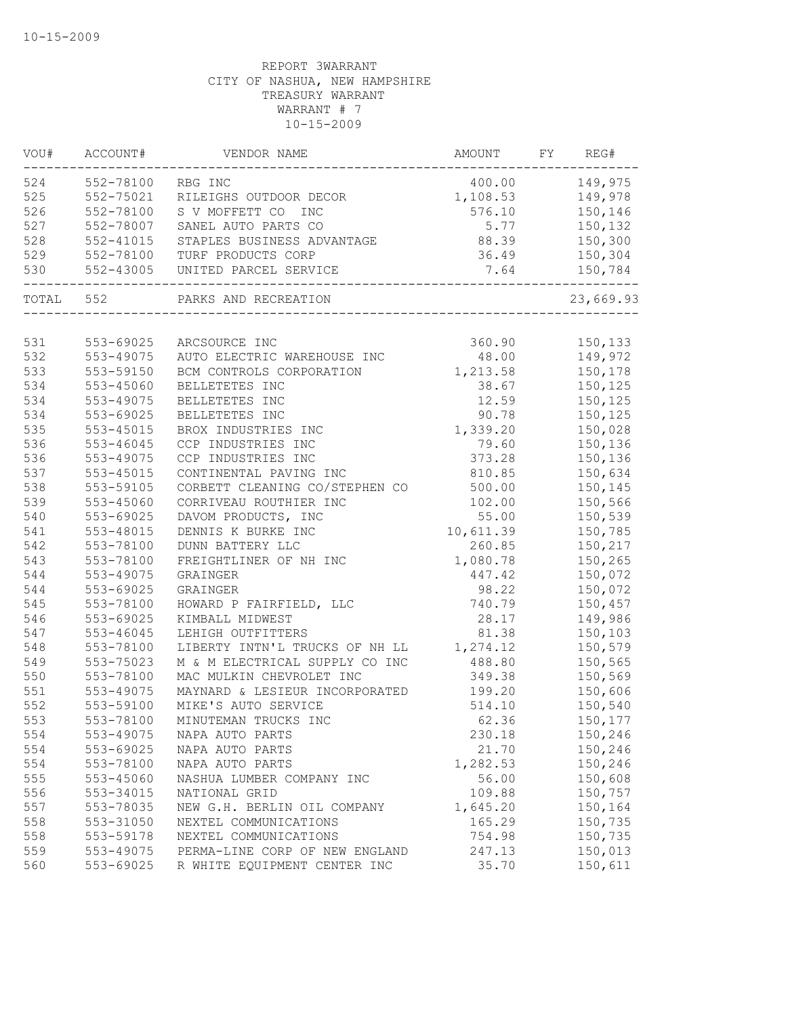| VOU#  | ACCOUNT#                          | VENDOR NAME                               | AMOUNT    | FY | REG#      |
|-------|-----------------------------------|-------------------------------------------|-----------|----|-----------|
| 524   | 552-78100                         | RBG INC                                   | 400.00    |    | 149,975   |
| 525   | 552-75021                         | RILEIGHS OUTDOOR DECOR                    | 1,108.53  |    | 149,978   |
| 526   | 552-78100                         | S V MOFFETT CO<br><b>INC</b>              | 576.10    |    | 150,146   |
| 527   | 552-78007                         | SANEL AUTO PARTS CO                       | 5.77      |    | 150,132   |
| 528   | $552 - 41015$                     | STAPLES BUSINESS ADVANTAGE                | 88.39     |    | 150,300   |
| 529   | 552-78100                         | TURF PRODUCTS CORP                        | 36.49     |    | 150,304   |
| 530   | 552-43005<br>-------------------- | UNITED PARCEL SERVICE<br>________________ | 7.64      |    | 150,784   |
| TOTAL | 552                               | PARKS AND RECREATION                      |           |    | 23,669.93 |
|       |                                   |                                           |           |    |           |
| 531   | 553-69025                         | ARCSOURCE INC                             | 360.90    |    | 150,133   |
| 532   | 553-49075                         | AUTO ELECTRIC WAREHOUSE INC               | 48.00     |    | 149,972   |
| 533   | 553-59150                         | BCM CONTROLS CORPORATION                  | 1,213.58  |    | 150,178   |
| 534   | 553-45060                         | BELLETETES INC                            | 38.67     |    | 150,125   |
| 534   | 553-49075                         | BELLETETES INC                            | 12.59     |    | 150,125   |
| 534   | 553-69025                         | BELLETETES INC                            | 90.78     |    | 150,125   |
| 535   | 553-45015                         | BROX INDUSTRIES INC                       | 1,339.20  |    | 150,028   |
| 536   | 553-46045                         | CCP INDUSTRIES INC                        | 79.60     |    | 150,136   |
| 536   | 553-49075                         | CCP INDUSTRIES INC                        | 373.28    |    | 150,136   |
| 537   | 553-45015                         | CONTINENTAL PAVING INC                    | 810.85    |    | 150,634   |
| 538   | 553-59105                         | CORBETT CLEANING CO/STEPHEN CO            | 500.00    |    | 150,145   |
| 539   | 553-45060                         | CORRIVEAU ROUTHIER INC                    | 102.00    |    | 150,566   |
| 540   | 553-69025                         | DAVOM PRODUCTS, INC                       | 55.00     |    | 150,539   |
| 541   | 553-48015                         | DENNIS K BURKE INC                        | 10,611.39 |    | 150,785   |
| 542   | 553-78100                         | DUNN BATTERY LLC                          | 260.85    |    | 150,217   |
| 543   | 553-78100                         | FREIGHTLINER OF NH INC                    | 1,080.78  |    | 150,265   |
| 544   | 553-49075                         | GRAINGER                                  | 447.42    |    | 150,072   |
| 544   | 553-69025                         | GRAINGER                                  | 98.22     |    | 150,072   |
| 545   | 553-78100                         | HOWARD P FAIRFIELD, LLC                   | 740.79    |    | 150,457   |
| 546   | 553-69025                         | KIMBALL MIDWEST                           | 28.17     |    | 149,986   |
| 547   | 553-46045                         | LEHIGH OUTFITTERS                         | 81.38     |    | 150,103   |
| 548   | 553-78100                         | LIBERTY INTN'L TRUCKS OF NH LL            | 1,274.12  |    | 150,579   |
| 549   | 553-75023                         | M & M ELECTRICAL SUPPLY CO INC            | 488.80    |    | 150,565   |
| 550   | 553-78100                         | MAC MULKIN CHEVROLET INC                  | 349.38    |    | 150,569   |
| 551   | 553-49075                         | MAYNARD & LESIEUR INCORPORATED            | 199.20    |    | 150,606   |
| 552   | 553-59100                         | MIKE'S AUTO SERVICE                       | 514.10    |    | 150,540   |
| 553   | 553-78100                         | MINUTEMAN TRUCKS INC                      | 62.36     |    | 150,177   |
| 554   | 553-49075                         | NAPA AUTO PARTS                           | 230.18    |    | 150,246   |
| 554   | 553-69025                         | NAPA AUTO PARTS                           | 21.70     |    | 150,246   |
| 554   | 553-78100                         | NAPA AUTO PARTS                           | 1,282.53  |    | 150,246   |
| 555   | 553-45060                         | NASHUA LUMBER COMPANY INC                 | 56.00     |    | 150,608   |
| 556   | 553-34015                         | NATIONAL GRID                             | 109.88    |    | 150,757   |
| 557   | 553-78035                         | NEW G.H. BERLIN OIL COMPANY               | 1,645.20  |    | 150,164   |
| 558   | 553-31050                         | NEXTEL COMMUNICATIONS                     | 165.29    |    | 150,735   |
| 558   | 553-59178                         | NEXTEL COMMUNICATIONS                     | 754.98    |    | 150,735   |
| 559   | 553-49075                         | PERMA-LINE CORP OF NEW ENGLAND            | 247.13    |    | 150,013   |
| 560   | 553-69025                         | R WHITE EQUIPMENT CENTER INC              | 35.70     |    | 150,611   |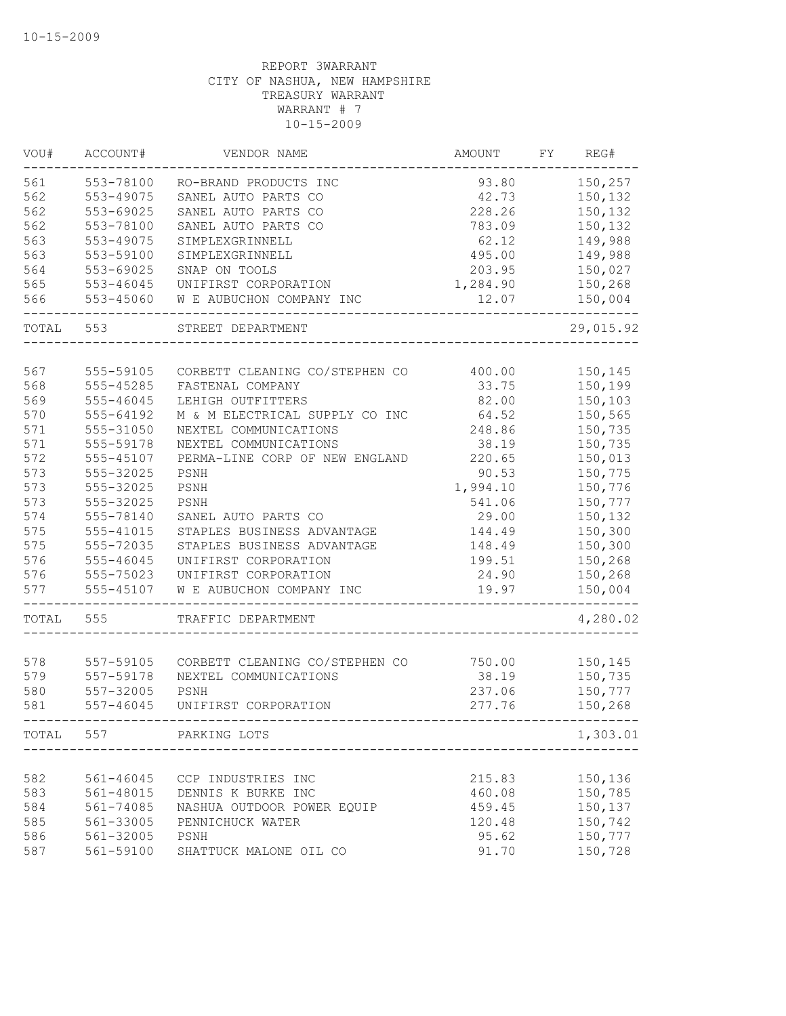| VOU#       | ACCOUNT#               | VENDOR NAME                    | AMOUNT   | FΥ | REG#      |
|------------|------------------------|--------------------------------|----------|----|-----------|
| 561        | 553-78100              | RO-BRAND PRODUCTS INC          | 93.80    |    | 150,257   |
| 562        | 553-49075              | SANEL AUTO PARTS CO            | 42.73    |    | 150,132   |
| 562        | 553-69025              | SANEL AUTO PARTS CO            | 228.26   |    | 150,132   |
| 562        | 553-78100              | SANEL AUTO PARTS CO            | 783.09   |    | 150,132   |
| 563        | 553-49075              | SIMPLEXGRINNELL                | 62.12    |    | 149,988   |
| 563        | 553-59100              | SIMPLEXGRINNELL                | 495.00   |    | 149,988   |
| 564        | 553-69025              | SNAP ON TOOLS                  | 203.95   |    | 150,027   |
| 565        | $553 - 46045$          | UNIFIRST CORPORATION           | 1,284.90 |    | 150,268   |
| 566        | 553-45060              | W E AUBUCHON COMPANY INC       | 12.07    |    | 150,004   |
| TOTAL      | 553                    | STREET DEPARTMENT              |          |    | 29,015.92 |
| 567        | 555-59105              | CORBETT CLEANING CO/STEPHEN CO | 400.00   |    | 150,145   |
| 568        | 555-45285              | FASTENAL COMPANY               | 33.75    |    | 150,199   |
| 569        | $555 - 46045$          | LEHIGH OUTFITTERS              | 82.00    |    | 150,103   |
|            | 555-64192              |                                | 64.52    |    |           |
| 570        |                        | M & M ELECTRICAL SUPPLY CO INC |          |    | 150,565   |
| 571        | 555-31050              | NEXTEL COMMUNICATIONS          | 248.86   |    | 150,735   |
| 571        | 555-59178              | NEXTEL COMMUNICATIONS          | 38.19    |    | 150,735   |
| 572        | 555-45107              | PERMA-LINE CORP OF NEW ENGLAND | 220.65   |    | 150,013   |
| 573        | 555-32025              | PSNH                           | 90.53    |    | 150,775   |
| 573        | 555-32025              | PSNH                           | 1,994.10 |    | 150,776   |
| 573        | 555-32025              | PSNH                           | 541.06   |    | 150,777   |
| 574        | 555-78140              | SANEL AUTO PARTS CO            | 29.00    |    | 150,132   |
| 575        | 555-41015              | STAPLES BUSINESS ADVANTAGE     | 144.49   |    | 150,300   |
| 575        | 555-72035              | STAPLES BUSINESS ADVANTAGE     | 148.49   |    | 150,300   |
| 576        | 555-46045              | UNIFIRST CORPORATION           | 199.51   |    | 150,268   |
| 576        | 555-75023              | UNIFIRST CORPORATION           | 24.90    |    | 150,268   |
| 577        | 555-45107              | W E AUBUCHON COMPANY INC       | 19.97    |    | 150,004   |
| TOTAL      | 555                    | TRAFFIC DEPARTMENT             |          |    | 4,280.02  |
| 578        |                        | CORBETT CLEANING CO/STEPHEN CO | 750.00   |    | 150,145   |
| 579        | 557-59105<br>557-59178 | NEXTEL COMMUNICATIONS          | 38.19    |    | 150,735   |
|            | 557-32005              | PSNH                           | 237.06   |    | 150,777   |
| 580<br>581 | 557-46045              | UNIFIRST CORPORATION           | 277.76   |    | 150,268   |
| TOTAL      | 557                    | PARKING LOTS                   |          |    | 1,303.01  |
|            |                        |                                |          |    |           |
| 582        | 561-46045              | CCP INDUSTRIES INC             | 215.83   |    | 150,136   |
| 583        | 561-48015              | DENNIS K BURKE INC             | 460.08   |    | 150,785   |
| 584        | 561-74085              | NASHUA OUTDOOR POWER EQUIP     | 459.45   |    | 150,137   |
| 585        | 561-33005              | PENNICHUCK WATER               | 120.48   |    | 150,742   |
| 586        | 561-32005              | PSNH                           | 95.62    |    | 150,777   |
| 587        | 561-59100              | SHATTUCK MALONE OIL CO         | 91.70    |    | 150,728   |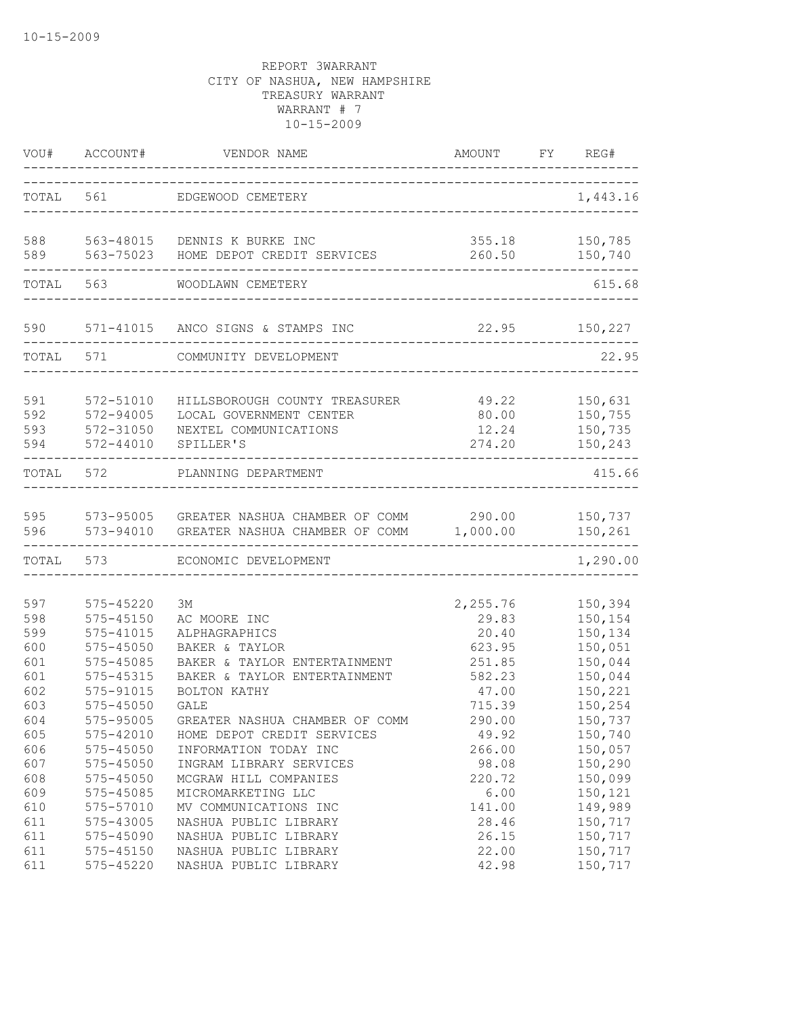|                                 | VOU# ACCOUNT#                                                     | VENDOR NAME                                                                                                      | AMOUNT FY REG#                                        |                                                     |
|---------------------------------|-------------------------------------------------------------------|------------------------------------------------------------------------------------------------------------------|-------------------------------------------------------|-----------------------------------------------------|
|                                 |                                                                   | TOTAL 561 EDGEWOOD CEMETERY<br>-------------------------------------                                             |                                                       | 1,443.16                                            |
| 588<br>589                      | 563-75023                                                         | 563-48015 DENNIS K BURKE INC<br>HOME DEPOT CREDIT SERVICES                                                       |                                                       | 355.18 150,785<br>260.50 150,740                    |
| TOTAL                           | 563                                                               | WOODLAWN CEMETERY                                                                                                |                                                       | 615.68                                              |
| 590                             | ----------------                                                  | 571-41015 ANCO SIGNS & STAMPS INC                                                                                | 22.95 150,227<br>------------------------------------ |                                                     |
|                                 | TOTAL 571                                                         | COMMUNITY DEVELOPMENT                                                                                            |                                                       | 22.95                                               |
| 591<br>592<br>593<br>594        | 572-51010<br>572-94005<br>572-31050<br>572-44010                  | HILLSBOROUGH COUNTY TREASURER<br>LOCAL GOVERNMENT CENTER<br>NEXTEL COMMUNICATIONS<br>SPILLER'S                   | 49.22<br>80.00<br>12.24<br>274.20                     | 150,631<br>150,755<br>150,735<br>150,243            |
| TOTAL 572                       |                                                                   | PLANNING DEPARTMENT                                                                                              |                                                       | 415.66                                              |
| 595<br>596                      | 573-94010                                                         | 573-95005 GREATER NASHUA CHAMBER OF COMM 290.00 150,737<br>GREATER NASHUA CHAMBER OF COMM 1,000.00               |                                                       | 150,261                                             |
|                                 | TOTAL 573                                                         | ECONOMIC DEVELOPMENT                                                                                             |                                                       | -------<br>1,290.00                                 |
| 597<br>598<br>599               | 575-45220<br>$575 - 45150$<br>575-41015                           | ЗМ<br>AC MOORE INC<br>ALPHAGRAPHICS                                                                              | 2,255.76<br>29.83<br>20.40                            | 150,394<br>150,154<br>150,134                       |
| 600<br>601<br>601<br>602<br>603 | 575-45050<br>575-45085<br>575-45315<br>575-91015<br>$575 - 45050$ | BAKER & TAYLOR<br>BAKER & TAYLOR ENTERTAINMENT<br>BAKER & TAYLOR ENTERTAINMENT<br>BOLTON KATHY<br><b>GALE</b>    | 623.95<br>251.85<br>582.23<br>47.00<br>715.39         | 150,051<br>150,044<br>150,044<br>150,221<br>150,254 |
| 604<br>605<br>606<br>607        | 575-95005<br>575-42010<br>$575 - 45050$<br>575-45050              | GREATER NASHUA CHAMBER OF COMM<br>HOME DEPOT CREDIT SERVICES<br>INFORMATION TODAY INC<br>INGRAM LIBRARY SERVICES | 290.00<br>49.92<br>266.00<br>98.08                    | 150,737<br>150,740<br>150,057<br>150,290            |
| 608<br>609<br>610<br>611        | 575-45050<br>575-45085<br>575-57010<br>575-43005                  | MCGRAW HILL COMPANIES<br>MICROMARKETING LLC<br>MV COMMUNICATIONS INC<br>NASHUA PUBLIC LIBRARY                    | 220.72<br>6.00<br>141.00<br>28.46                     | 150,099<br>150,121<br>149,989<br>150,717            |
| 611<br>611<br>611               | 575-45090<br>$575 - 45150$<br>575-45220                           | NASHUA PUBLIC LIBRARY<br>NASHUA PUBLIC LIBRARY<br>NASHUA PUBLIC LIBRARY                                          | 26.15<br>22.00<br>42.98                               | 150,717<br>150,717<br>150,717                       |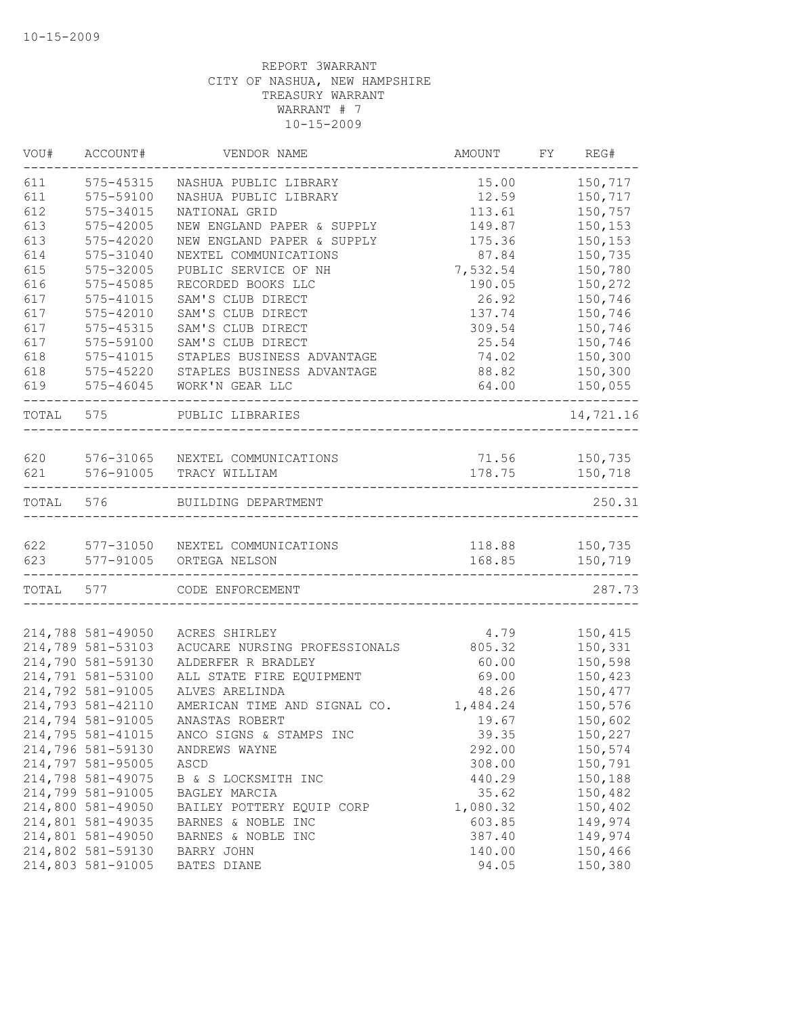| VOU#       | ACCOUNT#          | VENDOR NAME                                      | AMOUNT                  | FY REG#      |
|------------|-------------------|--------------------------------------------------|-------------------------|--------------|
| 611        | 575-45315         | NASHUA PUBLIC LIBRARY                            | 15.00                   | 150,717      |
| 611        | 575-59100         | NASHUA PUBLIC LIBRARY                            | 12.59                   | 150,717      |
| 612        | 575-34015         | NATIONAL GRID                                    | 113.61                  | 150,757      |
| 613        | $575 - 42005$     | NEW ENGLAND PAPER & SUPPLY                       | 149.87                  | 150,153      |
| 613        | $575 - 42020$     | NEW ENGLAND PAPER & SUPPLY                       | 175.36                  | 150,153      |
| 614        | 575-31040         | NEXTEL COMMUNICATIONS                            | 87.84                   | 150,735      |
| 615        | 575-32005         | PUBLIC SERVICE OF NH                             | 7,532.54                | 150,780      |
| 616        | 575-45085         | RECORDED BOOKS LLC                               | 190.05                  | 150,272      |
| 617        | 575-41015         | SAM'S CLUB DIRECT                                | 26.92                   | 150,746      |
| 617        | $575 - 42010$     | SAM'S CLUB DIRECT                                | 137.74                  | 150,746      |
| 617        | 575-45315         | SAM'S CLUB DIRECT                                | 309.54                  | 150,746      |
| 617        | 575-59100         | SAM'S CLUB DIRECT                                | 25.54                   | 150,746      |
| 618        | $575 - 41015$     | STAPLES BUSINESS ADVANTAGE                       | 74.02                   | 150,300      |
| 618        | 575-45220         | STAPLES BUSINESS ADVANTAGE                       | 88.82                   | 150,300      |
| 619        | $575 - 46045$     | WORK'N GEAR LLC                                  | 64.00                   | 150,055<br>. |
| TOTAL 575  |                   | PUBLIC LIBRARIES                                 |                         | 14,721.16    |
|            |                   |                                                  |                         |              |
| 620<br>621 | 576-91005         | 576-31065 NEXTEL COMMUNICATIONS<br>TRACY WILLIAM | 71.56 150,735<br>178.75 | 150,718      |
| TOTAL 576  |                   | BUILDING DEPARTMENT                              |                         | 250.31       |
|            |                   |                                                  |                         |              |
|            | 577-91005         | 622 577-31050 NEXTEL COMMUNICATIONS              | 118.88                  | 150,735      |
| 623        |                   | ORTEGA NELSON                                    | 168.85                  | 150,719      |
|            | TOTAL 577         | CODE ENFORCEMENT                                 |                         | 287.73       |
|            | 214,788 581-49050 | ACRES SHIRLEY                                    | 4.79                    | 150,415      |
|            | 214,789 581-53103 | ACUCARE NURSING PROFESSIONALS                    | 805.32                  | 150,331      |
|            | 214,790 581-59130 | ALDERFER R BRADLEY                               | 60.00                   | 150,598      |
|            | 214,791 581-53100 | ALL STATE FIRE EQUIPMENT                         | 69.00                   | 150,423      |
|            | 214,792 581-91005 | ALVES ARELINDA                                   | 48.26                   | 150,477      |
|            | 214,793 581-42110 | AMERICAN TIME AND SIGNAL CO.                     | 1,484.24                | 150,576      |
|            | 214,794 581-91005 | ANASTAS ROBERT                                   | 19.67                   | 150,602      |
|            | 214,795 581-41015 | ANCO SIGNS & STAMPS INC                          | 39.35                   | 150,227      |
|            | 214,796 581-59130 | ANDREWS WAYNE                                    | 292.00                  | 150,574      |
|            | 214,797 581-95005 | ASCD                                             | 308.00                  | 150,791      |
|            | 214,798 581-49075 | B & S LOCKSMITH INC                              | 440.29                  | 150,188      |
|            | 214,799 581-91005 | BAGLEY MARCIA                                    | 35.62                   | 150,482      |
|            | 214,800 581-49050 | BAILEY POTTERY EQUIP CORP                        | 1,080.32                | 150,402      |
|            | 214,801 581-49035 | BARNES & NOBLE INC                               | 603.85                  | 149,974      |
|            | 214,801 581-49050 | BARNES & NOBLE INC                               | 387.40                  | 149,974      |
|            | 214,802 581-59130 | BARRY JOHN                                       | 140.00                  | 150,466      |
|            | 214,803 581-91005 | BATES DIANE                                      | 94.05                   | 150,380      |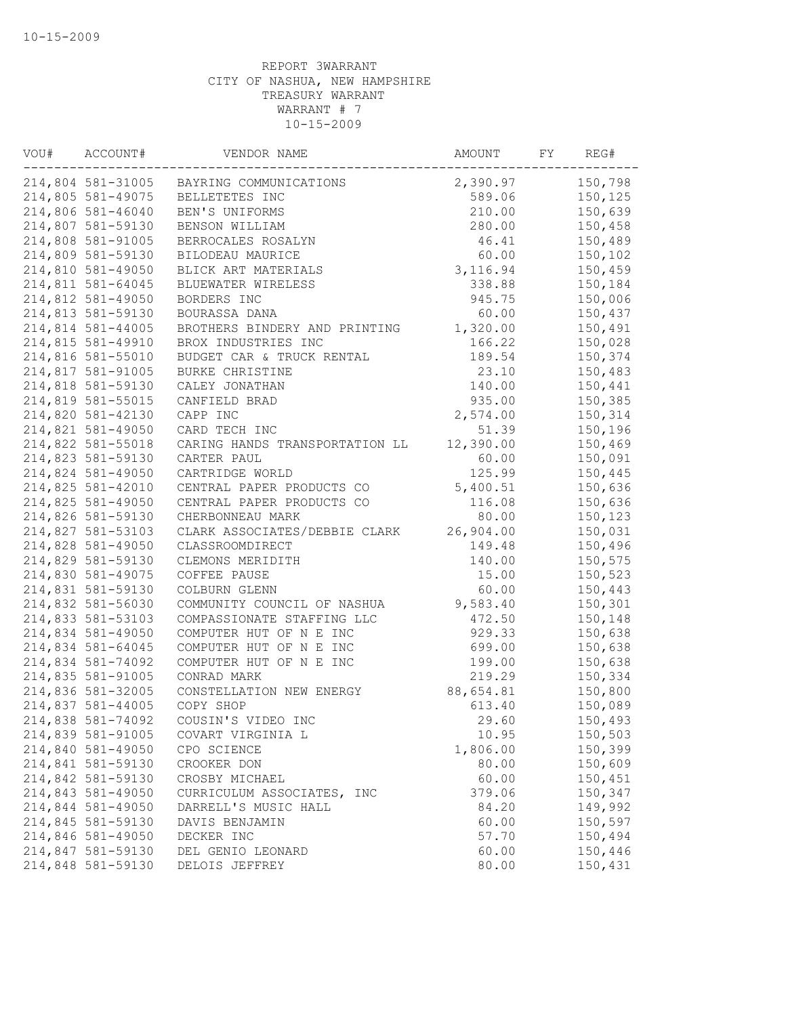| VOU# | ACCOUNT#          | VENDOR NAME                            | AMOUNT    | FY | REG#    |
|------|-------------------|----------------------------------------|-----------|----|---------|
|      | 214,804 581-31005 | BAYRING COMMUNICATIONS                 | 2,390.97  |    | 150,798 |
|      | 214,805 581-49075 | BELLETETES INC                         | 589.06    |    | 150,125 |
|      | 214,806 581-46040 | BEN'S UNIFORMS                         | 210.00    |    | 150,639 |
|      | 214,807 581-59130 | BENSON WILLIAM                         | 280.00    |    | 150,458 |
|      | 214,808 581-91005 | BERROCALES ROSALYN                     | 46.41     |    | 150,489 |
|      | 214,809 581-59130 | BILODEAU MAURICE                       | 60.00     |    | 150,102 |
|      | 214,810 581-49050 | BLICK ART MATERIALS                    | 3, 116.94 |    | 150,459 |
|      | 214,811 581-64045 | BLUEWATER WIRELESS                     | 338.88    |    | 150,184 |
|      | 214,812 581-49050 | BORDERS INC                            | 945.75    |    | 150,006 |
|      | 214,813 581-59130 | BOURASSA DANA                          | 60.00     |    | 150,437 |
|      | 214,814 581-44005 | BROTHERS BINDERY AND PRINTING          | 1,320.00  |    | 150,491 |
|      | 214,815 581-49910 | BROX INDUSTRIES INC                    | 166.22    |    | 150,028 |
|      | 214,816 581-55010 | BUDGET CAR & TRUCK RENTAL              | 189.54    |    | 150,374 |
|      | 214,817 581-91005 | BURKE CHRISTINE                        | 23.10     |    | 150,483 |
|      | 214,818 581-59130 | CALEY JONATHAN                         | 140.00    |    | 150,441 |
|      | 214,819 581-55015 | CANFIELD BRAD                          | 935.00    |    | 150,385 |
|      | 214,820 581-42130 | CAPP INC                               | 2,574.00  |    | 150,314 |
|      | 214,821 581-49050 | CARD TECH INC                          | 51.39     |    | 150,196 |
|      | 214,822 581-55018 | CARING HANDS TRANSPORTATION LL         | 12,390.00 |    | 150,469 |
|      | 214,823 581-59130 | CARTER PAUL                            | 60.00     |    | 150,091 |
|      | 214,824 581-49050 | CARTRIDGE WORLD                        | 125.99    |    | 150,445 |
|      | 214,825 581-42010 | CENTRAL PAPER PRODUCTS CO              | 5,400.51  |    | 150,636 |
|      | 214,825 581-49050 | CENTRAL PAPER PRODUCTS CO              | 116.08    |    | 150,636 |
|      | 214,826 581-59130 | CHERBONNEAU MARK                       | 80.00     |    | 150,123 |
|      | 214,827 581-53103 | CLARK ASSOCIATES/DEBBIE CLARK          | 26,904.00 |    | 150,031 |
|      | 214,828 581-49050 | CLASSROOMDIRECT                        | 149.48    |    | 150,496 |
|      | 214,829 581-59130 | CLEMONS MERIDITH                       | 140.00    |    | 150,575 |
|      | 214,830 581-49075 | COFFEE PAUSE                           | 15.00     |    | 150,523 |
|      | 214,831 581-59130 | COLBURN GLENN                          | 60.00     |    | 150,443 |
|      | 214,832 581-56030 | COMMUNITY COUNCIL OF NASHUA            | 9,583.40  |    | 150,301 |
|      | 214,833 581-53103 | COMPASSIONATE STAFFING LLC             | 472.50    |    | 150,148 |
|      | 214,834 581-49050 | COMPUTER HUT OF N E INC                | 929.33    |    | 150,638 |
|      | 214,834 581-64045 | COMPUTER HUT OF N E INC                | 699.00    |    | 150,638 |
|      | 214,834 581-74092 | COMPUTER HUT OF N E INC                | 199.00    |    | 150,638 |
|      | 214,835 581-91005 | CONRAD MARK                            | 219.29    |    | 150,334 |
|      | 214,836 581-32005 | CONSTELLATION NEW ENERGY               | 88,654.81 |    | 150,800 |
|      | 214,837 581-44005 | COPY SHOP                              | 613.40    |    | 150,089 |
|      | 214,838 581-74092 | COUSIN'S VIDEO INC                     | 29.60     |    | 150,493 |
|      | 214,839 581-91005 | COVART VIRGINIA L                      | 10.95     |    | 150,503 |
|      | 214,840 581-49050 | CPO SCIENCE                            | 1,806.00  |    | 150,399 |
|      | 214,841 581-59130 | CROOKER DON                            | 80.00     |    | 150,609 |
|      | 214,842 581-59130 | CROSBY MICHAEL                         | 60.00     |    | 150,451 |
|      | 214,843 581-49050 |                                        | 379.06    |    | 150,347 |
|      | 214,844 581-49050 | CURRICULUM ASSOCIATES, INC             |           |    | 149,992 |
|      | 214,845 581-59130 | DARRELL'S MUSIC HALL<br>DAVIS BENJAMIN | 84.20     |    |         |
|      | 214,846 581-49050 |                                        | 60.00     |    | 150,597 |
|      |                   | DECKER INC                             | 57.70     |    | 150,494 |
|      | 214,847 581-59130 | DEL GENIO LEONARD                      | 60.00     |    | 150,446 |
|      | 214,848 581-59130 | DELOIS JEFFREY                         | 80.00     |    | 150,431 |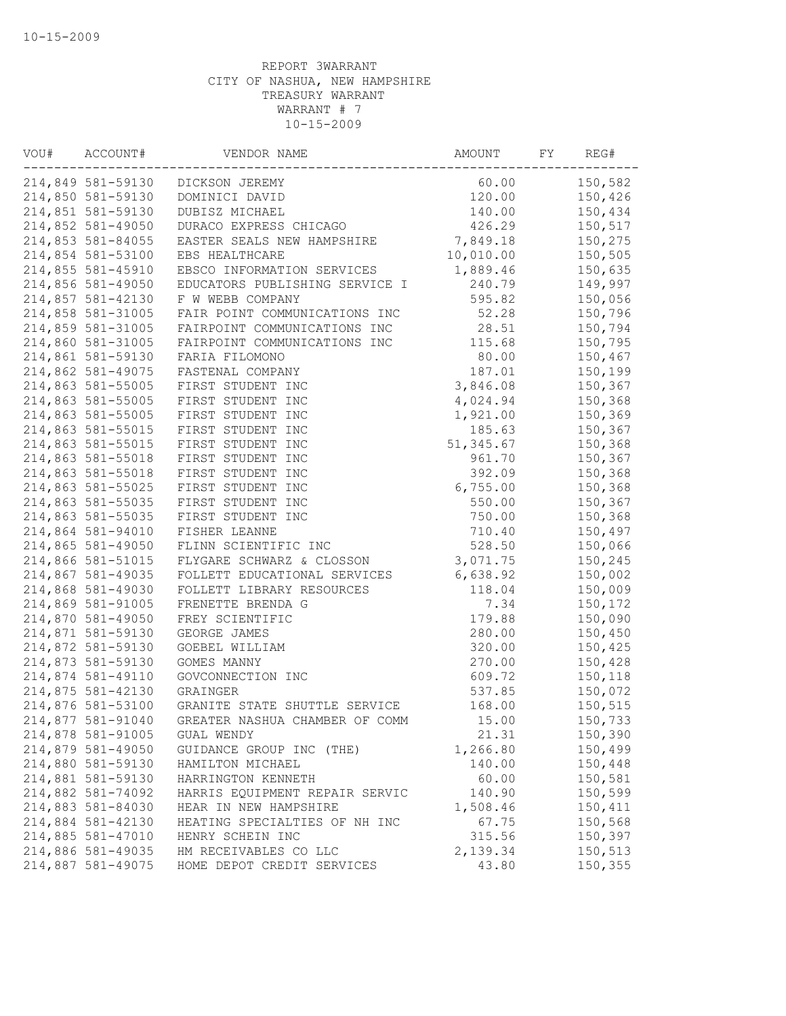| VOU# | ACCOUNT#          | VENDOR NAME                    | AMOUNT     | FY | REG#    |
|------|-------------------|--------------------------------|------------|----|---------|
|      | 214,849 581-59130 | DICKSON JEREMY                 | 60.00      |    | 150,582 |
|      | 214,850 581-59130 | DOMINICI DAVID                 | 120.00     |    | 150,426 |
|      | 214,851 581-59130 | DUBISZ MICHAEL                 | 140.00     |    | 150,434 |
|      | 214,852 581-49050 | DURACO EXPRESS CHICAGO         | 426.29     |    | 150,517 |
|      | 214,853 581-84055 | EASTER SEALS NEW HAMPSHIRE     | 7,849.18   |    | 150,275 |
|      | 214,854 581-53100 | EBS HEALTHCARE                 | 10,010.00  |    | 150,505 |
|      | 214,855 581-45910 | EBSCO INFORMATION SERVICES     | 1,889.46   |    | 150,635 |
|      | 214,856 581-49050 | EDUCATORS PUBLISHING SERVICE I | 240.79     |    | 149,997 |
|      | 214,857 581-42130 | F W WEBB COMPANY               | 595.82     |    | 150,056 |
|      | 214,858 581-31005 | FAIR POINT COMMUNICATIONS INC  | 52.28      |    | 150,796 |
|      | 214,859 581-31005 | FAIRPOINT COMMUNICATIONS INC   | 28.51      |    | 150,794 |
|      | 214,860 581-31005 | FAIRPOINT COMMUNICATIONS INC   | 115.68     |    | 150,795 |
|      | 214,861 581-59130 | FARIA FILOMONO                 | 80.00      |    | 150,467 |
|      | 214,862 581-49075 | FASTENAL COMPANY               | 187.01     |    | 150,199 |
|      | 214,863 581-55005 | FIRST STUDENT INC              | 3,846.08   |    | 150,367 |
|      | 214,863 581-55005 | FIRST STUDENT INC              | 4,024.94   |    | 150,368 |
|      | 214,863 581-55005 | FIRST STUDENT INC              | 1,921.00   |    | 150,369 |
|      | 214,863 581-55015 | FIRST STUDENT INC              | 185.63     |    | 150,367 |
|      | 214,863 581-55015 | FIRST STUDENT INC              | 51, 345.67 |    | 150,368 |
|      | 214,863 581-55018 | FIRST STUDENT INC              | 961.70     |    | 150,367 |
|      | 214,863 581-55018 | FIRST STUDENT INC              | 392.09     |    | 150,368 |
|      | 214,863 581-55025 | FIRST STUDENT INC              | 6,755.00   |    | 150,368 |
|      | 214,863 581-55035 | FIRST STUDENT INC              | 550.00     |    | 150,367 |
|      | 214,863 581-55035 | FIRST STUDENT INC              | 750.00     |    | 150,368 |
|      | 214,864 581-94010 | FISHER LEANNE                  | 710.40     |    | 150,497 |
|      | 214,865 581-49050 | FLINN SCIENTIFIC INC           | 528.50     |    | 150,066 |
|      | 214,866 581-51015 | FLYGARE SCHWARZ & CLOSSON      | 3,071.75   |    | 150,245 |
|      | 214,867 581-49035 | FOLLETT EDUCATIONAL SERVICES   | 6,638.92   |    | 150,002 |
|      | 214,868 581-49030 | FOLLETT LIBRARY RESOURCES      | 118.04     |    | 150,009 |
|      | 214,869 581-91005 | FRENETTE BRENDA G              | 7.34       |    | 150,172 |
|      | 214,870 581-49050 | FREY SCIENTIFIC                | 179.88     |    | 150,090 |
|      |                   |                                |            |    |         |
|      | 214,871 581-59130 | GEORGE JAMES<br>GOEBEL WILLIAM | 280.00     |    | 150,450 |
|      | 214,872 581-59130 |                                | 320.00     |    | 150,425 |
|      | 214,873 581-59130 | GOMES MANNY                    | 270.00     |    | 150,428 |
|      | 214,874 581-49110 | GOVCONNECTION INC              | 609.72     |    | 150,118 |
|      | 214,875 581-42130 | GRAINGER                       | 537.85     |    | 150,072 |
|      | 214,876 581-53100 | GRANITE STATE SHUTTLE SERVICE  | 168.00     |    | 150,515 |
|      | 214,877 581-91040 | GREATER NASHUA CHAMBER OF COMM | 15.00      |    | 150,733 |
|      | 214,878 581-91005 | GUAL WENDY                     | 21.31      |    | 150,390 |
|      | 214,879 581-49050 | GUIDANCE GROUP INC (THE)       | 1,266.80   |    | 150,499 |
|      | 214,880 581-59130 | HAMILTON MICHAEL               | 140.00     |    | 150,448 |
|      | 214,881 581-59130 | HARRINGTON KENNETH             | 60.00      |    | 150,581 |
|      | 214,882 581-74092 | HARRIS EQUIPMENT REPAIR SERVIC | 140.90     |    | 150,599 |
|      | 214,883 581-84030 | HEAR IN NEW HAMPSHIRE          | 1,508.46   |    | 150,411 |
|      | 214,884 581-42130 | HEATING SPECIALTIES OF NH INC  | 67.75      |    | 150,568 |
|      | 214,885 581-47010 | HENRY SCHEIN INC               | 315.56     |    | 150,397 |
|      | 214,886 581-49035 | HM RECEIVABLES CO LLC          | 2,139.34   |    | 150,513 |
|      | 214,887 581-49075 | HOME DEPOT CREDIT SERVICES     | 43.80      |    | 150,355 |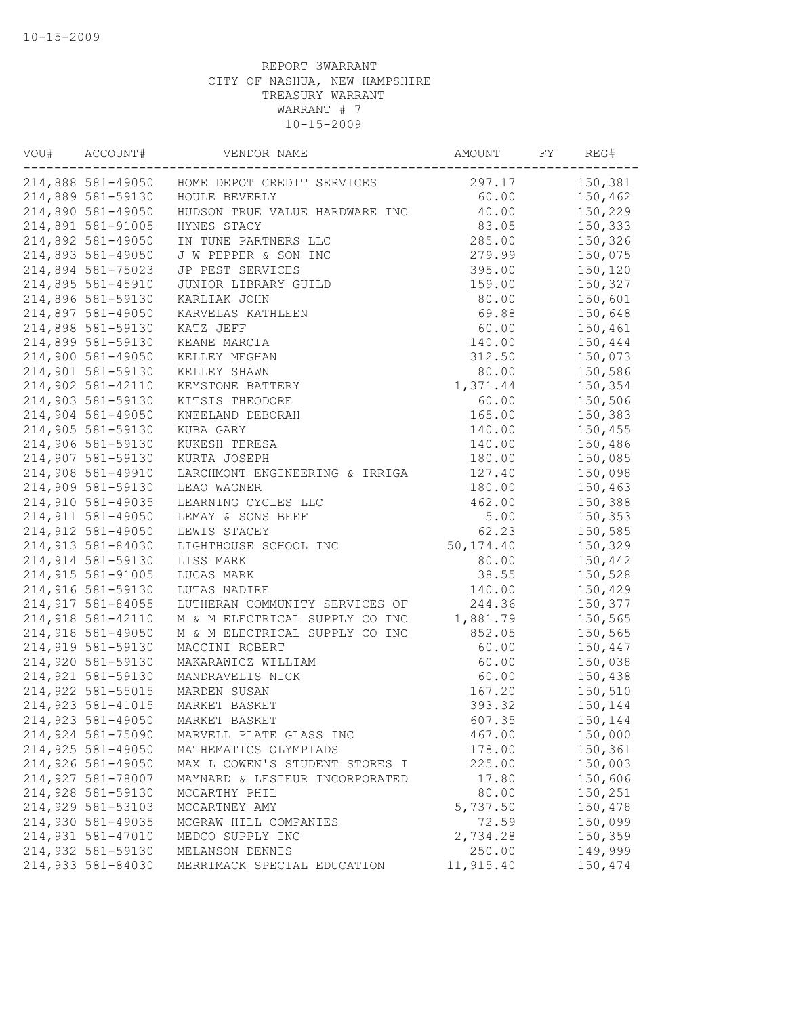| VOU# | ACCOUNT#          | VENDOR NAME                    | AMOUNT     | FY | REG#    |
|------|-------------------|--------------------------------|------------|----|---------|
|      | 214,888 581-49050 | HOME DEPOT CREDIT SERVICES     | 297.17     |    | 150,381 |
|      | 214,889 581-59130 | HOULE BEVERLY                  | 60.00      |    | 150,462 |
|      | 214,890 581-49050 | HUDSON TRUE VALUE HARDWARE INC | 40.00      |    | 150,229 |
|      | 214,891 581-91005 | HYNES STACY                    | 83.05      |    | 150,333 |
|      | 214,892 581-49050 | IN TUNE PARTNERS LLC           | 285.00     |    | 150,326 |
|      | 214,893 581-49050 | J W PEPPER & SON INC           | 279.99     |    | 150,075 |
|      | 214,894 581-75023 | JP PEST SERVICES               | 395.00     |    | 150,120 |
|      | 214,895 581-45910 | JUNIOR LIBRARY GUILD           | 159.00     |    | 150,327 |
|      | 214,896 581-59130 | KARLIAK JOHN                   | 80.00      |    | 150,601 |
|      | 214,897 581-49050 | KARVELAS KATHLEEN              | 69.88      |    | 150,648 |
|      | 214,898 581-59130 | KATZ JEFF                      | 60.00      |    | 150,461 |
|      | 214,899 581-59130 | KEANE MARCIA                   | 140.00     |    | 150,444 |
|      | 214,900 581-49050 | KELLEY MEGHAN                  | 312.50     |    | 150,073 |
|      | 214,901 581-59130 | KELLEY SHAWN                   | 80.00      |    | 150,586 |
|      | 214,902 581-42110 | KEYSTONE BATTERY               | 1,371.44   |    | 150,354 |
|      | 214,903 581-59130 | KITSIS THEODORE                | 60.00      |    | 150,506 |
|      | 214,904 581-49050 | KNEELAND DEBORAH               | 165.00     |    | 150,383 |
|      | 214,905 581-59130 | KUBA GARY                      | 140.00     |    | 150,455 |
|      | 214,906 581-59130 | KUKESH TERESA                  | 140.00     |    | 150,486 |
|      | 214,907 581-59130 | KURTA JOSEPH                   | 180.00     |    | 150,085 |
|      | 214,908 581-49910 | LARCHMONT ENGINEERING & IRRIGA | 127.40     |    | 150,098 |
|      | 214,909 581-59130 | LEAO WAGNER                    | 180.00     |    | 150,463 |
|      | 214,910 581-49035 | LEARNING CYCLES LLC            | 462.00     |    | 150,388 |
|      | 214,911 581-49050 | LEMAY & SONS BEEF              | 5.00       |    | 150,353 |
|      | 214,912 581-49050 | LEWIS STACEY                   | 62.23      |    | 150,585 |
|      | 214,913 581-84030 | LIGHTHOUSE SCHOOL INC          | 50, 174.40 |    | 150,329 |
|      | 214,914 581-59130 | LISS MARK                      | 80.00      |    | 150,442 |
|      | 214,915 581-91005 | LUCAS MARK                     | 38.55      |    | 150,528 |
|      | 214,916 581-59130 | LUTAS NADIRE                   | 140.00     |    | 150,429 |
|      | 214,917 581-84055 |                                |            |    |         |
|      | 214,918 581-42110 | LUTHERAN COMMUNITY SERVICES OF | 244.36     |    | 150,377 |
|      | 214,918 581-49050 | M & M ELECTRICAL SUPPLY CO INC | 1,881.79   |    | 150,565 |
|      |                   | M & M ELECTRICAL SUPPLY CO INC | 852.05     |    | 150,565 |
|      | 214,919 581-59130 | MACCINI ROBERT                 | 60.00      |    | 150,447 |
|      | 214,920 581-59130 | MAKARAWICZ WILLIAM             | 60.00      |    | 150,038 |
|      | 214,921 581-59130 | MANDRAVELIS NICK               | 60.00      |    | 150,438 |
|      | 214,922 581-55015 | MARDEN SUSAN                   | 167.20     |    | 150,510 |
|      | 214,923 581-41015 | MARKET BASKET                  | 393.32     |    | 150,144 |
|      | 214,923 581-49050 | MARKET BASKET                  | 607.35     |    | 150,144 |
|      | 214,924 581-75090 | MARVELL PLATE GLASS INC        | 467.00     |    | 150,000 |
|      | 214,925 581-49050 | MATHEMATICS OLYMPIADS          | 178.00     |    | 150,361 |
|      | 214,926 581-49050 | MAX L COWEN'S STUDENT STORES I | 225.00     |    | 150,003 |
|      | 214,927 581-78007 | MAYNARD & LESIEUR INCORPORATED | 17.80      |    | 150,606 |
|      | 214,928 581-59130 | MCCARTHY PHIL                  | 80.00      |    | 150,251 |
|      | 214,929 581-53103 | MCCARTNEY AMY                  | 5,737.50   |    | 150,478 |
|      | 214,930 581-49035 | MCGRAW HILL COMPANIES          | 72.59      |    | 150,099 |
|      | 214,931 581-47010 | MEDCO SUPPLY INC               | 2,734.28   |    | 150,359 |
|      | 214,932 581-59130 | MELANSON DENNIS                | 250.00     |    | 149,999 |
|      | 214,933 581-84030 | MERRIMACK SPECIAL EDUCATION    | 11,915.40  |    | 150,474 |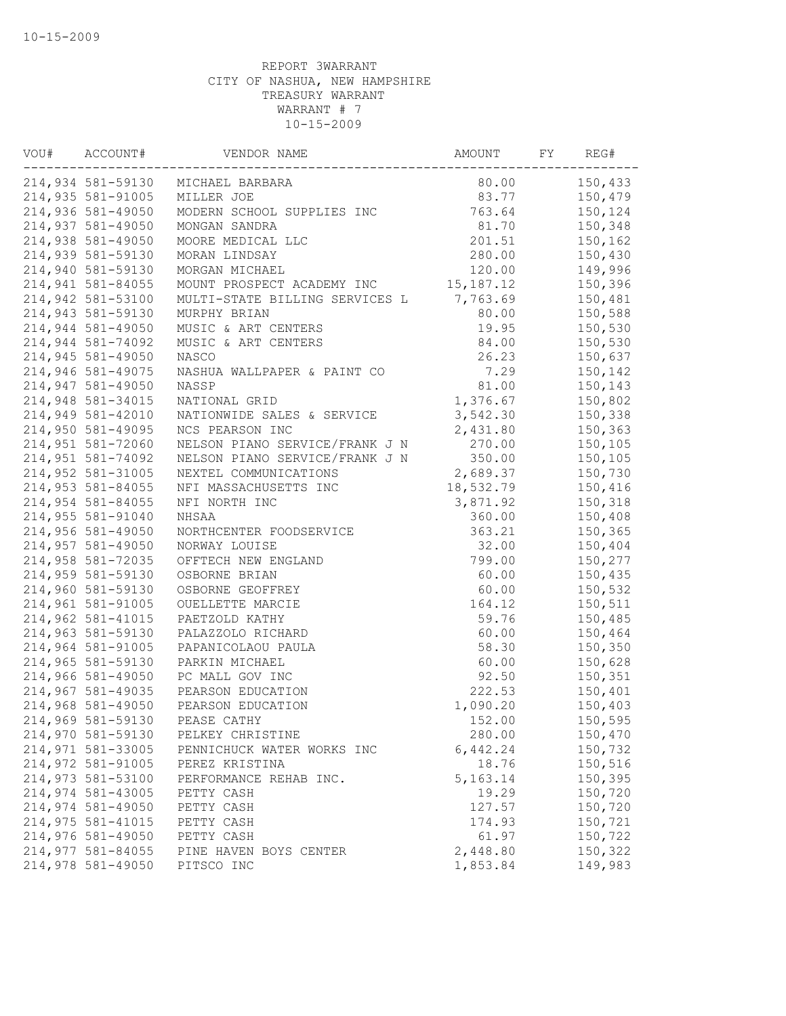| VOU# | ACCOUNT#          | VENDOR NAME                    | AMOUNT      | FY | REG#    |
|------|-------------------|--------------------------------|-------------|----|---------|
|      | 214,934 581-59130 | MICHAEL BARBARA                | 80.00       |    | 150,433 |
|      | 214,935 581-91005 | MILLER JOE                     | 83.77       |    | 150,479 |
|      | 214,936 581-49050 | MODERN SCHOOL SUPPLIES INC     | 763.64      |    | 150,124 |
|      | 214,937 581-49050 | MONGAN SANDRA                  | 81.70       |    | 150,348 |
|      | 214,938 581-49050 | MOORE MEDICAL LLC              | 201.51      |    | 150,162 |
|      | 214,939 581-59130 | MORAN LINDSAY                  | 280.00      |    | 150,430 |
|      | 214,940 581-59130 | MORGAN MICHAEL                 | 120.00      |    | 149,996 |
|      | 214,941 581-84055 | MOUNT PROSPECT ACADEMY INC     | 15, 187. 12 |    | 150,396 |
|      | 214,942 581-53100 | MULTI-STATE BILLING SERVICES L | 7,763.69    |    | 150,481 |
|      | 214,943 581-59130 | MURPHY BRIAN                   | 80.00       |    | 150,588 |
|      | 214,944 581-49050 | MUSIC & ART CENTERS            | 19.95       |    | 150,530 |
|      | 214,944 581-74092 | MUSIC & ART CENTERS            | 84.00       |    | 150,530 |
|      | 214,945 581-49050 | NASCO                          | 26.23       |    | 150,637 |
|      | 214,946 581-49075 | NASHUA WALLPAPER & PAINT CO    | 7.29        |    | 150,142 |
|      | 214,947 581-49050 | NASSP                          | 81.00       |    | 150,143 |
|      | 214,948 581-34015 | NATIONAL GRID                  | 1,376.67    |    | 150,802 |
|      | 214,949 581-42010 | NATIONWIDE SALES & SERVICE     | 3,542.30    |    | 150,338 |
|      | 214,950 581-49095 | NCS PEARSON INC                | 2,431.80    |    | 150,363 |
|      | 214,951 581-72060 | NELSON PIANO SERVICE/FRANK J N | 270.00      |    | 150,105 |
|      | 214,951 581-74092 | NELSON PIANO SERVICE/FRANK J N | 350.00      |    | 150,105 |
|      | 214,952 581-31005 | NEXTEL COMMUNICATIONS          | 2,689.37    |    | 150,730 |
|      | 214,953 581-84055 | NFI MASSACHUSETTS INC          | 18,532.79   |    | 150,416 |
|      | 214,954 581-84055 | NFI NORTH INC                  | 3,871.92    |    | 150,318 |
|      | 214,955 581-91040 | NHSAA                          | 360.00      |    | 150,408 |
|      | 214,956 581-49050 | NORTHCENTER FOODSERVICE        | 363.21      |    | 150,365 |
|      | 214,957 581-49050 | NORWAY LOUISE                  | 32.00       |    | 150,404 |
|      | 214,958 581-72035 | OFFTECH NEW ENGLAND            | 799.00      |    | 150,277 |
|      | 214,959 581-59130 | OSBORNE BRIAN                  | 60.00       |    | 150,435 |
|      | 214,960 581-59130 | OSBORNE GEOFFREY               | 60.00       |    | 150,532 |
|      | 214,961 581-91005 | OUELLETTE MARCIE               | 164.12      |    | 150,511 |
|      | 214,962 581-41015 | PAETZOLD KATHY                 | 59.76       |    | 150,485 |
|      | 214,963 581-59130 | PALAZZOLO RICHARD              | 60.00       |    | 150,464 |
|      | 214,964 581-91005 | PAPANICOLAOU PAULA             | 58.30       |    | 150,350 |
|      | 214,965 581-59130 | PARKIN MICHAEL                 | 60.00       |    | 150,628 |
|      | 214,966 581-49050 | PC MALL GOV INC                | 92.50       |    | 150,351 |
|      | 214,967 581-49035 | PEARSON EDUCATION              | 222.53      |    | 150,401 |
|      | 214,968 581-49050 | PEARSON EDUCATION              | 1,090.20    |    | 150,403 |
|      | 214,969 581-59130 | PEASE CATHY                    | 152.00      |    | 150,595 |
|      | 214,970 581-59130 | PELKEY CHRISTINE               | 280.00      |    | 150,470 |
|      | 214,971 581-33005 | PENNICHUCK WATER WORKS INC     | 6,442.24    |    | 150,732 |
|      | 214,972 581-91005 | PEREZ KRISTINA                 | 18.76       |    | 150,516 |
|      | 214,973 581-53100 | PERFORMANCE REHAB INC.         | 5, 163. 14  |    | 150,395 |
|      | 214,974 581-43005 | PETTY CASH                     | 19.29       |    | 150,720 |
|      | 214,974 581-49050 | PETTY CASH                     | 127.57      |    | 150,720 |
|      | 214,975 581-41015 | PETTY CASH                     | 174.93      |    | 150,721 |
|      | 214,976 581-49050 | PETTY CASH                     | 61.97       |    | 150,722 |
|      | 214,977 581-84055 | PINE HAVEN BOYS CENTER         | 2,448.80    |    | 150,322 |
|      | 214,978 581-49050 | PITSCO INC                     | 1,853.84    |    | 149,983 |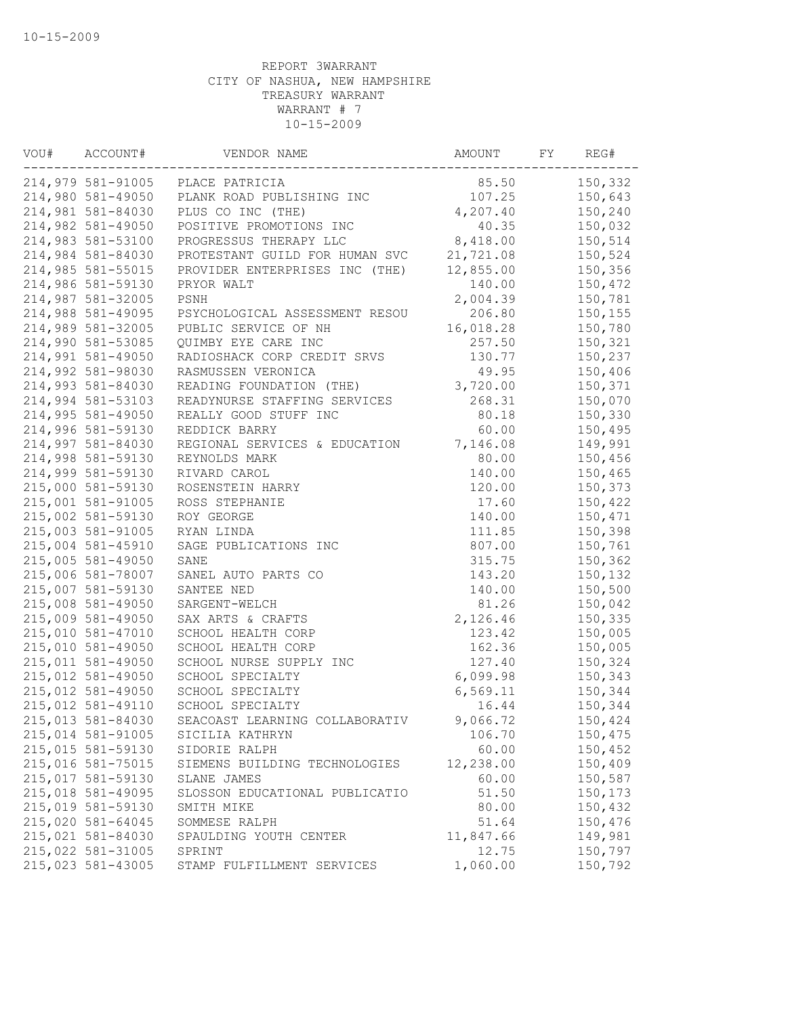| VOU# | ACCOUNT#          | VENDOR NAME                      | AMOUNT    | FY | REG#    |
|------|-------------------|----------------------------------|-----------|----|---------|
|      |                   | 214,979 581-91005 PLACE PATRICIA | 85.50     |    | 150,332 |
|      | 214,980 581-49050 | PLANK ROAD PUBLISHING INC        | 107.25    |    | 150,643 |
|      | 214,981 581-84030 | PLUS CO INC (THE)                | 4,207.40  |    | 150,240 |
|      | 214,982 581-49050 | POSITIVE PROMOTIONS INC          | 40.35     |    | 150,032 |
|      | 214,983 581-53100 | PROGRESSUS THERAPY LLC           | 8,418.00  |    | 150,514 |
|      | 214,984 581-84030 | PROTESTANT GUILD FOR HUMAN SVC   | 21,721.08 |    | 150,524 |
|      | 214,985 581-55015 | PROVIDER ENTERPRISES INC (THE)   | 12,855.00 |    | 150,356 |
|      | 214,986 581-59130 | PRYOR WALT                       | 140.00    |    | 150,472 |
|      | 214,987 581-32005 | PSNH                             | 2,004.39  |    | 150,781 |
|      | 214,988 581-49095 | PSYCHOLOGICAL ASSESSMENT RESOU   | 206.80    |    | 150,155 |
|      | 214,989 581-32005 | PUBLIC SERVICE OF NH             | 16,018.28 |    | 150,780 |
|      | 214,990 581-53085 | QUIMBY EYE CARE INC              | 257.50    |    | 150,321 |
|      | 214,991 581-49050 | RADIOSHACK CORP CREDIT SRVS      | 130.77    |    | 150,237 |
|      | 214,992 581-98030 | RASMUSSEN VERONICA               | 49.95     |    | 150,406 |
|      | 214,993 581-84030 | READING FOUNDATION (THE)         | 3,720.00  |    | 150,371 |
|      | 214,994 581-53103 | READYNURSE STAFFING SERVICES     | 268.31    |    | 150,070 |
|      | 214,995 581-49050 | REALLY GOOD STUFF INC            | 80.18     |    | 150,330 |
|      | 214,996 581-59130 | REDDICK BARRY                    | 60.00     |    | 150,495 |
|      | 214,997 581-84030 | REGIONAL SERVICES & EDUCATION    | 7,146.08  |    | 149,991 |
|      | 214,998 581-59130 | REYNOLDS MARK                    | 80.00     |    | 150,456 |
|      | 214,999 581-59130 | RIVARD CAROL                     | 140.00    |    | 150,465 |
|      | 215,000 581-59130 | ROSENSTEIN HARRY                 | 120.00    |    | 150,373 |
|      | 215,001 581-91005 | ROSS STEPHANIE                   | 17.60     |    | 150,422 |
|      | 215,002 581-59130 | ROY GEORGE                       | 140.00    |    | 150,471 |
|      | 215,003 581-91005 | RYAN LINDA                       | 111.85    |    | 150,398 |
|      | 215,004 581-45910 | SAGE PUBLICATIONS INC            | 807.00    |    | 150,761 |
|      | 215,005 581-49050 | SANE                             | 315.75    |    | 150,362 |
|      | 215,006 581-78007 | SANEL AUTO PARTS CO              | 143.20    |    | 150,132 |
|      | 215,007 581-59130 |                                  |           |    | 150,500 |
|      | 215,008 581-49050 | SANTEE NED                       | 140.00    |    |         |
|      |                   | SARGENT-WELCH                    | 81.26     |    | 150,042 |
|      | 215,009 581-49050 | SAX ARTS & CRAFTS                | 2,126.46  |    | 150,335 |
|      | 215,010 581-47010 | SCHOOL HEALTH CORP               | 123.42    |    | 150,005 |
|      | 215,010 581-49050 | SCHOOL HEALTH CORP               | 162.36    |    | 150,005 |
|      | 215,011 581-49050 | SCHOOL NURSE SUPPLY INC          | 127.40    |    | 150,324 |
|      | 215,012 581-49050 | SCHOOL SPECIALTY                 | 6,099.98  |    | 150,343 |
|      | 215,012 581-49050 | SCHOOL SPECIALTY                 | 6, 569.11 |    | 150,344 |
|      | 215,012 581-49110 | SCHOOL SPECIALTY                 | 16.44     |    | 150,344 |
|      | 215,013 581-84030 | SEACOAST LEARNING COLLABORATIV   | 9,066.72  |    | 150,424 |
|      | 215,014 581-91005 | SICILIA KATHRYN                  | 106.70    |    | 150,475 |
|      | 215,015 581-59130 | SIDORIE RALPH                    | 60.00     |    | 150,452 |
|      | 215,016 581-75015 | SIEMENS BUILDING TECHNOLOGIES    | 12,238.00 |    | 150,409 |
|      | 215,017 581-59130 | SLANE JAMES                      | 60.00     |    | 150,587 |
|      | 215,018 581-49095 | SLOSSON EDUCATIONAL PUBLICATIO   | 51.50     |    | 150,173 |
|      | 215,019 581-59130 | SMITH MIKE                       | 80.00     |    | 150,432 |
|      | 215,020 581-64045 | SOMMESE RALPH                    | 51.64     |    | 150,476 |
|      | 215,021 581-84030 | SPAULDING YOUTH CENTER           | 11,847.66 |    | 149,981 |
|      | 215,022 581-31005 | SPRINT                           | 12.75     |    | 150,797 |
|      | 215,023 581-43005 | STAMP FULFILLMENT SERVICES       | 1,060.00  |    | 150,792 |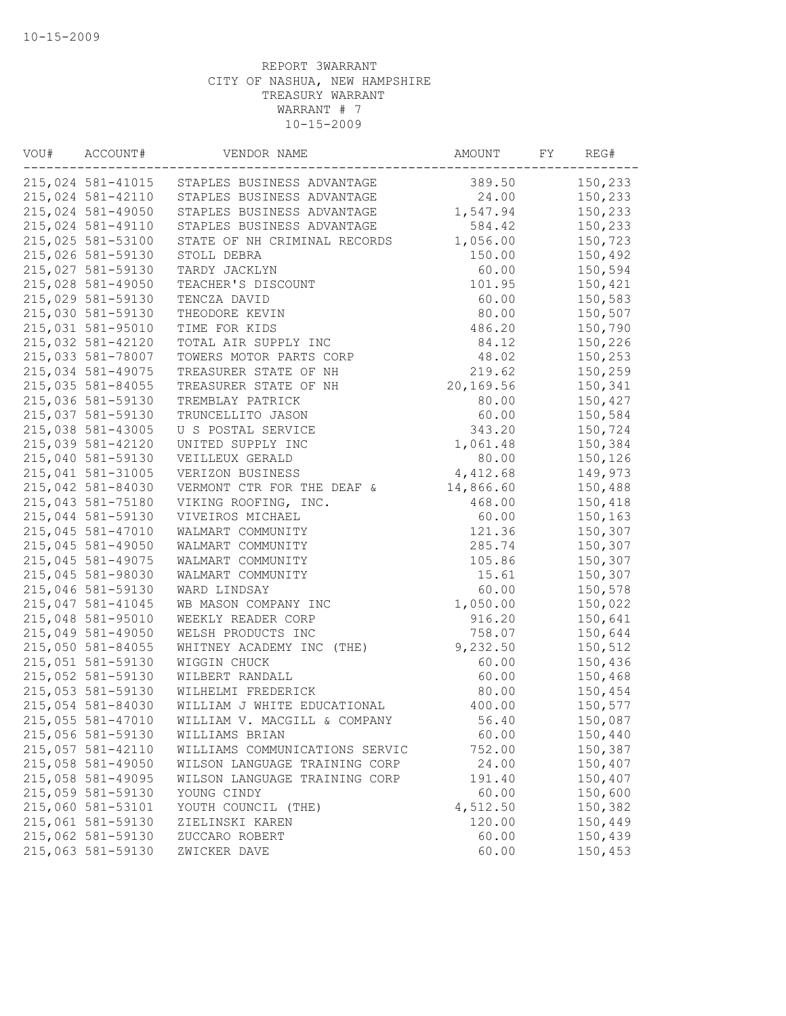| 215,024 581-41015<br>389.50<br>150,233<br>STAPLES BUSINESS ADVANTAGE<br>215,024 581-42110<br>STAPLES BUSINESS ADVANTAGE<br>24.00<br>150,233<br>215,024 581-49050<br>1,547.94<br>STAPLES BUSINESS ADVANTAGE<br>150,233<br>215,024 581-49110<br>STAPLES BUSINESS ADVANTAGE<br>584.42<br>150,233<br>215,025 581-53100<br>STATE OF NH CRIMINAL RECORDS<br>1,056.00<br>150,723<br>215,026 581-59130<br>150.00<br>150,492<br>STOLL DEBRA<br>215,027 581-59130<br>60.00<br>150,594<br>TARDY JACKLYN<br>215,028 581-49050<br>TEACHER'S DISCOUNT<br>101.95<br>150,421<br>215,029 581-59130<br>60.00<br>TENCZA DAVID<br>150,583<br>215,030 581-59130<br>THEODORE KEVIN<br>80.00<br>150,507<br>215,031 581-95010<br>150,790<br>TIME FOR KIDS<br>486.20<br>215,032 581-42120<br>TOTAL AIR SUPPLY INC<br>84.12<br>150,226<br>215,033 581-78007<br>TOWERS MOTOR PARTS CORP<br>48.02<br>150,253<br>215,034 581-49075<br>TREASURER STATE OF NH<br>219.62<br>150,259<br>215,035 581-84055<br>TREASURER STATE OF NH<br>20,169.56<br>150,341<br>215,036 581-59130<br>80.00<br>150,427<br>TREMBLAY PATRICK<br>215,037 581-59130<br>150,584<br>TRUNCELLITO JASON<br>60.00<br>215,038 581-43005<br>U S POSTAL SERVICE<br>343.20<br>150,724<br>215,039 581-42120<br>1,061.48<br>UNITED SUPPLY INC<br>150,384<br>215,040 581-59130<br>VEILLEUX GERALD<br>80.00<br>150,126<br>215,041 581-31005<br>VERIZON BUSINESS<br>4,412.68<br>149,973<br>215,042 581-84030<br>VERMONT CTR FOR THE DEAF &<br>14,866.60<br>150,488<br>215,043 581-75180<br>VIKING ROOFING, INC.<br>468.00<br>150,418<br>215,044 581-59130<br>150,163<br>VIVEIROS MICHAEL<br>60.00<br>215,045 581-47010<br>121.36<br>150,307<br>WALMART COMMUNITY<br>215,045 581-49050<br>285.74<br>150,307<br>WALMART COMMUNITY<br>215,045 581-49075<br>WALMART COMMUNITY<br>105.86<br>150,307<br>215,045 581-98030<br>WALMART COMMUNITY<br>15.61<br>150,307<br>215,046 581-59130<br>60.00<br>WARD LINDSAY<br>150,578<br>215,047 581-41045<br>WB MASON COMPANY INC<br>1,050.00<br>150,022<br>215,048 581-95010<br>WEEKLY READER CORP<br>916.20<br>150,641<br>150,644<br>215,049 581-49050<br>WELSH PRODUCTS INC<br>758.07<br>215,050 581-84055<br>9,232.50<br>150,512<br>WHITNEY ACADEMY INC (THE)<br>215,051 581-59130<br>60.00<br>150,436<br>WIGGIN CHUCK<br>215,052 581-59130<br>150,468<br>WILBERT RANDALL<br>60.00<br>215,053 581-59130<br>WILHELMI FREDERICK<br>80.00<br>150,454<br>215,054 581-84030<br>WILLIAM J WHITE EDUCATIONAL<br>400.00<br>150,577<br>215,055 581-47010<br>56.40<br>WILLIAM V. MACGILL & COMPANY<br>150,087<br>215,056 581-59130<br>60.00<br>150,440<br>WILLIAMS BRIAN<br>215,057 581-42110<br>752.00<br>150,387<br>WILLIAMS COMMUNICATIONS SERVIC<br>215,058 581-49050<br>24.00<br>150,407<br>WILSON LANGUAGE TRAINING CORP<br>215,058 581-49095<br>191.40<br>150,407<br>WILSON LANGUAGE TRAINING CORP<br>215,059 581-59130<br>60.00<br>YOUNG CINDY<br>150,600<br>215,060 581-53101<br>4,512.50<br>150,382<br>YOUTH COUNCIL (THE)<br>215,061 581-59130<br>120.00<br>150,449<br>ZIELINSKI KAREN<br>215,062 581-59130<br>60.00<br>150,439<br>ZUCCARO ROBERT<br>215,063 581-59130<br>60.00<br>150,453<br>ZWICKER DAVE | VOU# | ACCOUNT# | VENDOR NAME | AMOUNT | FY | REG# |
|----------------------------------------------------------------------------------------------------------------------------------------------------------------------------------------------------------------------------------------------------------------------------------------------------------------------------------------------------------------------------------------------------------------------------------------------------------------------------------------------------------------------------------------------------------------------------------------------------------------------------------------------------------------------------------------------------------------------------------------------------------------------------------------------------------------------------------------------------------------------------------------------------------------------------------------------------------------------------------------------------------------------------------------------------------------------------------------------------------------------------------------------------------------------------------------------------------------------------------------------------------------------------------------------------------------------------------------------------------------------------------------------------------------------------------------------------------------------------------------------------------------------------------------------------------------------------------------------------------------------------------------------------------------------------------------------------------------------------------------------------------------------------------------------------------------------------------------------------------------------------------------------------------------------------------------------------------------------------------------------------------------------------------------------------------------------------------------------------------------------------------------------------------------------------------------------------------------------------------------------------------------------------------------------------------------------------------------------------------------------------------------------------------------------------------------------------------------------------------------------------------------------------------------------------------------------------------------------------------------------------------------------------------------------------------------------------------------------------------------------------------------------------------------------------------------------------------------------------------------------------------------------------------------------------------------------------------------------------------------------------------------------------------------------------------------------------------------------------------------------------------------------------------------------------|------|----------|-------------|--------|----|------|
|                                                                                                                                                                                                                                                                                                                                                                                                                                                                                                                                                                                                                                                                                                                                                                                                                                                                                                                                                                                                                                                                                                                                                                                                                                                                                                                                                                                                                                                                                                                                                                                                                                                                                                                                                                                                                                                                                                                                                                                                                                                                                                                                                                                                                                                                                                                                                                                                                                                                                                                                                                                                                                                                                                                                                                                                                                                                                                                                                                                                                                                                                                                                                                            |      |          |             |        |    |      |
|                                                                                                                                                                                                                                                                                                                                                                                                                                                                                                                                                                                                                                                                                                                                                                                                                                                                                                                                                                                                                                                                                                                                                                                                                                                                                                                                                                                                                                                                                                                                                                                                                                                                                                                                                                                                                                                                                                                                                                                                                                                                                                                                                                                                                                                                                                                                                                                                                                                                                                                                                                                                                                                                                                                                                                                                                                                                                                                                                                                                                                                                                                                                                                            |      |          |             |        |    |      |
|                                                                                                                                                                                                                                                                                                                                                                                                                                                                                                                                                                                                                                                                                                                                                                                                                                                                                                                                                                                                                                                                                                                                                                                                                                                                                                                                                                                                                                                                                                                                                                                                                                                                                                                                                                                                                                                                                                                                                                                                                                                                                                                                                                                                                                                                                                                                                                                                                                                                                                                                                                                                                                                                                                                                                                                                                                                                                                                                                                                                                                                                                                                                                                            |      |          |             |        |    |      |
|                                                                                                                                                                                                                                                                                                                                                                                                                                                                                                                                                                                                                                                                                                                                                                                                                                                                                                                                                                                                                                                                                                                                                                                                                                                                                                                                                                                                                                                                                                                                                                                                                                                                                                                                                                                                                                                                                                                                                                                                                                                                                                                                                                                                                                                                                                                                                                                                                                                                                                                                                                                                                                                                                                                                                                                                                                                                                                                                                                                                                                                                                                                                                                            |      |          |             |        |    |      |
|                                                                                                                                                                                                                                                                                                                                                                                                                                                                                                                                                                                                                                                                                                                                                                                                                                                                                                                                                                                                                                                                                                                                                                                                                                                                                                                                                                                                                                                                                                                                                                                                                                                                                                                                                                                                                                                                                                                                                                                                                                                                                                                                                                                                                                                                                                                                                                                                                                                                                                                                                                                                                                                                                                                                                                                                                                                                                                                                                                                                                                                                                                                                                                            |      |          |             |        |    |      |
|                                                                                                                                                                                                                                                                                                                                                                                                                                                                                                                                                                                                                                                                                                                                                                                                                                                                                                                                                                                                                                                                                                                                                                                                                                                                                                                                                                                                                                                                                                                                                                                                                                                                                                                                                                                                                                                                                                                                                                                                                                                                                                                                                                                                                                                                                                                                                                                                                                                                                                                                                                                                                                                                                                                                                                                                                                                                                                                                                                                                                                                                                                                                                                            |      |          |             |        |    |      |
|                                                                                                                                                                                                                                                                                                                                                                                                                                                                                                                                                                                                                                                                                                                                                                                                                                                                                                                                                                                                                                                                                                                                                                                                                                                                                                                                                                                                                                                                                                                                                                                                                                                                                                                                                                                                                                                                                                                                                                                                                                                                                                                                                                                                                                                                                                                                                                                                                                                                                                                                                                                                                                                                                                                                                                                                                                                                                                                                                                                                                                                                                                                                                                            |      |          |             |        |    |      |
|                                                                                                                                                                                                                                                                                                                                                                                                                                                                                                                                                                                                                                                                                                                                                                                                                                                                                                                                                                                                                                                                                                                                                                                                                                                                                                                                                                                                                                                                                                                                                                                                                                                                                                                                                                                                                                                                                                                                                                                                                                                                                                                                                                                                                                                                                                                                                                                                                                                                                                                                                                                                                                                                                                                                                                                                                                                                                                                                                                                                                                                                                                                                                                            |      |          |             |        |    |      |
|                                                                                                                                                                                                                                                                                                                                                                                                                                                                                                                                                                                                                                                                                                                                                                                                                                                                                                                                                                                                                                                                                                                                                                                                                                                                                                                                                                                                                                                                                                                                                                                                                                                                                                                                                                                                                                                                                                                                                                                                                                                                                                                                                                                                                                                                                                                                                                                                                                                                                                                                                                                                                                                                                                                                                                                                                                                                                                                                                                                                                                                                                                                                                                            |      |          |             |        |    |      |
|                                                                                                                                                                                                                                                                                                                                                                                                                                                                                                                                                                                                                                                                                                                                                                                                                                                                                                                                                                                                                                                                                                                                                                                                                                                                                                                                                                                                                                                                                                                                                                                                                                                                                                                                                                                                                                                                                                                                                                                                                                                                                                                                                                                                                                                                                                                                                                                                                                                                                                                                                                                                                                                                                                                                                                                                                                                                                                                                                                                                                                                                                                                                                                            |      |          |             |        |    |      |
|                                                                                                                                                                                                                                                                                                                                                                                                                                                                                                                                                                                                                                                                                                                                                                                                                                                                                                                                                                                                                                                                                                                                                                                                                                                                                                                                                                                                                                                                                                                                                                                                                                                                                                                                                                                                                                                                                                                                                                                                                                                                                                                                                                                                                                                                                                                                                                                                                                                                                                                                                                                                                                                                                                                                                                                                                                                                                                                                                                                                                                                                                                                                                                            |      |          |             |        |    |      |
|                                                                                                                                                                                                                                                                                                                                                                                                                                                                                                                                                                                                                                                                                                                                                                                                                                                                                                                                                                                                                                                                                                                                                                                                                                                                                                                                                                                                                                                                                                                                                                                                                                                                                                                                                                                                                                                                                                                                                                                                                                                                                                                                                                                                                                                                                                                                                                                                                                                                                                                                                                                                                                                                                                                                                                                                                                                                                                                                                                                                                                                                                                                                                                            |      |          |             |        |    |      |
|                                                                                                                                                                                                                                                                                                                                                                                                                                                                                                                                                                                                                                                                                                                                                                                                                                                                                                                                                                                                                                                                                                                                                                                                                                                                                                                                                                                                                                                                                                                                                                                                                                                                                                                                                                                                                                                                                                                                                                                                                                                                                                                                                                                                                                                                                                                                                                                                                                                                                                                                                                                                                                                                                                                                                                                                                                                                                                                                                                                                                                                                                                                                                                            |      |          |             |        |    |      |
|                                                                                                                                                                                                                                                                                                                                                                                                                                                                                                                                                                                                                                                                                                                                                                                                                                                                                                                                                                                                                                                                                                                                                                                                                                                                                                                                                                                                                                                                                                                                                                                                                                                                                                                                                                                                                                                                                                                                                                                                                                                                                                                                                                                                                                                                                                                                                                                                                                                                                                                                                                                                                                                                                                                                                                                                                                                                                                                                                                                                                                                                                                                                                                            |      |          |             |        |    |      |
|                                                                                                                                                                                                                                                                                                                                                                                                                                                                                                                                                                                                                                                                                                                                                                                                                                                                                                                                                                                                                                                                                                                                                                                                                                                                                                                                                                                                                                                                                                                                                                                                                                                                                                                                                                                                                                                                                                                                                                                                                                                                                                                                                                                                                                                                                                                                                                                                                                                                                                                                                                                                                                                                                                                                                                                                                                                                                                                                                                                                                                                                                                                                                                            |      |          |             |        |    |      |
|                                                                                                                                                                                                                                                                                                                                                                                                                                                                                                                                                                                                                                                                                                                                                                                                                                                                                                                                                                                                                                                                                                                                                                                                                                                                                                                                                                                                                                                                                                                                                                                                                                                                                                                                                                                                                                                                                                                                                                                                                                                                                                                                                                                                                                                                                                                                                                                                                                                                                                                                                                                                                                                                                                                                                                                                                                                                                                                                                                                                                                                                                                                                                                            |      |          |             |        |    |      |
|                                                                                                                                                                                                                                                                                                                                                                                                                                                                                                                                                                                                                                                                                                                                                                                                                                                                                                                                                                                                                                                                                                                                                                                                                                                                                                                                                                                                                                                                                                                                                                                                                                                                                                                                                                                                                                                                                                                                                                                                                                                                                                                                                                                                                                                                                                                                                                                                                                                                                                                                                                                                                                                                                                                                                                                                                                                                                                                                                                                                                                                                                                                                                                            |      |          |             |        |    |      |
|                                                                                                                                                                                                                                                                                                                                                                                                                                                                                                                                                                                                                                                                                                                                                                                                                                                                                                                                                                                                                                                                                                                                                                                                                                                                                                                                                                                                                                                                                                                                                                                                                                                                                                                                                                                                                                                                                                                                                                                                                                                                                                                                                                                                                                                                                                                                                                                                                                                                                                                                                                                                                                                                                                                                                                                                                                                                                                                                                                                                                                                                                                                                                                            |      |          |             |        |    |      |
|                                                                                                                                                                                                                                                                                                                                                                                                                                                                                                                                                                                                                                                                                                                                                                                                                                                                                                                                                                                                                                                                                                                                                                                                                                                                                                                                                                                                                                                                                                                                                                                                                                                                                                                                                                                                                                                                                                                                                                                                                                                                                                                                                                                                                                                                                                                                                                                                                                                                                                                                                                                                                                                                                                                                                                                                                                                                                                                                                                                                                                                                                                                                                                            |      |          |             |        |    |      |
|                                                                                                                                                                                                                                                                                                                                                                                                                                                                                                                                                                                                                                                                                                                                                                                                                                                                                                                                                                                                                                                                                                                                                                                                                                                                                                                                                                                                                                                                                                                                                                                                                                                                                                                                                                                                                                                                                                                                                                                                                                                                                                                                                                                                                                                                                                                                                                                                                                                                                                                                                                                                                                                                                                                                                                                                                                                                                                                                                                                                                                                                                                                                                                            |      |          |             |        |    |      |
|                                                                                                                                                                                                                                                                                                                                                                                                                                                                                                                                                                                                                                                                                                                                                                                                                                                                                                                                                                                                                                                                                                                                                                                                                                                                                                                                                                                                                                                                                                                                                                                                                                                                                                                                                                                                                                                                                                                                                                                                                                                                                                                                                                                                                                                                                                                                                                                                                                                                                                                                                                                                                                                                                                                                                                                                                                                                                                                                                                                                                                                                                                                                                                            |      |          |             |        |    |      |
|                                                                                                                                                                                                                                                                                                                                                                                                                                                                                                                                                                                                                                                                                                                                                                                                                                                                                                                                                                                                                                                                                                                                                                                                                                                                                                                                                                                                                                                                                                                                                                                                                                                                                                                                                                                                                                                                                                                                                                                                                                                                                                                                                                                                                                                                                                                                                                                                                                                                                                                                                                                                                                                                                                                                                                                                                                                                                                                                                                                                                                                                                                                                                                            |      |          |             |        |    |      |
|                                                                                                                                                                                                                                                                                                                                                                                                                                                                                                                                                                                                                                                                                                                                                                                                                                                                                                                                                                                                                                                                                                                                                                                                                                                                                                                                                                                                                                                                                                                                                                                                                                                                                                                                                                                                                                                                                                                                                                                                                                                                                                                                                                                                                                                                                                                                                                                                                                                                                                                                                                                                                                                                                                                                                                                                                                                                                                                                                                                                                                                                                                                                                                            |      |          |             |        |    |      |
|                                                                                                                                                                                                                                                                                                                                                                                                                                                                                                                                                                                                                                                                                                                                                                                                                                                                                                                                                                                                                                                                                                                                                                                                                                                                                                                                                                                                                                                                                                                                                                                                                                                                                                                                                                                                                                                                                                                                                                                                                                                                                                                                                                                                                                                                                                                                                                                                                                                                                                                                                                                                                                                                                                                                                                                                                                                                                                                                                                                                                                                                                                                                                                            |      |          |             |        |    |      |
|                                                                                                                                                                                                                                                                                                                                                                                                                                                                                                                                                                                                                                                                                                                                                                                                                                                                                                                                                                                                                                                                                                                                                                                                                                                                                                                                                                                                                                                                                                                                                                                                                                                                                                                                                                                                                                                                                                                                                                                                                                                                                                                                                                                                                                                                                                                                                                                                                                                                                                                                                                                                                                                                                                                                                                                                                                                                                                                                                                                                                                                                                                                                                                            |      |          |             |        |    |      |
|                                                                                                                                                                                                                                                                                                                                                                                                                                                                                                                                                                                                                                                                                                                                                                                                                                                                                                                                                                                                                                                                                                                                                                                                                                                                                                                                                                                                                                                                                                                                                                                                                                                                                                                                                                                                                                                                                                                                                                                                                                                                                                                                                                                                                                                                                                                                                                                                                                                                                                                                                                                                                                                                                                                                                                                                                                                                                                                                                                                                                                                                                                                                                                            |      |          |             |        |    |      |
|                                                                                                                                                                                                                                                                                                                                                                                                                                                                                                                                                                                                                                                                                                                                                                                                                                                                                                                                                                                                                                                                                                                                                                                                                                                                                                                                                                                                                                                                                                                                                                                                                                                                                                                                                                                                                                                                                                                                                                                                                                                                                                                                                                                                                                                                                                                                                                                                                                                                                                                                                                                                                                                                                                                                                                                                                                                                                                                                                                                                                                                                                                                                                                            |      |          |             |        |    |      |
|                                                                                                                                                                                                                                                                                                                                                                                                                                                                                                                                                                                                                                                                                                                                                                                                                                                                                                                                                                                                                                                                                                                                                                                                                                                                                                                                                                                                                                                                                                                                                                                                                                                                                                                                                                                                                                                                                                                                                                                                                                                                                                                                                                                                                                                                                                                                                                                                                                                                                                                                                                                                                                                                                                                                                                                                                                                                                                                                                                                                                                                                                                                                                                            |      |          |             |        |    |      |
|                                                                                                                                                                                                                                                                                                                                                                                                                                                                                                                                                                                                                                                                                                                                                                                                                                                                                                                                                                                                                                                                                                                                                                                                                                                                                                                                                                                                                                                                                                                                                                                                                                                                                                                                                                                                                                                                                                                                                                                                                                                                                                                                                                                                                                                                                                                                                                                                                                                                                                                                                                                                                                                                                                                                                                                                                                                                                                                                                                                                                                                                                                                                                                            |      |          |             |        |    |      |
|                                                                                                                                                                                                                                                                                                                                                                                                                                                                                                                                                                                                                                                                                                                                                                                                                                                                                                                                                                                                                                                                                                                                                                                                                                                                                                                                                                                                                                                                                                                                                                                                                                                                                                                                                                                                                                                                                                                                                                                                                                                                                                                                                                                                                                                                                                                                                                                                                                                                                                                                                                                                                                                                                                                                                                                                                                                                                                                                                                                                                                                                                                                                                                            |      |          |             |        |    |      |
|                                                                                                                                                                                                                                                                                                                                                                                                                                                                                                                                                                                                                                                                                                                                                                                                                                                                                                                                                                                                                                                                                                                                                                                                                                                                                                                                                                                                                                                                                                                                                                                                                                                                                                                                                                                                                                                                                                                                                                                                                                                                                                                                                                                                                                                                                                                                                                                                                                                                                                                                                                                                                                                                                                                                                                                                                                                                                                                                                                                                                                                                                                                                                                            |      |          |             |        |    |      |
|                                                                                                                                                                                                                                                                                                                                                                                                                                                                                                                                                                                                                                                                                                                                                                                                                                                                                                                                                                                                                                                                                                                                                                                                                                                                                                                                                                                                                                                                                                                                                                                                                                                                                                                                                                                                                                                                                                                                                                                                                                                                                                                                                                                                                                                                                                                                                                                                                                                                                                                                                                                                                                                                                                                                                                                                                                                                                                                                                                                                                                                                                                                                                                            |      |          |             |        |    |      |
|                                                                                                                                                                                                                                                                                                                                                                                                                                                                                                                                                                                                                                                                                                                                                                                                                                                                                                                                                                                                                                                                                                                                                                                                                                                                                                                                                                                                                                                                                                                                                                                                                                                                                                                                                                                                                                                                                                                                                                                                                                                                                                                                                                                                                                                                                                                                                                                                                                                                                                                                                                                                                                                                                                                                                                                                                                                                                                                                                                                                                                                                                                                                                                            |      |          |             |        |    |      |
|                                                                                                                                                                                                                                                                                                                                                                                                                                                                                                                                                                                                                                                                                                                                                                                                                                                                                                                                                                                                                                                                                                                                                                                                                                                                                                                                                                                                                                                                                                                                                                                                                                                                                                                                                                                                                                                                                                                                                                                                                                                                                                                                                                                                                                                                                                                                                                                                                                                                                                                                                                                                                                                                                                                                                                                                                                                                                                                                                                                                                                                                                                                                                                            |      |          |             |        |    |      |
|                                                                                                                                                                                                                                                                                                                                                                                                                                                                                                                                                                                                                                                                                                                                                                                                                                                                                                                                                                                                                                                                                                                                                                                                                                                                                                                                                                                                                                                                                                                                                                                                                                                                                                                                                                                                                                                                                                                                                                                                                                                                                                                                                                                                                                                                                                                                                                                                                                                                                                                                                                                                                                                                                                                                                                                                                                                                                                                                                                                                                                                                                                                                                                            |      |          |             |        |    |      |
|                                                                                                                                                                                                                                                                                                                                                                                                                                                                                                                                                                                                                                                                                                                                                                                                                                                                                                                                                                                                                                                                                                                                                                                                                                                                                                                                                                                                                                                                                                                                                                                                                                                                                                                                                                                                                                                                                                                                                                                                                                                                                                                                                                                                                                                                                                                                                                                                                                                                                                                                                                                                                                                                                                                                                                                                                                                                                                                                                                                                                                                                                                                                                                            |      |          |             |        |    |      |
|                                                                                                                                                                                                                                                                                                                                                                                                                                                                                                                                                                                                                                                                                                                                                                                                                                                                                                                                                                                                                                                                                                                                                                                                                                                                                                                                                                                                                                                                                                                                                                                                                                                                                                                                                                                                                                                                                                                                                                                                                                                                                                                                                                                                                                                                                                                                                                                                                                                                                                                                                                                                                                                                                                                                                                                                                                                                                                                                                                                                                                                                                                                                                                            |      |          |             |        |    |      |
|                                                                                                                                                                                                                                                                                                                                                                                                                                                                                                                                                                                                                                                                                                                                                                                                                                                                                                                                                                                                                                                                                                                                                                                                                                                                                                                                                                                                                                                                                                                                                                                                                                                                                                                                                                                                                                                                                                                                                                                                                                                                                                                                                                                                                                                                                                                                                                                                                                                                                                                                                                                                                                                                                                                                                                                                                                                                                                                                                                                                                                                                                                                                                                            |      |          |             |        |    |      |
|                                                                                                                                                                                                                                                                                                                                                                                                                                                                                                                                                                                                                                                                                                                                                                                                                                                                                                                                                                                                                                                                                                                                                                                                                                                                                                                                                                                                                                                                                                                                                                                                                                                                                                                                                                                                                                                                                                                                                                                                                                                                                                                                                                                                                                                                                                                                                                                                                                                                                                                                                                                                                                                                                                                                                                                                                                                                                                                                                                                                                                                                                                                                                                            |      |          |             |        |    |      |
|                                                                                                                                                                                                                                                                                                                                                                                                                                                                                                                                                                                                                                                                                                                                                                                                                                                                                                                                                                                                                                                                                                                                                                                                                                                                                                                                                                                                                                                                                                                                                                                                                                                                                                                                                                                                                                                                                                                                                                                                                                                                                                                                                                                                                                                                                                                                                                                                                                                                                                                                                                                                                                                                                                                                                                                                                                                                                                                                                                                                                                                                                                                                                                            |      |          |             |        |    |      |
|                                                                                                                                                                                                                                                                                                                                                                                                                                                                                                                                                                                                                                                                                                                                                                                                                                                                                                                                                                                                                                                                                                                                                                                                                                                                                                                                                                                                                                                                                                                                                                                                                                                                                                                                                                                                                                                                                                                                                                                                                                                                                                                                                                                                                                                                                                                                                                                                                                                                                                                                                                                                                                                                                                                                                                                                                                                                                                                                                                                                                                                                                                                                                                            |      |          |             |        |    |      |
|                                                                                                                                                                                                                                                                                                                                                                                                                                                                                                                                                                                                                                                                                                                                                                                                                                                                                                                                                                                                                                                                                                                                                                                                                                                                                                                                                                                                                                                                                                                                                                                                                                                                                                                                                                                                                                                                                                                                                                                                                                                                                                                                                                                                                                                                                                                                                                                                                                                                                                                                                                                                                                                                                                                                                                                                                                                                                                                                                                                                                                                                                                                                                                            |      |          |             |        |    |      |
|                                                                                                                                                                                                                                                                                                                                                                                                                                                                                                                                                                                                                                                                                                                                                                                                                                                                                                                                                                                                                                                                                                                                                                                                                                                                                                                                                                                                                                                                                                                                                                                                                                                                                                                                                                                                                                                                                                                                                                                                                                                                                                                                                                                                                                                                                                                                                                                                                                                                                                                                                                                                                                                                                                                                                                                                                                                                                                                                                                                                                                                                                                                                                                            |      |          |             |        |    |      |
|                                                                                                                                                                                                                                                                                                                                                                                                                                                                                                                                                                                                                                                                                                                                                                                                                                                                                                                                                                                                                                                                                                                                                                                                                                                                                                                                                                                                                                                                                                                                                                                                                                                                                                                                                                                                                                                                                                                                                                                                                                                                                                                                                                                                                                                                                                                                                                                                                                                                                                                                                                                                                                                                                                                                                                                                                                                                                                                                                                                                                                                                                                                                                                            |      |          |             |        |    |      |
|                                                                                                                                                                                                                                                                                                                                                                                                                                                                                                                                                                                                                                                                                                                                                                                                                                                                                                                                                                                                                                                                                                                                                                                                                                                                                                                                                                                                                                                                                                                                                                                                                                                                                                                                                                                                                                                                                                                                                                                                                                                                                                                                                                                                                                                                                                                                                                                                                                                                                                                                                                                                                                                                                                                                                                                                                                                                                                                                                                                                                                                                                                                                                                            |      |          |             |        |    |      |
|                                                                                                                                                                                                                                                                                                                                                                                                                                                                                                                                                                                                                                                                                                                                                                                                                                                                                                                                                                                                                                                                                                                                                                                                                                                                                                                                                                                                                                                                                                                                                                                                                                                                                                                                                                                                                                                                                                                                                                                                                                                                                                                                                                                                                                                                                                                                                                                                                                                                                                                                                                                                                                                                                                                                                                                                                                                                                                                                                                                                                                                                                                                                                                            |      |          |             |        |    |      |
|                                                                                                                                                                                                                                                                                                                                                                                                                                                                                                                                                                                                                                                                                                                                                                                                                                                                                                                                                                                                                                                                                                                                                                                                                                                                                                                                                                                                                                                                                                                                                                                                                                                                                                                                                                                                                                                                                                                                                                                                                                                                                                                                                                                                                                                                                                                                                                                                                                                                                                                                                                                                                                                                                                                                                                                                                                                                                                                                                                                                                                                                                                                                                                            |      |          |             |        |    |      |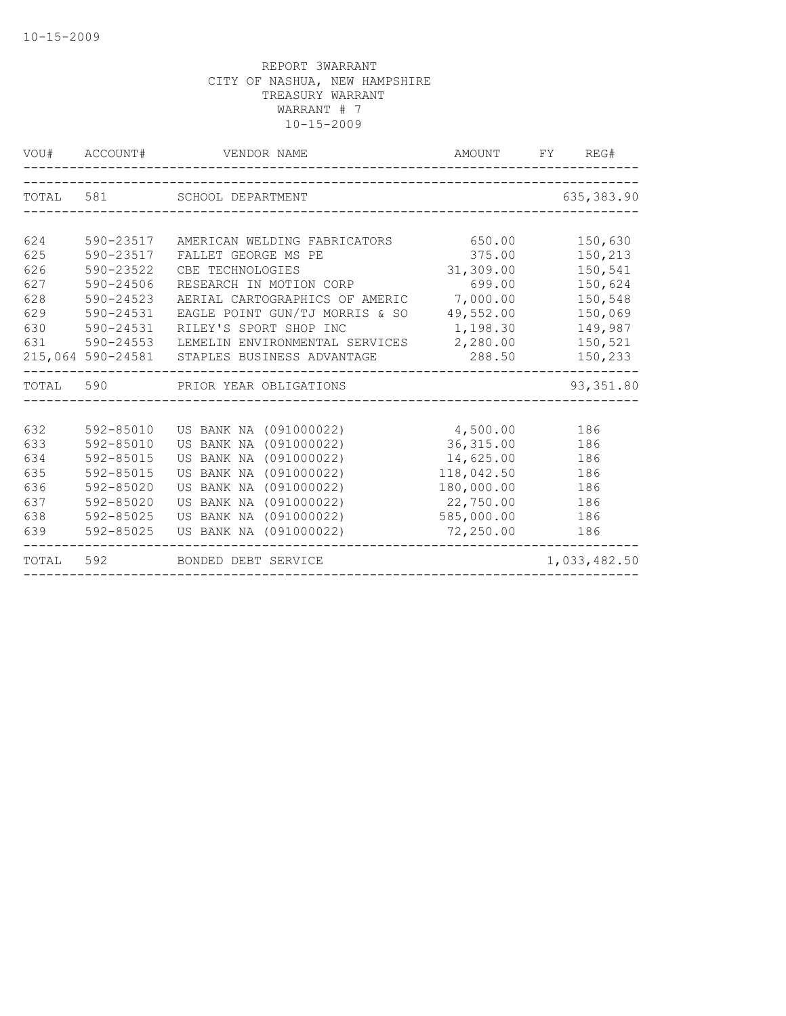| VOU#  | ACCOUNT#          | VENDOR NAME                             | AMOUNT     | FY REG#      |
|-------|-------------------|-----------------------------------------|------------|--------------|
|       |                   |                                         |            |              |
| TOTAL | 581               | SCHOOL DEPARTMENT                       |            | 635,383.90   |
|       |                   |                                         |            |              |
| 624   | 590-23517         | AMERICAN WELDING FABRICATORS            | 650.00     | 150,630      |
| 625   | 590-23517         | FALLET GEORGE MS PE                     | 375.00     | 150,213      |
| 626   | 590-23522         | CBE TECHNOLOGIES                        | 31,309.00  | 150,541      |
| 627   | 590-24506         | RESEARCH IN MOTION CORP                 | 699.00     | 150,624      |
| 628   | 590-24523         | AERIAL CARTOGRAPHICS OF AMERIC          | 7,000.00   | 150,548      |
| 629   | 590-24531         | EAGLE POINT GUN/TJ MORRIS & SO          | 49,552.00  | 150,069      |
| 630   | 590-24531         | RILEY'S SPORT SHOP INC                  | 1,198.30   | 149,987      |
| 631   | 590-24553         | LEMELIN ENVIRONMENTAL SERVICES 2,280.00 |            | 150,521      |
|       | 215,064 590-24581 | STAPLES BUSINESS ADVANTAGE              | 288.50     | 150,233      |
| TOTAL | 590               | PRIOR YEAR OBLIGATIONS                  |            | 93,351.80    |
|       |                   |                                         |            |              |
| 632   | 592-85010         | US BANK NA (091000022)                  | 4,500.00   | 186          |
| 633   | 592-85010         | US BANK NA (091000022)                  | 36, 315.00 | 186          |
| 634   | 592-85015         | US BANK NA (091000022)                  | 14,625.00  | 186          |
| 635   | 592-85015         | US BANK NA (091000022)                  | 118,042.50 | 186          |
| 636   | 592-85020         | US BANK NA (091000022)                  | 180,000.00 | 186          |
| 637   | 592-85020         | US BANK NA (091000022)                  | 22,750.00  | 186          |
| 638   | 592-85025         | US BANK NA (091000022)                  | 585,000.00 | 186          |
| 639   | 592-85025         | US BANK NA (091000022)                  | 72,250.00  | 186          |
| TOTAL | 592               | BONDED DEBT SERVICE                     |            | 1,033,482.50 |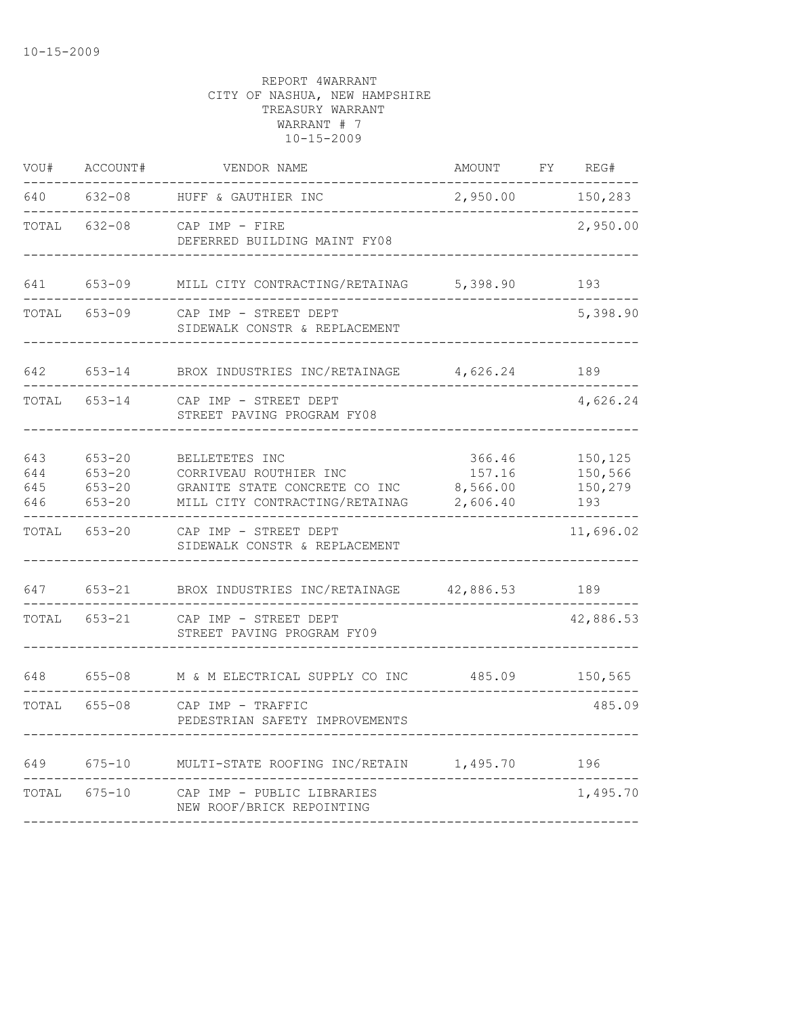| VOU#                     | ACCOUNT#                                             | VENDOR NAME                                                                                                 | AMOUNT                                   | FΥ | REG#                                 |
|--------------------------|------------------------------------------------------|-------------------------------------------------------------------------------------------------------------|------------------------------------------|----|--------------------------------------|
| 640                      | $632 - 08$                                           | HUFF & GAUTHIER INC                                                                                         | 2,950.00                                 |    | 150,283                              |
| TOTAL                    | $632 - 08$                                           | CAP IMP - FIRE<br>DEFERRED BUILDING MAINT FY08                                                              |                                          |    | 2,950.00                             |
| 641                      | $653 - 09$                                           | MILL CITY CONTRACTING/RETAINAG                                                                              | 5,398.90                                 |    | 193                                  |
| TOTAL                    | $653 - 09$                                           | CAP IMP - STREET DEPT<br>SIDEWALK CONSTR & REPLACEMENT                                                      |                                          |    | 5,398.90                             |
| 642                      | $653 - 14$                                           | BROX INDUSTRIES INC/RETAINAGE                                                                               | 4,626.24                                 |    | 189                                  |
| TOTAL                    | $653 - 14$                                           | CAP IMP - STREET DEPT<br>STREET PAVING PROGRAM FY08                                                         |                                          |    | 4,626.24                             |
| 643<br>644<br>645<br>646 | $653 - 20$<br>$653 - 20$<br>$653 - 20$<br>$653 - 20$ | BELLETETES INC<br>CORRIVEAU ROUTHIER INC<br>GRANITE STATE CONCRETE CO INC<br>MILL CITY CONTRACTING/RETAINAG | 366.46<br>157.16<br>8,566.00<br>2,606.40 |    | 150,125<br>150,566<br>150,279<br>193 |
| TOTAL                    | $653 - 20$                                           | CAP IMP - STREET DEPT<br>SIDEWALK CONSTR & REPLACEMENT                                                      |                                          |    | 11,696.02                            |
| 647                      | $653 - 21$                                           | BROX INDUSTRIES INC/RETAINAGE                                                                               | 42,886.53                                |    | 189                                  |
| TOTAL                    | $653 - 21$                                           | CAP IMP - STREET DEPT<br>STREET PAVING PROGRAM FY09                                                         |                                          |    | 42,886.53                            |
| 648                      | $655 - 08$                                           | M & M ELECTRICAL SUPPLY CO INC                                                                              | 485.09                                   |    | 150,565                              |
| TOTAL                    | $655 - 08$                                           | CAP IMP - TRAFFIC<br>PEDESTRIAN SAFETY IMPROVEMENTS                                                         |                                          |    | 485.09                               |
| 649                      | $675 - 10$                                           | MULTI-STATE ROOFING INC/RETAIN                                                                              | 1,495.70                                 |    | 196                                  |
| TOTAL                    | $675 - 10$                                           | CAP IMP - PUBLIC LIBRARIES<br>NEW ROOF/BRICK REPOINTING                                                     |                                          |    | 1,495.70                             |
|                          |                                                      |                                                                                                             |                                          |    |                                      |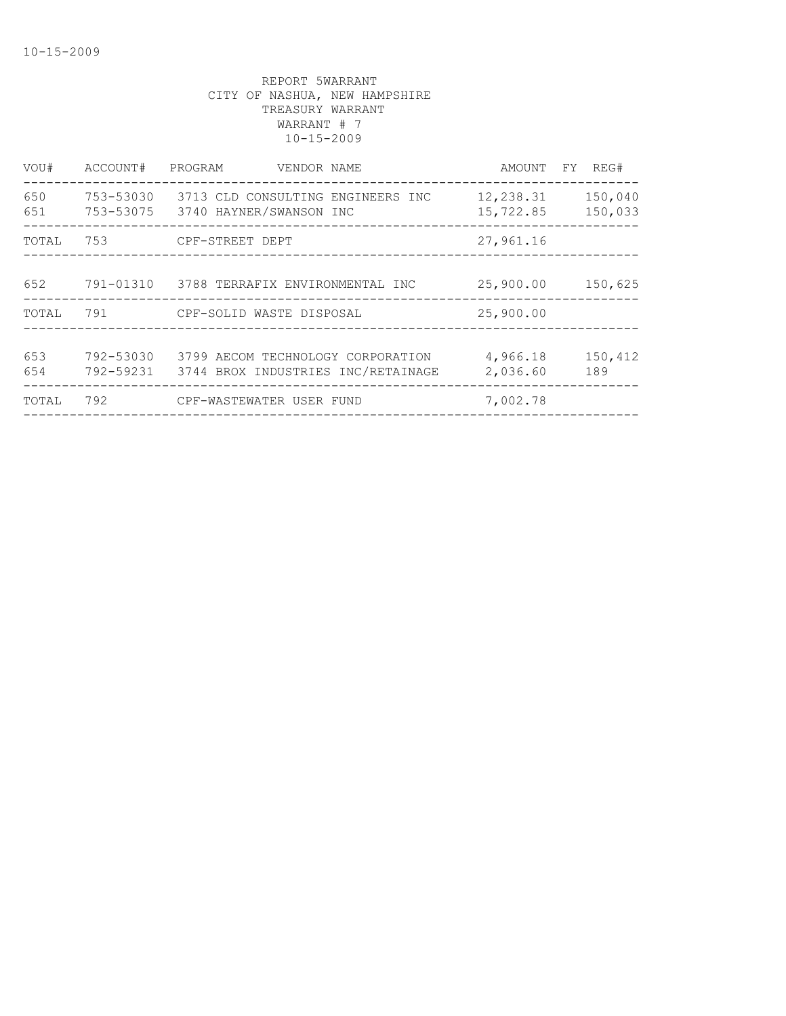| VOU#       | ACCOUNT#  | PROGRAM<br>VENDOR NAME                                                            | AMOUNT FY REG#         |                    |
|------------|-----------|-----------------------------------------------------------------------------------|------------------------|--------------------|
| 650<br>651 | 753-53030 | 3713 CLD CONSULTING ENGINEERS INC<br>753-53075 3740 HAYNER/SWANSON INC            | 12,238.31<br>15,722.85 | 150,040<br>150,033 |
| TOTAL      | 753       | CPF-STREET DEPT                                                                   | 27,961.16              |                    |
| 652        |           | 791-01310 3788 TERRAFIX ENVIRONMENTAL INC                                         | 25,900.00              | 150,625            |
| TOTAL      |           |                                                                                   | 25,900.00              |                    |
| 653<br>654 | 792-53030 | 3799 AECOM TECHNOLOGY CORPORATION<br>792-59231 3744 BROX INDUSTRIES INC/RETAINAGE | 4,966.18<br>2,036.60   | 150,412<br>189     |
| TOTAL      | 792       | CPF-WASTEWATER USER FUND                                                          | 7,002.78               |                    |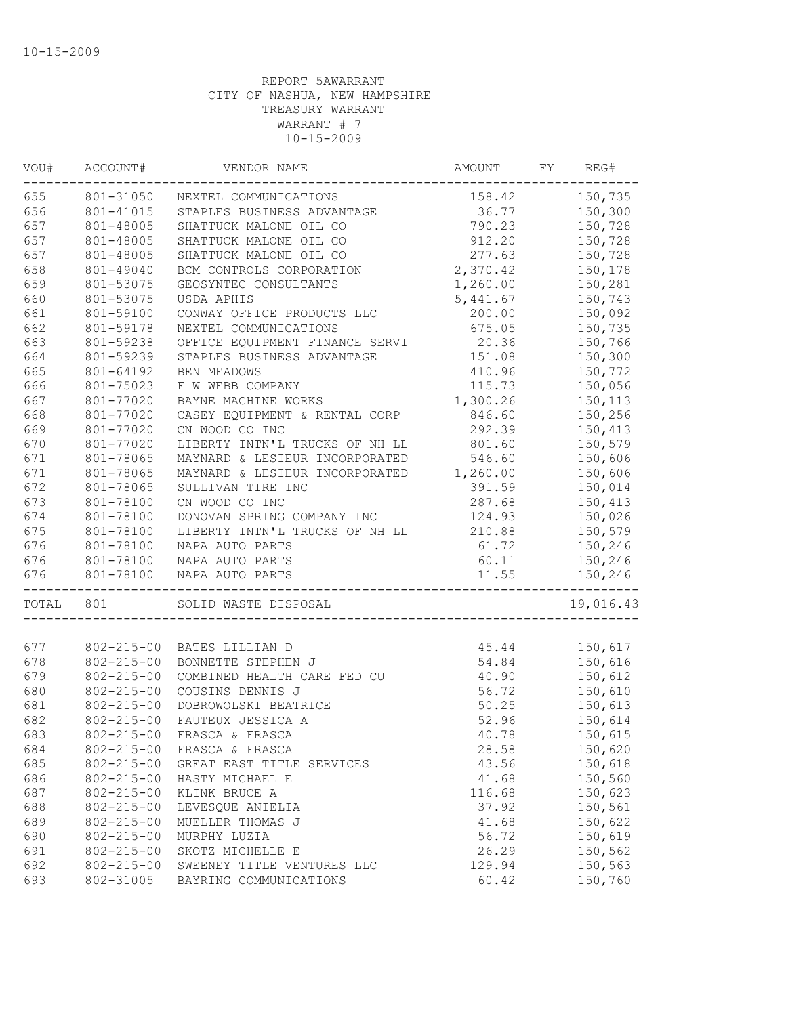| VOU#  | ACCOUNT#         | VENDOR NAME                    | AMOUNT   | FY | REG#      |
|-------|------------------|--------------------------------|----------|----|-----------|
| 655   | 801-31050        | NEXTEL COMMUNICATIONS          | 158.42   |    | 150,735   |
| 656   | 801-41015        | STAPLES BUSINESS ADVANTAGE     | 36.77    |    | 150,300   |
| 657   | 801-48005        | SHATTUCK MALONE OIL CO         | 790.23   |    | 150,728   |
| 657   | 801-48005        | SHATTUCK MALONE OIL CO         | 912.20   |    | 150,728   |
| 657   | 801-48005        | SHATTUCK MALONE OIL CO         | 277.63   |    | 150,728   |
| 658   | 801-49040        | BCM CONTROLS CORPORATION       | 2,370.42 |    | 150,178   |
| 659   | 801-53075        | GEOSYNTEC CONSULTANTS          | 1,260.00 |    | 150,281   |
| 660   | 801-53075        | USDA APHIS                     | 5,441.67 |    | 150,743   |
| 661   | 801-59100        | CONWAY OFFICE PRODUCTS LLC     | 200.00   |    | 150,092   |
| 662   | 801-59178        | NEXTEL COMMUNICATIONS          | 675.05   |    | 150,735   |
| 663   | 801-59238        | OFFICE EQUIPMENT FINANCE SERVI | 20.36    |    | 150,766   |
| 664   | 801-59239        | STAPLES BUSINESS ADVANTAGE     | 151.08   |    | 150,300   |
| 665   | 801-64192        | <b>BEN MEADOWS</b>             | 410.96   |    | 150,772   |
| 666   | 801-75023        | F W WEBB COMPANY               | 115.73   |    | 150,056   |
| 667   | 801-77020        | BAYNE MACHINE WORKS            | 1,300.26 |    | 150,113   |
| 668   | 801-77020        | CASEY EQUIPMENT & RENTAL CORP  | 846.60   |    | 150,256   |
| 669   | 801-77020        | CN WOOD CO INC                 | 292.39   |    | 150,413   |
| 670   | 801-77020        | LIBERTY INTN'L TRUCKS OF NH LL | 801.60   |    | 150,579   |
| 671   | 801-78065        | MAYNARD & LESIEUR INCORPORATED | 546.60   |    | 150,606   |
| 671   | 801-78065        | MAYNARD & LESIEUR INCORPORATED | 1,260.00 |    | 150,606   |
| 672   | 801-78065        | SULLIVAN TIRE INC              | 391.59   |    | 150,014   |
| 673   | 801-78100        | CN WOOD CO INC                 | 287.68   |    | 150,413   |
| 674   | 801-78100        | DONOVAN SPRING COMPANY INC     | 124.93   |    | 150,026   |
| 675   | 801-78100        | LIBERTY INTN'L TRUCKS OF NH LL | 210.88   |    | 150,579   |
| 676   | 801-78100        | NAPA AUTO PARTS                | 61.72    |    | 150,246   |
| 676   | 801-78100        | NAPA AUTO PARTS                | 60.11    |    | 150,246   |
| 676   | 801-78100        | NAPA AUTO PARTS                | 11.55    |    | 150,246   |
| TOTAL | 801              | SOLID WASTE DISPOSAL           |          |    | 19,016.43 |
| 677   |                  |                                |          |    |           |
|       | $802 - 215 - 00$ | BATES LILLIAN D                | 45.44    |    | 150,617   |
| 678   | $802 - 215 - 00$ | BONNETTE STEPHEN J             | 54.84    |    | 150,616   |
| 679   | $802 - 215 - 00$ | COMBINED HEALTH CARE FED CU    | 40.90    |    | 150,612   |
| 680   | $802 - 215 - 00$ | COUSINS DENNIS J               | 56.72    |    | 150,610   |
| 681   | $802 - 215 - 00$ | DOBROWOLSKI BEATRICE           | 50.25    |    | 150,613   |
| 682   | $802 - 215 - 00$ | FAUTEUX JESSICA A              | 52.96    |    | 150,614   |
| 683   | $802 - 215 - 00$ | FRASCA & FRASCA                | 40.78    |    | 150,615   |
| 684   | $802 - 215 - 00$ | FRASCA & FRASCA                | 28.58    |    | 150,620   |
| 685   | $802 - 215 - 00$ | GREAT EAST TITLE SERVICES      | 43.56    |    | 150,618   |
| 686   | $802 - 215 - 00$ | HASTY MICHAEL E                | 41.68    |    | 150,560   |
| 687   | $802 - 215 - 00$ | KLINK BRUCE A                  | 116.68   |    | 150,623   |
| 688   | $802 - 215 - 00$ | LEVESQUE ANIELIA               | 37.92    |    | 150,561   |
| 689   | $802 - 215 - 00$ | MUELLER THOMAS J               | 41.68    |    | 150,622   |
| 690   | $802 - 215 - 00$ | MURPHY LUZIA                   | 56.72    |    | 150,619   |
| 691   | $802 - 215 - 00$ | SKOTZ MICHELLE E               | 26.29    |    | 150,562   |
| 692   | $802 - 215 - 00$ | SWEENEY TITLE VENTURES LLC     | 129.94   |    | 150,563   |
| 693   | 802-31005        | BAYRING COMMUNICATIONS         | 60.42    |    | 150,760   |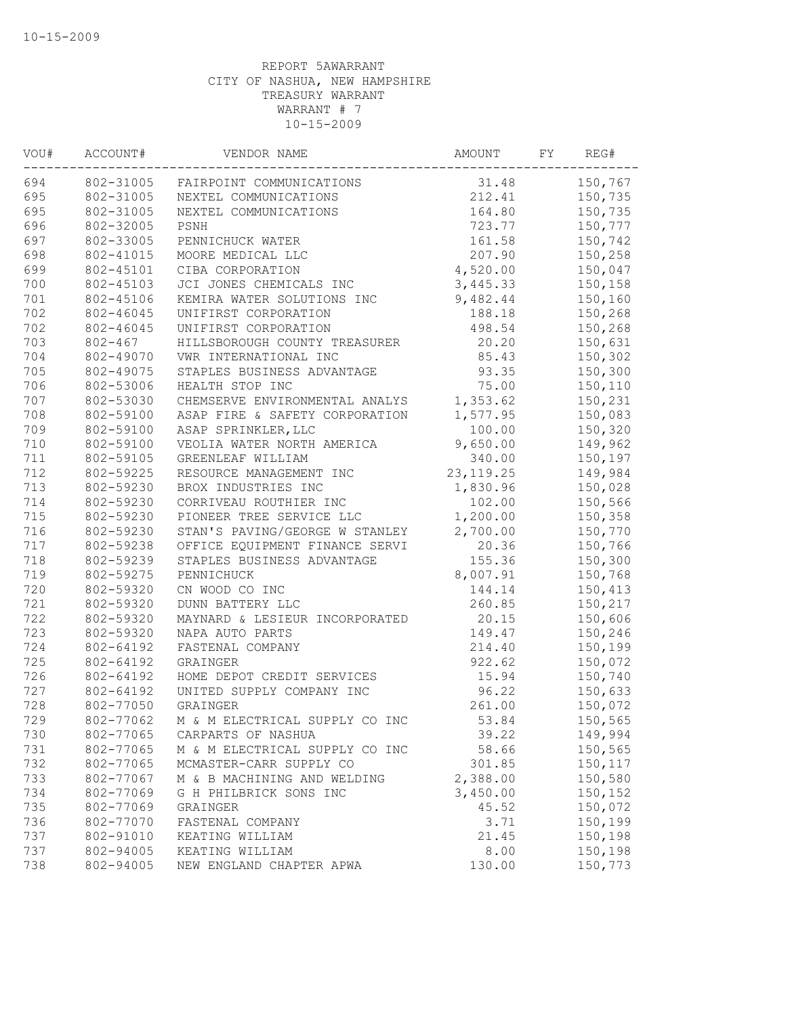| VOU# | ACCOUNT#    | VENDOR NAME                    | AMOUNT      | FY | REG#    |
|------|-------------|--------------------------------|-------------|----|---------|
| 694  | 802-31005   | FAIRPOINT COMMUNICATIONS       | 31.48       |    | 150,767 |
| 695  | 802-31005   | NEXTEL COMMUNICATIONS          | 212.41      |    | 150,735 |
| 695  | 802-31005   | NEXTEL COMMUNICATIONS          | 164.80      |    | 150,735 |
| 696  | 802-32005   | PSNH                           | 723.77      |    | 150,777 |
| 697  | 802-33005   | PENNICHUCK WATER               | 161.58      |    | 150,742 |
| 698  | 802-41015   | MOORE MEDICAL LLC              | 207.90      |    | 150,258 |
| 699  | 802-45101   | CIBA CORPORATION               | 4,520.00    |    | 150,047 |
| 700  | 802-45103   | JCI JONES CHEMICALS INC        | 3,445.33    |    | 150,158 |
| 701  | 802-45106   | KEMIRA WATER SOLUTIONS INC     | 9,482.44    |    | 150,160 |
| 702  | 802-46045   | UNIFIRST CORPORATION           | 188.18      |    | 150,268 |
| 702  | 802-46045   | UNIFIRST CORPORATION           | 498.54      |    | 150,268 |
| 703  | $802 - 467$ | HILLSBOROUGH COUNTY TREASURER  | 20.20       |    | 150,631 |
| 704  | 802-49070   | VWR INTERNATIONAL INC          | 85.43       |    | 150,302 |
| 705  | 802-49075   | STAPLES BUSINESS ADVANTAGE     | 93.35       |    | 150,300 |
| 706  | 802-53006   | HEALTH STOP INC                | 75.00       |    | 150,110 |
| 707  | 802-53030   | CHEMSERVE ENVIRONMENTAL ANALYS | 1,353.62    |    | 150,231 |
| 708  | 802-59100   | ASAP FIRE & SAFETY CORPORATION | 1,577.95    |    | 150,083 |
| 709  | 802-59100   | ASAP SPRINKLER, LLC            | 100.00      |    | 150,320 |
| 710  | 802-59100   | VEOLIA WATER NORTH AMERICA     | 9,650.00    |    | 149,962 |
| 711  | 802-59105   | GREENLEAF WILLIAM              | 340.00      |    | 150,197 |
| 712  | 802-59225   | RESOURCE MANAGEMENT INC        | 23, 119. 25 |    | 149,984 |
| 713  | 802-59230   | BROX INDUSTRIES INC            | 1,830.96    |    | 150,028 |
| 714  | 802-59230   | CORRIVEAU ROUTHIER INC         | 102.00      |    | 150,566 |
| 715  | 802-59230   | PIONEER TREE SERVICE LLC       | 1,200.00    |    | 150,358 |
| 716  | 802-59230   | STAN'S PAVING/GEORGE W STANLEY | 2,700.00    |    | 150,770 |
| 717  | 802-59238   | OFFICE EQUIPMENT FINANCE SERVI | 20.36       |    | 150,766 |
| 718  | 802-59239   | STAPLES BUSINESS ADVANTAGE     | 155.36      |    | 150,300 |
| 719  | 802-59275   | PENNICHUCK                     | 8,007.91    |    | 150,768 |
| 720  | 802-59320   | CN WOOD CO INC                 | 144.14      |    | 150,413 |
| 721  | 802-59320   | DUNN BATTERY LLC               | 260.85      |    | 150,217 |
| 722  | 802-59320   | MAYNARD & LESIEUR INCORPORATED | 20.15       |    | 150,606 |
| 723  | 802-59320   | NAPA AUTO PARTS                | 149.47      |    | 150,246 |
| 724  | 802-64192   | FASTENAL COMPANY               | 214.40      |    | 150,199 |
| 725  | 802-64192   | GRAINGER                       | 922.62      |    | 150,072 |
| 726  | 802-64192   | HOME DEPOT CREDIT SERVICES     | 15.94       |    | 150,740 |
| 727  | 802-64192   | UNITED SUPPLY COMPANY INC      | 96.22       |    | 150,633 |
| 728  | 802-77050   | GRAINGER                       | 261.00      |    | 150,072 |
| 729  | 802-77062   | M & M ELECTRICAL SUPPLY CO INC | 53.84       |    | 150,565 |
| 730  | 802-77065   | CARPARTS OF NASHUA             | 39.22       |    | 149,994 |
| 731  | 802-77065   | M & M ELECTRICAL SUPPLY CO INC | 58.66       |    | 150,565 |
| 732  | 802-77065   | MCMASTER-CARR SUPPLY CO        | 301.85      |    | 150,117 |
| 733  | 802-77067   | M & B MACHINING AND WELDING    | 2,388.00    |    | 150,580 |
| 734  | 802-77069   | G H PHILBRICK SONS INC         | 3,450.00    |    | 150,152 |
| 735  | 802-77069   | GRAINGER                       | 45.52       |    | 150,072 |
| 736  | 802-77070   | FASTENAL COMPANY               | 3.71        |    | 150,199 |
| 737  | 802-91010   | KEATING WILLIAM                | 21.45       |    | 150,198 |
| 737  | 802-94005   | KEATING WILLIAM                | 8.00        |    | 150,198 |
| 738  | 802-94005   | NEW ENGLAND CHAPTER APWA       | 130.00      |    | 150,773 |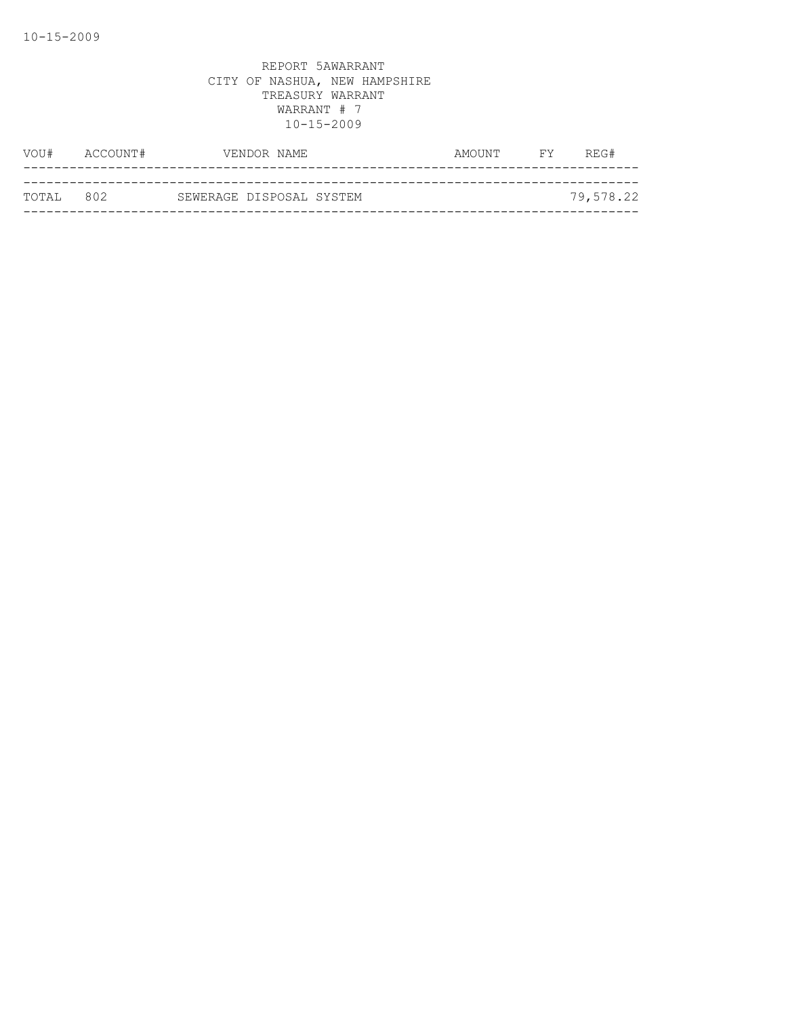| VOU#      | ACCOUNT# |                          | VENDOR NAME | AMOUNT | <b>FY</b> | REG#      |
|-----------|----------|--------------------------|-------------|--------|-----------|-----------|
|           |          |                          |             |        |           |           |
| TOTAL 802 |          | SEWERAGE DISPOSAL SYSTEM |             |        |           | 79,578.22 |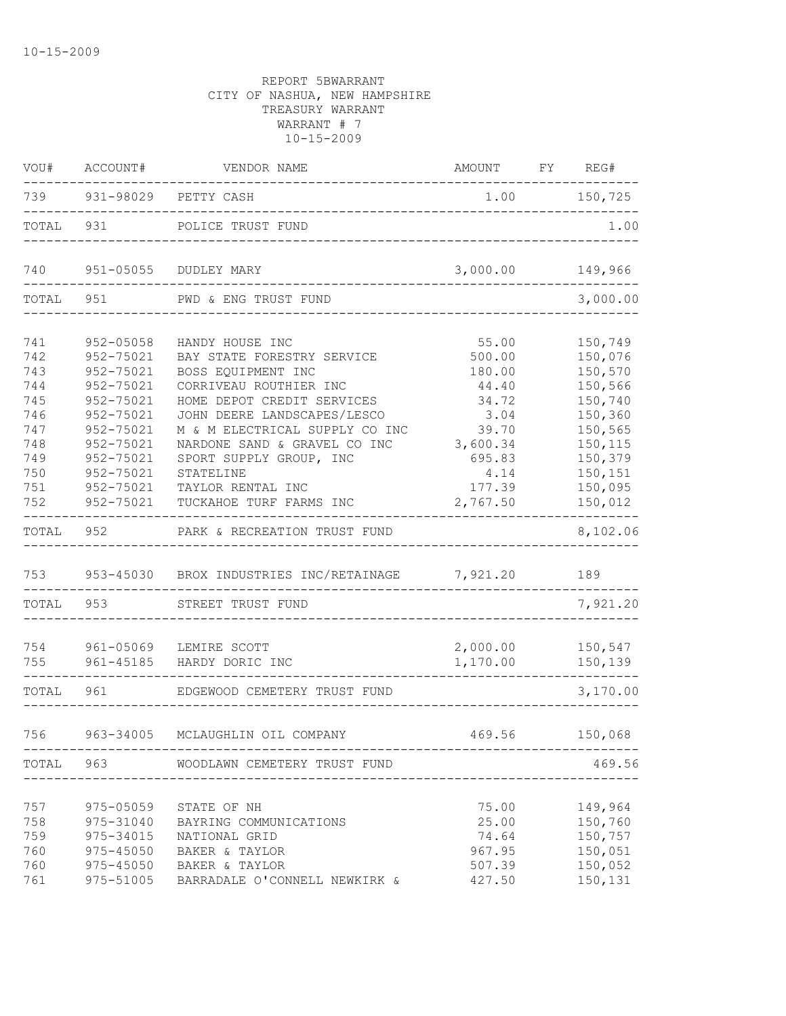| VOU#       | ACCOUNT#               | VENDOR NAME                                      | AMOUNT FY REG#  |                    |
|------------|------------------------|--------------------------------------------------|-----------------|--------------------|
|            |                        | 739 931-98029 PETTY CASH                         |                 | $1.00$ $150,725$   |
| TOTAL      | 931                    | POLICE TRUST FUND                                |                 | 1.00               |
| 740        | 951-05055              | DUDLEY MARY                                      | 3,000.00        | 149,966            |
| TOTAL      | 951                    | PWD & ENG TRUST FUND                             |                 | 3,000.00           |
| 741        | 952-05058              | HANDY HOUSE INC                                  | 55.00           | 150,749            |
| 742        | 952-75021              | BAY STATE FORESTRY SERVICE                       | 500.00          | 150,076            |
| 743<br>744 | 952-75021<br>952-75021 | BOSS EQUIPMENT INC<br>CORRIVEAU ROUTHIER INC     | 180.00<br>44.40 | 150,570<br>150,566 |
| 745        | 952-75021              | HOME DEPOT CREDIT SERVICES                       | 34.72           | 150,740            |
| 746        | 952-75021              | JOHN DEERE LANDSCAPES/LESCO                      | 3.04            | 150,360            |
| 747        | 952-75021              | M & M ELECTRICAL SUPPLY CO INC                   | 39.70           | 150,565            |
| 748        | 952-75021              | NARDONE SAND & GRAVEL CO INC                     | 3,600.34        | 150,115            |
| 749        | 952-75021              | SPORT SUPPLY GROUP, INC                          | 695.83          | 150,379            |
| 750        | 952-75021              | STATELINE                                        | 4.14            | 150,151            |
| 751        | 952-75021              | TAYLOR RENTAL INC                                | 177.39          | 150,095            |
| 752        | 952-75021              | TUCKAHOE TURF FARMS INC                          | 2,767.50        | 150,012            |
| TOTAL      | 952                    | PARK & RECREATION TRUST FUND                     |                 | 8,102.06           |
| 753        |                        | 953-45030 BROX INDUSTRIES INC/RETAINAGE 7,921.20 |                 | 189                |
| TOTAL      | 953                    | STREET TRUST FUND                                |                 | 7,921.20           |
| 754        | 961-05069              | LEMIRE SCOTT                                     | 2,000.00        | 150,547            |
| 755        |                        | 961-45185 HARDY DORIC INC                        | 1,170.00        | 150,139            |
| TOTAL      | 961                    | EDGEWOOD CEMETERY TRUST FUND                     |                 | 3,170.00           |
| 756        |                        | 963-34005 MCLAUGHLIN OIL COMPANY                 | 469.56          | 150,068            |
|            |                        |                                                  |                 |                    |
|            |                        | TOTAL 963 WOODLAWN CEMETERY TRUST FUND           |                 | 469.56             |
|            |                        |                                                  |                 |                    |
| 757        | 975-05059              | STATE OF NH                                      | 75.00           | 149,964            |
| 758<br>759 | 975-31040<br>975-34015 | BAYRING COMMUNICATIONS<br>NATIONAL GRID          | 25.00<br>74.64  | 150,760<br>150,757 |
| 760        | 975-45050              | BAKER & TAYLOR                                   | 967.95          | 150,051            |
| 760        | 975-45050              | BAKER & TAYLOR                                   | 507.39          | 150,052            |
| 761        | 975-51005              | BARRADALE O'CONNELL NEWKIRK &                    | 427.50          | 150,131            |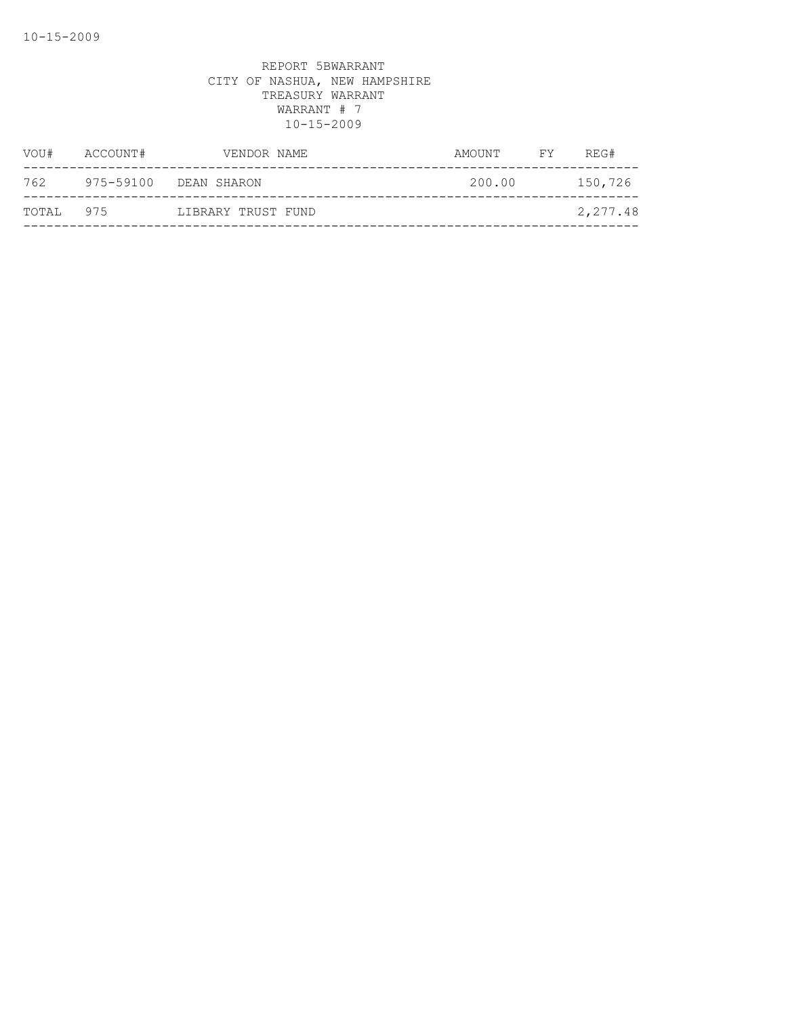| VOU#  | ACCOUNT#  | VENDOR NAME        | AMOUNT | FY . | REG#     |
|-------|-----------|--------------------|--------|------|----------|
| 762   | 975-59100 | DEAN SHARON        | 200.00 |      | 150,726  |
| TOTAL | 975       | LIBRARY TRUST FUND |        |      | 2,277.48 |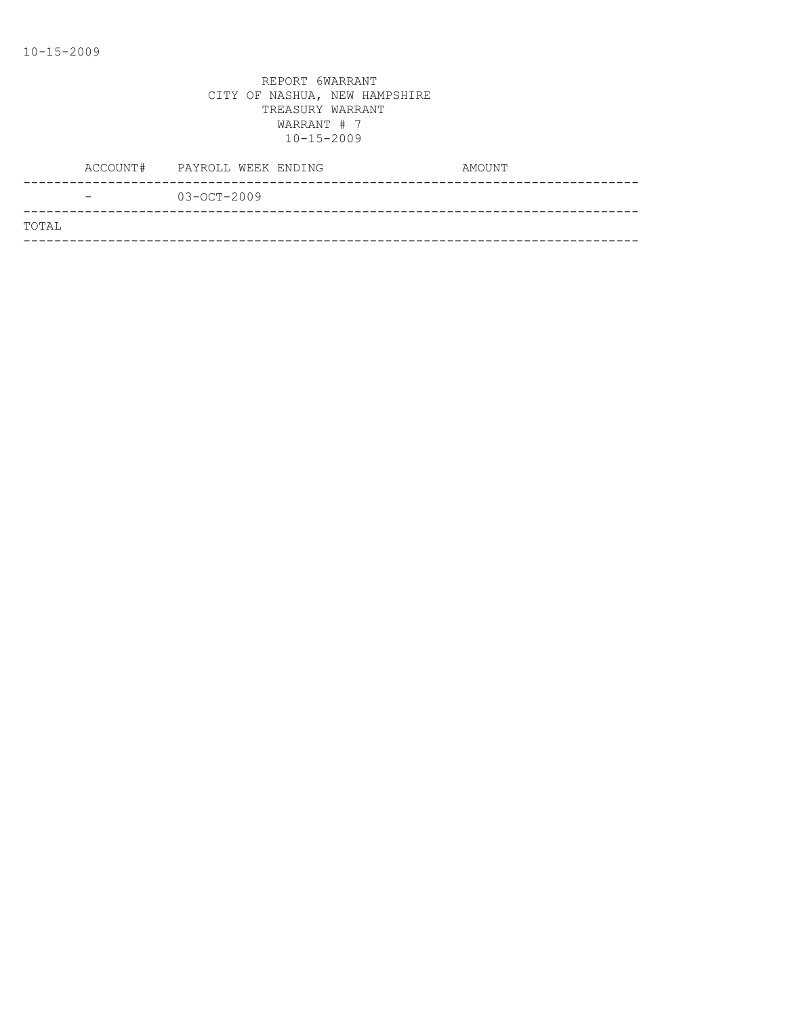|       |                          | ACCOUNT# PAYROLL WEEK ENDING | AMOUNT |
|-------|--------------------------|------------------------------|--------|
|       | $\overline{\phantom{0}}$ | $03 - OCT - 2009$            |        |
| TOTAL |                          |                              |        |
|       |                          |                              |        |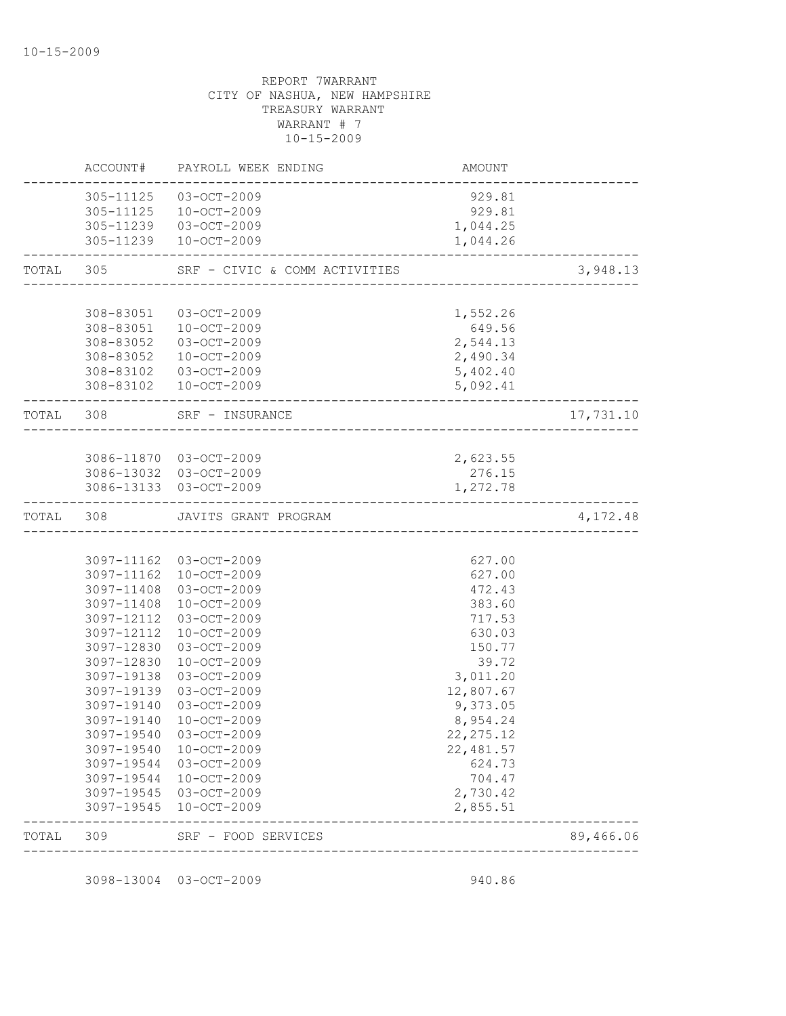| TOTAL     | 309        | SRF - FOOD SERVICES<br>-------------------       |                                     | 89,466.06 |
|-----------|------------|--------------------------------------------------|-------------------------------------|-----------|
|           |            |                                                  | 2,855.51                            |           |
|           |            | 3097-19545 03-OCT-2009<br>3097-19545 10-OCT-2009 | 2,730.42                            |           |
|           | 3097-19544 | 10-OCT-2009                                      | 704.47                              |           |
|           | 3097-19544 | 03-OCT-2009                                      | 624.73                              |           |
|           | 3097-19540 | 10-OCT-2009                                      | 22,481.57                           |           |
|           |            | 3097-19540 03-OCT-2009                           | 22, 275.12                          |           |
|           | 3097-19140 | 10-OCT-2009                                      | 8,954.24                            |           |
|           |            | 3097-19140 03-OCT-2009                           | 9,373.05                            |           |
|           |            | 3097-19139 03-OCT-2009                           | 12,807.67                           |           |
|           | 3097-19138 | 03-OCT-2009                                      | 3,011.20                            |           |
|           | 3097-12830 | 10-OCT-2009                                      | 39.72                               |           |
|           | 3097-12830 | 03-OCT-2009                                      | 150.77                              |           |
|           | 3097-12112 | 10-OCT-2009                                      | 630.03                              |           |
|           | 3097-12112 | 03-OCT-2009                                      | 717.53                              |           |
|           | 3097-11408 | $10 - OCT - 2009$                                | 383.60                              |           |
|           |            | 3097-11408 03-OCT-2009                           | 472.43                              |           |
|           |            | 3097-11162 03-OCT-2009<br>3097-11162 10-OCT-2009 | 627.00<br>627.00                    |           |
|           |            |                                                  |                                     |           |
|           |            | TOTAL 308 JAVITS GRANT PROGRAM                   |                                     | 4,172.48  |
|           |            |                                                  |                                     |           |
|           |            | 3086-13032 03-OCT-2009<br>3086-13133 03-OCT-2009 | 276.15<br>1,272.78                  |           |
|           |            | 3086-11870 03-OCT-2009                           | 2,623.55                            |           |
|           |            |                                                  |                                     |           |
| TOTAL 308 |            | SRF - INSURANCE                                  |                                     | 17,731.10 |
|           |            | ________________________                         |                                     |           |
|           |            | 308-83102 03-OCT-2009<br>308-83102 10-OCT-2009   | 5,402.40<br>5,092.41                |           |
|           | 308-83052  | 10-OCT-2009                                      | 2,490.34                            |           |
|           |            | 308-83052 03-OCT-2009                            | 2,544.13                            |           |
|           |            | 308-83051 10-OCT-2009                            | 649.56                              |           |
|           | 308-83051  | 03-OCT-2009                                      | 1,552.26                            |           |
| TOTAL 305 |            | SRF - CIVIC & COMM ACTIVITIES                    | ----------------------------------- | 3,948.13  |
|           |            | 305-11239 10-OCT-2009                            | 1,044.26                            |           |
|           |            | 305-11239 03-OCT-2009                            | 1,044.25                            |           |
|           | 305-11125  | $10 - OCT - 2009$                                | 929.81                              |           |
|           | 305-11125  | 03-OCT-2009                                      | 929.81                              |           |
|           | ACCOUNT#   | PAYROLL WEEK ENDING                              | AMOUNT                              |           |

3098-13004 03-OCT-2009 940.86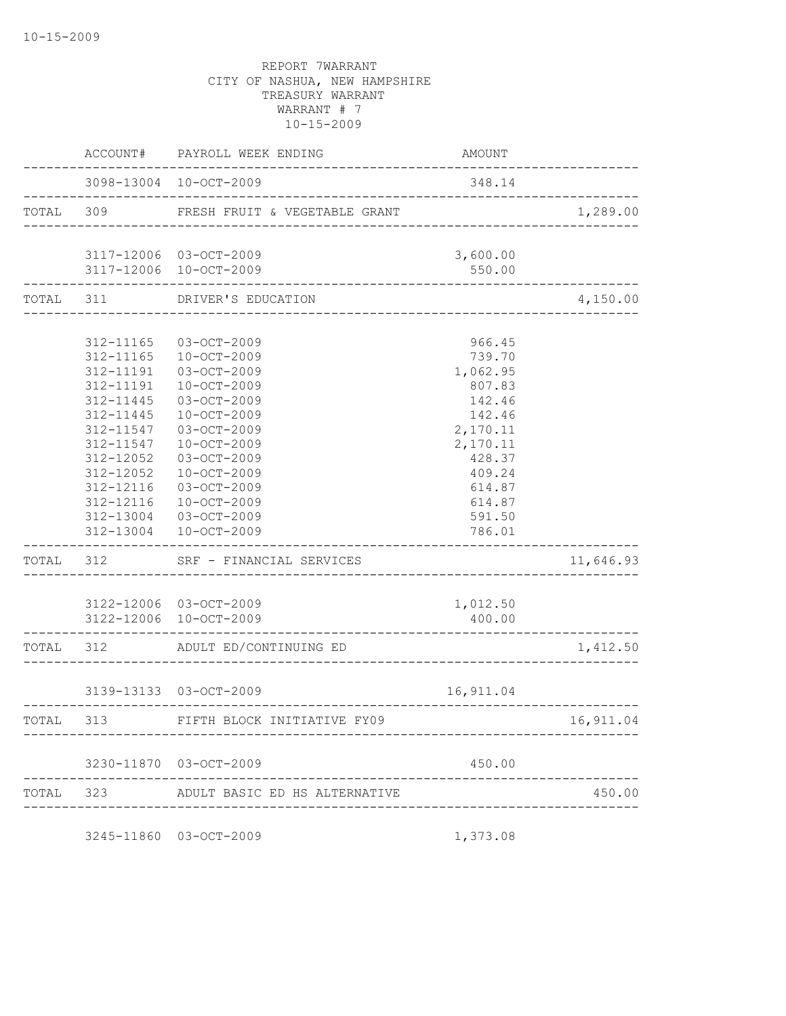|           |                                                  | ACCOUNT# PAYROLL WEEK ENDING                                            | AMOUNT                                 |                                  |
|-----------|--------------------------------------------------|-------------------------------------------------------------------------|----------------------------------------|----------------------------------|
|           |                                                  | 3098-13004 10-OCT-2009                                                  | 348.14                                 |                                  |
| TOTAL 309 |                                                  | FRESH FRUIT & VEGETABLE GRANT                                           |                                        | 1,289.00                         |
|           |                                                  | 3117-12006 03-OCT-2009                                                  | 3,600.00                               |                                  |
| TOTAL 311 |                                                  | 3117-12006 10-OCT-2009<br>DRIVER'S EDUCATION                            | 550.00                                 | 4,150.00                         |
|           |                                                  |                                                                         |                                        |                                  |
|           |                                                  | 312-11165 03-OCT-2009<br>312-11165 10-OCT-2009<br>312-11191 03-OCT-2009 | 966.45<br>739.70<br>1,062.95           |                                  |
|           | 312-11191<br>312-11445<br>312-11445<br>312-11547 | $10 - OCT - 2009$<br>03-OCT-2009<br>10-OCT-2009<br>03-OCT-2009          | 807.83<br>142.46<br>142.46<br>2,170.11 |                                  |
|           | 312-11547<br>312-12052<br>312-12052              | 10-OCT-2009<br>03-OCT-2009<br>$10 - OCT - 2009$                         | 2,170.11<br>428.37<br>409.24           |                                  |
|           | 312-12116                                        | 03-OCT-2009<br>312-12116  10-OCT-2009<br>312-13004 03-OCT-2009          | 614.87<br>614.87<br>591.50             |                                  |
| TOTAL 312 |                                                  | 312-13004 10-OCT-2009<br>SRF - FINANCIAL SERVICES                       | 786.01                                 | 11,646.93                        |
|           |                                                  | 3122-12006 03-OCT-2009<br>3122-12006 10-OCT-2009                        | 1,012.50<br>400.00                     |                                  |
|           |                                                  | TOTAL 312 ADULT ED/CONTINUING ED                                        |                                        | 1,412.50                         |
|           |                                                  | 3139-13133 03-OCT-2009                                                  | 16,911.04                              |                                  |
| TOTAL 313 |                                                  | FIFTH BLOCK INITIATIVE FY09                                             |                                        | __________________<br>16, 911.04 |
|           |                                                  | 3230-11870 03-OCT-2009                                                  | 450.00                                 |                                  |
| TOTAL 323 |                                                  | ADULT BASIC ED HS ALTERNATIVE                                           |                                        | 450.00                           |

3245-11860 03-OCT-2009 1,373.08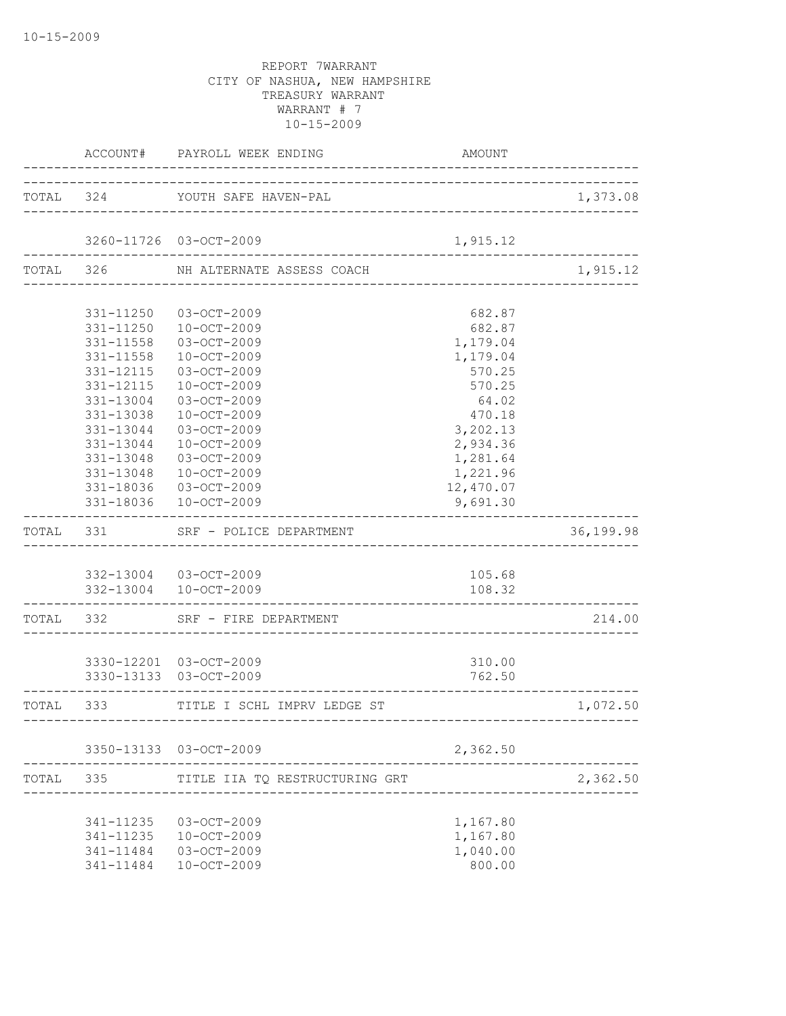|       |                                     | ACCOUNT# PAYROLL WEEK ENDING                                                                      | AMOUNT                                                     |           |
|-------|-------------------------------------|---------------------------------------------------------------------------------------------------|------------------------------------------------------------|-----------|
|       |                                     | TOTAL 324 YOUTH SAFE HAVEN-PAL                                                                    |                                                            | 1,373.08  |
|       |                                     | 3260-11726 03-OCT-2009                                                                            | 1,915.12                                                   |           |
|       |                                     | TOTAL 326 NH ALTERNATE ASSESS COACH                                                               |                                                            | 1,915.12  |
|       |                                     |                                                                                                   |                                                            |           |
|       |                                     | 331-11250 03-OCT-2009<br>331-11250  10-OCT-2009<br>331-11558 03-OCT-2009<br>331-11558 10-OCT-2009 | 682.87<br>682.87<br>1,179.04<br>1,179.04                   |           |
|       | 331-12115<br>331-12115<br>331-13004 | 03-OCT-2009<br>10-OCT-2009<br>03-OCT-2009                                                         | 570.25<br>570.25<br>64.02                                  |           |
|       | 331-13038<br>331-13044<br>331-13044 | 10-OCT-2009<br>03-OCT-2009<br>$10 - OCT - 2009$                                                   | 470.18<br>3,202.13<br>2,934.36                             |           |
|       |                                     | 331-13048 03-OCT-2009<br>331-13048  10-OCT-2009<br>331-18036 03-OCT-2009<br>331-18036 10-OCT-2009 | 1,281.64<br>1,221.96<br>12,470.07<br>9,691.30              |           |
|       |                                     | TOTAL 331 SRF - POLICE DEPARTMENT                                                                 |                                                            | 36,199.98 |
|       |                                     |                                                                                                   |                                                            |           |
|       | . _ _ _ _ _ _ _ _ _ _ _ _ _ _ _ _   | 332-13004 03-OCT-2009<br>332-13004 10-OCT-2009                                                    | 105.68<br>108.32<br>-------------------------------------- |           |
|       |                                     | TOTAL 332 SRF - FIRE DEPARTMENT                                                                   |                                                            | 214.00    |
|       |                                     | 3330-12201 03-OCT-2009<br>3330-13133 03-OCT-2009                                                  | 310.00<br>762.50                                           |           |
|       |                                     | TOTAL 333 TITLE I SCHL IMPRV LEDGE ST                                                             |                                                            | 1,072.50  |
|       |                                     | 3350-13133 03-OCT-2009                                                                            | 2,362.50                                                   |           |
| TOTAL | 335                                 | TITLE IIA TO RESTRUCTURING GRT                                                                    |                                                            | 2,362.50  |
|       | 341-11235<br>341-11235<br>341-11484 | 03-OCT-2009<br>10-OCT-2009<br>341-11484 03-OCT-2009<br>$10 - OCT - 2009$                          | 1,167.80<br>1,167.80<br>1,040.00<br>800.00                 |           |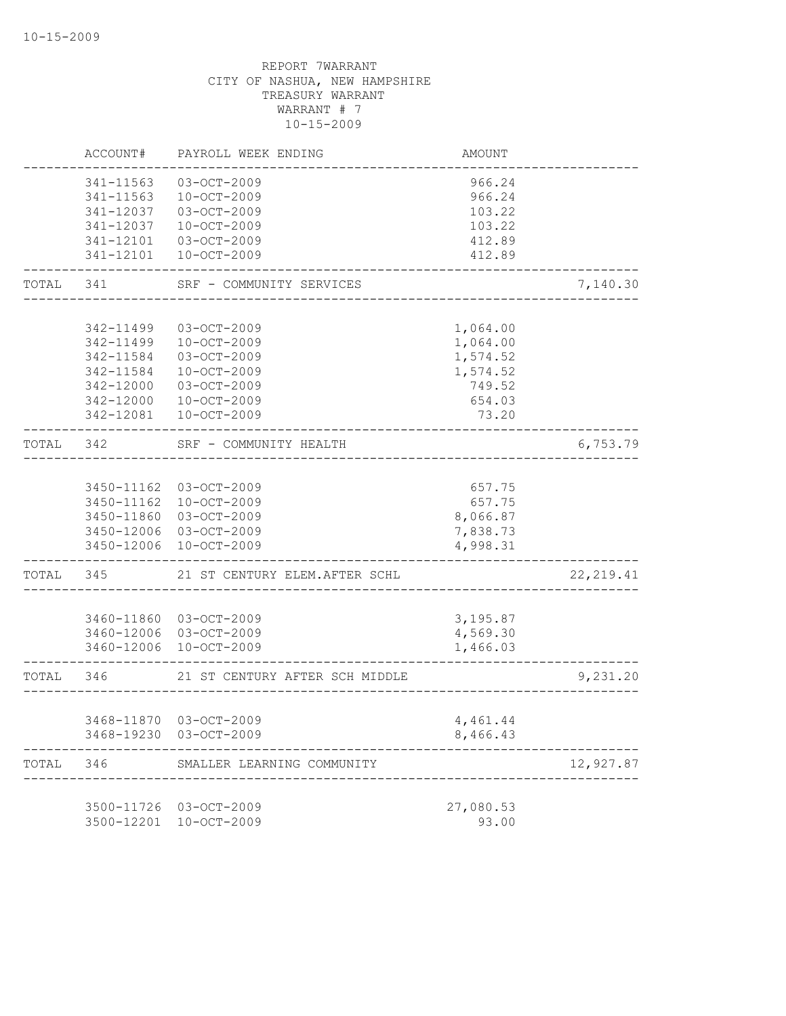|           | ACCOUNT#   | PAYROLL WEEK ENDING                    | AMOUNT    |            |
|-----------|------------|----------------------------------------|-----------|------------|
|           | 341-11563  | 03-OCT-2009                            | 966.24    |            |
|           | 341-11563  | 10-OCT-2009                            | 966.24    |            |
|           | 341-12037  | 03-OCT-2009                            | 103.22    |            |
|           | 341-12037  | $10 - OCT - 2009$                      | 103.22    |            |
|           | 341-12101  | 03-OCT-2009                            | 412.89    |            |
|           | 341-12101  | $10 - OCT - 2009$                      | 412.89    |            |
| TOTAL     | 341        | SRF - COMMUNITY SERVICES               |           | 7,140.30   |
|           |            |                                        |           |            |
|           | 342-11499  | $03 - OCT - 2009$                      | 1,064.00  |            |
|           | 342-11499  | $10 - OCT - 2009$                      | 1,064.00  |            |
|           | 342-11584  | 03-OCT-2009                            | 1,574.52  |            |
|           | 342-11584  | $10 - OCT - 2009$                      | 1,574.52  |            |
|           | 342-12000  | 03-OCT-2009                            | 749.52    |            |
|           | 342-12000  | $10 - OCT - 2009$                      | 654.03    |            |
|           | 342-12081  | $10 - OCT - 2009$                      | 73.20     |            |
| TOTAL     | 342        | SRF - COMMUNITY HEALTH<br>. <u>.</u> . |           | 6,753.79   |
|           |            |                                        |           |            |
|           |            | 3450-11162 03-OCT-2009                 | 657.75    |            |
|           |            | 3450-11162 10-OCT-2009                 | 657.75    |            |
|           | 3450-11860 | 03-OCT-2009                            | 8,066.87  |            |
|           |            | 3450-12006 03-OCT-2009                 | 7,838.73  |            |
|           | 3450-12006 | $10 - OCT - 2009$                      | 4,998.31  |            |
| TOTAL     | 345        | 21 ST CENTURY ELEM.AFTER SCHL          |           | 22, 219.41 |
|           |            |                                        |           |            |
|           |            | 3460-11860 03-OCT-2009                 | 3,195.87  |            |
|           |            | 3460-12006 03-OCT-2009                 | 4,569.30  |            |
|           |            | 3460-12006 10-OCT-2009                 | 1,466.03  |            |
| TOTAL 346 |            | 21 ST CENTURY AFTER SCH MIDDLE         |           | 9,231.20   |
|           |            | 3468-11870 03-OCT-2009                 | 4,461.44  |            |
|           |            | 3468-19230 03-OCT-2009                 | 8,466.43  |            |
| TOTAL     | 346        | SMALLER LEARNING COMMUNITY             |           | 12,927.87  |
|           |            |                                        |           |            |
|           |            | 3500-11726 03-OCT-2009                 | 27,080.53 |            |
|           |            | 3500-12201 10-OCT-2009                 | 93.00     |            |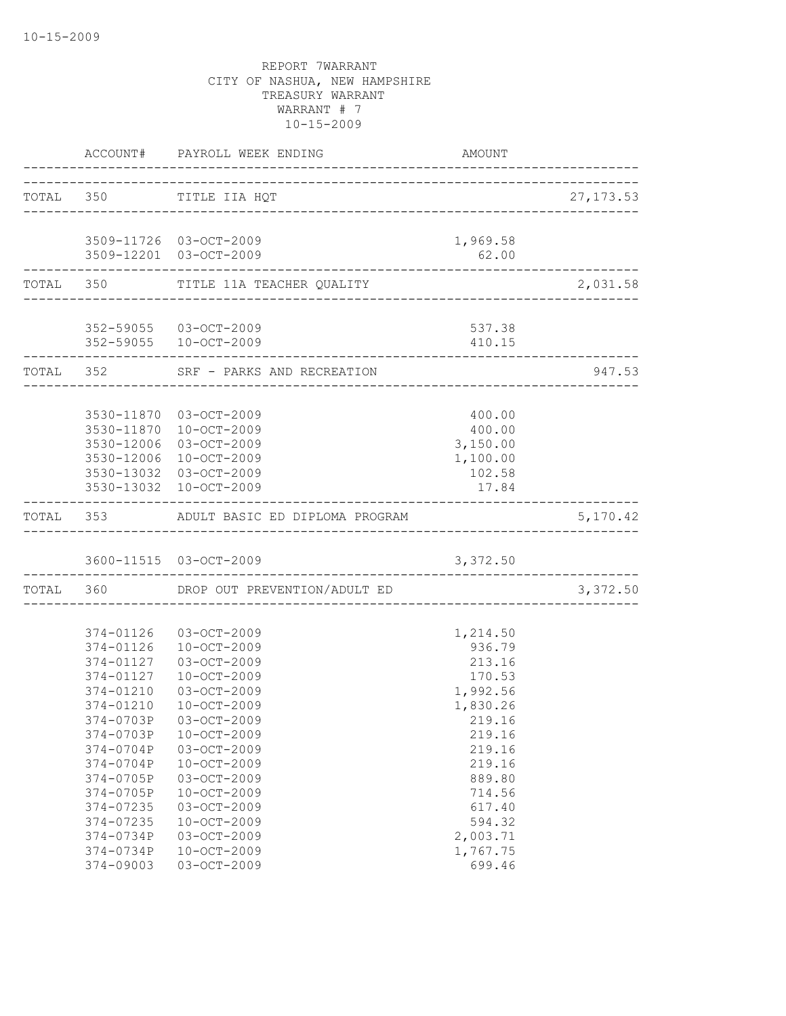|                                       | <b>AMOUNT</b><br>ACCOUNT# PAYROLL WEEK ENDING   |                                      |            |
|---------------------------------------|-------------------------------------------------|--------------------------------------|------------|
| ____________________                  | TOTAL 350 TITLE IIA HQT                         |                                      | 27, 173.53 |
|                                       | 3509-11726 03-OCT-2009                          | 1,969.58                             |            |
|                                       | 3509-12201 03-OCT-2009                          | 62.00                                |            |
|                                       | TOTAL 350 TITLE 11A TEACHER QUALITY             |                                      | 2,031.58   |
|                                       | 352-59055 03-OCT-2009                           | 537.38                               |            |
|                                       | 352-59055 10-OCT-2009                           | 410.15                               |            |
| . _ _ _ _ _ _ _ _ _ _ _ _ _ _ _ _ _ _ | TOTAL 352 SRF - PARKS AND RECREATION            |                                      | 947.53     |
|                                       | 3530-11870 03-OCT-2009                          | 400.00                               |            |
|                                       | 3530-11870 10-OCT-2009                          | 400.00                               |            |
|                                       | 3530-12006 03-OCT-2009                          | 3,150.00                             |            |
|                                       | 3530-12006 10-OCT-2009                          | 1,100.00                             |            |
|                                       | 3530-13032 03-OCT-2009                          | 102.58                               |            |
|                                       | 3530-13032 10-OCT-2009                          | 17.84<br>___________________________ |            |
|                                       | TOTAL 353 ADULT BASIC ED DIPLOMA PROGRAM        |                                      | 5,170.42   |
|                                       | 3600-11515 03-OCT-2009                          | 3,372.50                             |            |
|                                       | TOTAL 360 DROP OUT PREVENTION/ADULT ED          |                                      | 3,372.50   |
|                                       |                                                 |                                      |            |
|                                       | 374-01126 03-OCT-2009                           | 1,214.50                             |            |
|                                       | 374-01126 10-OCT-2009<br>374-01127  03-OCT-2009 | 936.79<br>213.16                     |            |
| 374-01127                             | 10-OCT-2009                                     | 170.53                               |            |
| 374-01210                             | 03-OCT-2009                                     | 1,992.56                             |            |
| 374-01210                             | $10 - OCT - 2009$                               | 1,830.26                             |            |
| 374-0703P                             | 03-OCT-2009                                     | 219.16                               |            |
| 374-0703P                             | $10 - OCT - 2009$                               | 219.16                               |            |
| 374-0704P                             | 03-OCT-2009                                     | 219.16                               |            |
| 374-0704P                             | $10 - OCT - 2009$                               | 219.16                               |            |
| 374-0705P                             | 03-OCT-2009                                     | 889.80                               |            |
| 374-0705P                             | $10 - OCT - 2009$                               | 714.56                               |            |
| 374-07235                             | 03-OCT-2009                                     | 617.40                               |            |
| 374-07235                             | $10 - OCT - 2009$                               | 594.32                               |            |
| 374-0734P                             | 03-OCT-2009                                     | 2,003.71                             |            |
| 374-0734P                             | $10 - OCT - 2009$                               | 1,767.75                             |            |
| 374-09003                             | 03-OCT-2009                                     | 699.46                               |            |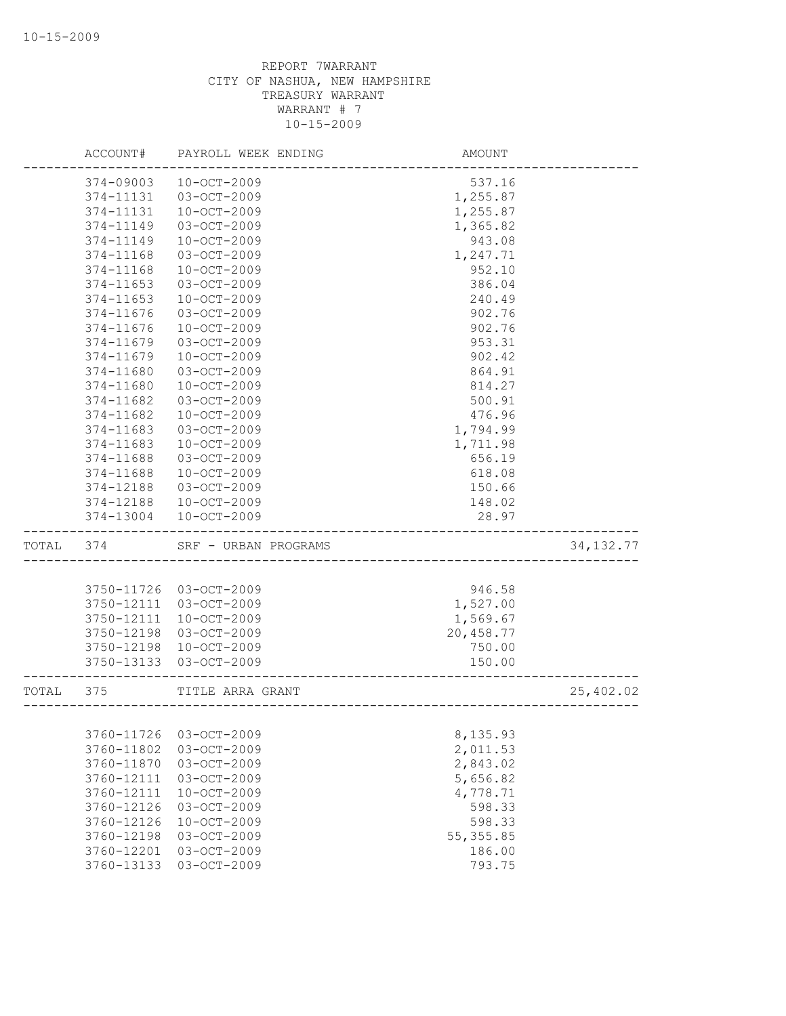|       | ACCOUNT#   | PAYROLL WEEK ENDING  | AMOUNT                  |             |
|-------|------------|----------------------|-------------------------|-------------|
|       | 374-09003  | $10 - OCT - 2009$    | 537.16                  |             |
|       | 374-11131  | 03-OCT-2009          | 1,255.87                |             |
|       | 374-11131  | $10 - OCT - 2009$    | 1,255.87                |             |
|       | 374-11149  | 03-OCT-2009          | 1,365.82                |             |
|       | 374-11149  | $10 - OCT - 2009$    | 943.08                  |             |
|       | 374-11168  | 03-OCT-2009          | 1,247.71                |             |
|       | 374-11168  | $10 - OCT - 2009$    | 952.10                  |             |
|       | 374-11653  | 03-OCT-2009          | 386.04                  |             |
|       | 374-11653  | $10 - OCT - 2009$    | 240.49                  |             |
|       | 374-11676  | 03-OCT-2009          | 902.76                  |             |
|       | 374-11676  | $10 - OCT - 2009$    | 902.76                  |             |
|       | 374-11679  | 03-OCT-2009          | 953.31                  |             |
|       | 374-11679  | $10 - OCT - 2009$    | 902.42                  |             |
|       | 374-11680  | 03-OCT-2009          | 864.91                  |             |
|       | 374-11680  | $10 - OCT - 2009$    | 814.27                  |             |
|       | 374-11682  | 03-OCT-2009          | 500.91                  |             |
|       | 374-11682  | $10 - OCT - 2009$    | 476.96                  |             |
|       | 374-11683  | $03 - OCT - 2009$    | 1,794.99                |             |
|       | 374-11683  | $10 - OCT - 2009$    | 1,711.98                |             |
|       | 374-11688  | 03-OCT-2009          | 656.19                  |             |
|       | 374-11688  | $10 - OCT - 2009$    | 618.08                  |             |
|       | 374-12188  | 03-OCT-2009          | 150.66                  |             |
|       | 374-12188  | $10 - OCT - 2009$    | 148.02                  |             |
|       | 374-13004  | 10-OCT-2009          | 28.97                   |             |
| TOTAL | 374        | SRF - URBAN PROGRAMS |                         | 34, 132. 77 |
|       |            |                      |                         |             |
|       | 3750-11726 | $03 - OCT - 2009$    | 946.58                  |             |
|       | 3750-12111 | 03-OCT-2009          | 1,527.00                |             |
|       | 3750-12111 | $10 - OCT - 2009$    | 1,569.67                |             |
|       | 3750-12198 | 03-OCT-2009          | 20,458.77               |             |
|       | 3750-12198 | 10-OCT-2009          | 750.00                  |             |
|       | 3750-13133 | 03-OCT-2009          | 150.00                  |             |
| TOTAL | 375        | TITLE ARRA GRANT     | _______________________ | 25,402.02   |
|       |            |                      |                         |             |
|       | 3760-11726 | 03-OCT-2009          | 8,135.93                |             |
|       | 3760-11802 | 03-OCT-2009          | 2,011.53                |             |
|       | 3760-11870 | 03-OCT-2009          | 2,843.02                |             |
|       | 3760-12111 | 03-OCT-2009          | 5,656.82                |             |
|       | 3760-12111 | $10 - OCT - 2009$    | 4,778.71                |             |
|       | 3760-12126 | 03-OCT-2009          | 598.33                  |             |
|       | 3760-12126 | $10 - OCT - 2009$    | 598.33                  |             |
|       | 3760-12198 | $03 - OCT - 2009$    | 55, 355.85              |             |
|       | 3760-12201 | $03 - OCT - 2009$    | 186.00                  |             |
|       | 3760-13133 | 03-OCT-2009          | 793.75                  |             |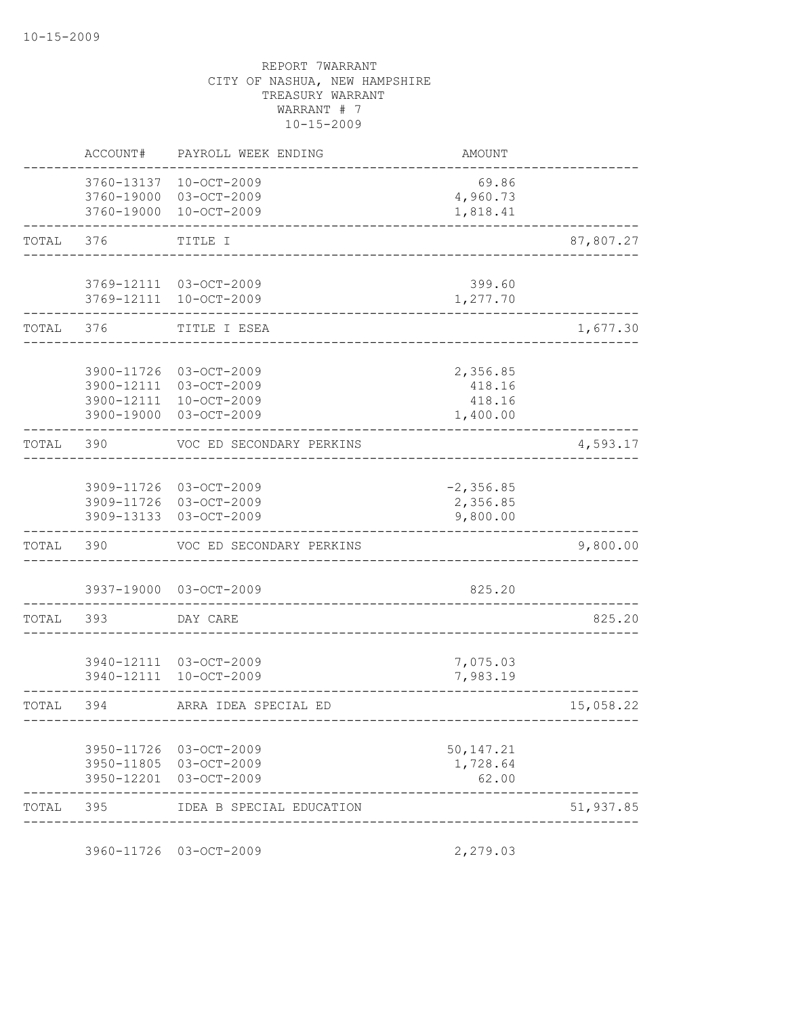|       | ACCOUNT#                               | PAYROLL WEEK ENDING                                                        | <b>AMOUNT</b>                            |           |
|-------|----------------------------------------|----------------------------------------------------------------------------|------------------------------------------|-----------|
|       | 3760-13137<br>3760-19000               | $10 - OCT - 2009$<br>3760-19000 03-OCT-2009<br>$10 - OCT - 2009$           | 69.86<br>4,960.73<br>1,818.41            |           |
| TOTAL | 376                                    | TITLE I                                                                    |                                          | 87,807.27 |
|       |                                        | 3769-12111 03-OCT-2009<br>3769-12111 10-OCT-2009                           | 399.60<br>1,277.70                       |           |
| TOTAL | 376                                    | TITLE I ESEA                                                               |                                          | 1,677.30  |
|       | 3900-11726<br>3900-12111<br>3900-19000 | 03-OCT-2009<br>03-OCT-2009<br>3900-12111 10-OCT-2009<br>03-OCT-2009        | 2,356.85<br>418.16<br>418.16<br>1,400.00 |           |
| TOTAL | 390                                    | VOC ED SECONDARY PERKINS                                                   |                                          | 4,593.17  |
|       | 3909-13133                             | 3909-11726 03-OCT-2009<br>3909-11726 03-OCT-2009<br>03-OCT-2009            | $-2, 356.85$<br>2,356.85<br>9,800.00     |           |
| TOTAL | 390                                    | VOC ED SECONDARY PERKINS                                                   |                                          | 9,800.00  |
|       | 3937-19000                             | 03-OCT-2009                                                                | 825.20                                   |           |
| TOTAL | 393                                    | DAY CARE                                                                   |                                          | 825.20    |
|       | 3940-12111                             | 3940-12111 03-OCT-2009<br>$10 - OCT - 2009$                                | 7,075.03<br>7,983.19                     |           |
| TOTAL | 394                                    | ARRA IDEA SPECIAL ED                                                       | __________________                       | 15,058.22 |
|       |                                        | 3950-11726 03-OCT-2009<br>3950-11805 03-OCT-2009<br>3950-12201 03-OCT-2009 | 50, 147.21<br>1,728.64<br>62.00          |           |
| TOTAL | 395                                    | IDEA B SPECIAL EDUCATION                                                   |                                          | 51,937.85 |

3960-11726 03-OCT-2009 2,279.03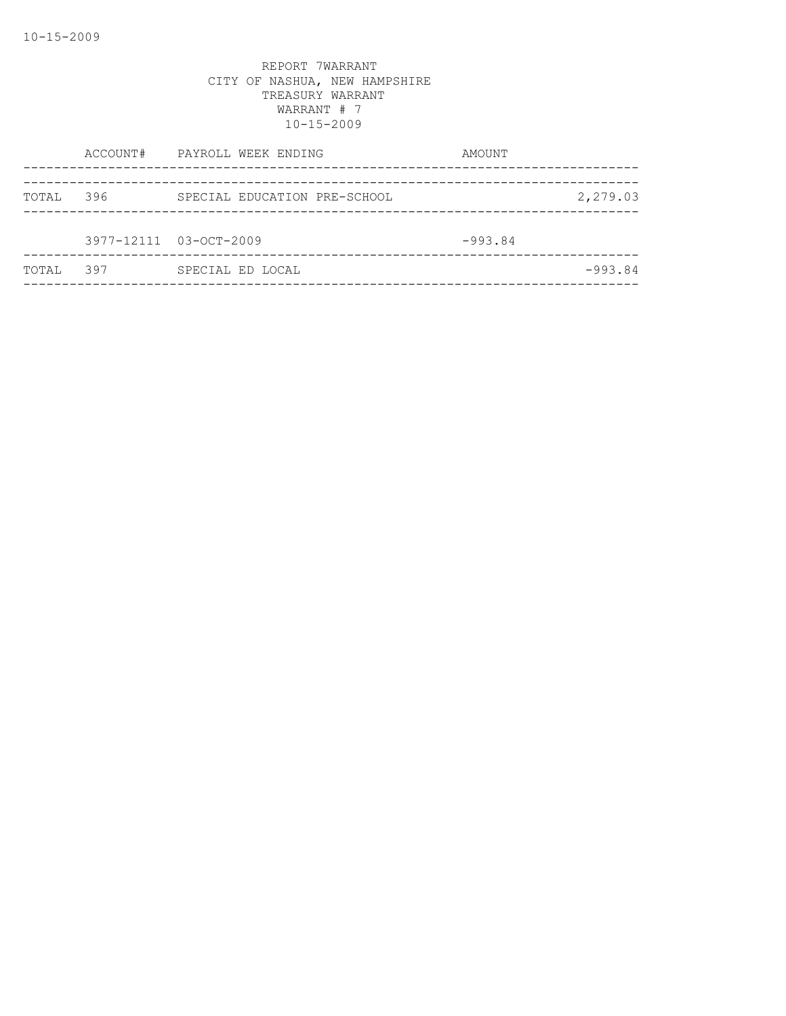|       |     | ACCOUNT# PAYROLL WEEK ENDING | AMOUNT    |           |
|-------|-----|------------------------------|-----------|-----------|
| TOTAL | 396 | SPECIAL EDUCATION PRE-SCHOOL |           | 2,279.03  |
|       |     | 3977-12111 03-OCT-2009       | $-993.84$ |           |
| TOTAL | 397 | SPECIAL ED LOCAL             |           | $-993.84$ |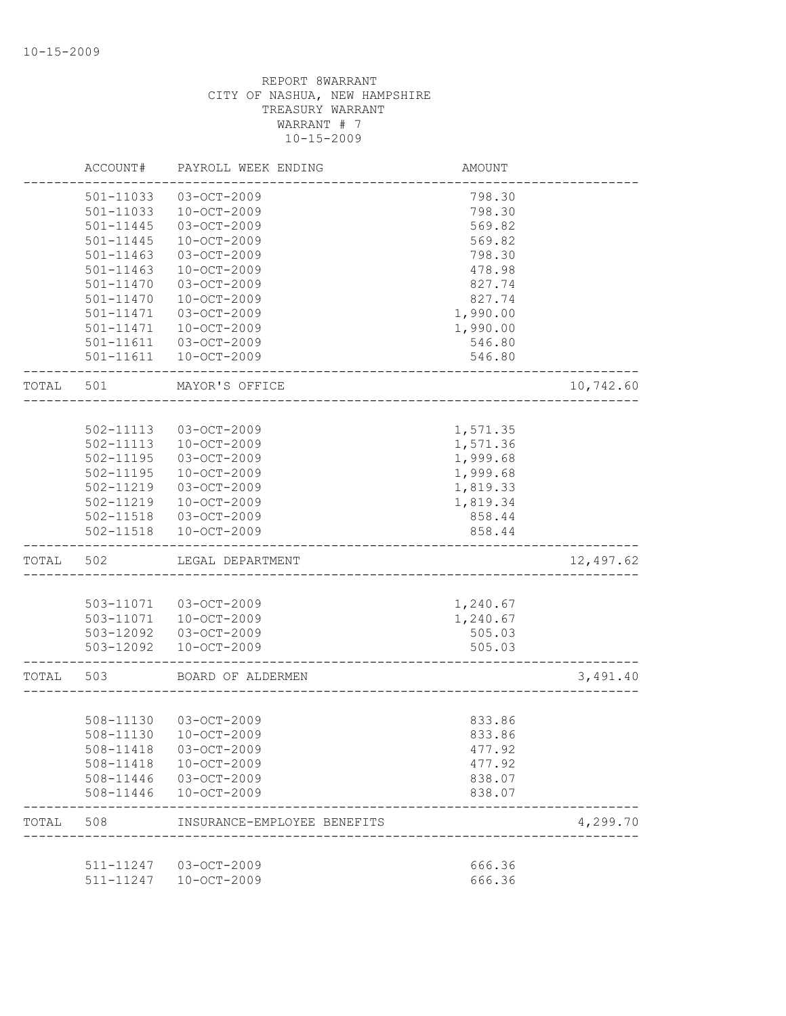|       | ACCOUNT#      | PAYROLL WEEK ENDING         | AMOUNT   |           |
|-------|---------------|-----------------------------|----------|-----------|
|       | 501-11033     | $03 - OCT - 2009$           | 798.30   |           |
|       | 501-11033     | 10-OCT-2009                 | 798.30   |           |
|       | 501-11445     | 03-OCT-2009                 | 569.82   |           |
|       | $501 - 11445$ | 10-OCT-2009                 | 569.82   |           |
|       | 501-11463     | 03-OCT-2009                 | 798.30   |           |
|       | $501 - 11463$ | $10 - OCT - 2009$           | 478.98   |           |
|       | 501-11470     | 03-OCT-2009                 | 827.74   |           |
|       | 501-11470     | 10-OCT-2009                 | 827.74   |           |
|       | $501 - 11471$ | 03-OCT-2009                 | 1,990.00 |           |
|       | $501 - 11471$ | 10-OCT-2009                 | 1,990.00 |           |
|       | 501-11611     | 03-OCT-2009                 | 546.80   |           |
|       | 501-11611     | $10 - OCT - 2009$           | 546.80   |           |
| TOTAL | 501           | MAYOR'S OFFICE              |          | 10,742.60 |
|       |               |                             |          |           |
|       | 502-11113     | $03 - OCT - 2009$           | 1,571.35 |           |
|       | 502-11113     | 10-OCT-2009                 | 1,571.36 |           |
|       | 502-11195     | 03-OCT-2009                 | 1,999.68 |           |
|       | 502-11195     | 10-OCT-2009                 | 1,999.68 |           |
|       | 502-11219     | 03-OCT-2009                 | 1,819.33 |           |
|       | 502-11219     | $10-OCT-2009$               | 1,819.34 |           |
|       | 502-11518     | 03-OCT-2009                 | 858.44   |           |
|       | 502-11518     | $10 - OCT - 2009$           | 858.44   |           |
| TOTAL | 502           | LEGAL DEPARTMENT            |          | 12,497.62 |
|       |               |                             |          |           |
|       | 503-11071     | 03-OCT-2009                 | 1,240.67 |           |
|       | 503-11071     | $10-0CT-2009$               | 1,240.67 |           |
|       | 503-12092     | 03-OCT-2009                 | 505.03   |           |
|       | 503-12092     | 10-OCT-2009                 | 505.03   |           |
| TOTAL | 503           | BOARD OF ALDERMEN           |          | 3,491.40  |
|       |               |                             |          |           |
|       | 508-11130     | 03-OCT-2009                 | 833.86   |           |
|       | 508-11130     | $10 - OCT - 2009$           | 833.86   |           |
|       | 508-11418     | 03-OCT-2009                 | 477.92   |           |
|       | 508-11418     | 10-OCT-2009                 | 477.92   |           |
|       | 508-11446     | 03-OCT-2009                 | 838.07   |           |
|       | 508-11446     | $10 - OCT - 2009$           | 838.07   |           |
| TOTAL | 508           | INSURANCE-EMPLOYEE BENEFITS |          | 4,299.70  |
|       |               |                             |          |           |
|       | 511-11247     | 03-OCT-2009                 | 666.36   |           |
|       | 511-11247     | $10 - OCT - 2009$           | 666.36   |           |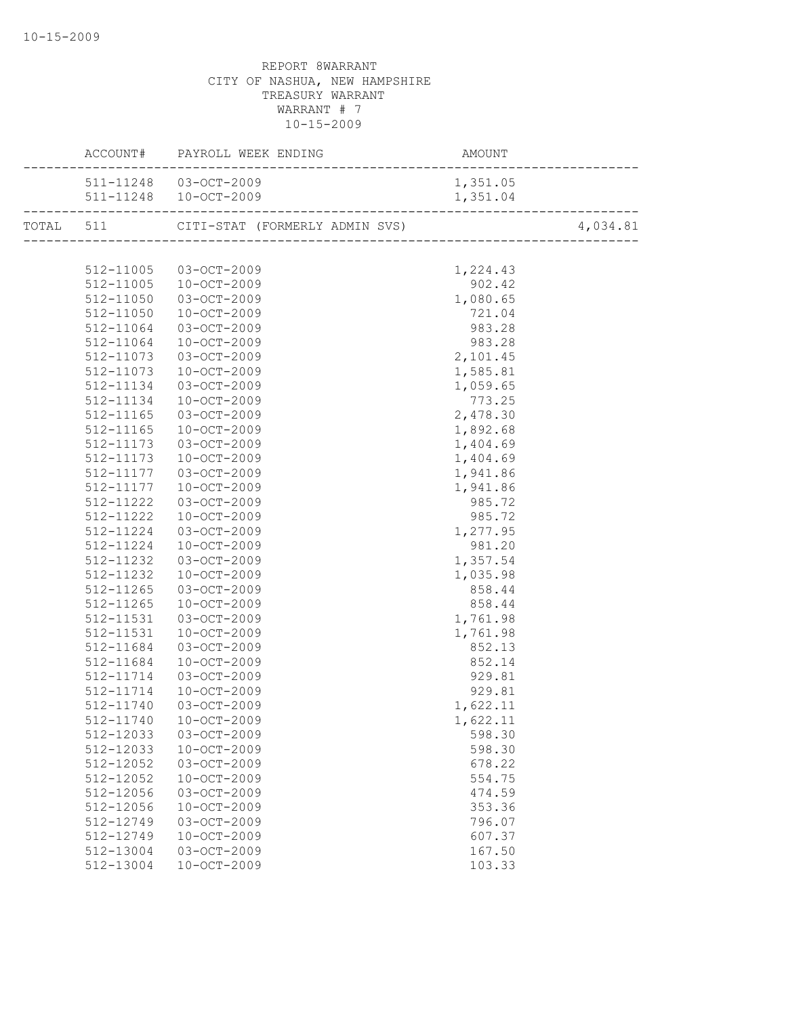|           | ACCOUNT# PAYROLL WEEK ENDING             |          |          |
|-----------|------------------------------------------|----------|----------|
|           | 511-11248 03-OCT-2009                    | 1,351.05 |          |
|           |                                          |          |          |
|           | TOTAL 511 CITI-STAT (FORMERLY ADMIN SVS) |          | 4,034.81 |
|           |                                          |          |          |
|           | 512-11005 03-OCT-2009                    | 1,224.43 |          |
| 512-11005 | 10-OCT-2009                              | 902.42   |          |
| 512-11050 | $03 - OCT - 2009$                        | 1,080.65 |          |
| 512-11050 | 10-OCT-2009                              | 721.04   |          |
| 512-11064 | 03-OCT-2009                              | 983.28   |          |
| 512-11064 | 10-OCT-2009                              | 983.28   |          |
| 512-11073 | 03-OCT-2009                              | 2,101.45 |          |
| 512-11073 | 10-OCT-2009                              | 1,585.81 |          |
| 512-11134 | 03-OCT-2009                              | 1,059.65 |          |
| 512-11134 | 10-OCT-2009                              | 773.25   |          |
| 512-11165 | 03-OCT-2009                              | 2,478.30 |          |
| 512-11165 | 10-OCT-2009                              | 1,892.68 |          |
| 512-11173 | 03-OCT-2009                              | 1,404.69 |          |
| 512-11173 | 10-OCT-2009                              | 1,404.69 |          |
| 512-11177 | 03-OCT-2009                              | 1,941.86 |          |
| 512-11177 | 10-OCT-2009                              | 1,941.86 |          |
| 512-11222 | 03-OCT-2009                              | 985.72   |          |
| 512-11222 | 10-OCT-2009                              | 985.72   |          |
| 512-11224 | 03-OCT-2009                              | 1,277.95 |          |
| 512-11224 | 10-OCT-2009                              | 981.20   |          |
| 512-11232 | 03-OCT-2009                              | 1,357.54 |          |
| 512-11232 | 10-OCT-2009                              | 1,035.98 |          |
| 512-11265 | 03-OCT-2009                              | 858.44   |          |
| 512-11265 | 10-OCT-2009                              | 858.44   |          |
| 512-11531 | 03-OCT-2009                              | 1,761.98 |          |
| 512-11531 | 10-OCT-2009                              | 1,761.98 |          |
| 512-11684 | 03-OCT-2009                              | 852.13   |          |
| 512-11684 | 10-OCT-2009                              | 852.14   |          |
| 512-11714 | 03-OCT-2009                              | 929.81   |          |
| 512-11714 | 10-OCT-2009                              | 929.81   |          |
| 512-11740 | $03 - OCT - 2009$                        | 1,622.11 |          |
|           | 512-11740 10-OCT-2009                    | 1,622.11 |          |
| 512-12033 | $03 - OCT - 2009$                        | 598.30   |          |
| 512-12033 | 10-OCT-2009                              | 598.30   |          |
| 512-12052 | 03-OCT-2009                              | 678.22   |          |
| 512-12052 | $10 - OCT - 2009$                        | 554.75   |          |
| 512-12056 | 03-OCT-2009                              | 474.59   |          |
| 512-12056 | $10 - OCT - 2009$                        | 353.36   |          |
| 512-12749 | 03-OCT-2009                              | 796.07   |          |
| 512-12749 | $10 - OCT - 2009$                        | 607.37   |          |
| 512-13004 | $03 - OCT - 2009$                        | 167.50   |          |
| 512-13004 | $10 - OCT - 2009$                        | 103.33   |          |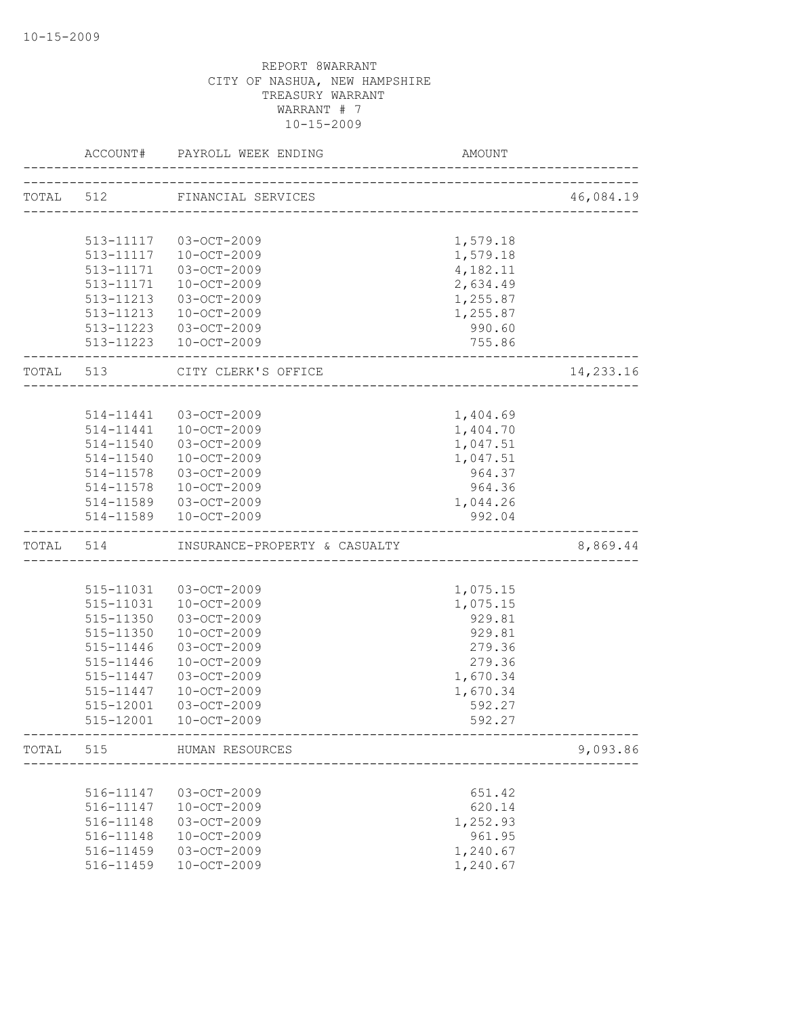|           | ACCOUNT#  | PAYROLL WEEK ENDING<br>____________________ | AMOUNT   |           |
|-----------|-----------|---------------------------------------------|----------|-----------|
|           |           | TOTAL 512 FINANCIAL SERVICES                |          | 46,084.19 |
|           |           |                                             |          |           |
|           |           |                                             |          |           |
|           |           | 513-11117 03-OCT-2009                       | 1,579.18 |           |
|           | 513-11117 | $10 - OCT - 2009$                           | 1,579.18 |           |
|           | 513-11171 | 03-OCT-2009                                 | 4,182.11 |           |
|           | 513-11171 | 10-OCT-2009                                 | 2,634.49 |           |
|           | 513-11213 | 03-OCT-2009                                 | 1,255.87 |           |
|           | 513-11213 | 10-OCT-2009                                 | 1,255.87 |           |
|           |           | 513-11223 03-OCT-2009                       | 990.60   |           |
|           |           | 513-11223  10-OCT-2009                      | 755.86   |           |
| TOTAL 513 |           | CITY CLERK'S OFFICE                         |          | 14,233.16 |
|           |           |                                             |          |           |
|           | 514-11441 | 03-OCT-2009                                 | 1,404.69 |           |
|           |           | 514-11441  10-OCT-2009                      | 1,404.70 |           |
|           | 514-11540 | $03 - OCT - 2009$                           | 1,047.51 |           |
|           | 514-11540 | 10-OCT-2009                                 | 1,047.51 |           |
|           | 514-11578 | 03-OCT-2009                                 | 964.37   |           |
|           | 514-11578 | 10-OCT-2009                                 | 964.36   |           |
|           | 514-11589 | 03-OCT-2009                                 | 1,044.26 |           |
|           | 514-11589 | 10-OCT-2009                                 | 992.04   |           |
|           | TOTAL 514 | INSURANCE-PROPERTY & CASUALTY               |          | 8,869.44  |
|           |           |                                             |          |           |
|           | 515-11031 | 03-OCT-2009                                 | 1,075.15 |           |
|           | 515-11031 | 10-OCT-2009                                 | 1,075.15 |           |
|           | 515-11350 | 03-OCT-2009                                 | 929.81   |           |
|           | 515-11350 | $10 - OCT - 2009$                           | 929.81   |           |
|           | 515-11446 | 03-OCT-2009                                 | 279.36   |           |
|           | 515-11446 | $10-0CT-2009$                               | 279.36   |           |
|           | 515-11447 | 03-OCT-2009                                 | 1,670.34 |           |
|           | 515-11447 | $10 - OCT - 2009$                           | 1,670.34 |           |
|           | 515-12001 | 03-OCT-2009                                 | 592.27   |           |
|           | 515-12001 | $10 - OCT - 2009$                           | 592.27   |           |
| TOTAL     | 515       | HUMAN RESOURCES                             |          | 9,093.86  |
|           |           |                                             |          |           |
|           | 516-11147 | 03-OCT-2009                                 | 651.42   |           |
|           | 516-11147 | 10-OCT-2009                                 | 620.14   |           |
|           | 516-11148 | 03-OCT-2009                                 | 1,252.93 |           |
|           | 516-11148 | 10-OCT-2009                                 | 961.95   |           |
|           | 516-11459 | 03-OCT-2009                                 | 1,240.67 |           |
|           | 516-11459 | 10-OCT-2009                                 | 1,240.67 |           |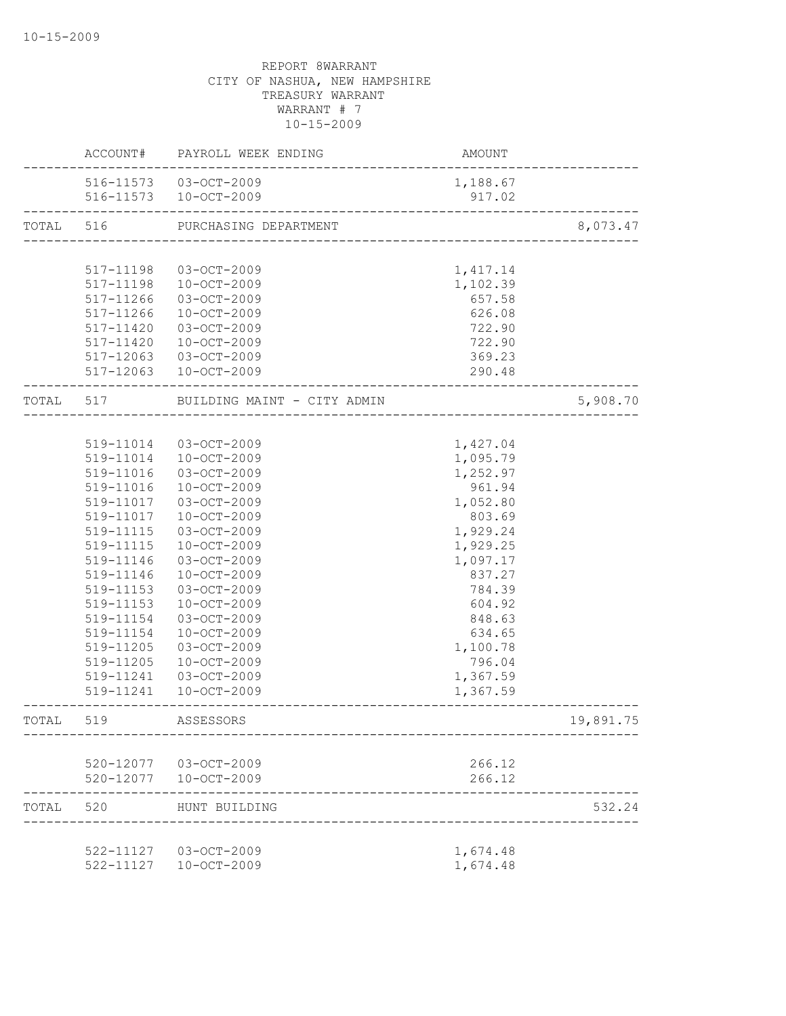|           | ACCOUNT#      | PAYROLL WEEK ENDING                             | AMOUNT                                 |           |
|-----------|---------------|-------------------------------------------------|----------------------------------------|-----------|
|           |               | 516-11573 03-OCT-2009<br>516-11573  10-OCT-2009 | 1,188.67<br>917.02                     |           |
| TOTAL     | 516           | PURCHASING DEPARTMENT                           | -<br>--------------------------------- | 8,073.47  |
|           |               |                                                 |                                        |           |
|           | 517-11198     | 03-OCT-2009                                     | 1, 417.14                              |           |
|           | 517-11198     | $10 - OCT - 2009$                               | 1,102.39                               |           |
|           | 517-11266     | 03-OCT-2009                                     | 657.58                                 |           |
|           | $517 - 11266$ | 10-OCT-2009                                     | 626.08                                 |           |
|           | 517-11420     | 03-OCT-2009                                     | 722.90                                 |           |
|           | 517-11420     | 10-OCT-2009                                     | 722.90                                 |           |
|           | 517-12063     | 03-OCT-2009                                     | 369.23                                 |           |
|           |               | 517-12063 10-OCT-2009                           | 290.48                                 |           |
| TOTAL 517 |               | BUILDING MAINT - CITY ADMIN                     |                                        | 5,908.70  |
|           |               |                                                 |                                        |           |
|           | 519-11014     | 03-OCT-2009                                     | 1,427.04                               |           |
|           | 519-11014     | 10-OCT-2009                                     | 1,095.79                               |           |
|           | 519-11016     | 03-OCT-2009                                     | 1,252.97                               |           |
|           | 519-11016     | 10-OCT-2009                                     | 961.94                                 |           |
|           | 519-11017     | 03-OCT-2009                                     | 1,052.80                               |           |
|           | 519-11017     | 10-OCT-2009                                     | 803.69                                 |           |
|           | 519-11115     | 03-OCT-2009                                     | 1,929.24                               |           |
|           | 519-11115     | 10-OCT-2009                                     | 1,929.25                               |           |
|           | 519-11146     | $03 - OCT - 2009$                               | 1,097.17                               |           |
|           | 519-11146     | $10 - OCT - 2009$                               | 837.27                                 |           |
|           | 519-11153     | 03-OCT-2009                                     | 784.39                                 |           |
|           | 519-11153     | $10-0CT-2009$                                   | 604.92                                 |           |
|           | 519-11154     | 03-OCT-2009                                     | 848.63                                 |           |
|           | 519-11154     | $10-0CT-2009$                                   | 634.65                                 |           |
|           | 519-11205     | 03-OCT-2009                                     | 1,100.78                               |           |
|           | 519-11205     | $10 - OCT - 2009$                               | 796.04                                 |           |
|           | 519-11241     | 03-OCT-2009                                     | 1,367.59                               |           |
|           | 519-11241     | $10-0CT-2009$                                   | 1,367.59                               |           |
| TOTAL     | 519           | ASSESSORS                                       |                                        | 19,891.75 |
|           |               |                                                 |                                        |           |
|           |               | 520-12077 03-OCT-2009                           | 266.12                                 |           |
|           |               | 520-12077  10-OCT-2009                          | 266.12                                 |           |
| TOTAL     | 520           | HUNT BUILDING                                   |                                        | 532.24    |
|           |               | 522-11127 03-OCT-2009                           | 1,674.48                               |           |
|           |               | 522-11127  10-OCT-2009                          | 1,674.48                               |           |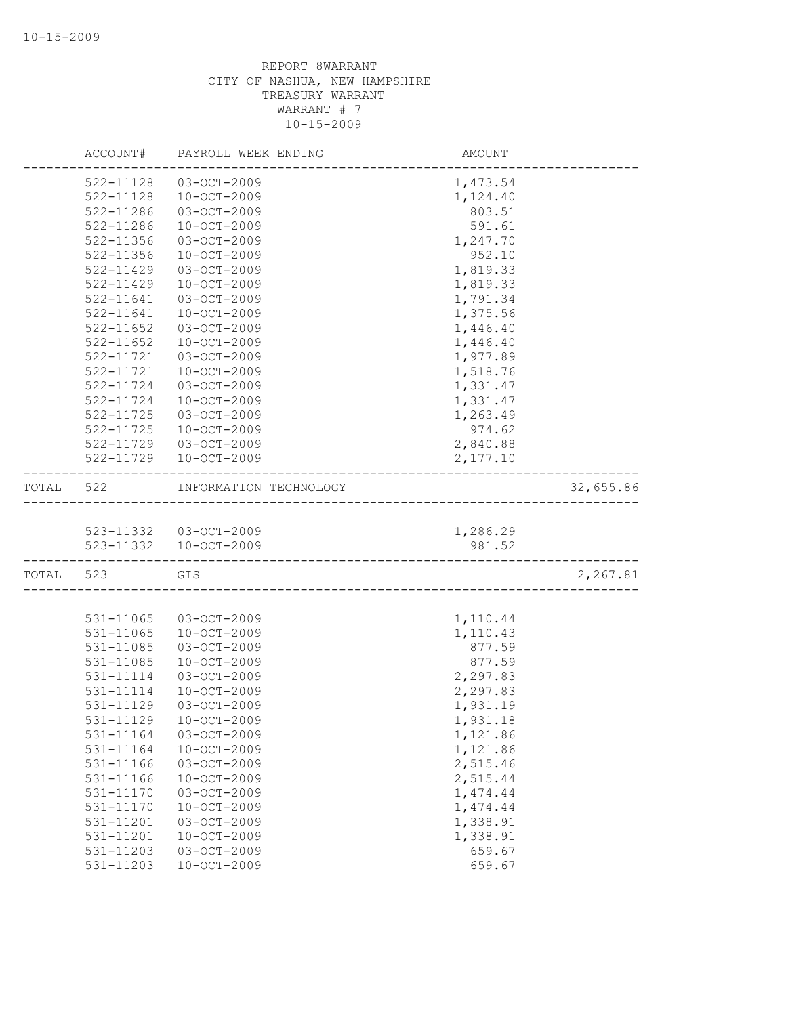|       | ACCOUNT#      | PAYROLL WEEK ENDING                            | AMOUNT             |           |
|-------|---------------|------------------------------------------------|--------------------|-----------|
|       | 522-11128     | 03-OCT-2009                                    | 1,473.54           |           |
|       | 522-11128     | $10 - OCT - 2009$                              | 1,124.40           |           |
|       | 522-11286     | 03-OCT-2009                                    | 803.51             |           |
|       | 522-11286     | $10 - OCT - 2009$                              | 591.61             |           |
|       | 522-11356     | 03-OCT-2009                                    | 1,247.70           |           |
|       | 522-11356     | $10 - OCT - 2009$                              | 952.10             |           |
|       | 522-11429     | 03-OCT-2009                                    | 1,819.33           |           |
|       | $522 - 11429$ | $10 - OCT - 2009$                              | 1,819.33           |           |
|       | 522-11641     | $03 - OCT - 2009$                              | 1,791.34           |           |
|       | 522-11641     | $10 - OCT - 2009$                              | 1,375.56           |           |
|       | $522 - 11652$ | 03-OCT-2009                                    | 1,446.40           |           |
|       | 522-11652     | 10-OCT-2009                                    | 1,446.40           |           |
|       | 522-11721     | 03-OCT-2009                                    | 1,977.89           |           |
|       | 522-11721     | $10 - OCT - 2009$                              | 1,518.76           |           |
|       | 522-11724     | 03-OCT-2009                                    | 1,331.47           |           |
|       | 522-11724     | 10-OCT-2009                                    | 1,331.47           |           |
|       | 522-11725     | 03-OCT-2009                                    | 1,263.49           |           |
|       | 522-11725     | $10 - OCT - 2009$                              | 974.62             |           |
|       | 522-11729     | $03 - OCT - 2009$                              | 2,840.88           |           |
|       | 522-11729     | 10-OCT-2009                                    | 2,177.10           |           |
| TOTAL | 522           | INFORMATION TECHNOLOGY                         |                    | 32,655.86 |
|       |               |                                                |                    |           |
|       |               |                                                |                    |           |
|       |               | 523-11332 03-OCT-2009<br>523-11332 10-OCT-2009 | 1,286.29<br>981.52 |           |
|       |               |                                                |                    |           |
| TOTAL | 523           | GIS<br>______________________________________  |                    | 2,267.81  |
|       |               |                                                |                    |           |
|       | 531-11065     | 03-OCT-2009                                    | 1,110.44           |           |
|       | 531-11065     | $10 - OCT - 2009$                              | 1,110.43           |           |
|       | 531-11085     | 03-OCT-2009                                    | 877.59             |           |
|       | 531-11085     | 10-OCT-2009                                    | 877.59             |           |
|       | 531-11114     | 03-OCT-2009                                    | 2,297.83           |           |
|       | 531-11114     | $10 - OCT - 2009$                              | 2,297.83           |           |
|       | 531-11129     | $03 - OCT - 2009$                              | 1,931.19           |           |
|       | 531-11129     | $10 - OCT - 2009$                              | 1,931.18           |           |
|       | 531-11164     | $03 - OCT - 2009$                              | 1,121.86           |           |
|       | 531-11164     | $10 - OCT - 2009$                              | 1,121.86           |           |
|       | 531-11166     | 03-OCT-2009                                    | 2,515.46           |           |
|       | 531-11166     | $10 - OCT - 2009$                              | 2,515.44           |           |
|       | 531-11170     | 03-OCT-2009                                    | 1,474.44           |           |
|       | 531-11170     | $10 - OCT - 2009$                              | 1,474.44           |           |
|       | 531-11201     | $03 - OCT - 2009$                              | 1,338.91           |           |
|       | 531-11201     | $10 - OCT - 2009$                              | 1,338.91           |           |
|       | 531-11203     | $03-OCT-2009$                                  | 659.67             |           |
|       | 531-11203     | $10 - OCT - 2009$                              | 659.67             |           |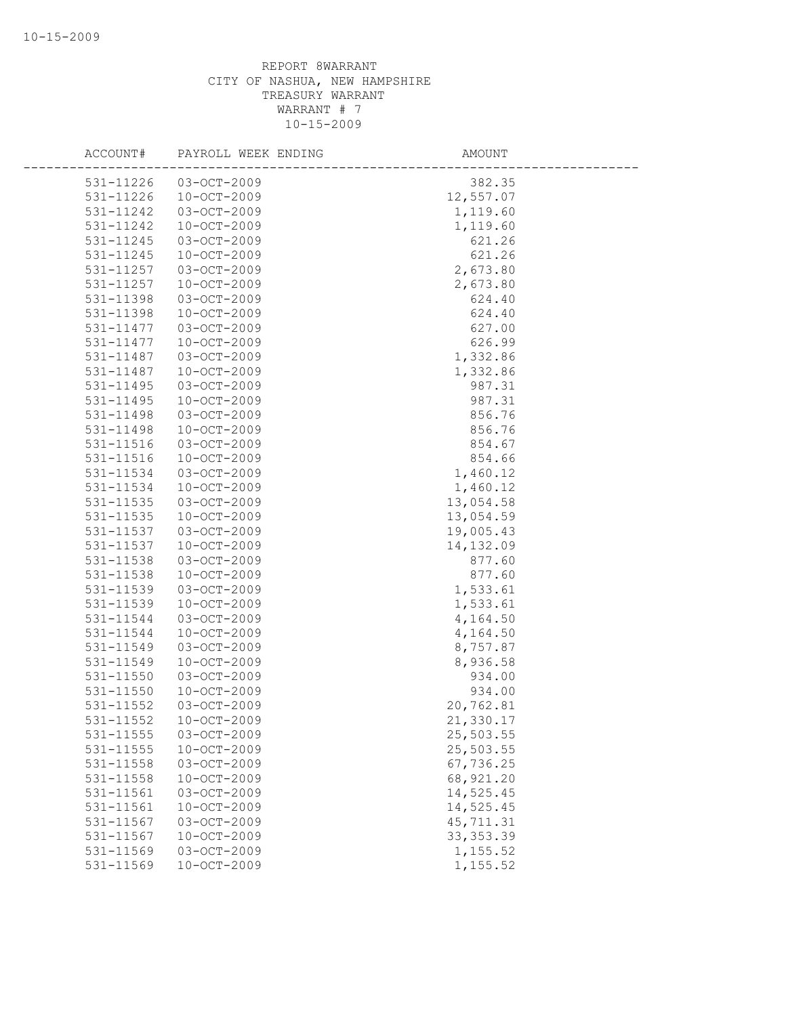| ACCOUNT#               | PAYROLL WEEK ENDING                    | AMOUNT                 |
|------------------------|----------------------------------------|------------------------|
| 531-11226              | $03-OCT-2009$                          | 382.35                 |
| 531-11226              | $10 - OCT - 2009$                      | 12,557.07              |
| 531-11242              | 03-OCT-2009                            | 1,119.60               |
| 531-11242              | $10 - OCT - 2009$                      | 1,119.60               |
| 531-11245              | 03-OCT-2009                            | 621.26                 |
| 531-11245              | $10 - OCT - 2009$                      | 621.26                 |
| 531-11257              | $03-OCT-2009$                          | 2,673.80               |
| 531-11257              | $10 - OCT - 2009$                      | 2,673.80               |
| 531-11398              | 03-OCT-2009                            | 624.40                 |
| 531-11398              | $10 - OCT - 2009$                      | 624.40                 |
| 531-11477              | 03-OCT-2009                            | 627.00                 |
| 531-11477              | $10 - OCT - 2009$                      | 626.99                 |
| 531-11487              | 03-OCT-2009                            | 1,332.86               |
| 531-11487              | $10 - OCT - 2009$                      | 1,332.86               |
| 531-11495              | 03-OCT-2009                            | 987.31                 |
| 531-11495              | $10 - OCT - 2009$                      | 987.31                 |
| 531-11498              | 03-OCT-2009                            | 856.76                 |
| 531-11498              | $10 - OCT - 2009$                      | 856.76                 |
| 531-11516              | 03-OCT-2009                            | 854.67                 |
|                        | $10 - OCT - 2009$                      | 854.66                 |
| 531-11516<br>531-11534 |                                        |                        |
|                        | 03-OCT-2009                            | 1,460.12               |
| 531-11534              | $10 - OCT - 2009$                      | 1,460.12               |
| 531-11535              | 03-OCT-2009                            | 13,054.58              |
| 531-11535              | $10 - OCT - 2009$<br>03-OCT-2009       | 13,054.59              |
| 531-11537<br>531-11537 |                                        | 19,005.43              |
|                        | $10 - OCT - 2009$                      | 14,132.09              |
| 531-11538              | 03-OCT-2009<br>$10 - OCT - 2009$       | 877.60<br>877.60       |
| 531-11538              |                                        |                        |
| 531-11539              | 03-OCT-2009                            | 1,533.61               |
| 531-11539              | $10 - OCT - 2009$                      | 1,533.61               |
| 531-11544              | 03-OCT-2009                            | 4,164.50               |
| 531-11544<br>531-11549 | $10 - OCT - 2009$                      | 4,164.50<br>8,757.87   |
| 531-11549              | 03-OCT-2009<br>$10 - OCT - 2009$       | 8,936.58               |
| 531-11550              | 03-OCT-2009                            |                        |
|                        |                                        | 934.00                 |
| 531-11550              | $10 - OCT - 2009$<br>$03 - OCT - 2009$ | 934.00                 |
| 531-11552              |                                        | 20,762.81              |
| 531-11552              | $10 - OCT - 2009$                      | 21,330.17              |
| 531-11555              | 03-OCT-2009                            | 25,503.55              |
| 531-11555              | $10 - OCT - 2009$                      | 25,503.55              |
| 531-11558              | 03-OCT-2009                            | 67,736.25              |
| 531-11558<br>531-11561 | $10 - OCT - 2009$                      | 68,921.20<br>14,525.45 |
|                        | 03-OCT-2009                            |                        |
| 531-11561              | $10 - OCT - 2009$                      | 14,525.45              |
| 531-11567              | 03-OCT-2009                            | 45, 711.31             |
| 531-11567              | $10 - OCT - 2009$                      | 33, 353.39             |
| 531-11569              | 03-OCT-2009                            | 1,155.52               |
| 531-11569              | $10 - OCT - 2009$                      | 1,155.52               |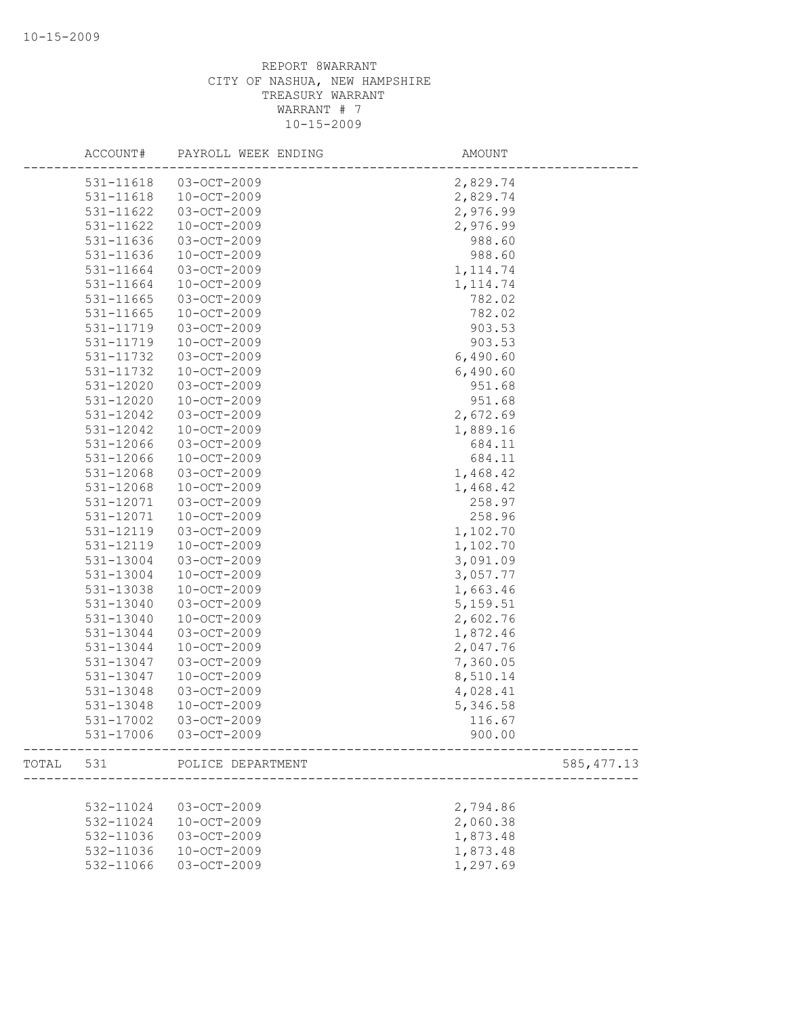|       | ACCOUNT#  | PAYROLL WEEK ENDING | AMOUNT      |
|-------|-----------|---------------------|-------------|
|       | 531-11618 | $03 - OCT - 2009$   | 2,829.74    |
|       | 531-11618 | $10 - OCT - 2009$   | 2,829.74    |
|       | 531-11622 | 03-OCT-2009         | 2,976.99    |
|       | 531-11622 | $10 - OCT - 2009$   | 2,976.99    |
|       | 531-11636 | 03-OCT-2009         | 988.60      |
|       | 531-11636 | 10-OCT-2009         | 988.60      |
|       | 531-11664 | 03-OCT-2009         | 1, 114.74   |
|       | 531-11664 | $10 - OCT - 2009$   | 1, 114.74   |
|       | 531-11665 | 03-OCT-2009         | 782.02      |
|       | 531-11665 | $10 - OCT - 2009$   | 782.02      |
|       | 531-11719 | 03-OCT-2009         | 903.53      |
|       | 531-11719 | $10 - OCT - 2009$   | 903.53      |
|       | 531-11732 | 03-OCT-2009         | 6,490.60    |
|       | 531-11732 | $10 - OCT - 2009$   | 6,490.60    |
|       | 531-12020 | 03-OCT-2009         | 951.68      |
|       | 531-12020 | 10-OCT-2009         | 951.68      |
|       | 531-12042 | 03-OCT-2009         | 2,672.69    |
|       | 531-12042 | $10 - OCT - 2009$   | 1,889.16    |
|       | 531-12066 | $03 - OCT - 2009$   | 684.11      |
|       | 531-12066 | $10 - OCT - 2009$   | 684.11      |
|       | 531-12068 | 03-OCT-2009         | 1,468.42    |
|       | 531-12068 | $10 - OCT - 2009$   | 1,468.42    |
|       | 531-12071 | 03-OCT-2009         | 258.97      |
|       |           |                     | 258.96      |
|       | 531-12071 | 10-OCT-2009         |             |
|       | 531-12119 | 03-OCT-2009         | 1,102.70    |
|       | 531-12119 | $10 - OCT - 2009$   | 1,102.70    |
|       | 531-13004 | 03-OCT-2009         | 3,091.09    |
|       | 531-13004 | $10 - OCT - 2009$   | 3,057.77    |
|       | 531-13038 | 10-OCT-2009         | 1,663.46    |
|       | 531-13040 | 03-OCT-2009         | 5, 159.51   |
|       | 531-13040 | $10 - OCT - 2009$   | 2,602.76    |
|       | 531-13044 | 03-OCT-2009         | 1,872.46    |
|       | 531-13044 | $10 - OCT - 2009$   | 2,047.76    |
|       | 531-13047 | 03-OCT-2009         | 7,360.05    |
|       | 531-13047 | $10 - OCT - 2009$   | 8,510.14    |
|       | 531-13048 | 03-OCT-2009         | 4,028.41    |
|       | 531-13048 | $10 - OCT - 2009$   | 5,346.58    |
|       | 531-17002 | $03 - OCT - 2009$   | 116.67      |
|       | 531-17006 | $03-OCT-2009$       | 900.00      |
| TOTAL | 531       | POLICE DEPARTMENT   | 585, 477.13 |
|       |           |                     |             |
|       | 532-11024 | 03-OCT-2009         | 2,794.86    |
|       | 532-11024 | $10 - OCT - 2009$   | 2,060.38    |
|       | 532-11036 | 03-OCT-2009         | 1,873.48    |
|       | 532-11036 | $10 - OCT - 2009$   | 1,873.48    |
|       | 532-11066 | 03-OCT-2009         | 1,297.69    |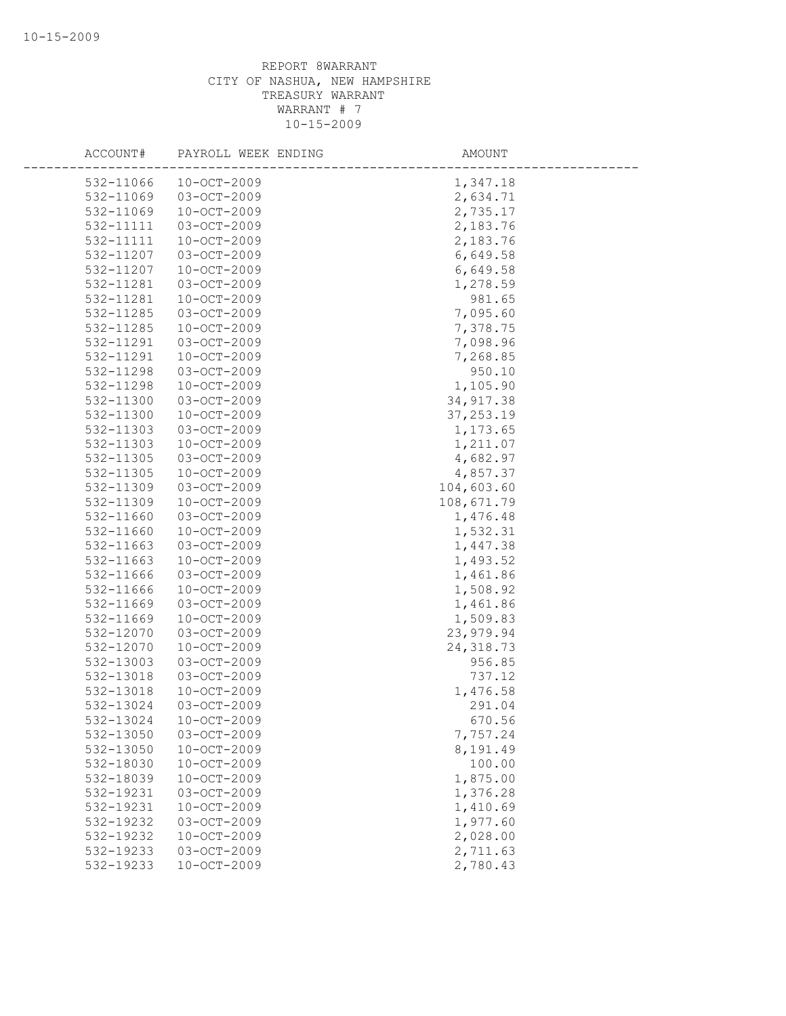| ACCOUNT#  | PAYROLL WEEK ENDING | AMOUNT     |
|-----------|---------------------|------------|
|           |                     |            |
| 532-11066 | $10 - OCT - 2009$   | 1,347.18   |
| 532-11069 | $03 - OCT - 2009$   | 2,634.71   |
| 532-11069 | $10 - OCT - 2009$   | 2,735.17   |
| 532-11111 | 03-OCT-2009         | 2,183.76   |
| 532-11111 | $10 - OCT - 2009$   | 2,183.76   |
| 532-11207 | 03-OCT-2009         | 6,649.58   |
| 532-11207 | $10-OCT-2009$       | 6,649.58   |
| 532-11281 | 03-OCT-2009         | 1,278.59   |
| 532-11281 | 10-OCT-2009         | 981.65     |
| 532-11285 | $03 - OCT - 2009$   | 7,095.60   |
| 532-11285 | 10-OCT-2009         | 7,378.75   |
| 532-11291 | $03 - OCT - 2009$   | 7,098.96   |
| 532-11291 | $10 - OCT - 2009$   | 7,268.85   |
| 532-11298 | 03-OCT-2009         | 950.10     |
| 532-11298 | 10-OCT-2009         | 1,105.90   |
| 532-11300 | 03-OCT-2009         | 34, 917.38 |
| 532-11300 | $10 - OCT - 2009$   | 37, 253.19 |
| 532-11303 | 03-OCT-2009         | 1,173.65   |
| 532-11303 | $10 - OCT - 2009$   | 1,211.07   |
| 532-11305 | 03-OCT-2009         | 4,682.97   |
| 532-11305 | $10 - OCT - 2009$   | 4,857.37   |
| 532-11309 | 03-OCT-2009         | 104,603.60 |
| 532-11309 | $10 - OCT - 2009$   | 108,671.79 |
| 532-11660 | 03-OCT-2009         | 1,476.48   |
| 532-11660 | $10 - OCT - 2009$   | 1,532.31   |
| 532-11663 | $03 - OCT - 2009$   | 1,447.38   |
| 532-11663 | $10 - OCT - 2009$   | 1,493.52   |
| 532-11666 | 03-OCT-2009         | 1,461.86   |
| 532-11666 | $10 - OCT - 2009$   | 1,508.92   |
| 532-11669 | 03-OCT-2009         | 1,461.86   |
| 532-11669 | $10 - OCT - 2009$   | 1,509.83   |
| 532-12070 | $03 - OCT - 2009$   | 23,979.94  |
| 532-12070 | $10 - OCT - 2009$   | 24, 318.73 |
| 532-13003 | 03-OCT-2009         | 956.85     |
| 532-13018 | $03 - OCT - 2009$   | 737.12     |
| 532-13018 | $10 - OCT - 2009$   | 1,476.58   |
| 532-13024 | $03 - OCT - 2009$   | 291.04     |
| 532-13024 | $10 - OCT - 2009$   | 670.56     |
| 532-13050 | 03-OCT-2009         | 7,757.24   |
| 532-13050 | $10 - OCT - 2009$   | 8,191.49   |
| 532-18030 | $10 - OCT - 2009$   | 100.00     |
| 532-18039 | $10 - OCT - 2009$   | 1,875.00   |
| 532-19231 | 03-OCT-2009         | 1,376.28   |
| 532-19231 | $10 - OCT - 2009$   | 1,410.69   |
| 532-19232 | 03-OCT-2009         | 1,977.60   |
| 532-19232 | $10 - OCT - 2009$   | 2,028.00   |
| 532-19233 | $03 - OCT - 2009$   | 2,711.63   |
| 532-19233 | $10 - OCT - 2009$   | 2,780.43   |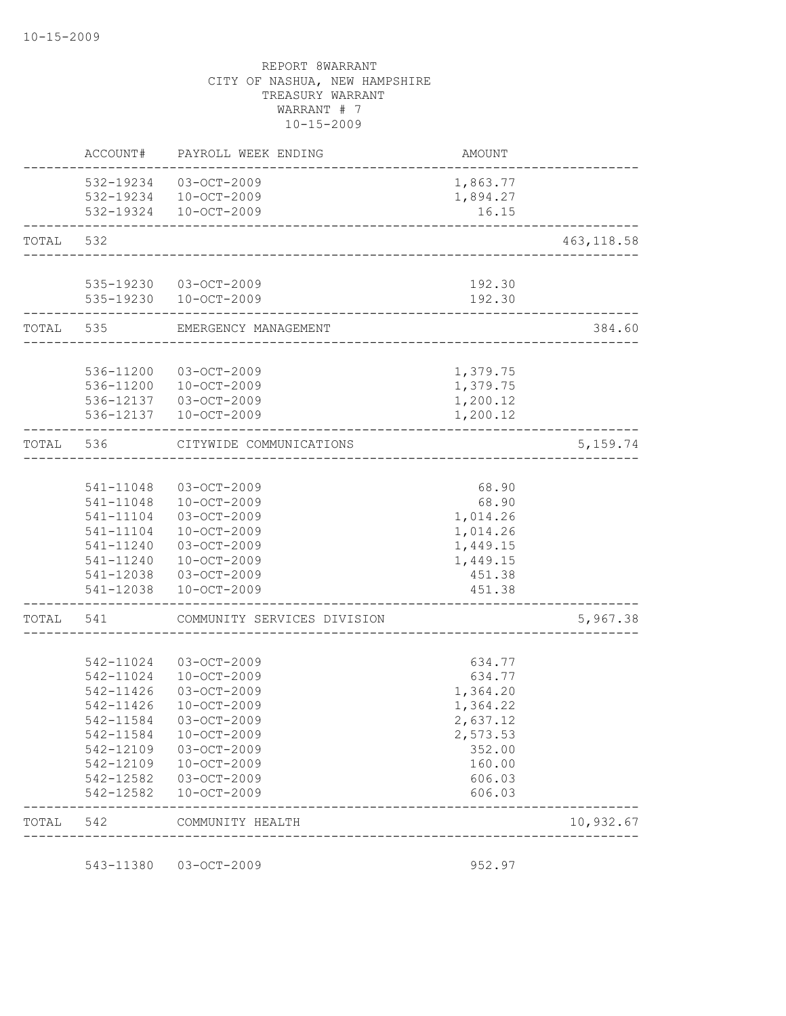|           | 543-11380              | 03-OCT-2009                                              | 952.97                             |             |
|-----------|------------------------|----------------------------------------------------------|------------------------------------|-------------|
| TOTAL     | 542                    | COMMUNITY HEALTH                                         | __________________________________ | 10,932.67   |
|           | 542-12582              | 10-OCT-2009                                              | 606.03                             |             |
|           | 542-12582              | 03-OCT-2009                                              | 606.03                             |             |
|           | 542-12109              | 10-OCT-2009                                              | 160.00                             |             |
|           | 542-12109              | 03-OCT-2009                                              | 352.00                             |             |
|           | 542-11584              | $10 - OCT - 2009$                                        | 2,573.53                           |             |
|           | 542-11584              | 03-OCT-2009                                              | 2,637.12                           |             |
|           | 542-11426              | $10 - OCT - 2009$                                        | 1,364.22                           |             |
|           | 542-11426              | $03 - OCT - 2009$                                        | 1,364.20                           |             |
|           | 542-11024<br>542-11024 | 03-OCT-2009<br>10-OCT-2009                               | 634.77<br>634.77                   |             |
|           |                        |                                                          |                                    |             |
| TOTAL 541 |                        | COMMUNITY SERVICES DIVISION                              |                                    | 5,967.38    |
|           | 541-12038              | $10 - OCT - 2009$                                        | 451.38                             |             |
|           |                        | 541-12038 03-OCT-2009                                    | 451.38                             |             |
|           | 541-11240              | 10-OCT-2009                                              | 1,449.15                           |             |
|           | 541-11240              | 03-OCT-2009                                              | 1,449.15                           |             |
|           | 541-11104              | 10-OCT-2009                                              | 1,014.26                           |             |
|           | 541-11104              | 03-OCT-2009                                              | 1,014.26                           |             |
|           | 541-11048<br>541-11048 | 03-OCT-2009<br>10-OCT-2009                               | 68.90<br>68.90                     |             |
| TOTAL     | 536                    | CITYWIDE COMMUNICATIONS<br>____________________          |                                    | 5, 159.74   |
|           |                        | 536-12137  10-OCT-2009                                   | 1,200.12                           |             |
|           |                        | 536-12137  03-OCT-2009                                   | 1,200.12                           |             |
|           | 536-11200              | 536-11200 03-OCT-2009<br>10-OCT-2009                     | 1,379.75<br>1,379.75               |             |
|           |                        |                                                          |                                    | 384.60      |
|           |                        | ______________________<br>TOTAL 535 EMERGENCY MANAGEMENT |                                    |             |
|           |                        | 535-19230 03-OCT-2009<br>535-19230 10-OCT-2009           | 192.30<br>192.30                   |             |
| TOTAL     | 532                    | ___________________________________                      |                                    | 463, 118.58 |
|           |                        | 532-19234 10-OCT-2009<br>532-19324 10-OCT-2009           | 1,894.27<br>16.15                  |             |
|           |                        | 532-19234 03-OCT-2009                                    | 1,863.77                           |             |
|           | ACCOUNT#               | PAYROLL WEEK ENDING                                      | AMOUNT                             |             |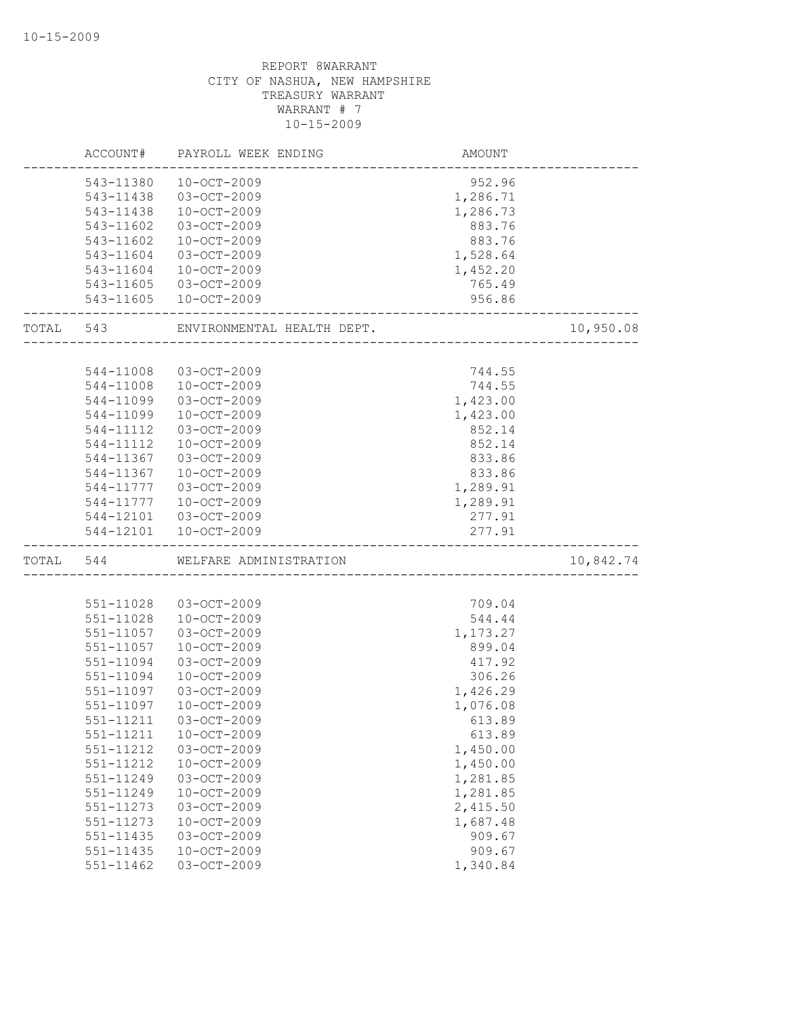|           | ACCOUNT#      | PAYROLL WEEK ENDING        | AMOUNT             |           |
|-----------|---------------|----------------------------|--------------------|-----------|
|           | 543-11380     | $10 - OCT - 2009$          | 952.96             |           |
|           | 543-11438     | $03 - OCT - 2009$          | 1,286.71           |           |
|           | 543-11438     | $10 - OCT - 2009$          | 1,286.73           |           |
|           | 543-11602     | 03-OCT-2009                | 883.76             |           |
|           | 543-11602     | 10-OCT-2009                | 883.76             |           |
|           | 543-11604     | $03 - OCT - 2009$          | 1,528.64           |           |
|           | 543-11604     | $10-0CT-2009$              | 1,452.20           |           |
|           | 543-11605     | 03-OCT-2009                | 765.49             |           |
|           |               | 543-11605 10-OCT-2009      | 956.86             |           |
|           |               |                            | __________________ |           |
| TOTAL 543 |               | ENVIRONMENTAL HEALTH DEPT. |                    | 10,950.08 |
|           |               |                            |                    |           |
|           | 544-11008     | 03-OCT-2009                | 744.55             |           |
|           | 544-11008     | $10 - OCT - 2009$          | 744.55             |           |
|           | 544-11099     | 03-OCT-2009                | 1,423.00           |           |
|           | 544-11099     | $10 - OCT - 2009$          | 1,423.00           |           |
|           | 544-11112     | 03-OCT-2009                | 852.14             |           |
|           | 544-11112     | $10 - OCT - 2009$          | 852.14             |           |
|           | 544-11367     | $03 - OCT - 2009$          | 833.86             |           |
|           | 544-11367     | $10 - OCT - 2009$          | 833.86             |           |
|           | 544-11777     | 03-OCT-2009                | 1,289.91           |           |
|           | 544-11777     | $10 - OCT - 2009$          | 1,289.91           |           |
|           | 544-12101     | 03-OCT-2009                | 277.91             |           |
|           | 544-12101     | $10 - OCT - 2009$          | 277.91             |           |
| TOTAL 544 |               | WELFARE ADMINISTRATION     |                    | 10,842.74 |
|           |               |                            |                    |           |
|           | 551-11028     | 03-OCT-2009                | 709.04             |           |
|           | 551-11028     | 10-OCT-2009                | 544.44             |           |
|           | 551-11057     | 03-OCT-2009                | 1,173.27           |           |
|           | 551-11057     | $10 - OCT - 2009$          | 899.04             |           |
|           | 551-11094     | 03-OCT-2009                | 417.92             |           |
|           | 551-11094     | $10 - OCT - 2009$          | 306.26             |           |
|           | 551-11097     | 03-OCT-2009                | 1,426.29           |           |
|           | 551-11097     | $10 - OCT - 2009$          | 1,076.08           |           |
|           | 551-11211     | $03 - OCT - 2009$          | 613.89             |           |
|           | 551-11211     | $10 - OCT - 2009$          | 613.89             |           |
|           | 551-11212     | 03-OCT-2009                | 1,450.00           |           |
|           | 551-11212     | $10 - OCT - 2009$          | 1,450.00           |           |
|           | 551-11249     | 03-OCT-2009                | 1,281.85           |           |
|           | 551-11249     | $10 - OCT - 2009$          | 1,281.85           |           |
|           | 551-11273     | 03-OCT-2009                | 2,415.50           |           |
|           | 551-11273     | $10 - OCT - 2009$          | 1,687.48           |           |
|           | 551-11435     | 03-OCT-2009                | 909.67             |           |
|           | 551-11435     | $10 - OCT - 2009$          | 909.67             |           |
|           | $551 - 11462$ | 03-OCT-2009                | 1,340.84           |           |
|           |               |                            |                    |           |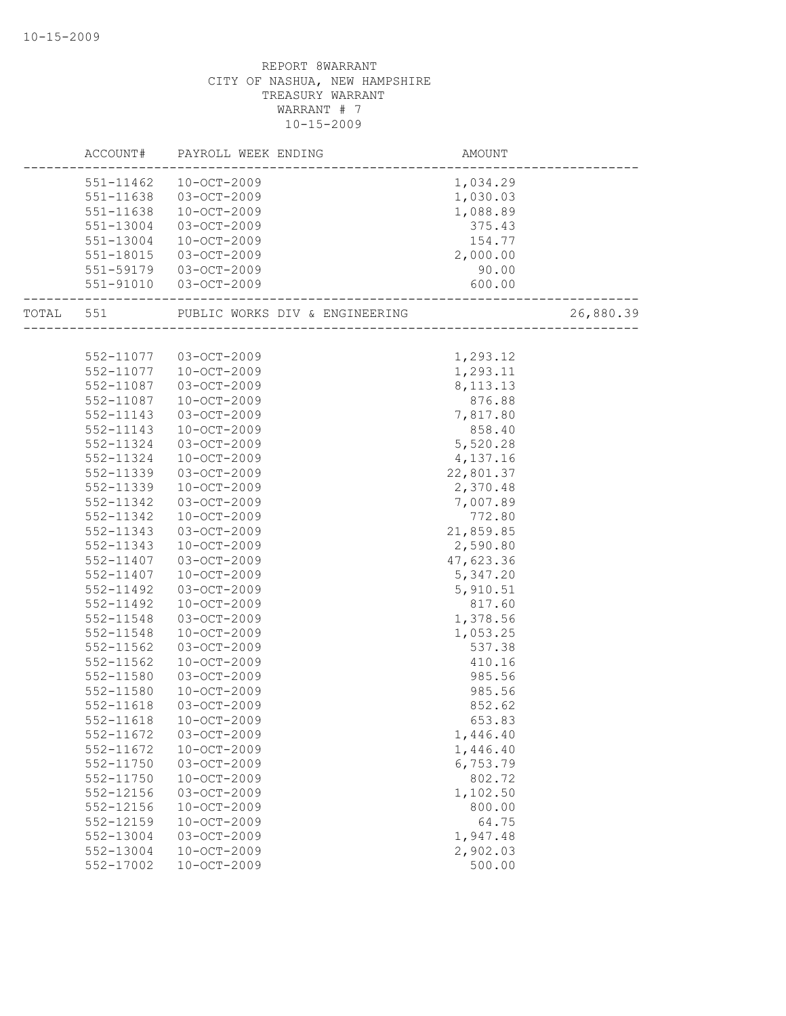|                   | ACCOUNT# PAYROLL WEEK ENDING                        | AMOUNT     |           |
|-------------------|-----------------------------------------------------|------------|-----------|
|                   | 551-11462 10-OCT-2009                               | 1,034.29   |           |
| 551-11638         | 03-OCT-2009                                         | 1,030.03   |           |
| 551-11638         | 10-OCT-2009                                         | 1,088.89   |           |
| 551-13004         | 03-OCT-2009                                         | 375.43     |           |
| 551-13004         | 10-OCT-2009                                         | 154.77     |           |
| 551-18015         | 03-OCT-2009                                         | 2,000.00   |           |
|                   | 551-59179 03-OCT-2009                               | 90.00      |           |
|                   | 551-91010 03-OCT-2009<br>__________________________ | 600.00     |           |
| ----------------- | TOTAL 551 PUBLIC WORKS DIV & ENGINEERING            |            | 26,880.39 |
|                   |                                                     |            |           |
|                   | 552-11077 03-OCT-2009                               | 1,293.12   |           |
|                   | 552-11077  10-OCT-2009                              | 1,293.11   |           |
| 552-11087         | 03-OCT-2009                                         | 8, 113. 13 |           |
| 552-11087         | $10 - OCT - 2009$                                   | 876.88     |           |
| 552-11143         | 03-OCT-2009                                         | 7,817.80   |           |
| 552-11143         | 10-OCT-2009                                         | 858.40     |           |
| 552-11324         | 03-OCT-2009                                         | 5,520.28   |           |
| 552-11324         | $10 - OCT - 2009$                                   | 4,137.16   |           |
| 552-11339         | 03-OCT-2009                                         | 22,801.37  |           |
| 552-11339         | 10-OCT-2009                                         | 2,370.48   |           |
| 552-11342         | 03-OCT-2009                                         | 7,007.89   |           |
| 552-11342         | 10-OCT-2009                                         | 772.80     |           |
| 552-11343         | 03-OCT-2009                                         | 21,859.85  |           |
| 552-11343         | 10-OCT-2009                                         | 2,590.80   |           |
| 552-11407         | 03-OCT-2009                                         | 47,623.36  |           |
| 552-11407         | $10 - OCT - 2009$                                   | 5,347.20   |           |
| 552-11492         | 03-OCT-2009                                         | 5,910.51   |           |
| 552-11492         | 10-OCT-2009                                         | 817.60     |           |
| 552-11548         | 03-OCT-2009                                         | 1,378.56   |           |
| 552-11548         | 10-OCT-2009                                         | 1,053.25   |           |
| 552-11562         | 03-OCT-2009                                         | 537.38     |           |
| 552-11562         | 10-OCT-2009                                         | 410.16     |           |
| 552-11580         | 03-OCT-2009                                         | 985.56     |           |
| 552-11580         | 10-OCT-2009                                         | 985.56     |           |
| 552-11618         | 03-OCT-2009                                         | 852.62     |           |
| 552-11618         | 10-OCT-2009                                         | 653.83     |           |
| 552-11672         | 03-OCT-2009                                         | 1,446.40   |           |
| 552-11672         | $10 - OCT - 2009$                                   | 1,446.40   |           |
| 552-11750         | 03-OCT-2009                                         | 6,753.79   |           |
| 552-11750         | $10 - OCT - 2009$                                   | 802.72     |           |
| $552 - 12156$     | 03-OCT-2009                                         | 1,102.50   |           |
| 552-12156         | $10 - OCT - 2009$                                   | 800.00     |           |
| 552-12159         | $10 - OCT - 2009$                                   | 64.75      |           |
| 552-13004         | 03-OCT-2009                                         | 1,947.48   |           |
| 552-13004         | $10 - OCT - 2009$                                   | 2,902.03   |           |
| 552-17002         | $10 - OCT - 2009$                                   | 500.00     |           |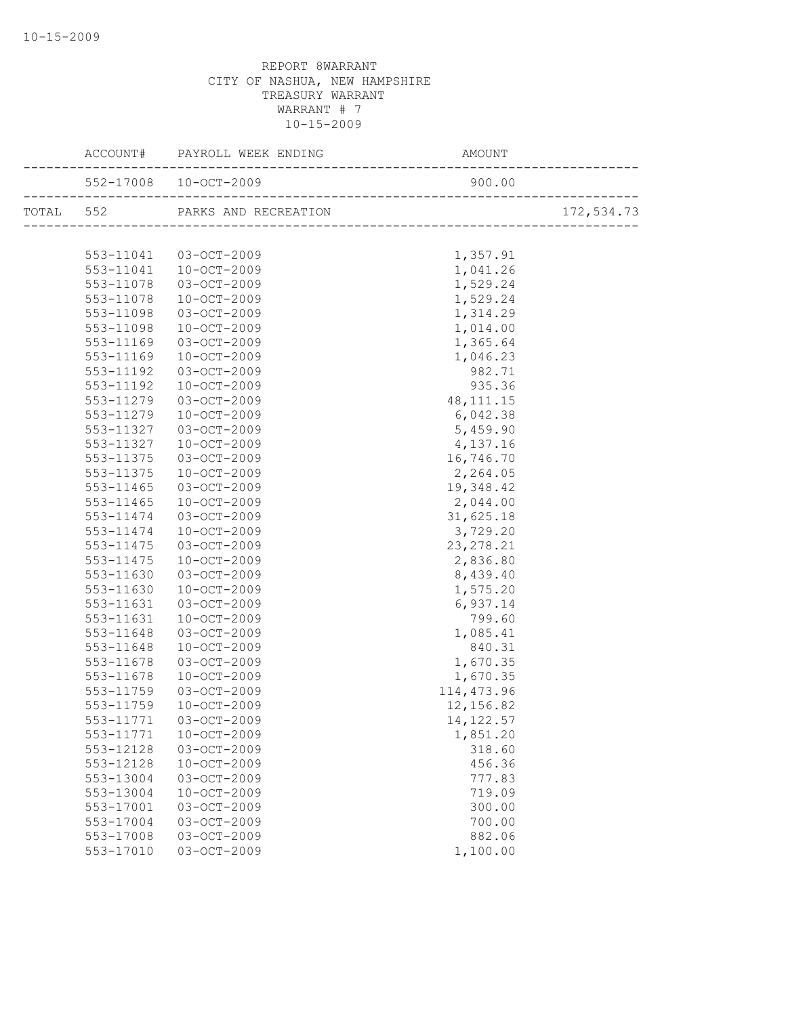|           |                       | AMOUNT      |            |
|-----------|-----------------------|-------------|------------|
|           | 552-17008 10-OCT-2009 | 900.00      |            |
|           |                       |             | 172,534.73 |
|           |                       |             |            |
|           | 553-11041 03-OCT-2009 | 1,357.91    |            |
| 553-11041 | $10 - OCT - 2009$     | 1,041.26    |            |
| 553-11078 | 03-OCT-2009           | 1,529.24    |            |
| 553-11078 | 10-OCT-2009           | 1,529.24    |            |
| 553-11098 | $03 - OCT - 2009$     | 1,314.29    |            |
| 553-11098 | 10-OCT-2009           | 1,014.00    |            |
| 553-11169 | 03-OCT-2009           | 1,365.64    |            |
| 553-11169 | 10-OCT-2009           | 1,046.23    |            |
| 553-11192 | 03-OCT-2009           | 982.71      |            |
| 553-11192 | 10-OCT-2009           | 935.36      |            |
| 553-11279 | 03-OCT-2009           | 48, 111. 15 |            |
| 553-11279 | 10-OCT-2009           | 6,042.38    |            |
| 553-11327 | 03-OCT-2009           | 5,459.90    |            |
| 553-11327 | 10-OCT-2009           | 4,137.16    |            |
| 553-11375 | 03-OCT-2009           | 16,746.70   |            |
| 553-11375 | 10-OCT-2009           | 2,264.05    |            |
| 553-11465 | 03-OCT-2009           | 19,348.42   |            |
| 553-11465 | 10-OCT-2009           | 2,044.00    |            |
| 553-11474 | 03-OCT-2009           | 31,625.18   |            |
| 553-11474 | 10-OCT-2009           | 3,729.20    |            |
| 553-11475 | 03-OCT-2009           | 23, 278. 21 |            |
| 553-11475 | 10-OCT-2009           | 2,836.80    |            |
| 553-11630 | 03-OCT-2009           | 8,439.40    |            |
| 553-11630 | 10-OCT-2009           | 1,575.20    |            |
| 553-11631 | 03-OCT-2009           | 6,937.14    |            |
| 553-11631 | 10-OCT-2009           | 799.60      |            |
| 553-11648 | 03-OCT-2009           | 1,085.41    |            |
| 553-11648 | 10-OCT-2009           | 840.31      |            |
| 553-11678 | 03-OCT-2009           | 1,670.35    |            |
| 553-11678 | 10-OCT-2009           | 1,670.35    |            |
| 553-11759 | 03-OCT-2009           | 114, 473.96 |            |
| 553-11759 | 10-OCT-2009           | 12,156.82   |            |
| 553-11771 | 03-OCT-2009           | 14, 122.57  |            |
| 553-11771 | $10 - OCT - 2009$     | 1,851.20    |            |
| 553-12128 | 03-OCT-2009           | 318.60      |            |
| 553-12128 | $10 - OCT - 2009$     | 456.36      |            |
| 553-13004 | 03-OCT-2009           | 777.83      |            |
| 553-13004 | $10 - OCT - 2009$     | 719.09      |            |
| 553-17001 | 03-OCT-2009           | 300.00      |            |
| 553-17004 | 03-OCT-2009           | 700.00      |            |
| 553-17008 | 03-OCT-2009           | 882.06      |            |
| 553-17010 | 03-OCT-2009           | 1,100.00    |            |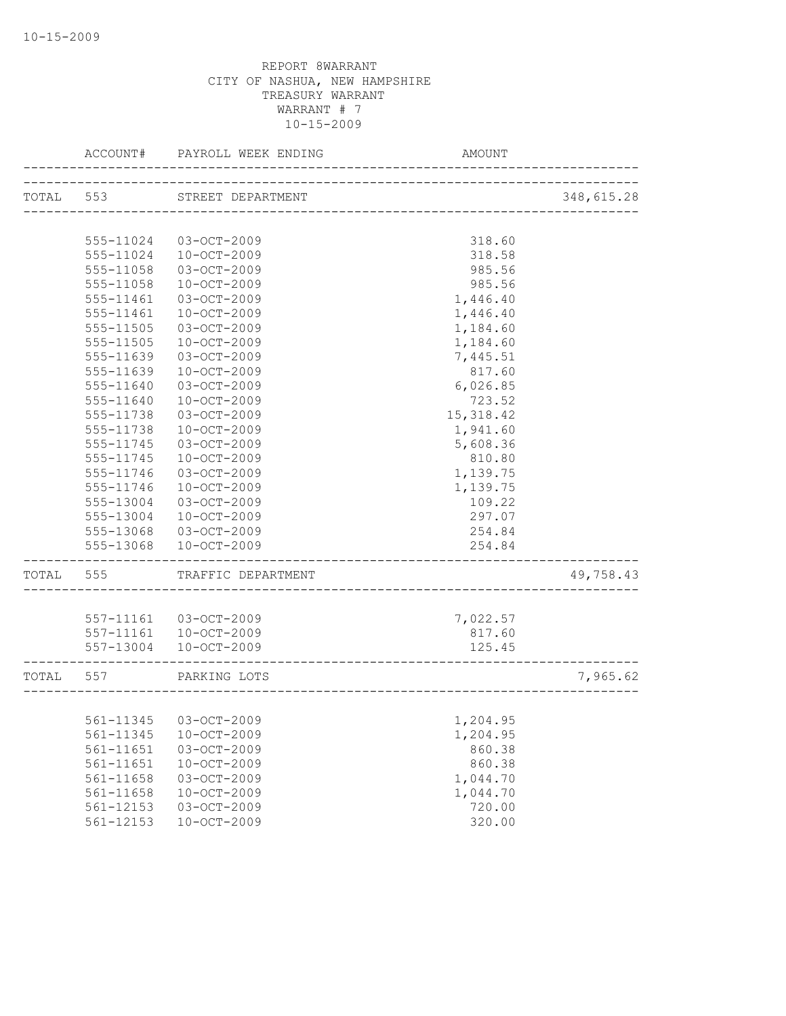|           | ACCOUNT#      | PAYROLL WEEK ENDING                             | AMOUNT             |            |
|-----------|---------------|-------------------------------------------------|--------------------|------------|
| TOTAL 553 |               | STREET DEPARTMENT                               |                    | 348,615.28 |
|           |               |                                                 |                    |            |
|           | 555-11024     | 03-OCT-2009                                     | 318.60             |            |
|           | 555-11024     | $10 - OCT - 2009$                               | 318.58             |            |
|           | 555-11058     | 03-OCT-2009                                     | 985.56             |            |
|           | 555-11058     | $10 - OCT - 2009$                               | 985.56             |            |
|           | 555-11461     | 03-OCT-2009                                     | 1,446.40           |            |
|           | 555-11461     | 10-OCT-2009                                     | 1,446.40           |            |
|           | 555-11505     | 03-OCT-2009                                     | 1,184.60           |            |
|           | 555-11505     | $10-OCT-2009$                                   | 1,184.60           |            |
|           | 555-11639     | 03-OCT-2009                                     | 7,445.51           |            |
|           | 555-11639     | 10-OCT-2009                                     | 817.60             |            |
|           | 555-11640     | 03-OCT-2009                                     | 6,026.85           |            |
|           | 555-11640     | 10-OCT-2009                                     | 723.52             |            |
|           | 555-11738     | 03-OCT-2009                                     | 15, 318.42         |            |
|           | 555-11738     | 10-OCT-2009                                     | 1,941.60           |            |
|           | 555-11745     | 03-OCT-2009                                     | 5,608.36           |            |
|           | 555-11745     | 10-OCT-2009                                     | 810.80             |            |
|           | 555-11746     | 03-OCT-2009                                     | 1,139.75           |            |
|           | 555-11746     | $10 - OCT - 2009$                               | 1,139.75           |            |
|           | 555-13004     | 03-OCT-2009                                     | 109.22             |            |
|           | 555-13004     | $10 - OCT - 2009$                               | 297.07             |            |
|           | 555-13068     | 03-OCT-2009                                     | 254.84             |            |
|           | 555-13068     | $10 - OCT - 2009$                               | 254.84             |            |
| TOTAL     | 555           | TRAFFIC DEPARTMENT                              |                    | 49,758.43  |
|           |               |                                                 |                    |            |
|           |               | 557-11161 03-OCT-2009<br>557-11161  10-OCT-2009 | 7,022.57<br>817.60 |            |
|           |               | 557-13004 10-OCT-2009                           | 125.45             |            |
|           |               |                                                 |                    |            |
| TOTAL 557 |               | PARKING LOTS                                    |                    | 7,965.62   |
|           |               |                                                 |                    |            |
|           |               | 561-11345 03-OCT-2009                           | 1,204.95           |            |
|           | 561-11345     | $10 - OCT - 2009$                               | 1,204.95           |            |
|           | 561-11651     | 03-OCT-2009                                     | 860.38             |            |
|           | $561 - 11651$ | $10 - OCT - 2009$                               | 860.38             |            |
|           | 561-11658     | 03-OCT-2009                                     | 1,044.70           |            |
|           | 561-11658     | $10 - OCT - 2009$                               | 1,044.70           |            |
|           | $561 - 12153$ | 03-OCT-2009                                     | 720.00             |            |
|           | $561 - 12153$ | $10 - OCT - 2009$                               | 320.00             |            |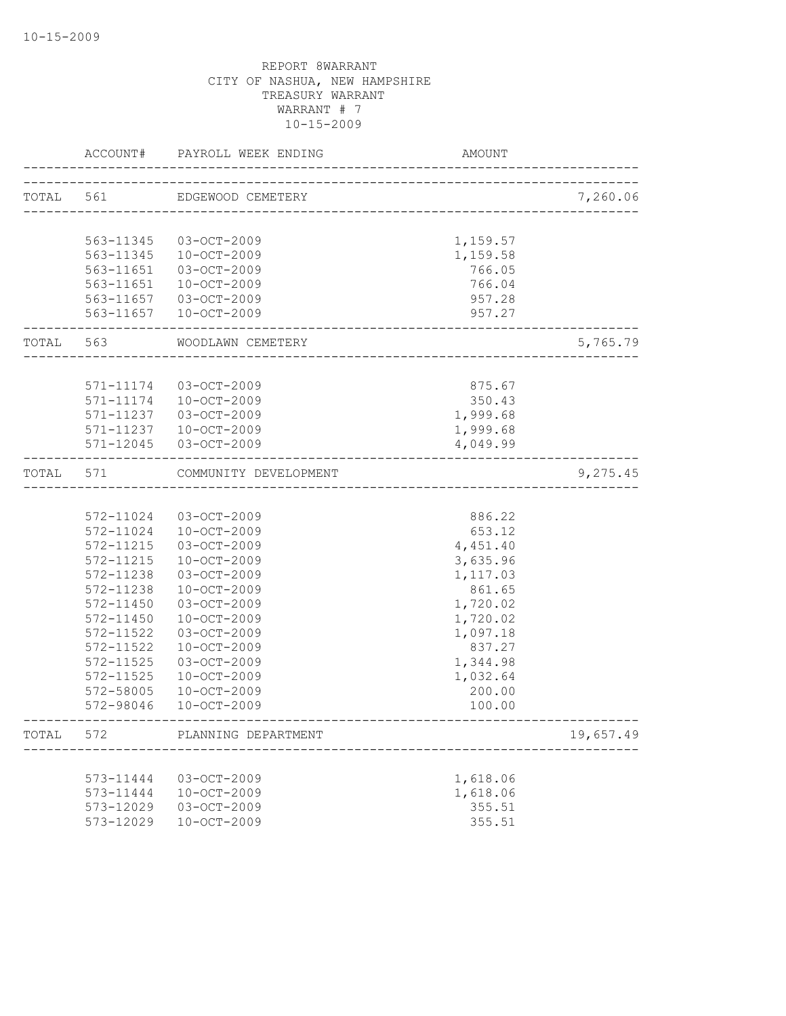|           | ACCOUNT#  | PAYROLL WEEK ENDING   | AMOUNT                       |           |
|-----------|-----------|-----------------------|------------------------------|-----------|
| TOTAL 561 |           | EDGEWOOD CEMETERY     | ---------------------------- | 7,260.06  |
|           |           |                       |                              |           |
|           | 563-11345 | 03-OCT-2009           | 1,159.57                     |           |
|           | 563-11345 | 10-OCT-2009           | 1,159.58                     |           |
|           | 563-11651 | 03-OCT-2009           | 766.05                       |           |
|           | 563-11651 | 10-OCT-2009           | 766.04                       |           |
|           |           | 563-11657 03-OCT-2009 | 957.28                       |           |
|           |           | 563-11657 10-OCT-2009 | 957.27                       |           |
| TOTAL 563 |           | WOODLAWN CEMETERY     |                              | 5,765.79  |
|           |           |                       |                              |           |
|           | 571-11174 | 03-OCT-2009           | 875.67                       |           |
|           | 571-11174 | 10-OCT-2009           | 350.43                       |           |
|           | 571-11237 | 03-OCT-2009           | 1,999.68                     |           |
|           | 571-11237 | 10-OCT-2009           | 1,999.68                     |           |
|           |           | 571-12045 03-OCT-2009 | 4,049.99                     |           |
| TOTAL 571 |           | COMMUNITY DEVELOPMENT | -------------------          | 9,275.45  |
|           |           |                       |                              |           |
|           | 572-11024 | 03-OCT-2009           | 886.22                       |           |
|           | 572-11024 | $10 - OCT - 2009$     | 653.12                       |           |
|           | 572-11215 | 03-OCT-2009           | 4,451.40                     |           |
|           | 572-11215 | $10 - OCT - 2009$     | 3,635.96                     |           |
|           | 572-11238 | 03-OCT-2009           | 1,117.03                     |           |
|           | 572-11238 | $10 - OCT - 2009$     | 861.65                       |           |
|           | 572-11450 | 03-OCT-2009           | 1,720.02                     |           |
|           | 572-11450 | $10 - OCT - 2009$     | 1,720.02                     |           |
|           | 572-11522 | 03-OCT-2009           | 1,097.18                     |           |
|           | 572-11522 | $10-0CT-2009$         | 837.27                       |           |
|           | 572-11525 | $03 - OCT - 2009$     | 1,344.98                     |           |
|           | 572-11525 | $10-0CT-2009$         | 1,032.64                     |           |
|           | 572-58005 | $10-0CT-2009$         | 200.00                       |           |
|           | 572-98046 | $10 - OCT - 2009$     | 100.00                       |           |
| TOTAL     | 572       | PLANNING DEPARTMENT   |                              | 19,657.49 |
|           |           |                       |                              |           |
|           | 573-11444 | 03-OCT-2009           | 1,618.06                     |           |
|           | 573-11444 | $10 - OCT - 2009$     | 1,618.06                     |           |
|           | 573-12029 | 03-OCT-2009           | 355.51                       |           |
|           | 573-12029 | $10 - OCT - 2009$     | 355.51                       |           |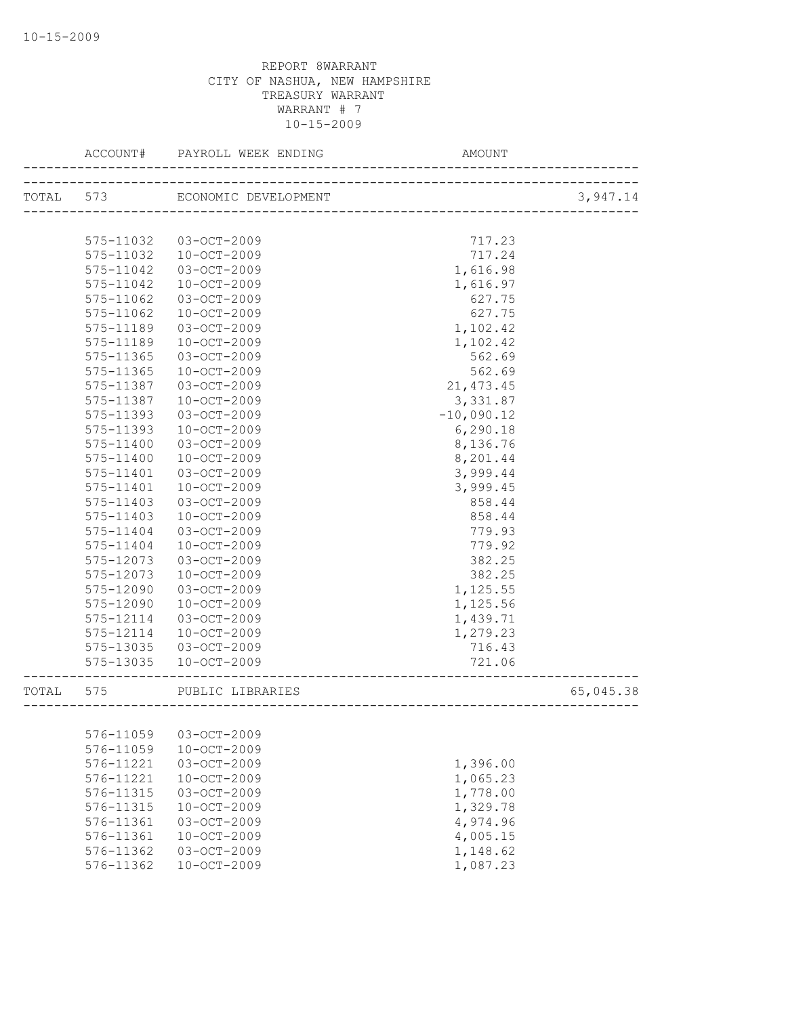|           | ACCOUNT#               | PAYROLL WEEK ENDING  | AMOUNT                   |           |
|-----------|------------------------|----------------------|--------------------------|-----------|
| TOTAL 573 |                        | ECONOMIC DEVELOPMENT |                          | 3,947.14  |
|           |                        |                      | ________________________ |           |
|           | 575-11032              | 03-OCT-2009          | 717.23                   |           |
|           | 575-11032              | $10 - OCT - 2009$    | 717.24                   |           |
|           | 575-11042              | $03 - OCT - 2009$    | 1,616.98                 |           |
|           | 575-11042              | $10 - OCT - 2009$    | 1,616.97                 |           |
|           | 575-11062              | 03-OCT-2009          | 627.75                   |           |
|           | 575-11062              | $10 - OCT - 2009$    | 627.75                   |           |
|           | 575-11189              | 03-OCT-2009          | 1,102.42                 |           |
|           | 575-11189              | $10 - OCT - 2009$    |                          |           |
|           |                        | $03 - OCT - 2009$    | 1,102.42                 |           |
|           | 575-11365<br>575-11365 |                      | 562.69                   |           |
|           |                        | $10 - OCT - 2009$    | 562.69                   |           |
|           | 575-11387              | $03 - OCT - 2009$    | 21, 473.45               |           |
|           | 575-11387              | $10 - OCT - 2009$    | 3,331.87                 |           |
|           | 575-11393              | 03-OCT-2009          | $-10,090.12$             |           |
|           | 575-11393              | $10 - OCT - 2009$    | 6,290.18                 |           |
|           | $575 - 11400$          | $03 - OCT - 2009$    | 8,136.76                 |           |
|           | 575-11400              | $10 - OCT - 2009$    | 8,201.44                 |           |
|           | 575-11401              | $03 - OCT - 2009$    | 3,999.44                 |           |
|           | 575-11401              | $10 - OCT - 2009$    | 3,999.45                 |           |
|           | 575-11403              | 03-OCT-2009          | 858.44                   |           |
|           | 575-11403              | $10 - OCT - 2009$    | 858.44                   |           |
|           | 575-11404              | $03 - OCT - 2009$    | 779.93                   |           |
|           | 575-11404              | $10 - OCT - 2009$    | 779.92                   |           |
|           | 575-12073              | 03-OCT-2009          | 382.25                   |           |
|           | 575-12073              | $10 - OCT - 2009$    | 382.25                   |           |
|           | 575-12090              | $03 - OCT - 2009$    | 1,125.55                 |           |
|           | 575-12090              | $10 - OCT - 2009$    | 1,125.56                 |           |
|           | 575-12114              | $03 - OCT - 2009$    | 1,439.71                 |           |
|           | 575-12114              | 10-OCT-2009          | 1,279.23                 |           |
|           | 575-13035              | 03-OCT-2009          | 716.43                   |           |
|           | 575-13035              | $10 - OCT - 2009$    | 721.06                   |           |
| TOTAL     | 575                    | PUBLIC LIBRARIES     |                          | 65,045.38 |
|           |                        |                      | --------------------     |           |
|           | 576-11059              | 03-OCT-2009          |                          |           |
|           | 576-11059              | 10-OCT-2009          |                          |           |
|           | 576-11221              | 03-OCT-2009          | 1,396.00                 |           |
|           | 576-11221              | $10 - OCT - 2009$    | 1,065.23                 |           |
|           | 576-11315              | 03-OCT-2009          | 1,778.00                 |           |
|           | 576-11315              | 10-OCT-2009          | 1,329.78                 |           |
|           | 576-11361              | 03-OCT-2009          | 4,974.96                 |           |
|           | 576-11361              | $10 - OCT - 2009$    | 4,005.15                 |           |
|           | 576-11362              | 03-OCT-2009          | 1,148.62                 |           |
|           | 576-11362              | 10-OCT-2009          | 1,087.23                 |           |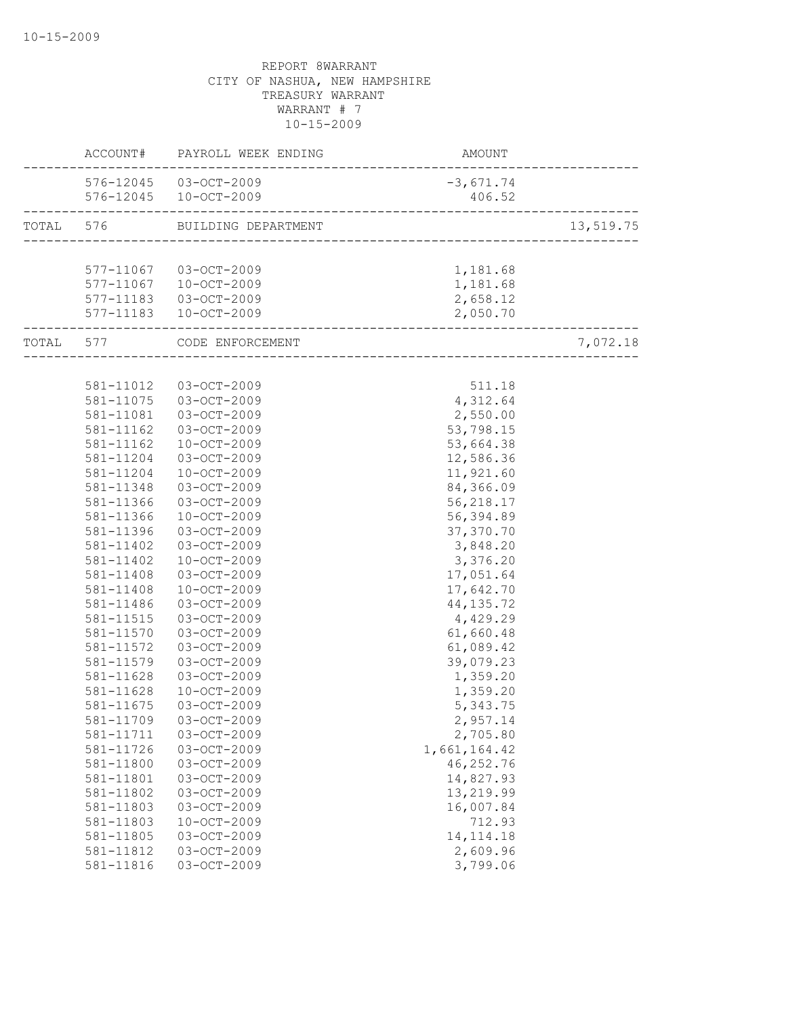| 576-12045 03-OCT-2009<br>$-3,671.74$<br>576-12045 10-OCT-2009<br>406.52<br>TOTAL 576 BUILDING DEPARTMENT<br>---------------------------------<br>577-11067 03-OCT-2009<br>1,181.68<br>577-11067  10-OCT-2009<br>1,181.68<br>2,658.12<br>577-11183  03-OCT-2009<br>577-11183  10-OCT-2009<br>2,050.70<br>7,072.18<br>TOTAL 577 CODE ENFORCEMENT<br>581-11012  03-OCT-2009<br>511.18<br>581-11075 03-OCT-2009<br>4,312.64<br>581-11081  03-OCT-2009<br>2,550.00<br>581-11162<br>03-OCT-2009<br>53,798.15<br>581-11162<br>$10 - OCT - 2009$<br>53,664.38<br>03-OCT-2009<br>12,586.36<br>581-11204<br>11,921.60<br>581-11204<br>$10 - OCT - 2009$<br>84,366.09<br>581-11348<br>03-OCT-2009<br>56,218.17<br>581-11366<br>03-OCT-2009<br>$10-OCT-2009$<br>56,394.89<br>581-11366<br>03-OCT-2009<br>37,370.70<br>581-11396<br>3,848.20<br>581-11402<br>03-OCT-2009<br>581-11402<br>$10 - OCT - 2009$<br>3,376.20<br>581-11408<br>03-OCT-2009<br>17,051.64<br>$10 - OCT - 2009$<br>17,642.70<br>581-11408<br>03-OCT-2009<br>44, 135.72<br>581-11486<br>03-OCT-2009<br>4,429.29<br>581-11515<br>61,660.48<br>581-11570<br>03-OCT-2009<br>581-11572<br>03-OCT-2009<br>61,089.42<br>581-11579<br>39,079.23<br>$03 - OCT - 2009$<br>03-OCT-2009<br>581-11628<br>1,359.20<br>1,359.20<br>581-11628<br>10-OCT-2009<br>581-11675<br>03-OCT-2009<br>5,343.75<br>581-11709 03-OCT-2009<br>2,957.14<br>03-OCT-2009<br>2,705.80<br>581-11711<br>03-OCT-2009<br>1,661,164.42<br>581-11726<br>46, 252.76<br>03-OCT-2009<br>581-11800<br>14,827.93<br>581-11801<br>03-OCT-2009<br>$03-OCT-2009$<br>13,219.99<br>581-11802<br>581-11803<br>03-OCT-2009<br>16,007.84<br>$10 - OCT - 2009$<br>581-11803<br>712.93<br>03-OCT-2009<br>14, 114. 18<br>581-11805<br>03-OCT-2009<br>2,609.96<br>581-11812 |           | ACCOUNT# PAYROLL WEEK ENDING | AMOUNT   |           |
|-----------------------------------------------------------------------------------------------------------------------------------------------------------------------------------------------------------------------------------------------------------------------------------------------------------------------------------------------------------------------------------------------------------------------------------------------------------------------------------------------------------------------------------------------------------------------------------------------------------------------------------------------------------------------------------------------------------------------------------------------------------------------------------------------------------------------------------------------------------------------------------------------------------------------------------------------------------------------------------------------------------------------------------------------------------------------------------------------------------------------------------------------------------------------------------------------------------------------------------------------------------------------------------------------------------------------------------------------------------------------------------------------------------------------------------------------------------------------------------------------------------------------------------------------------------------------------------------------------------------------------------------------------------------------------------------------------------------------------------------------------------------------------|-----------|------------------------------|----------|-----------|
|                                                                                                                                                                                                                                                                                                                                                                                                                                                                                                                                                                                                                                                                                                                                                                                                                                                                                                                                                                                                                                                                                                                                                                                                                                                                                                                                                                                                                                                                                                                                                                                                                                                                                                                                                                             |           |                              |          |           |
|                                                                                                                                                                                                                                                                                                                                                                                                                                                                                                                                                                                                                                                                                                                                                                                                                                                                                                                                                                                                                                                                                                                                                                                                                                                                                                                                                                                                                                                                                                                                                                                                                                                                                                                                                                             |           |                              |          |           |
|                                                                                                                                                                                                                                                                                                                                                                                                                                                                                                                                                                                                                                                                                                                                                                                                                                                                                                                                                                                                                                                                                                                                                                                                                                                                                                                                                                                                                                                                                                                                                                                                                                                                                                                                                                             |           |                              |          | 13,519.75 |
|                                                                                                                                                                                                                                                                                                                                                                                                                                                                                                                                                                                                                                                                                                                                                                                                                                                                                                                                                                                                                                                                                                                                                                                                                                                                                                                                                                                                                                                                                                                                                                                                                                                                                                                                                                             |           |                              |          |           |
|                                                                                                                                                                                                                                                                                                                                                                                                                                                                                                                                                                                                                                                                                                                                                                                                                                                                                                                                                                                                                                                                                                                                                                                                                                                                                                                                                                                                                                                                                                                                                                                                                                                                                                                                                                             |           |                              |          |           |
|                                                                                                                                                                                                                                                                                                                                                                                                                                                                                                                                                                                                                                                                                                                                                                                                                                                                                                                                                                                                                                                                                                                                                                                                                                                                                                                                                                                                                                                                                                                                                                                                                                                                                                                                                                             |           |                              |          |           |
|                                                                                                                                                                                                                                                                                                                                                                                                                                                                                                                                                                                                                                                                                                                                                                                                                                                                                                                                                                                                                                                                                                                                                                                                                                                                                                                                                                                                                                                                                                                                                                                                                                                                                                                                                                             |           |                              |          |           |
|                                                                                                                                                                                                                                                                                                                                                                                                                                                                                                                                                                                                                                                                                                                                                                                                                                                                                                                                                                                                                                                                                                                                                                                                                                                                                                                                                                                                                                                                                                                                                                                                                                                                                                                                                                             |           |                              |          |           |
|                                                                                                                                                                                                                                                                                                                                                                                                                                                                                                                                                                                                                                                                                                                                                                                                                                                                                                                                                                                                                                                                                                                                                                                                                                                                                                                                                                                                                                                                                                                                                                                                                                                                                                                                                                             |           |                              |          |           |
|                                                                                                                                                                                                                                                                                                                                                                                                                                                                                                                                                                                                                                                                                                                                                                                                                                                                                                                                                                                                                                                                                                                                                                                                                                                                                                                                                                                                                                                                                                                                                                                                                                                                                                                                                                             |           |                              |          |           |
|                                                                                                                                                                                                                                                                                                                                                                                                                                                                                                                                                                                                                                                                                                                                                                                                                                                                                                                                                                                                                                                                                                                                                                                                                                                                                                                                                                                                                                                                                                                                                                                                                                                                                                                                                                             |           |                              |          |           |
|                                                                                                                                                                                                                                                                                                                                                                                                                                                                                                                                                                                                                                                                                                                                                                                                                                                                                                                                                                                                                                                                                                                                                                                                                                                                                                                                                                                                                                                                                                                                                                                                                                                                                                                                                                             |           |                              |          |           |
|                                                                                                                                                                                                                                                                                                                                                                                                                                                                                                                                                                                                                                                                                                                                                                                                                                                                                                                                                                                                                                                                                                                                                                                                                                                                                                                                                                                                                                                                                                                                                                                                                                                                                                                                                                             |           |                              |          |           |
|                                                                                                                                                                                                                                                                                                                                                                                                                                                                                                                                                                                                                                                                                                                                                                                                                                                                                                                                                                                                                                                                                                                                                                                                                                                                                                                                                                                                                                                                                                                                                                                                                                                                                                                                                                             |           |                              |          |           |
|                                                                                                                                                                                                                                                                                                                                                                                                                                                                                                                                                                                                                                                                                                                                                                                                                                                                                                                                                                                                                                                                                                                                                                                                                                                                                                                                                                                                                                                                                                                                                                                                                                                                                                                                                                             |           |                              |          |           |
|                                                                                                                                                                                                                                                                                                                                                                                                                                                                                                                                                                                                                                                                                                                                                                                                                                                                                                                                                                                                                                                                                                                                                                                                                                                                                                                                                                                                                                                                                                                                                                                                                                                                                                                                                                             |           |                              |          |           |
|                                                                                                                                                                                                                                                                                                                                                                                                                                                                                                                                                                                                                                                                                                                                                                                                                                                                                                                                                                                                                                                                                                                                                                                                                                                                                                                                                                                                                                                                                                                                                                                                                                                                                                                                                                             |           |                              |          |           |
|                                                                                                                                                                                                                                                                                                                                                                                                                                                                                                                                                                                                                                                                                                                                                                                                                                                                                                                                                                                                                                                                                                                                                                                                                                                                                                                                                                                                                                                                                                                                                                                                                                                                                                                                                                             |           |                              |          |           |
|                                                                                                                                                                                                                                                                                                                                                                                                                                                                                                                                                                                                                                                                                                                                                                                                                                                                                                                                                                                                                                                                                                                                                                                                                                                                                                                                                                                                                                                                                                                                                                                                                                                                                                                                                                             |           |                              |          |           |
|                                                                                                                                                                                                                                                                                                                                                                                                                                                                                                                                                                                                                                                                                                                                                                                                                                                                                                                                                                                                                                                                                                                                                                                                                                                                                                                                                                                                                                                                                                                                                                                                                                                                                                                                                                             |           |                              |          |           |
|                                                                                                                                                                                                                                                                                                                                                                                                                                                                                                                                                                                                                                                                                                                                                                                                                                                                                                                                                                                                                                                                                                                                                                                                                                                                                                                                                                                                                                                                                                                                                                                                                                                                                                                                                                             |           |                              |          |           |
|                                                                                                                                                                                                                                                                                                                                                                                                                                                                                                                                                                                                                                                                                                                                                                                                                                                                                                                                                                                                                                                                                                                                                                                                                                                                                                                                                                                                                                                                                                                                                                                                                                                                                                                                                                             |           |                              |          |           |
|                                                                                                                                                                                                                                                                                                                                                                                                                                                                                                                                                                                                                                                                                                                                                                                                                                                                                                                                                                                                                                                                                                                                                                                                                                                                                                                                                                                                                                                                                                                                                                                                                                                                                                                                                                             |           |                              |          |           |
|                                                                                                                                                                                                                                                                                                                                                                                                                                                                                                                                                                                                                                                                                                                                                                                                                                                                                                                                                                                                                                                                                                                                                                                                                                                                                                                                                                                                                                                                                                                                                                                                                                                                                                                                                                             |           |                              |          |           |
|                                                                                                                                                                                                                                                                                                                                                                                                                                                                                                                                                                                                                                                                                                                                                                                                                                                                                                                                                                                                                                                                                                                                                                                                                                                                                                                                                                                                                                                                                                                                                                                                                                                                                                                                                                             |           |                              |          |           |
|                                                                                                                                                                                                                                                                                                                                                                                                                                                                                                                                                                                                                                                                                                                                                                                                                                                                                                                                                                                                                                                                                                                                                                                                                                                                                                                                                                                                                                                                                                                                                                                                                                                                                                                                                                             |           |                              |          |           |
|                                                                                                                                                                                                                                                                                                                                                                                                                                                                                                                                                                                                                                                                                                                                                                                                                                                                                                                                                                                                                                                                                                                                                                                                                                                                                                                                                                                                                                                                                                                                                                                                                                                                                                                                                                             |           |                              |          |           |
|                                                                                                                                                                                                                                                                                                                                                                                                                                                                                                                                                                                                                                                                                                                                                                                                                                                                                                                                                                                                                                                                                                                                                                                                                                                                                                                                                                                                                                                                                                                                                                                                                                                                                                                                                                             |           |                              |          |           |
|                                                                                                                                                                                                                                                                                                                                                                                                                                                                                                                                                                                                                                                                                                                                                                                                                                                                                                                                                                                                                                                                                                                                                                                                                                                                                                                                                                                                                                                                                                                                                                                                                                                                                                                                                                             |           |                              |          |           |
|                                                                                                                                                                                                                                                                                                                                                                                                                                                                                                                                                                                                                                                                                                                                                                                                                                                                                                                                                                                                                                                                                                                                                                                                                                                                                                                                                                                                                                                                                                                                                                                                                                                                                                                                                                             |           |                              |          |           |
|                                                                                                                                                                                                                                                                                                                                                                                                                                                                                                                                                                                                                                                                                                                                                                                                                                                                                                                                                                                                                                                                                                                                                                                                                                                                                                                                                                                                                                                                                                                                                                                                                                                                                                                                                                             |           |                              |          |           |
|                                                                                                                                                                                                                                                                                                                                                                                                                                                                                                                                                                                                                                                                                                                                                                                                                                                                                                                                                                                                                                                                                                                                                                                                                                                                                                                                                                                                                                                                                                                                                                                                                                                                                                                                                                             |           |                              |          |           |
|                                                                                                                                                                                                                                                                                                                                                                                                                                                                                                                                                                                                                                                                                                                                                                                                                                                                                                                                                                                                                                                                                                                                                                                                                                                                                                                                                                                                                                                                                                                                                                                                                                                                                                                                                                             |           |                              |          |           |
|                                                                                                                                                                                                                                                                                                                                                                                                                                                                                                                                                                                                                                                                                                                                                                                                                                                                                                                                                                                                                                                                                                                                                                                                                                                                                                                                                                                                                                                                                                                                                                                                                                                                                                                                                                             |           |                              |          |           |
|                                                                                                                                                                                                                                                                                                                                                                                                                                                                                                                                                                                                                                                                                                                                                                                                                                                                                                                                                                                                                                                                                                                                                                                                                                                                                                                                                                                                                                                                                                                                                                                                                                                                                                                                                                             |           |                              |          |           |
|                                                                                                                                                                                                                                                                                                                                                                                                                                                                                                                                                                                                                                                                                                                                                                                                                                                                                                                                                                                                                                                                                                                                                                                                                                                                                                                                                                                                                                                                                                                                                                                                                                                                                                                                                                             |           |                              |          |           |
|                                                                                                                                                                                                                                                                                                                                                                                                                                                                                                                                                                                                                                                                                                                                                                                                                                                                                                                                                                                                                                                                                                                                                                                                                                                                                                                                                                                                                                                                                                                                                                                                                                                                                                                                                                             |           |                              |          |           |
|                                                                                                                                                                                                                                                                                                                                                                                                                                                                                                                                                                                                                                                                                                                                                                                                                                                                                                                                                                                                                                                                                                                                                                                                                                                                                                                                                                                                                                                                                                                                                                                                                                                                                                                                                                             |           |                              |          |           |
|                                                                                                                                                                                                                                                                                                                                                                                                                                                                                                                                                                                                                                                                                                                                                                                                                                                                                                                                                                                                                                                                                                                                                                                                                                                                                                                                                                                                                                                                                                                                                                                                                                                                                                                                                                             |           |                              |          |           |
|                                                                                                                                                                                                                                                                                                                                                                                                                                                                                                                                                                                                                                                                                                                                                                                                                                                                                                                                                                                                                                                                                                                                                                                                                                                                                                                                                                                                                                                                                                                                                                                                                                                                                                                                                                             |           |                              |          |           |
|                                                                                                                                                                                                                                                                                                                                                                                                                                                                                                                                                                                                                                                                                                                                                                                                                                                                                                                                                                                                                                                                                                                                                                                                                                                                                                                                                                                                                                                                                                                                                                                                                                                                                                                                                                             |           |                              |          |           |
|                                                                                                                                                                                                                                                                                                                                                                                                                                                                                                                                                                                                                                                                                                                                                                                                                                                                                                                                                                                                                                                                                                                                                                                                                                                                                                                                                                                                                                                                                                                                                                                                                                                                                                                                                                             |           |                              |          |           |
|                                                                                                                                                                                                                                                                                                                                                                                                                                                                                                                                                                                                                                                                                                                                                                                                                                                                                                                                                                                                                                                                                                                                                                                                                                                                                                                                                                                                                                                                                                                                                                                                                                                                                                                                                                             |           |                              |          |           |
|                                                                                                                                                                                                                                                                                                                                                                                                                                                                                                                                                                                                                                                                                                                                                                                                                                                                                                                                                                                                                                                                                                                                                                                                                                                                                                                                                                                                                                                                                                                                                                                                                                                                                                                                                                             | 581-11816 | 03-OCT-2009                  | 3,799.06 |           |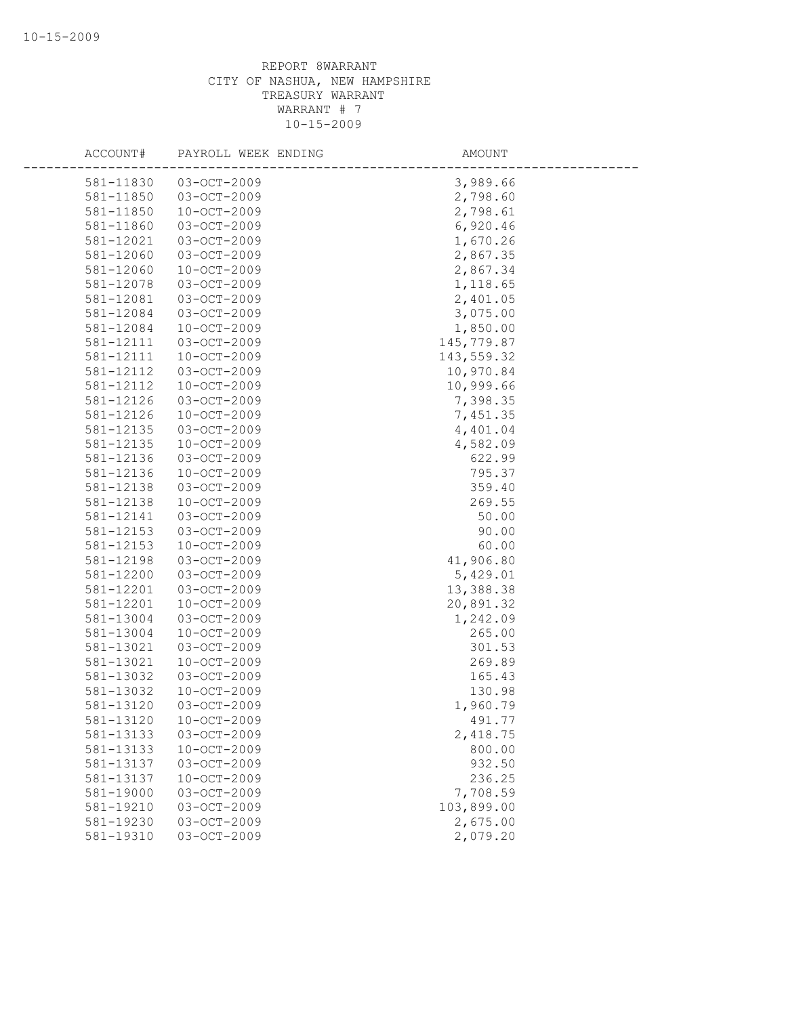| ACCOUNT#               | PAYROLL WEEK ENDING              | AMOUNT           |
|------------------------|----------------------------------|------------------|
| 581-11830              | $03 - OCT - 2009$                | 3,989.66         |
| 581-11850              | $03 - OCT - 2009$                | 2,798.60         |
| 581-11850              | $10 - OCT - 2009$                | 2,798.61         |
| 581-11860              | 03-OCT-2009                      | 6,920.46         |
| 581-12021              | 03-OCT-2009                      | 1,670.26         |
| 581-12060              | 03-OCT-2009                      | 2,867.35         |
| 581-12060              | $10-OCT-2009$                    | 2,867.34         |
| 581-12078              | 03-OCT-2009                      | 1,118.65         |
| 581-12081              | 03-OCT-2009                      | 2,401.05         |
| 581-12084              | $03 - OCT - 2009$                | 3,075.00         |
| 581-12084              | 10-OCT-2009                      | 1,850.00         |
| 581-12111              | 03-OCT-2009                      | 145,779.87       |
| 581-12111              | $10 - OCT - 2009$                | 143,559.32       |
| 581-12112              | 03-OCT-2009                      | 10,970.84        |
| 581-12112              | 10-OCT-2009                      | 10,999.66        |
| 581-12126              | 03-OCT-2009                      | 7,398.35         |
| 581-12126              | $10 - OCT - 2009$                | 7,451.35         |
| 581-12135              | 03-OCT-2009                      | 4,401.04         |
| 581-12135              | $10 - OCT - 2009$                | 4,582.09         |
| 581-12136              | 03-OCT-2009                      | 622.99           |
| 581-12136              | 10-OCT-2009                      | 795.37           |
| 581-12138              | 03-OCT-2009                      | 359.40           |
| 581-12138              | $10 - OCT - 2009$                | 269.55           |
| 581-12141              | 03-OCT-2009                      | 50.00            |
| 581-12153              | 03-OCT-2009                      | 90.00            |
| 581-12153              | 10-OCT-2009                      | 60.00            |
| 581-12198              | 03-OCT-2009                      | 41,906.80        |
| 581-12200              | 03-OCT-2009                      | 5,429.01         |
| 581-12201              | 03-OCT-2009                      | 13,388.38        |
| 581-12201              | 10-OCT-2009                      | 20,891.32        |
| 581-13004              | 03-OCT-2009                      | 1,242.09         |
| 581-13004              | $10 - OCT - 2009$                | 265.00           |
| 581-13021              | 03-OCT-2009                      | 301.53           |
| 581-13021              | 10-OCT-2009                      | 269.89           |
| 581-13032              | 03-OCT-2009                      | 165.43           |
| 581-13032              | $10 - OCT - 2009$                | 130.98           |
| 581-13120              | $03 - OCT - 2009$                | 1,960.79         |
| 581-13120              | $10 - OCT - 2009$                | 491.77           |
| 581-13133              | 03-OCT-2009                      | 2,418.75         |
| 581-13133<br>581-13137 | $10 - OCT - 2009$<br>03-OCT-2009 | 800.00<br>932.50 |
| 581-13137              | $10 - OCT - 2009$                | 236.25           |
| 581-19000              | 03-OCT-2009                      | 7,708.59         |
| 581-19210              | 03-OCT-2009                      | 103,899.00       |
| 581-19230              | 03-OCT-2009                      | 2,675.00         |
| 581-19310              | 03-OCT-2009                      | 2,079.20         |
|                        |                                  |                  |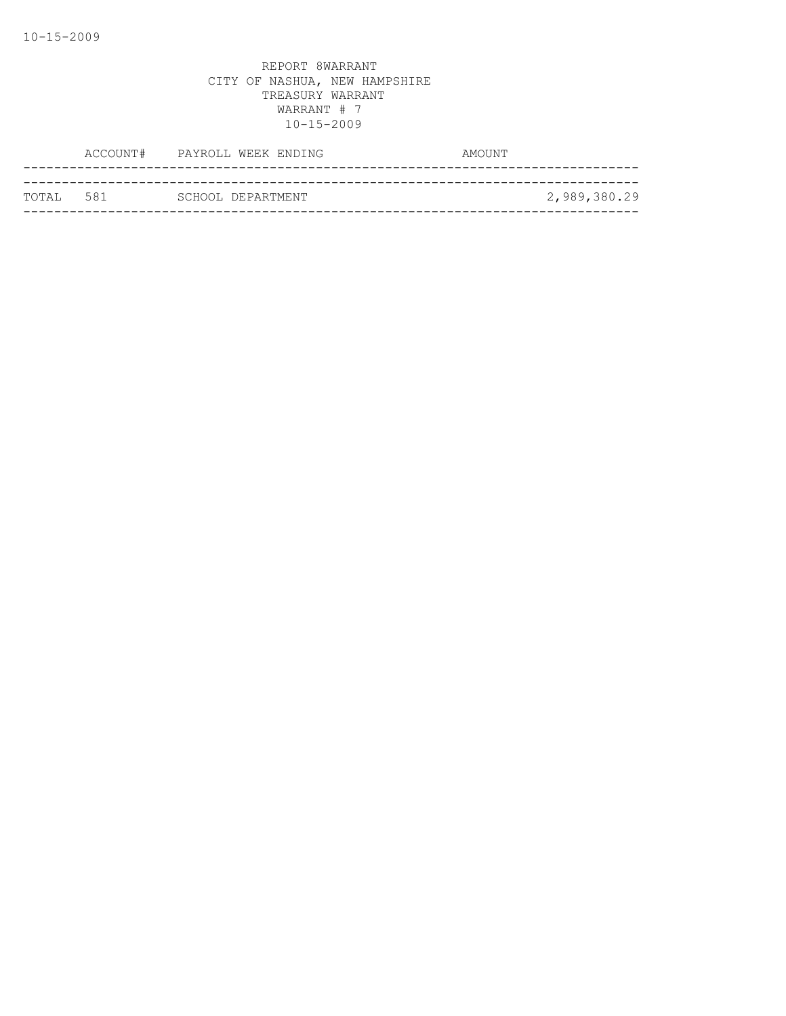|            | ACCOUNT# PAYROLL WEEK ENDING | AMOUNT       |
|------------|------------------------------|--------------|
|            |                              |              |
| ТОТАІ. 581 | SCHOOL DEPARTMENT            | 2,989,380.29 |
|            |                              |              |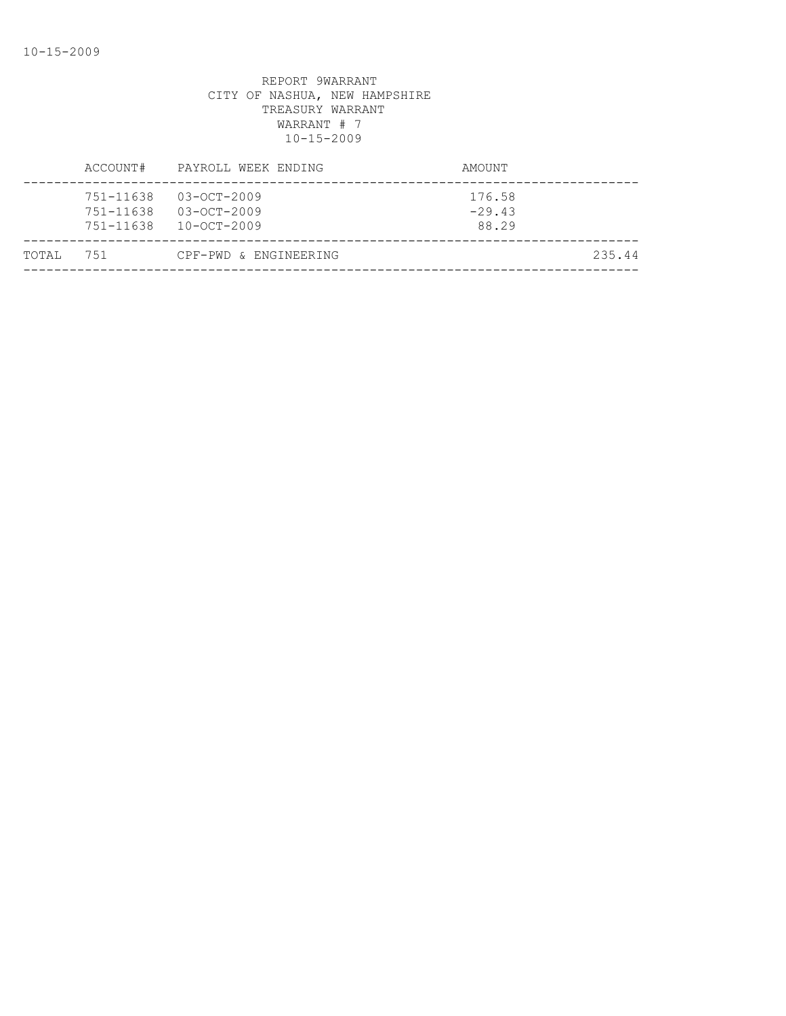| TOTAI, | 751                    | CPF-PWD & ENGINEERING                                           |                             | 235.44 |
|--------|------------------------|-----------------------------------------------------------------|-----------------------------|--------|
|        | 751-11638<br>751-11638 | $03 - OCT - 2009$<br>$03 - OCT - 2009$<br>751-11638 10-OCT-2009 | 176.58<br>$-29.43$<br>88.29 |        |
|        | ACCOUNT#               | PAYROLL WEEK ENDING                                             | AMOUNT                      |        |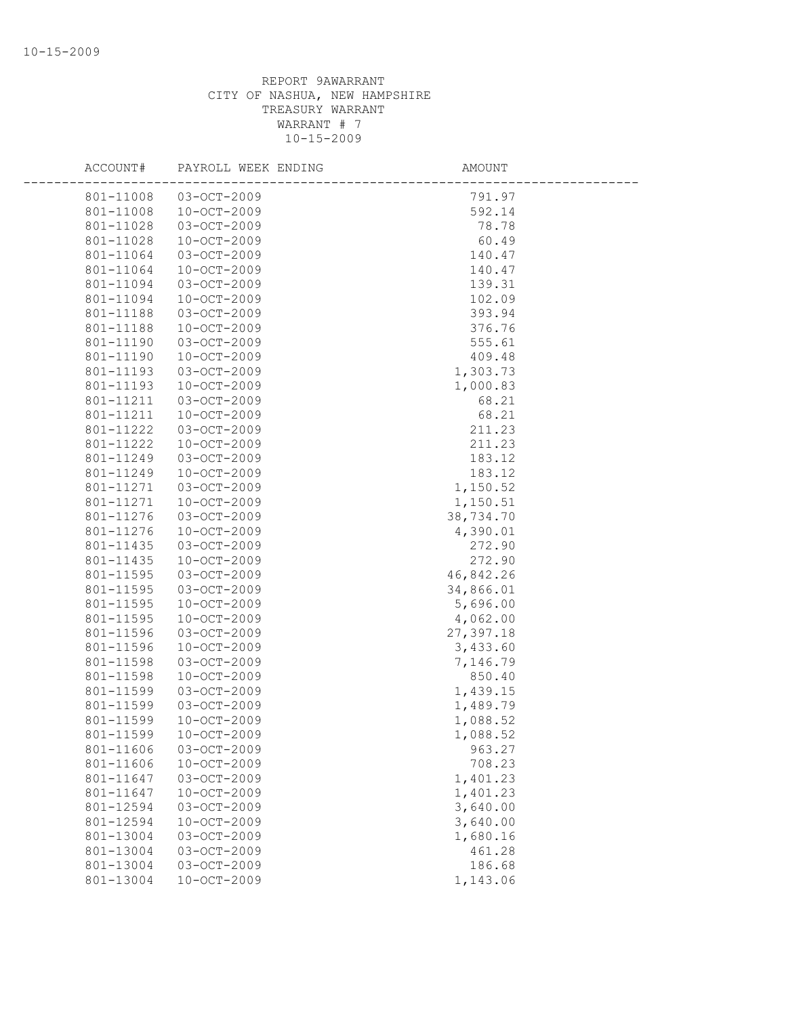| ACCOUNT#  | PAYROLL WEEK ENDING | AMOUNT    |  |
|-----------|---------------------|-----------|--|
| 801-11008 | 03-OCT-2009         | 791.97    |  |
| 801-11008 | 10-OCT-2009         | 592.14    |  |
| 801-11028 | 03-OCT-2009         | 78.78     |  |
| 801-11028 | $10 - OCT - 2009$   | 60.49     |  |
| 801-11064 | 03-OCT-2009         | 140.47    |  |
| 801-11064 | 10-OCT-2009         | 140.47    |  |
| 801-11094 | 03-OCT-2009         | 139.31    |  |
| 801-11094 | $10 - OCT - 2009$   | 102.09    |  |
| 801-11188 | 03-OCT-2009         | 393.94    |  |
| 801-11188 | 10-OCT-2009         | 376.76    |  |
| 801-11190 | 03-OCT-2009         | 555.61    |  |
| 801-11190 | $10-OCT-2009$       | 409.48    |  |
| 801-11193 | 03-OCT-2009         | 1,303.73  |  |
| 801-11193 | 10-OCT-2009         | 1,000.83  |  |
| 801-11211 | 03-OCT-2009         | 68.21     |  |
| 801-11211 | $10-OCT-2009$       | 68.21     |  |
| 801-11222 | 03-OCT-2009         | 211.23    |  |
| 801-11222 | 10-OCT-2009         | 211.23    |  |
| 801-11249 | 03-OCT-2009         | 183.12    |  |
| 801-11249 | 10-OCT-2009         | 183.12    |  |
| 801-11271 | 03-OCT-2009         | 1,150.52  |  |
| 801-11271 | $10 - OCT - 2009$   | 1,150.51  |  |
| 801-11276 | 03-OCT-2009         | 38,734.70 |  |
| 801-11276 | 10-OCT-2009         | 4,390.01  |  |
| 801-11435 | 03-OCT-2009         | 272.90    |  |
| 801-11435 | $10 - OCT - 2009$   | 272.90    |  |
| 801-11595 | 03-OCT-2009         | 46,842.26 |  |
| 801-11595 | 03-OCT-2009         | 34,866.01 |  |
| 801-11595 | $10 - OCT - 2009$   | 5,696.00  |  |
| 801-11595 | 10-OCT-2009         | 4,062.00  |  |
| 801-11596 | 03-OCT-2009         | 27,397.18 |  |
| 801-11596 | $10-OCT-2009$       | 3,433.60  |  |
| 801-11598 | 03-OCT-2009         | 7,146.79  |  |
| 801-11598 | 10-OCT-2009         | 850.40    |  |
| 801-11599 | 03-OCT-2009         | 1,439.15  |  |
| 801-11599 | $03 - OCT - 2009$   | 1,489.79  |  |
| 801-11599 | $10 - OCT - 2009$   | 1,088.52  |  |
| 801-11599 | $10 - OCT - 2009$   | 1,088.52  |  |
| 801-11606 | 03-OCT-2009         | 963.27    |  |
| 801-11606 | $10 - OCT - 2009$   | 708.23    |  |
| 801-11647 | 03-OCT-2009         | 1,401.23  |  |
| 801-11647 | $10 - OCT - 2009$   | 1,401.23  |  |
| 801-12594 | 03-OCT-2009         | 3,640.00  |  |
| 801-12594 | $10 - OCT - 2009$   | 3,640.00  |  |
| 801-13004 | 03-OCT-2009         | 1,680.16  |  |
| 801-13004 | 03-OCT-2009         | 461.28    |  |
| 801-13004 | 03-OCT-2009         | 186.68    |  |
| 801-13004 | $10 - OCT - 2009$   | 1,143.06  |  |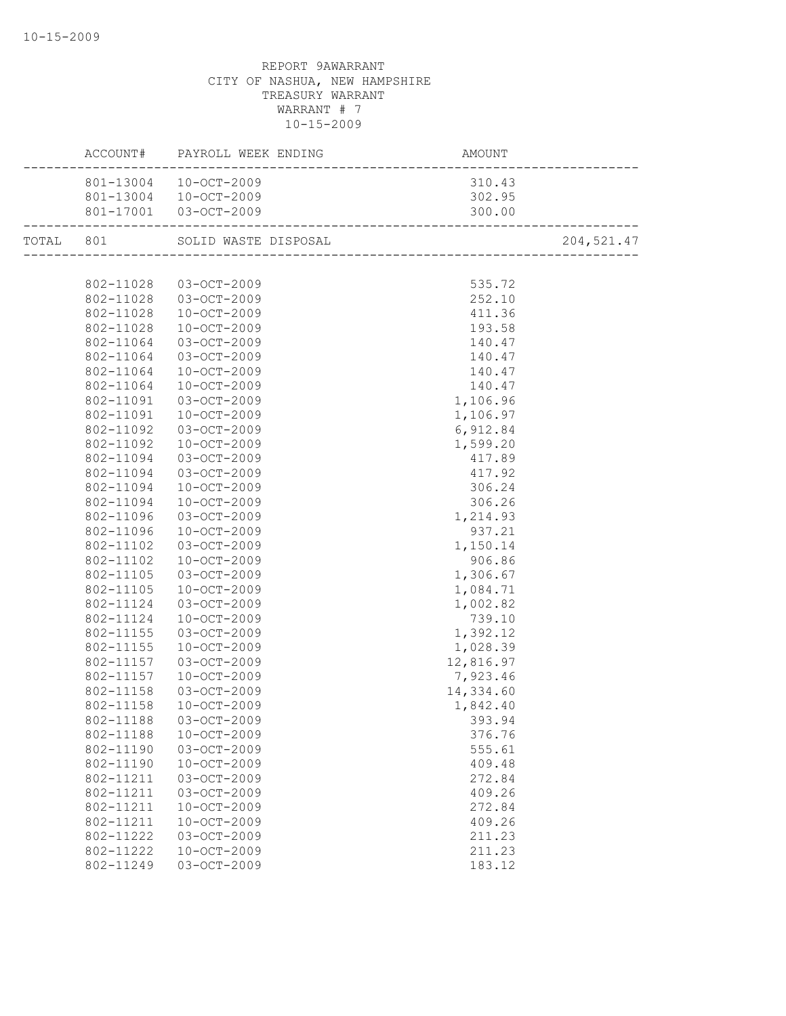|           | ACCOUNT#  | PAYROLL WEEK ENDING   | AMOUNT                            |             |
|-----------|-----------|-----------------------|-----------------------------------|-------------|
|           |           | 801-13004 10-OCT-2009 | 310.43                            |             |
|           |           | 801-13004 10-OCT-2009 | 302.95                            |             |
|           |           | 801-17001 03-OCT-2009 | 300.00<br>----------------------- |             |
| TOTAL 801 |           | SOLID WASTE DISPOSAL  |                                   | 204, 521.47 |
|           |           |                       |                                   |             |
|           |           | 802-11028 03-OCT-2009 | 535.72                            |             |
|           |           | 802-11028 03-OCT-2009 | 252.10                            |             |
|           | 802-11028 | $10 - OCT - 2009$     | 411.36                            |             |
|           | 802-11028 | 10-OCT-2009           | 193.58                            |             |
|           | 802-11064 | 03-OCT-2009           | 140.47                            |             |
|           | 802-11064 | 03-OCT-2009           | 140.47                            |             |
|           | 802-11064 | 10-OCT-2009           | 140.47                            |             |
|           | 802-11064 | 10-OCT-2009           | 140.47                            |             |
|           | 802-11091 | 03-OCT-2009           | 1,106.96                          |             |
|           | 802-11091 | 10-OCT-2009           | 1,106.97                          |             |
|           | 802-11092 | 03-OCT-2009           | 6,912.84                          |             |
|           | 802-11092 | 10-OCT-2009           | 1,599.20                          |             |
|           | 802-11094 | $03 - OCT - 2009$     | 417.89                            |             |
|           | 802-11094 | 03-OCT-2009           | 417.92                            |             |
|           | 802-11094 | 10-OCT-2009           | 306.24                            |             |
|           | 802-11094 | 10-OCT-2009           | 306.26                            |             |
|           | 802-11096 | 03-OCT-2009           | 1,214.93                          |             |
|           | 802-11096 | $10-0CT-2009$         | 937.21                            |             |
|           | 802-11102 | 03-OCT-2009           | 1,150.14                          |             |
|           | 802-11102 | 10-OCT-2009           | 906.86                            |             |
|           | 802-11105 | 03-OCT-2009           | 1,306.67                          |             |
|           | 802-11105 | 10-OCT-2009           | 1,084.71                          |             |
|           | 802-11124 | 03-OCT-2009           | 1,002.82                          |             |
|           | 802-11124 | $10 - OCT - 2009$     | 739.10                            |             |
|           | 802-11155 | 03-OCT-2009           | 1,392.12                          |             |
|           | 802-11155 | $10 - OCT - 2009$     | 1,028.39                          |             |
|           | 802-11157 | 03-OCT-2009           | 12,816.97                         |             |
|           | 802-11157 | $10 - OCT - 2009$     | 7,923.46                          |             |
|           | 802-11158 | 03-OCT-2009           | 14,334.60                         |             |
|           | 802-11158 | $10 - OCT - 2009$     | 1,842.40                          |             |
|           | 802-11188 | 03-OCT-2009           | 393.94                            |             |
|           | 802-11188 | $10 - OCT - 2009$     | 376.76                            |             |
|           | 802-11190 | 03-OCT-2009           | 555.61                            |             |
|           | 802-11190 | $10 - OCT - 2009$     | 409.48                            |             |
|           | 802-11211 | 03-OCT-2009           | 272.84                            |             |
|           | 802-11211 | 03-OCT-2009           | 409.26                            |             |
|           | 802-11211 | $10 - OCT - 2009$     | 272.84                            |             |
|           | 802-11211 | $10 - OCT - 2009$     | 409.26                            |             |
|           | 802-11222 | 03-OCT-2009           | 211.23                            |             |
|           | 802-11222 | $10 - OCT - 2009$     | 211.23                            |             |
|           | 802-11249 | $03 - OCT - 2009$     |                                   |             |
|           |           |                       | 183.12                            |             |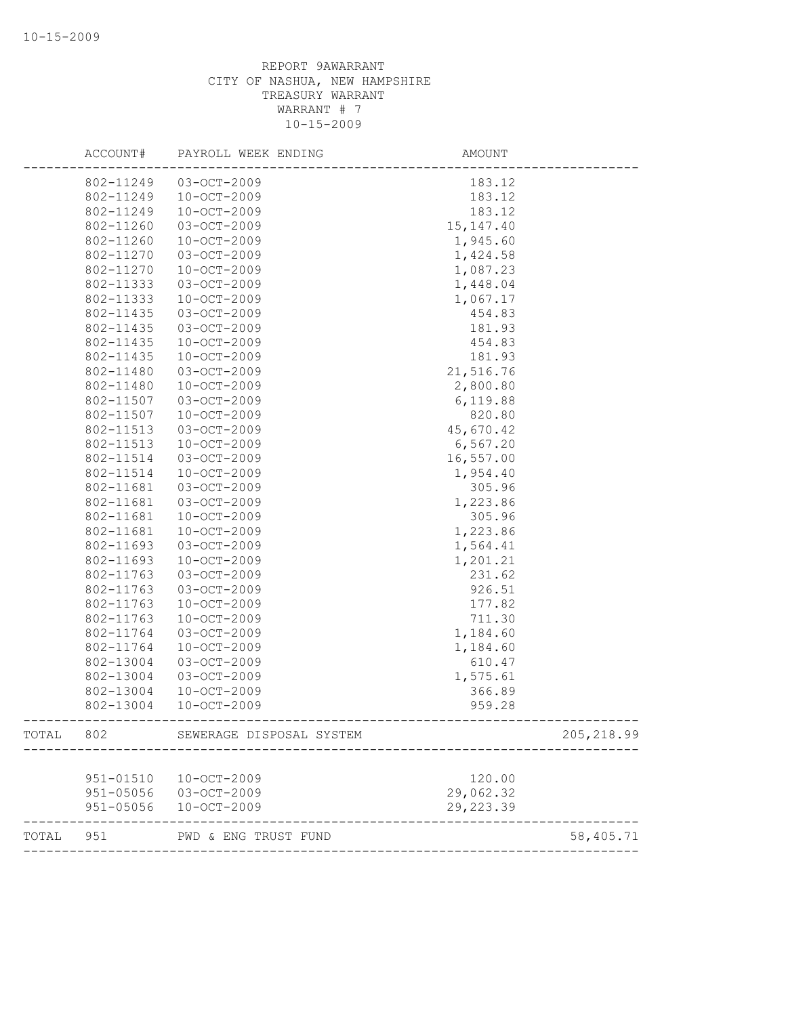|       | ACCOUNT#  | PAYROLL WEEK ENDING      | <b>AMOUNT</b> |             |
|-------|-----------|--------------------------|---------------|-------------|
|       | 802-11249 | 03-OCT-2009              | 183.12        |             |
|       | 802-11249 | 10-OCT-2009              | 183.12        |             |
|       | 802-11249 | $10 - OCT - 2009$        | 183.12        |             |
|       | 802-11260 | 03-OCT-2009              | 15, 147. 40   |             |
|       | 802-11260 | $10 - OCT - 2009$        | 1,945.60      |             |
|       | 802-11270 | 03-OCT-2009              | 1,424.58      |             |
|       | 802-11270 | $10 - OCT - 2009$        | 1,087.23      |             |
|       | 802-11333 | 03-OCT-2009              | 1,448.04      |             |
|       | 802-11333 | $10 - OCT - 2009$        | 1,067.17      |             |
|       | 802-11435 | 03-OCT-2009              | 454.83        |             |
|       | 802-11435 | 03-OCT-2009              | 181.93        |             |
|       | 802-11435 | 10-OCT-2009              | 454.83        |             |
|       | 802-11435 | $10 - OCT - 2009$        | 181.93        |             |
|       | 802-11480 | 03-OCT-2009              | 21,516.76     |             |
|       | 802-11480 | $10 - OCT - 2009$        | 2,800.80      |             |
|       | 802-11507 | 03-OCT-2009              | 6,119.88      |             |
|       | 802-11507 | $10 - OCT - 2009$        | 820.80        |             |
|       | 802-11513 | 03-OCT-2009              | 45,670.42     |             |
|       | 802-11513 | 10-OCT-2009              | 6, 567.20     |             |
|       | 802-11514 | 03-OCT-2009              | 16,557.00     |             |
|       | 802-11514 | $10 - OCT - 2009$        | 1,954.40      |             |
|       | 802-11681 | 03-OCT-2009              | 305.96        |             |
|       | 802-11681 | 03-OCT-2009              | 1,223.86      |             |
|       | 802-11681 | $10 - OCT - 2009$        | 305.96        |             |
|       | 802-11681 | $10 - OCT - 2009$        | 1,223.86      |             |
|       | 802-11693 | 03-OCT-2009              | 1,564.41      |             |
|       | 802-11693 | $10 - OCT - 2009$        | 1,201.21      |             |
|       | 802-11763 | 03-OCT-2009              | 231.62        |             |
|       | 802-11763 | 03-OCT-2009              | 926.51        |             |
|       | 802-11763 | $10 - OCT - 2009$        | 177.82        |             |
|       | 802-11763 | $10 - OCT - 2009$        | 711.30        |             |
|       | 802-11764 | 03-OCT-2009              | 1,184.60      |             |
|       | 802-11764 | $10 - OCT - 2009$        | 1,184.60      |             |
|       | 802-13004 | 03-OCT-2009              | 610.47        |             |
|       | 802-13004 | 03-OCT-2009              | 1,575.61      |             |
|       | 802-13004 | $10 - OCT - 2009$        | 366.89        |             |
|       | 802-13004 | $10 - OCT - 2009$        | 959.28        |             |
| TOTAL | 802       | SEWERAGE DISPOSAL SYSTEM |               | 205, 218.99 |
|       |           |                          |               |             |
|       | 951-01510 | 10-OCT-2009              | 120.00        |             |
|       | 951-05056 | $03 - OCT - 2009$        | 29,062.32     |             |
|       |           | 951-05056 10-OCT-2009    | 29, 223.39    |             |
| TOTAL | 951       | PWD & ENG TRUST FUND     |               | 58,405.71   |
|       |           |                          |               |             |